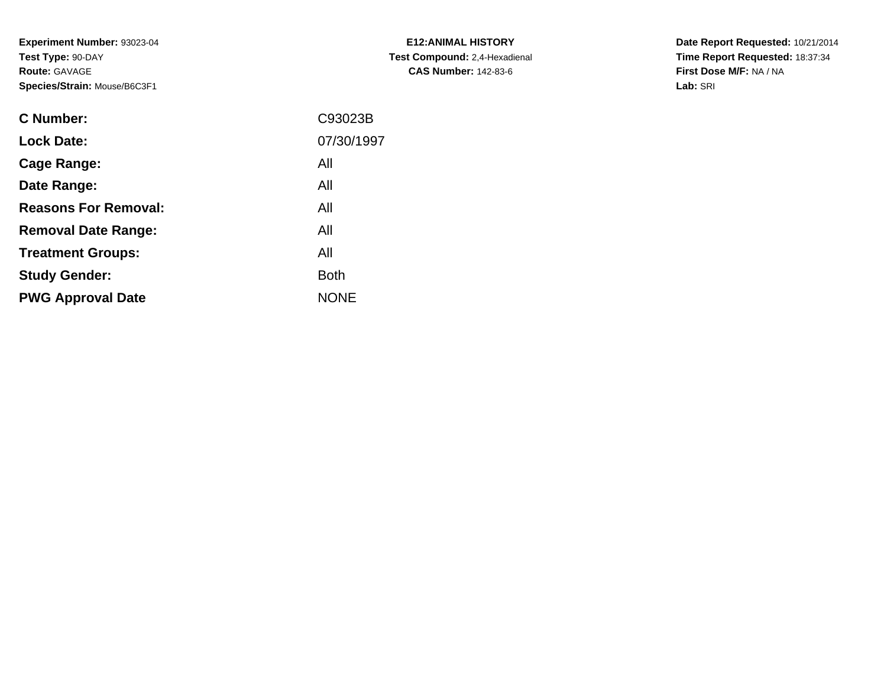**Experiment Number:** 93023-04**Test Type:** 90-DAY**Route:** GAVAGE**Species/Strain:** Mouse/B6C3F1

| <b>E12: ANIMAL HISTORY</b>    |
|-------------------------------|
| Test Compound: 2,4-Hexadienal |
| <b>CAS Number: 142-83-6</b>   |

**Date Report Requested:** 10/21/2014 **Time Report Requested:** 18:37:34**First Dose M/F:** NA / NA**Lab:** SRI

| <b>C</b> Number:            | C93023B     |
|-----------------------------|-------------|
| <b>Lock Date:</b>           | 07/30/1997  |
| Cage Range:                 | All         |
| Date Range:                 | All         |
| <b>Reasons For Removal:</b> | All         |
| <b>Removal Date Range:</b>  | All         |
| <b>Treatment Groups:</b>    | All         |
| <b>Study Gender:</b>        | <b>Both</b> |
| <b>PWG Approval Date</b>    | <b>NONE</b> |
|                             |             |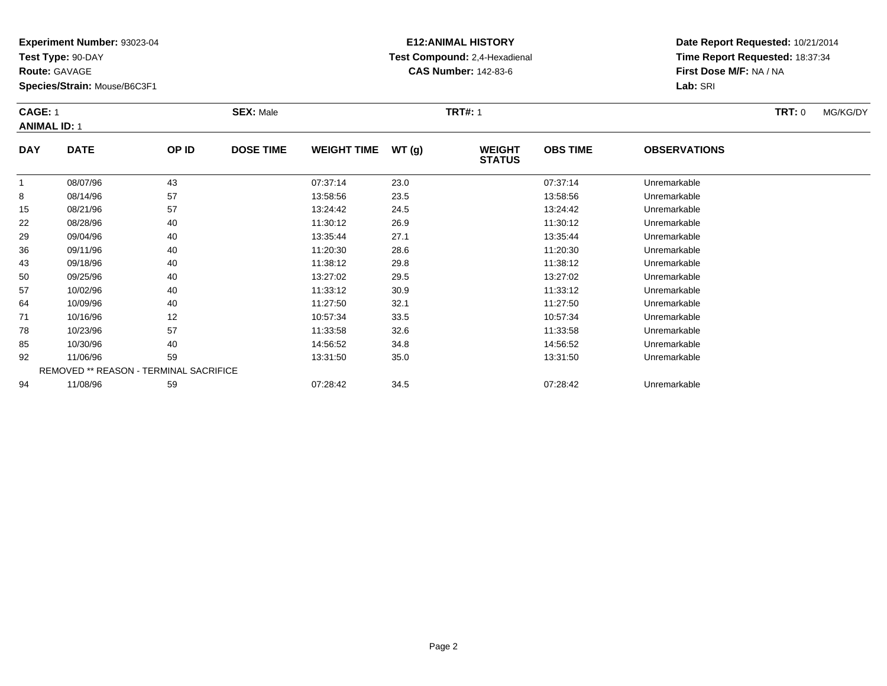**Test Type:** 90-DAY

**Route:** GAVAGE

22

29

36

43

50

57

64

71

78

85

92

94

**Species/Strain:** Mouse/B6C3F1

### **E12:ANIMAL HISTORY Test Compound:** 2,4-Hexadienal **CAS Number:** 142-83-6

**Date Report Requested:** 10/21/2014**Time Report Requested:** 18:37:34**First Dose M/F:** NA / NA**Lab:** SRI

#### **CAGE:** 1 **SEX:** Male **TRT#:** <sup>1</sup> **TRT:** 0 MG/KG/DY**ANIMAL ID:** 1**DAY DATE OP IDDOSE TIME WEIGHT TIME WT** (g) **STATUSOBS TIME OBSERVATIONS** 1 08/07/96 <sup>43</sup> 07:37:14 23.0 07:37:14 Unremarkable 88 08/14/96 57 57 13:58:56 23.5 23.5 13:58:56 Dhremarkable 15

|   | 08/07/96 | 43                                            | 0/3/14   | 23.0 | 07:37:14 | Unremarkable |  |
|---|----------|-----------------------------------------------|----------|------|----------|--------------|--|
|   | 08/14/96 | 57                                            | 13:58:56 | 23.5 | 13:58:56 | Unremarkable |  |
|   | 08/21/96 | 57                                            | 13:24:42 | 24.5 | 13:24:42 | Unremarkable |  |
|   | 08/28/96 | 40                                            | 11:30:12 | 26.9 | 11:30:12 | Unremarkable |  |
| 9 | 09/04/96 | 40                                            | 13:35:44 | 27.1 | 13:35:44 | Unremarkable |  |
| 6 | 09/11/96 | 40                                            | 11:20:30 | 28.6 | 11:20:30 | Unremarkable |  |
|   | 09/18/96 | 40                                            | 11:38:12 | 29.8 | 11:38:12 | Unremarkable |  |
|   | 09/25/96 | 40                                            | 13:27:02 | 29.5 | 13:27:02 | Unremarkable |  |
|   | 10/02/96 | 40                                            | 11:33:12 | 30.9 | 11:33:12 | Unremarkable |  |
|   | 10/09/96 | 40                                            | 11:27:50 | 32.1 | 11:27:50 | Unremarkable |  |
|   | 10/16/96 | 12                                            | 10:57:34 | 33.5 | 10:57:34 | Unremarkable |  |
| 8 | 10/23/96 | 57                                            | 11:33:58 | 32.6 | 11:33:58 | Unremarkable |  |
|   | 10/30/96 | 40                                            | 14:56:52 | 34.8 | 14:56:52 | Unremarkable |  |
|   | 11/06/96 | 59                                            | 13:31:50 | 35.0 | 13:31:50 | Unremarkable |  |
|   |          | <b>REMOVED ** REASON - TERMINAL SACRIFICE</b> |          |      |          |              |  |
|   | 11/08/96 | 59                                            | 07:28:42 | 34.5 | 07:28:42 | Unremarkable |  |
|   |          |                                               |          |      |          |              |  |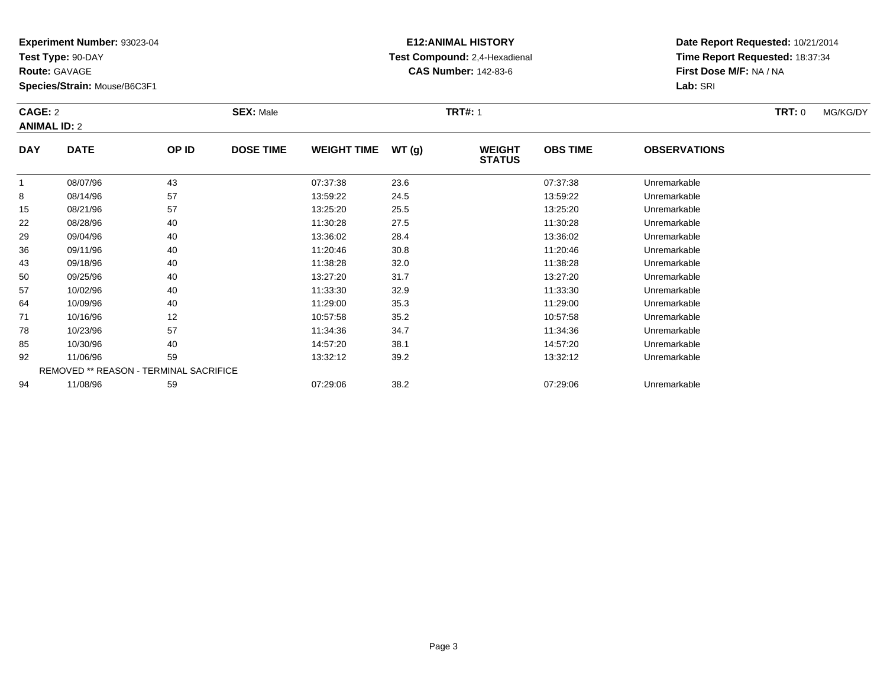**Test Type:** 90-DAY

**Route:** GAVAGE

**Species/Strain:** Mouse/B6C3F1

# **E12:ANIMAL HISTORY Test Compound:** 2,4-Hexadienal **CAS Number:** 142-83-6

**Date Report Requested:** 10/21/2014**Time Report Requested:** 18:37:34**First Dose M/F:** NA / NA**Lab:** SRI

#### **CAGE:** 2 **SEX:** Male **TRT#:** <sup>1</sup> **TRT:** 0 MG/KG/DY**ANIMAL ID:** 2**DAY DATE OP IDDOSE TIME WEIGHT TIME WT** (g) **STATUSOBS TIME OBSERVATIONS** 108/07/96 <sup>43</sup> 07:37:38 23.6 07:37:38 Unremarkable

|                                               | 08/07/96 | 43 | 07:37:38 | 23.6 | 07:37:38 | Unremarkable |  |  |  |
|-----------------------------------------------|----------|----|----------|------|----------|--------------|--|--|--|
| 8                                             | 08/14/96 | 57 | 13:59:22 | 24.5 | 13:59:22 | Unremarkable |  |  |  |
| 15                                            | 08/21/96 | 57 | 13:25:20 | 25.5 | 13:25:20 | Unremarkable |  |  |  |
| 22                                            | 08/28/96 | 40 | 11:30:28 | 27.5 | 11:30:28 | Unremarkable |  |  |  |
| 29                                            | 09/04/96 | 40 | 13:36:02 | 28.4 | 13:36:02 | Unremarkable |  |  |  |
| 36                                            | 09/11/96 | 40 | 11:20:46 | 30.8 | 11:20:46 | Unremarkable |  |  |  |
| 43                                            | 09/18/96 | 40 | 11:38:28 | 32.0 | 11:38:28 | Unremarkable |  |  |  |
| 50                                            | 09/25/96 | 40 | 13:27:20 | 31.7 | 13:27:20 | Unremarkable |  |  |  |
| 57                                            | 10/02/96 | 40 | 11:33:30 | 32.9 | 11:33:30 | Unremarkable |  |  |  |
| 64                                            | 10/09/96 | 40 | 11:29:00 | 35.3 | 11:29:00 | Unremarkable |  |  |  |
| 71                                            | 10/16/96 | 12 | 10:57:58 | 35.2 | 10:57:58 | Unremarkable |  |  |  |
| 78                                            | 10/23/96 | 57 | 11:34:36 | 34.7 | 11:34:36 | Unremarkable |  |  |  |
| 85                                            | 10/30/96 | 40 | 14:57:20 | 38.1 | 14:57:20 | Unremarkable |  |  |  |
| 92                                            | 11/06/96 | 59 | 13:32:12 | 39.2 | 13:32:12 | Unremarkable |  |  |  |
| <b>REMOVED ** REASON - TERMINAL SACRIFICE</b> |          |    |          |      |          |              |  |  |  |
| 94                                            | 11/08/96 | 59 | 07:29:06 | 38.2 | 07:29:06 | Unremarkable |  |  |  |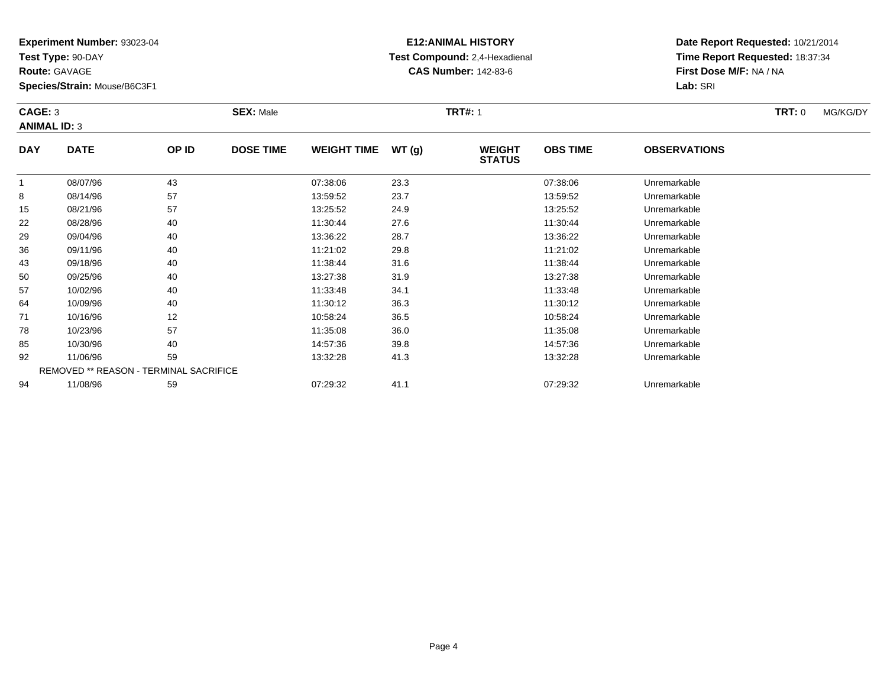**Test Type:** 90-DAY

**Route:** GAVAGE

**Species/Strain:** Mouse/B6C3F1

# **E12:ANIMAL HISTORY Test Compound:** 2,4-Hexadienal **CAS Number:** 142-83-6

**Date Report Requested:** 10/21/2014**Time Report Requested:** 18:37:34**First Dose M/F:** NA / NA**Lab:** SRI

#### **CAGE:** 3 **SEX:** Male **TRT#:** <sup>1</sup> **TRT:** 0 MG/KG/DY**ANIMAL ID:** 3**DAY DATE OP IDDOSE TIME WEIGHT TIME WT** (g) **STATUSOBS TIME OBSERVATIONS** 1 08/07/96 <sup>43</sup> 07:38:06 23.3 07:38:06 Unremarkable  $\circ$ 8 08/14/96 57 57 13:59:52 23.7 23.7 13:59:52 Dhremarkable 15

| ŏ  | U8/14/90 | 5/                                            | 13.59.52 | 23.I | 13.59.54 | Unremarkable |  |
|----|----------|-----------------------------------------------|----------|------|----------|--------------|--|
| 15 | 08/21/96 | 57                                            | 13:25:52 | 24.9 | 13:25:52 | Unremarkable |  |
| 22 | 08/28/96 | 40                                            | 11:30:44 | 27.6 | 11:30:44 | Unremarkable |  |
| 29 | 09/04/96 | 40                                            | 13:36:22 | 28.7 | 13:36:22 | Unremarkable |  |
| 36 | 09/11/96 | 40                                            | 11:21:02 | 29.8 | 11:21:02 | Unremarkable |  |
| 43 | 09/18/96 | 40                                            | 11:38:44 | 31.6 | 11:38:44 | Unremarkable |  |
| 50 | 09/25/96 | 40                                            | 13:27:38 | 31.9 | 13:27:38 | Unremarkable |  |
| 57 | 10/02/96 | 40                                            | 11:33:48 | 34.1 | 11:33:48 | Unremarkable |  |
| 64 | 10/09/96 | 40                                            | 11:30:12 | 36.3 | 11:30:12 | Unremarkable |  |
| 71 | 10/16/96 | 12                                            | 10:58:24 | 36.5 | 10:58:24 | Unremarkable |  |
| 78 | 10/23/96 | 57                                            | 11:35:08 | 36.0 | 11:35:08 | Unremarkable |  |
| 85 | 10/30/96 | 40                                            | 14:57:36 | 39.8 | 14:57:36 | Unremarkable |  |
| 92 | 11/06/96 | 59                                            | 13:32:28 | 41.3 | 13:32:28 | Unremarkable |  |
|    |          | <b>REMOVED ** REASON - TERMINAL SACRIFICE</b> |          |      |          |              |  |
| 94 | 11/08/96 | 59                                            | 07:29:32 | 41.1 | 07:29:32 | Unremarkable |  |
|    |          |                                               |          |      |          |              |  |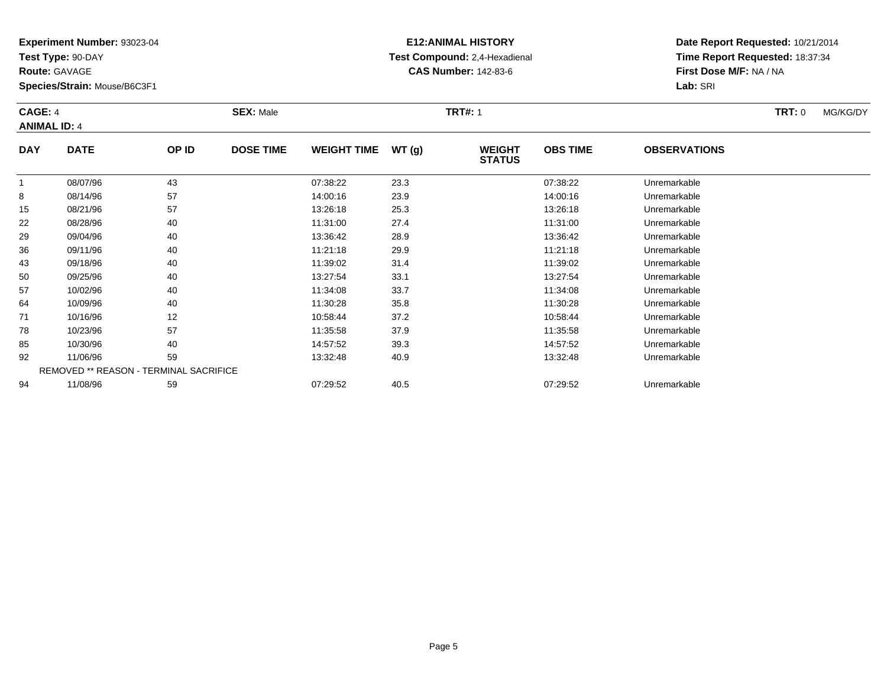**Test Type:** 90-DAY

**Route:** GAVAGE

**Species/Strain:** Mouse/B6C3F1

# **E12:ANIMAL HISTORY Test Compound:** 2,4-Hexadienal **CAS Number:** 142-83-6

**Date Report Requested:** 10/21/2014**Time Report Requested:** 18:37:34**First Dose M/F:** NA / NA**Lab:** SRI

#### **CAGE:** 4 **SEX:** Male **TRT#:** <sup>1</sup> **TRT:** 0 MG/KG/DY**ANIMAL ID:** 4**DAY DATE OP IDDOSE TIME WEIGHT TIME WT** (g) **STATUSOBS TIME OBSERVATIONS** 1 08/07/96 <sup>43</sup> 07:38:22 23.3 07:38:22 Unremarkable 88 08/14/96 57 57 14:00:16 23.9 14:00:16 14:00:16 14:00:16 15

|    | 08/07/96 | 43                                            | 07:38:22 | 23.3 | 07:38:22 | Unremarkable |  |
|----|----------|-----------------------------------------------|----------|------|----------|--------------|--|
| 8  | 08/14/96 | 57                                            | 14:00:16 | 23.9 | 14:00:16 | Unremarkable |  |
| 15 | 08/21/96 | 57                                            | 13:26:18 | 25.3 | 13:26:18 | Unremarkable |  |
| 22 | 08/28/96 | 40                                            | 11:31:00 | 27.4 | 11:31:00 | Unremarkable |  |
| 29 | 09/04/96 | 40                                            | 13:36:42 | 28.9 | 13:36:42 | Unremarkable |  |
| 36 | 09/11/96 | 40                                            | 11:21:18 | 29.9 | 11:21:18 | Unremarkable |  |
| 43 | 09/18/96 | 40                                            | 11:39:02 | 31.4 | 11:39:02 | Unremarkable |  |
| 50 | 09/25/96 | 40                                            | 13:27:54 | 33.1 | 13:27:54 | Unremarkable |  |
| 57 | 10/02/96 | 40                                            | 11:34:08 | 33.7 | 11:34:08 | Unremarkable |  |
| 64 | 10/09/96 | 40                                            | 11:30:28 | 35.8 | 11:30:28 | Unremarkable |  |
| 71 | 10/16/96 | 12                                            | 10:58:44 | 37.2 | 10:58:44 | Unremarkable |  |
| 78 | 10/23/96 | 57                                            | 11:35:58 | 37.9 | 11:35:58 | Unremarkable |  |
| 85 | 10/30/96 | 40                                            | 14:57:52 | 39.3 | 14:57:52 | Unremarkable |  |
| 92 | 11/06/96 | 59                                            | 13:32:48 | 40.9 | 13:32:48 | Unremarkable |  |
|    |          | <b>REMOVED ** REASON - TERMINAL SACRIFICE</b> |          |      |          |              |  |
| 94 | 11/08/96 | 59                                            | 07:29:52 | 40.5 | 07:29:52 | Unremarkable |  |
|    |          |                                               |          |      |          |              |  |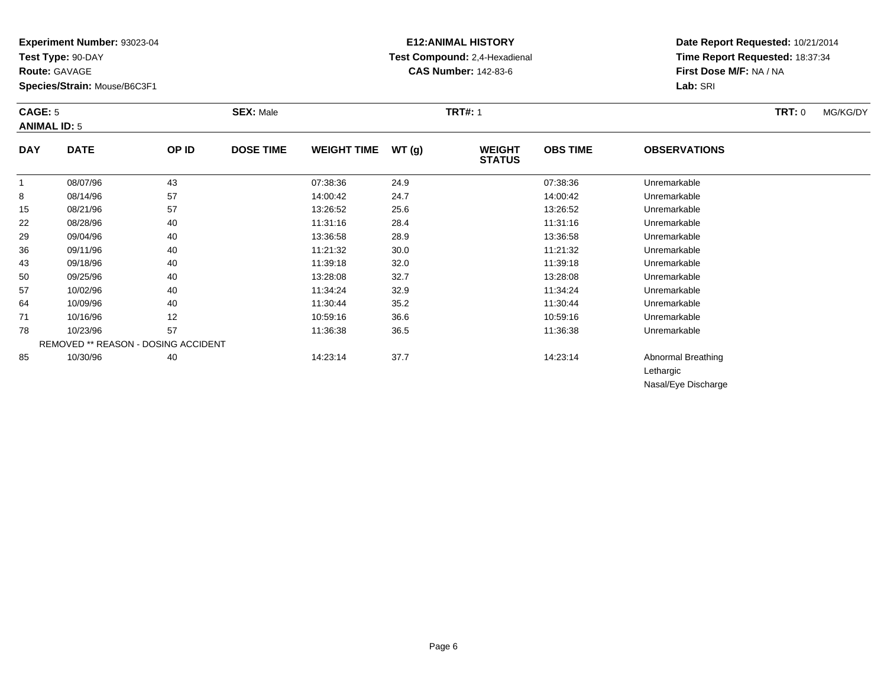**Test Type:** 90-DAY

**Route:** GAVAGE

**Species/Strain:** Mouse/B6C3F1

### **E12:ANIMAL HISTORY Test Compound:** 2,4-Hexadienal **CAS Number:** 142-83-6

**Date Report Requested:** 10/21/2014**Time Report Requested:** 18:37:34**First Dose M/F:** NA / NA**Lab:** SRI

#### **CAGE:** 5 **SEX:** Male **TRT#:** <sup>1</sup> **TRT:** 0 MG/KG/DY**ANIMAL ID:** 5**DAY DATE OP ID DOSE TIME WEIGHT TIME WT (g) WEIGHT OBS TIMEOBSERVATIONS**

|    |          |                                            |          |      | <b>STATUS</b> |                     |  |
|----|----------|--------------------------------------------|----------|------|---------------|---------------------|--|
|    | 08/07/96 | 43                                         | 07:38:36 | 24.9 | 07:38:36      | Unremarkable        |  |
| 8  | 08/14/96 | 57                                         | 14:00:42 | 24.7 | 14:00:42      | Unremarkable        |  |
| 15 | 08/21/96 | 57                                         | 13:26:52 | 25.6 | 13:26:52      | Unremarkable        |  |
| 22 | 08/28/96 | 40                                         | 11:31:16 | 28.4 | 11:31:16      | Unremarkable        |  |
| 29 | 09/04/96 | 40                                         | 13:36:58 | 28.9 | 13:36:58      | Unremarkable        |  |
| 36 | 09/11/96 | 40                                         | 11:21:32 | 30.0 | 11:21:32      | Unremarkable        |  |
| 43 | 09/18/96 | 40                                         | 11:39:18 | 32.0 | 11:39:18      | Unremarkable        |  |
| 50 | 09/25/96 | 40                                         | 13:28:08 | 32.7 | 13:28:08      | Unremarkable        |  |
| 57 | 10/02/96 | 40                                         | 11:34:24 | 32.9 | 11:34:24      | Unremarkable        |  |
| 64 | 10/09/96 | 40                                         | 11:30:44 | 35.2 | 11:30:44      | Unremarkable        |  |
| 71 | 10/16/96 | 12                                         | 10:59:16 | 36.6 | 10:59:16      | Unremarkable        |  |
| 78 | 10/23/96 | 57                                         | 11:36:38 | 36.5 | 11:36:38      | Unremarkable        |  |
|    |          | <b>REMOVED ** REASON - DOSING ACCIDENT</b> |          |      |               |                     |  |
| 85 | 10/30/96 | 40                                         | 14:23:14 | 37.7 | 14:23:14      | Abnormal Breathing  |  |
|    |          |                                            |          |      |               | Lethargic           |  |
|    |          |                                            |          |      |               | Nasal/Eye Discharge |  |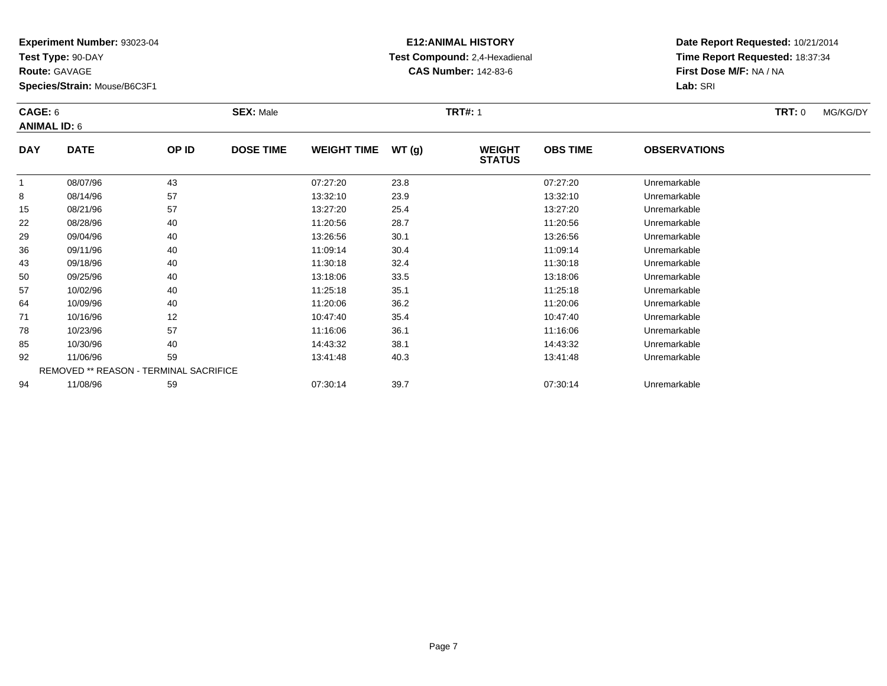**Test Type:** 90-DAY

**Route:** GAVAGE

**Species/Strain:** Mouse/B6C3F1

# **E12:ANIMAL HISTORY Test Compound:** 2,4-Hexadienal **CAS Number:** 142-83-6

**Date Report Requested:** 10/21/2014**Time Report Requested:** 18:37:34**First Dose M/F:** NA / NA**Lab:** SRI

#### **CAGE:** 6 **SEX:** Male **TRT#:** <sup>1</sup> **TRT:** 0 MG/KG/DY**ANIMAL ID:** 6**DAY DATE OP IDDOSE TIME WEIGHT TIME WT** (g) **STATUSOBS TIME OBSERVATIONS** 1 08/07/96 <sup>43</sup> 07:27:20 23.8 07:27:20 Unremarkable 88 08/14/96 57 57 13:32:10 23.9 13:32:10 13:32:10 13:32:10 15 08/21/96 <sup>57</sup> 13:27:20 25.4 13:27:20 Unremarkable 2208/28/96 <sup>40</sup> 11:20:56 28.7 11:20:56 Unremarkable

|    | 08/07/96 | 43                                     | 07:27:20 | 23.8 | 07:27:20 | Unremarkable |  |
|----|----------|----------------------------------------|----------|------|----------|--------------|--|
| 8  | 08/14/96 | 57                                     | 13:32:10 | 23.9 | 13:32:10 | Unremarkable |  |
| 15 | 08/21/96 | 57                                     | 13:27:20 | 25.4 | 13:27:20 | Unremarkable |  |
| 22 | 08/28/96 | 40                                     | 11:20:56 | 28.7 | 11:20:56 | Unremarkable |  |
| 29 | 09/04/96 | 40                                     | 13:26:56 | 30.1 | 13:26:56 | Unremarkable |  |
| 36 | 09/11/96 | 40                                     | 11:09:14 | 30.4 | 11:09:14 | Unremarkable |  |
| 43 | 09/18/96 | 40                                     | 11:30:18 | 32.4 | 11:30:18 | Unremarkable |  |
| 50 | 09/25/96 | 40                                     | 13:18:06 | 33.5 | 13:18:06 | Unremarkable |  |
| 57 | 10/02/96 | 40                                     | 11:25:18 | 35.1 | 11:25:18 | Unremarkable |  |
| 64 | 10/09/96 | 40                                     | 11:20:06 | 36.2 | 11:20:06 | Unremarkable |  |
| 71 | 10/16/96 | 12                                     | 10:47:40 | 35.4 | 10:47:40 | Unremarkable |  |
| 78 | 10/23/96 | 57                                     | 11:16:06 | 36.1 | 11:16:06 | Unremarkable |  |
| 85 | 10/30/96 | 40                                     | 14:43:32 | 38.1 | 14:43:32 | Unremarkable |  |
| 92 | 11/06/96 | 59                                     | 13:41:48 | 40.3 | 13:41:48 | Unremarkable |  |
|    |          | REMOVED ** REASON - TERMINAL SACRIFICE |          |      |          |              |  |
| 94 | 11/08/96 | 59                                     | 07:30:14 | 39.7 | 07:30:14 | Unremarkable |  |
|    |          |                                        |          |      |          |              |  |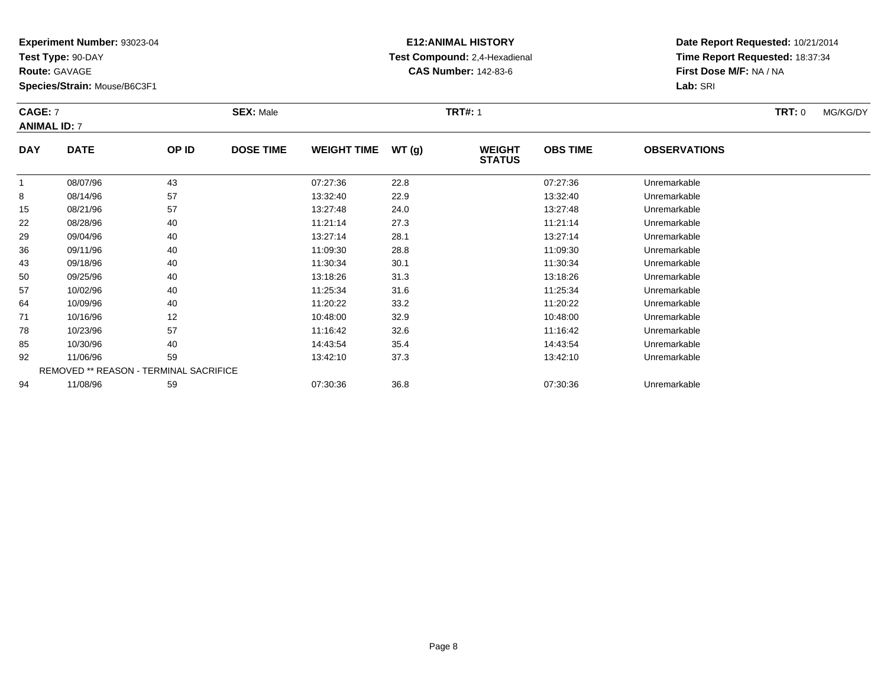**Test Type:** 90-DAY

**Route:** GAVAGE

**Species/Strain:** Mouse/B6C3F1

# **E12:ANIMAL HISTORY Test Compound:** 2,4-Hexadienal **CAS Number:** 142-83-6

**Date Report Requested:** 10/21/2014**Time Report Requested:** 18:37:34**First Dose M/F:** NA / NA**Lab:** SRI

#### **CAGE:** 7 **SEX:** Male **TRT#:** <sup>1</sup> **TRT:** 0 MG/KG/DY**ANIMAL ID:** 7**DAY DATE OP IDDOSE TIME WEIGHT TIME WT** (g) **STATUSOBS TIME OBSERVATIONS** 1 08/07/96 <sup>43</sup> 07:27:36 22.8 07:27:36 Unremarkable 88 08/14/96 57 57 13:32:40 22.9 13:32:40 13:32:40 Dhremarkable

|    | 08/07/96 | 43                                     | 07:27:36 | 22.8 | 07:27:36 | Unremarkable |  |
|----|----------|----------------------------------------|----------|------|----------|--------------|--|
| 8  | 08/14/96 | 57                                     | 13:32:40 | 22.9 | 13:32:40 | Unremarkable |  |
| 15 | 08/21/96 | 57                                     | 13:27:48 | 24.0 | 13:27:48 | Unremarkable |  |
| 22 | 08/28/96 | 40                                     | 11:21:14 | 27.3 | 11:21:14 | Unremarkable |  |
| 29 | 09/04/96 | 40                                     | 13:27:14 | 28.1 | 13:27:14 | Unremarkable |  |
| 36 | 09/11/96 | 40                                     | 11:09:30 | 28.8 | 11:09:30 | Unremarkable |  |
| 43 | 09/18/96 | 40                                     | 11:30:34 | 30.1 | 11:30:34 | Unremarkable |  |
| 50 | 09/25/96 | 40                                     | 13:18:26 | 31.3 | 13:18:26 | Unremarkable |  |
| 57 | 10/02/96 | 40                                     | 11:25:34 | 31.6 | 11:25:34 | Unremarkable |  |
| 64 | 10/09/96 | 40                                     | 11:20:22 | 33.2 | 11:20:22 | Unremarkable |  |
| 71 | 10/16/96 | 12                                     | 10:48:00 | 32.9 | 10:48:00 | Unremarkable |  |
| 78 | 10/23/96 | 57                                     | 11:16:42 | 32.6 | 11:16:42 | Unremarkable |  |
| 85 | 10/30/96 | 40                                     | 14:43:54 | 35.4 | 14:43:54 | Unremarkable |  |
| 92 | 11/06/96 | 59                                     | 13:42:10 | 37.3 | 13:42:10 | Unremarkable |  |
|    |          | REMOVED ** REASON - TERMINAL SACRIFICE |          |      |          |              |  |
| 94 | 11/08/96 | 59                                     | 07:30:36 | 36.8 | 07:30:36 | Unremarkable |  |
|    |          |                                        |          |      |          |              |  |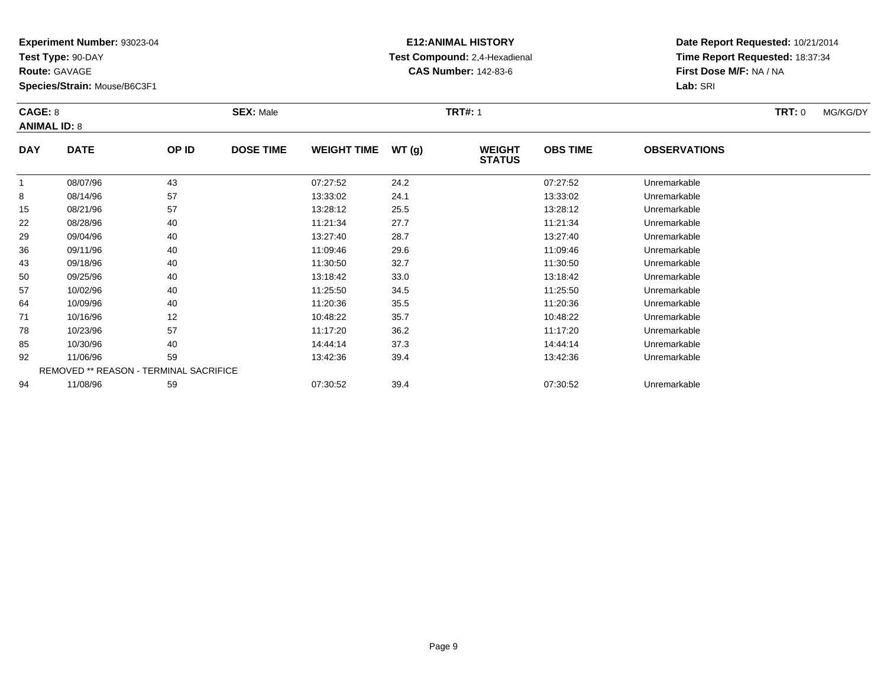**Test Type:** 90-DAY

**Route:** GAVAGE

**Species/Strain:** Mouse/B6C3F1

# **E12:ANIMAL HISTORY Test Compound:** 2,4-Hexadienal **CAS Number:** 142-83-6

**Date Report Requested:** 10/21/2014**Time Report Requested:** 18:37:34**First Dose M/F:** NA / NA**Lab:** SRI

#### **CAGE:** 8 **SEX:** Male **TRT#:** <sup>1</sup> **TRT:** 0 MG/KG/DY**ANIMAL ID:** 8**DAY DATE OP IDDOSE TIME WEIGHT TIME WT** (g) **STATUSOBS TIME OBSERVATIONS** 1 08/07/96 <sup>43</sup> 07:27:52 24.2 07:27:52 Unremarkable 88 08/14/96 57 57 13:33:02 24.1 13:33:02 13:33:02 Dhremarkable 15 08/21/96 <sup>57</sup> 13:28:12 25.5 13:28:12 Unremarkable 222 08/28/96 40 40 11:21:34 27.7 11:21:34 11:21:34 Dhremarkable

|    | 08/07/96 | 43                                            | 07:27:52 | 24.2 | 07:27:52 | Unremarkable |  |
|----|----------|-----------------------------------------------|----------|------|----------|--------------|--|
| 8  | 08/14/96 | 57                                            | 13:33:02 | 24.1 | 13:33:02 | Unremarkable |  |
| 15 | 08/21/96 | 57                                            | 13:28:12 | 25.5 | 13:28:12 | Unremarkable |  |
| 22 | 08/28/96 | 40                                            | 11:21:34 | 27.7 | 11:21:34 | Unremarkable |  |
| 29 | 09/04/96 | 40                                            | 13:27:40 | 28.7 | 13:27:40 | Unremarkable |  |
| 36 | 09/11/96 | 40                                            | 11:09:46 | 29.6 | 11:09:46 | Unremarkable |  |
| 43 | 09/18/96 | 40                                            | 11:30:50 | 32.7 | 11:30:50 | Unremarkable |  |
| 50 | 09/25/96 | 40                                            | 13:18:42 | 33.0 | 13:18:42 | Unremarkable |  |
| 57 | 10/02/96 | 40                                            | 11:25:50 | 34.5 | 11:25:50 | Unremarkable |  |
| 64 | 10/09/96 | 40                                            | 11:20:36 | 35.5 | 11:20:36 | Unremarkable |  |
| 71 | 10/16/96 | 12                                            | 10:48:22 | 35.7 | 10:48:22 | Unremarkable |  |
| 78 | 10/23/96 | 57                                            | 11:17:20 | 36.2 | 11:17:20 | Unremarkable |  |
| 85 | 10/30/96 | 40                                            | 14:44:14 | 37.3 | 14:44:14 | Unremarkable |  |
| 92 | 11/06/96 | 59                                            | 13:42:36 | 39.4 | 13:42:36 | Unremarkable |  |
|    |          | <b>REMOVED ** REASON - TERMINAL SACRIFICE</b> |          |      |          |              |  |
| 94 | 11/08/96 | 59                                            | 07:30:52 | 39.4 | 07:30:52 | Unremarkable |  |
|    |          |                                               |          |      |          |              |  |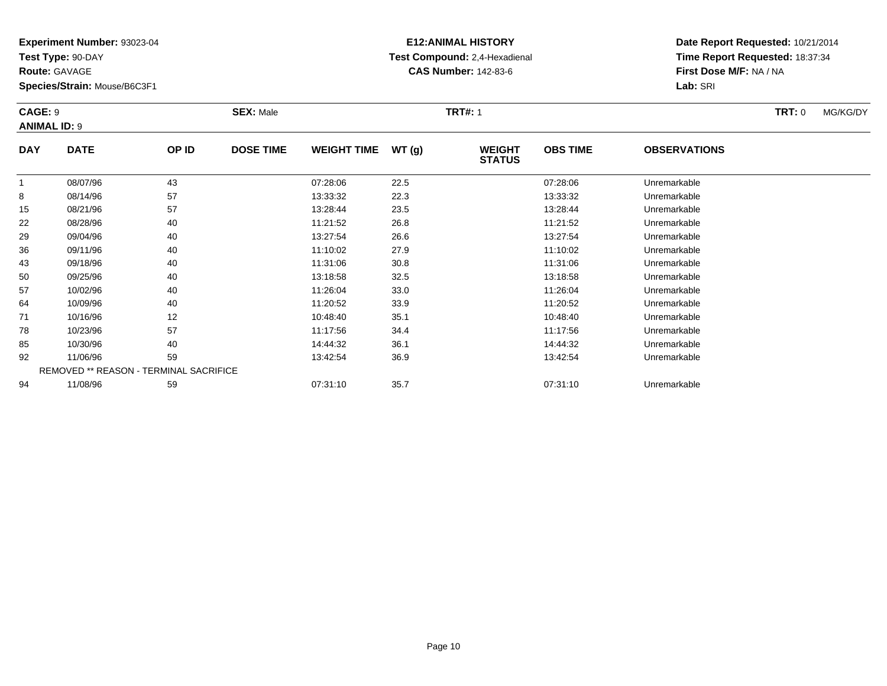**Test Type:** 90-DAY

**Route:** GAVAGE

50

57

64

71

78

85

92

94

**Species/Strain:** Mouse/B6C3F1

REMOVED \*\* REASON - TERMINAL SACRIFICE

### **E12:ANIMAL HISTORY Test Compound:** 2,4-Hexadienal **CAS Number:** 142-83-6

**Date Report Requested:** 10/21/2014**Time Report Requested:** 18:37:34**First Dose M/F:** NA / NA**Lab:** SRI

#### **CAGE:** 9 **SEX:** Male **TRT#:** <sup>1</sup> **TRT:** 0 MG/KG/DY**ANIMAL ID:** 9**DAY DATE OP IDDOSE TIME WEIGHT TIME WT** (g) **STATUSOBS TIME OBSERVATIONS** 1 08/07/96 <sup>43</sup> 07:28:06 22.5 07:28:06 Unremarkable 88 08/14/96 57 57 13:33:32 22.3 22.3 13:33:32 Unremarkable 15 08/21/96 <sup>57</sup> 13:28:44 23.5 13:28:44 Unremarkable 22 08/28/96 <sup>40</sup> 11:21:52 26.8 11:21:52 Unremarkable 29 09/04/96 <sup>40</sup> 13:27:54 26.6 13:27:54 Unremarkable 36 09/11/96 <sup>40</sup> 11:10:02 27.9 11:10:02 Unremarkable 4309/18/96 <sup>40</sup> 11:31:06 30.8 11:31:06 Unremarkable

0 09/25/96 40 40 13:18:58 32.5 13:18:58 13:18:58 Dhremarkable

10/02/96 <sup>40</sup> 11:26:04 33.0 11:26:04 Unremarkable

10/09/96 <sup>40</sup> 11:20:52 33.9 11:20:52 Unremarkable

1 10/16/96 12 12 10:48:40 35.1 10:46 10:48:40 10:48:40 10:48:40 Unremarkable

8 10/23/96 57 57 11:17:56 34.4 11:17:56 11:17:56 11:17:56

10/30/96 <sup>40</sup> 14:44:32 36.1 14:44:32 Unremarkable

11/06/96 <sup>59</sup> 13:42:54 36.9 13:42:54 Unremarkable

11/08/96 <sup>59</sup> 07:31:10 35.7 07:31:10 Unremarkable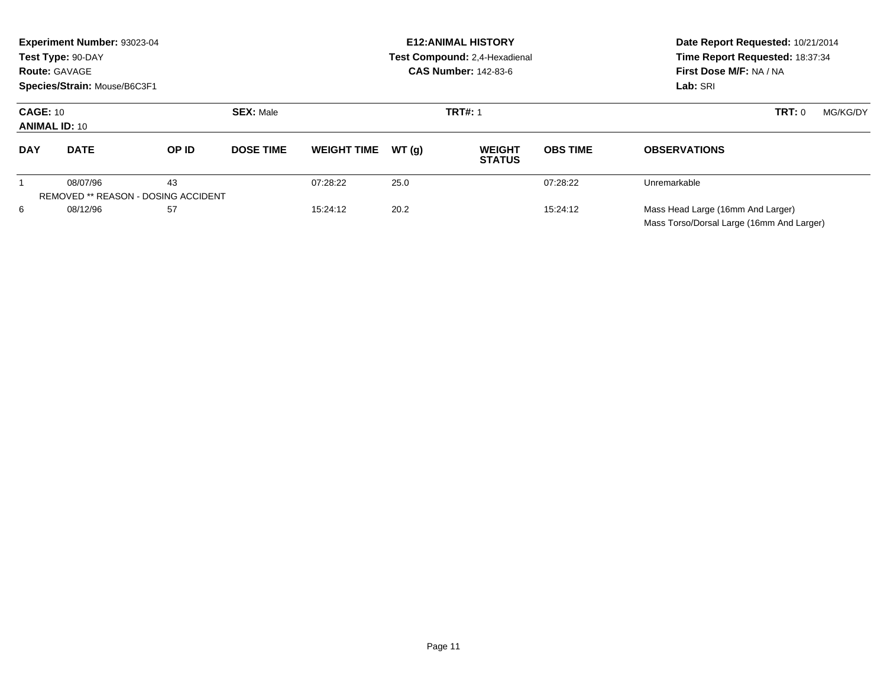| Experiment Number: 93023-04<br>Test Type: 90-DAY<br><b>Route: GAVAGE</b><br>Species/Strain: Mouse/B6C3F1 |                                                        |       |                  |                    | <b>E12: ANIMAL HISTORY</b><br>Test Compound: 2.4-Hexadienal<br><b>CAS Number: 142-83-6</b> | Date Report Requested: 10/21/2014<br>Time Report Requested: 18:37:34<br>First Dose M/F: NA / NA<br>Lab: SRI |                 |                                                                                |
|----------------------------------------------------------------------------------------------------------|--------------------------------------------------------|-------|------------------|--------------------|--------------------------------------------------------------------------------------------|-------------------------------------------------------------------------------------------------------------|-----------------|--------------------------------------------------------------------------------|
| <b>CAGE: 10</b><br><b>ANIMAL ID: 10</b>                                                                  |                                                        |       | <b>SEX: Male</b> | <b>TRT#: 1</b>     |                                                                                            |                                                                                                             |                 | TRT: 0<br>MG/KG/DY                                                             |
| <b>DAY</b>                                                                                               | <b>DATE</b>                                            | OP ID | <b>DOSE TIME</b> | <b>WEIGHT TIME</b> | WT(q)                                                                                      | <b>WEIGHT</b><br><b>STATUS</b>                                                                              | <b>OBS TIME</b> | <b>OBSERVATIONS</b>                                                            |
|                                                                                                          | 08/07/96<br><b>REMOVED ** REASON - DOSING ACCIDENT</b> | 43    |                  | 07:28:22           | 25.0                                                                                       |                                                                                                             | 07:28:22        | Unremarkable                                                                   |
| 6                                                                                                        | 08/12/96                                               | 57    |                  | 15:24:12           | 20.2                                                                                       |                                                                                                             | 15:24:12        | Mass Head Large (16mm And Larger)<br>Mass Torso/Dorsal Large (16mm And Larger) |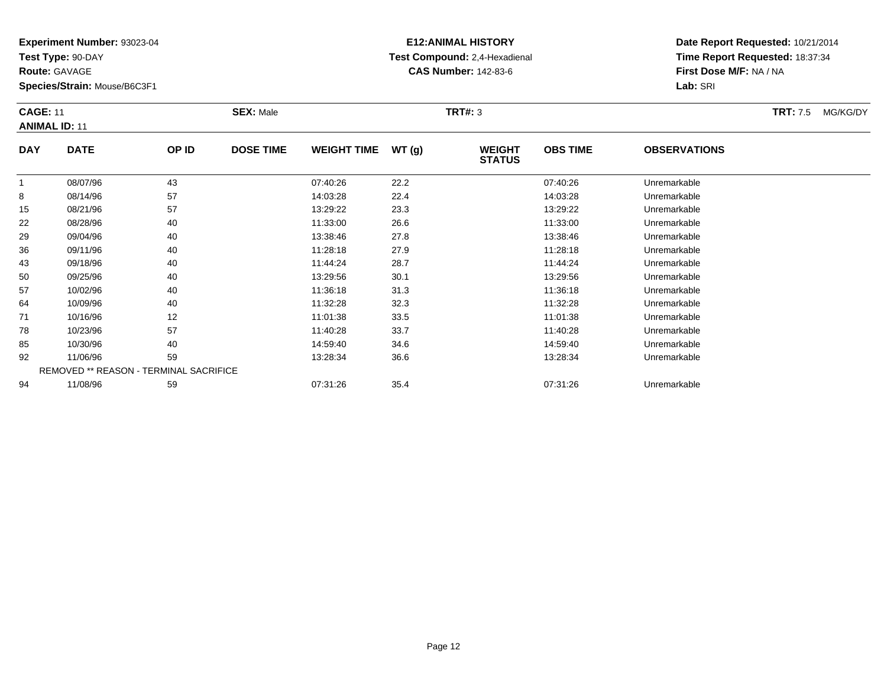**Test Type:** 90-DAY

**Route:** GAVAGE

**Species/Strain:** Mouse/B6C3F1

# **E12:ANIMAL HISTORY Test Compound:** 2,4-Hexadienal **CAS Number:** 142-83-6

**Date Report Requested:** 10/21/2014**Time Report Requested:** 18:37:34**First Dose M/F:** NA / NA**Lab:** SRI

#### **CAGE:** 11 **SEX:** Male **TRT#:** <sup>3</sup> **TRT:** 7.5 MG/KG/DY**ANIMAL ID:** 11**DAY DATE OP IDDOSE TIME WEIGHT TIME WT** (g) **STATUSOBS TIME OBSERVATIONS** 108/07/96 <sup>43</sup> 07:40:26 22.2 07:40:26 Unremarkable

|                                               | 08/07/96 | 43 | 07:40:26 | 22.2 | 07:40:26 | Unremarkable |  |  |  |
|-----------------------------------------------|----------|----|----------|------|----------|--------------|--|--|--|
| 8                                             | 08/14/96 | 57 | 14:03:28 | 22.4 | 14:03:28 | Unremarkable |  |  |  |
| 15                                            | 08/21/96 | 57 | 13:29:22 | 23.3 | 13:29:22 | Unremarkable |  |  |  |
| 22                                            | 08/28/96 | 40 | 11:33:00 | 26.6 | 11:33:00 | Unremarkable |  |  |  |
| 29                                            | 09/04/96 | 40 | 13:38:46 | 27.8 | 13:38:46 | Unremarkable |  |  |  |
| 36                                            | 09/11/96 | 40 | 11:28:18 | 27.9 | 11:28:18 | Unremarkable |  |  |  |
| 43                                            | 09/18/96 | 40 | 11:44:24 | 28.7 | 11:44:24 | Unremarkable |  |  |  |
| 50                                            | 09/25/96 | 40 | 13:29:56 | 30.1 | 13:29:56 | Unremarkable |  |  |  |
| 57                                            | 10/02/96 | 40 | 11:36:18 | 31.3 | 11:36:18 | Unremarkable |  |  |  |
| 64                                            | 10/09/96 | 40 | 11:32:28 | 32.3 | 11:32:28 | Unremarkable |  |  |  |
| 71                                            | 10/16/96 | 12 | 11:01:38 | 33.5 | 11:01:38 | Unremarkable |  |  |  |
| 78                                            | 10/23/96 | 57 | 11:40:28 | 33.7 | 11:40:28 | Unremarkable |  |  |  |
| 85                                            | 10/30/96 | 40 | 14:59:40 | 34.6 | 14:59:40 | Unremarkable |  |  |  |
| 92                                            | 11/06/96 | 59 | 13:28:34 | 36.6 | 13:28:34 | Unremarkable |  |  |  |
| <b>REMOVED ** REASON - TERMINAL SACRIFICE</b> |          |    |          |      |          |              |  |  |  |
| 94                                            | 11/08/96 | 59 | 07:31:26 | 35.4 | 07:31:26 | Unremarkable |  |  |  |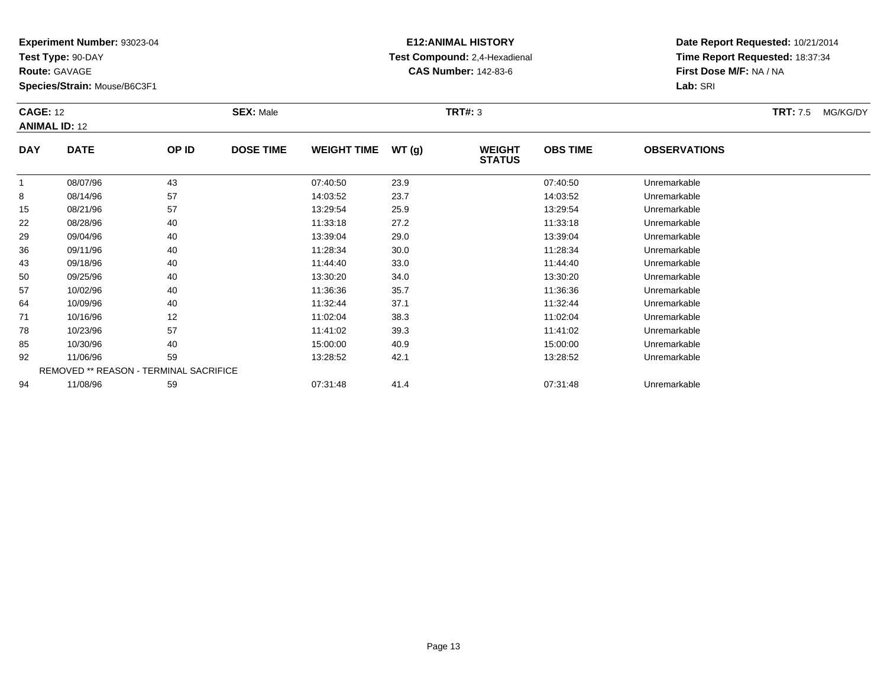**Test Type:** 90-DAY

**Route:** GAVAGE

**Species/Strain:** Mouse/B6C3F1

# **E12:ANIMAL HISTORY Test Compound:** 2,4-Hexadienal **CAS Number:** 142-83-6

**Date Report Requested:** 10/21/2014**Time Report Requested:** 18:37:34**First Dose M/F:** NA / NA**Lab:** SRI

#### **CAGE:** 12 **SEX:** Male **TRT#:** <sup>3</sup> **TRT:** 7.5 MG/KG/DY**ANIMAL ID:** 12**DAY DATE OP IDDOSE TIME WEIGHT TIME WT** (g) **STATUSOBS TIME OBSERVATIONS** 1 08/07/96 <sup>43</sup> 07:40:50 23.9 07:40:50 Unremarkable 88 08/14/96 57 57 14:03:52 23.7 23.7 14:03:52 Unremarkable 15 08/21/96 <sup>57</sup> 13:29:54 25.9 13:29:54 Unremarkable 2208/28/96 <sup>40</sup> 11:33:18 27.2 11:33:18 Unremarkable

|    | 08/07/96 | 43                                     | 07:40:50 | 23.9 | 07:40:50 | Unremarkable |  |
|----|----------|----------------------------------------|----------|------|----------|--------------|--|
| 8  | 08/14/96 | 57                                     | 14:03:52 | 23.7 | 14:03:52 | Unremarkable |  |
| 15 | 08/21/96 | 57                                     | 13:29:54 | 25.9 | 13:29:54 | Unremarkable |  |
| 22 | 08/28/96 | 40                                     | 11:33:18 | 27.2 | 11:33:18 | Unremarkable |  |
| 29 | 09/04/96 | 40                                     | 13:39:04 | 29.0 | 13:39:04 | Unremarkable |  |
| 36 | 09/11/96 | 40                                     | 11:28:34 | 30.0 | 11:28:34 | Unremarkable |  |
| 43 | 09/18/96 | 40                                     | 11:44:40 | 33.0 | 11:44:40 | Unremarkable |  |
| 50 | 09/25/96 | 40                                     | 13:30:20 | 34.0 | 13:30:20 | Unremarkable |  |
| 57 | 10/02/96 | 40                                     | 11:36:36 | 35.7 | 11:36:36 | Unremarkable |  |
| 64 | 10/09/96 | 40                                     | 11:32:44 | 37.1 | 11:32:44 | Unremarkable |  |
| 71 | 10/16/96 | 12                                     | 11:02:04 | 38.3 | 11:02:04 | Unremarkable |  |
| 78 | 10/23/96 | 57                                     | 11:41:02 | 39.3 | 11:41:02 | Unremarkable |  |
| 85 | 10/30/96 | 40                                     | 15:00:00 | 40.9 | 15:00:00 | Unremarkable |  |
| 92 | 11/06/96 | 59                                     | 13:28:52 | 42.1 | 13:28:52 | Unremarkable |  |
|    |          | REMOVED ** REASON - TERMINAL SACRIFICE |          |      |          |              |  |
| 94 | 11/08/96 | 59                                     | 07:31:48 | 41.4 | 07:31:48 | Unremarkable |  |
|    |          |                                        |          |      |          |              |  |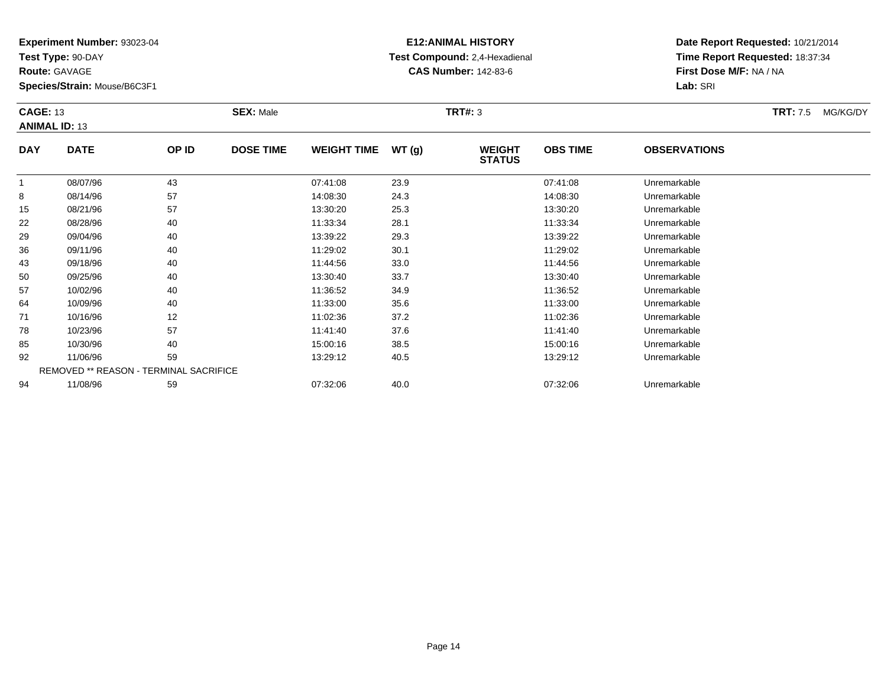**Test Type:** 90-DAY

**Route:** GAVAGE

**Species/Strain:** Mouse/B6C3F1

# **E12:ANIMAL HISTORY Test Compound:** 2,4-Hexadienal **CAS Number:** 142-83-6

**Date Report Requested:** 10/21/2014**Time Report Requested:** 18:37:34**First Dose M/F:** NA / NA**Lab:** SRI

#### **CAGE:** 13 **SEX:** Male **TRT#:** <sup>3</sup> **TRT:** 7.5 MG/KG/DY**ANIMAL ID:** 13**DAY DATE OP IDDOSE TIME WEIGHT TIME WT** (g) **STATUSOBS TIME OBSERVATIONS** 1 08/07/96 <sup>43</sup> 07:41:08 23.9 07:41:08 Unremarkable 88 08/14/96 57 57 14:08:30 24.3 14:08:30 14:08:30 Dhremarkable 15 08/21/96 <sup>57</sup> 13:30:20 25.3 13:30:20 Unremarkable 22 08/28/96 <sup>40</sup> 11:33:34 28.1 11:33:34 Unremarkable 2909/04/96 <sup>40</sup> 13:39:22 29.3 13:39:22 Unremarkable

| 15 | 08/21/96 | 57                                            | 13:30:20 | 25.3 | 13:30:20 | Unremarkable |  |
|----|----------|-----------------------------------------------|----------|------|----------|--------------|--|
| 22 | 08/28/96 | 40                                            | 11:33:34 | 28.1 | 11:33:34 | Unremarkable |  |
| 29 | 09/04/96 | 40                                            | 13:39:22 | 29.3 | 13:39:22 | Unremarkable |  |
| 36 | 09/11/96 | 40                                            | 11:29:02 | 30.1 | 11:29:02 | Unremarkable |  |
| 43 | 09/18/96 | 40                                            | 11:44:56 | 33.0 | 11:44:56 | Unremarkable |  |
| 50 | 09/25/96 | 40                                            | 13:30:40 | 33.7 | 13:30:40 | Unremarkable |  |
| 57 | 10/02/96 | 40                                            | 11:36:52 | 34.9 | 11:36:52 | Unremarkable |  |
| 64 | 10/09/96 | 40                                            | 11:33:00 | 35.6 | 11:33:00 | Unremarkable |  |
| 71 | 10/16/96 | 12                                            | 11:02:36 | 37.2 | 11:02:36 | Unremarkable |  |
| 78 | 10/23/96 | 57                                            | 11:41:40 | 37.6 | 11:41:40 | Unremarkable |  |
| 85 | 10/30/96 | 40                                            | 15:00:16 | 38.5 | 15:00:16 | Unremarkable |  |
| 92 | 11/06/96 | 59                                            | 13:29:12 | 40.5 | 13:29:12 | Unremarkable |  |
|    |          | <b>REMOVED ** REASON - TERMINAL SACRIFICE</b> |          |      |          |              |  |
| 94 | 11/08/96 | 59                                            | 07:32:06 | 40.0 | 07:32:06 | Unremarkable |  |
|    |          |                                               |          |      |          |              |  |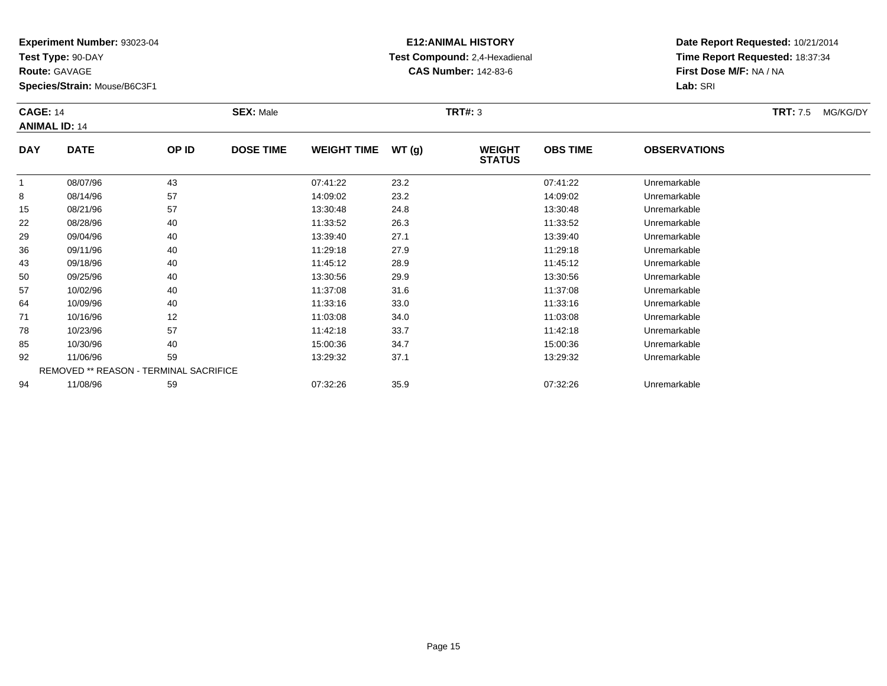**Test Type:** 90-DAY

**Route:** GAVAGE

**Species/Strain:** Mouse/B6C3F1

### **E12:ANIMAL HISTORY Test Compound:** 2,4-Hexadienal **CAS Number:** 142-83-6

**Date Report Requested:** 10/21/2014**Time Report Requested:** 18:37:34**First Dose M/F:** NA / NA**Lab:** SRI

#### **CAGE:** 14 **SEX:** Male **TRT#:** <sup>3</sup> **TRT:** 7.5 MG/KG/DY**ANIMAL ID:** 14**DAY DATE OP IDDOSE TIME WEIGHT TIME WT** (g) **STATUSOBS TIME OBSERVATIONS** 1 08/07/96 <sup>43</sup> 07:41:22 23.2 07:41:22 Unremarkable 88 08/14/96 57 57 14:09:02 23.2 14:09:02 14:09:02 Dhremarkable 15 08/21/96 <sup>57</sup> 13:30:48 24.8 13:30:48 Unremarkable 22 08/28/96 <sup>40</sup> 11:33:52 26.3 11:33:52 Unremarkable 299 09/04/96 40 40 13:39:40 27.1 13:39 13:39:40 Dhremarkable 366 09/11/96 40 40 11:29:18 27.9 11:29 11:29 11:29:18 Dhremarkable

| 22 | 08/28/96 | 40                                            | 11:33:52 | 26.3 | 11:33:52 | Unremarkable |
|----|----------|-----------------------------------------------|----------|------|----------|--------------|
| 29 | 09/04/96 | 40                                            | 13:39:40 | 27.1 | 13:39:40 | Unremarkable |
| 36 | 09/11/96 | 40                                            | 11:29:18 | 27.9 | 11:29:18 | Unremarkable |
| 43 | 09/18/96 | 40                                            | 11:45:12 | 28.9 | 11:45:12 | Unremarkable |
| 50 | 09/25/96 | 40                                            | 13:30:56 | 29.9 | 13:30:56 | Unremarkable |
| 57 | 10/02/96 | 40                                            | 11:37:08 | 31.6 | 11:37:08 | Unremarkable |
| 64 | 10/09/96 | 40                                            | 11:33:16 | 33.0 | 11:33:16 | Unremarkable |
| 71 | 10/16/96 | 12                                            | 11:03:08 | 34.0 | 11:03:08 | Unremarkable |
| 78 | 10/23/96 | 57                                            | 11:42:18 | 33.7 | 11:42:18 | Unremarkable |
| 85 | 10/30/96 | 40                                            | 15:00:36 | 34.7 | 15:00:36 | Unremarkable |
| 92 | 11/06/96 | 59                                            | 13:29:32 | 37.1 | 13:29:32 | Unremarkable |
|    |          | <b>REMOVED ** REASON - TERMINAL SACRIFICE</b> |          |      |          |              |
| 94 | 11/08/96 | 59                                            | 07:32:26 | 35.9 | 07:32:26 | Unremarkable |
|    |          |                                               |          |      |          |              |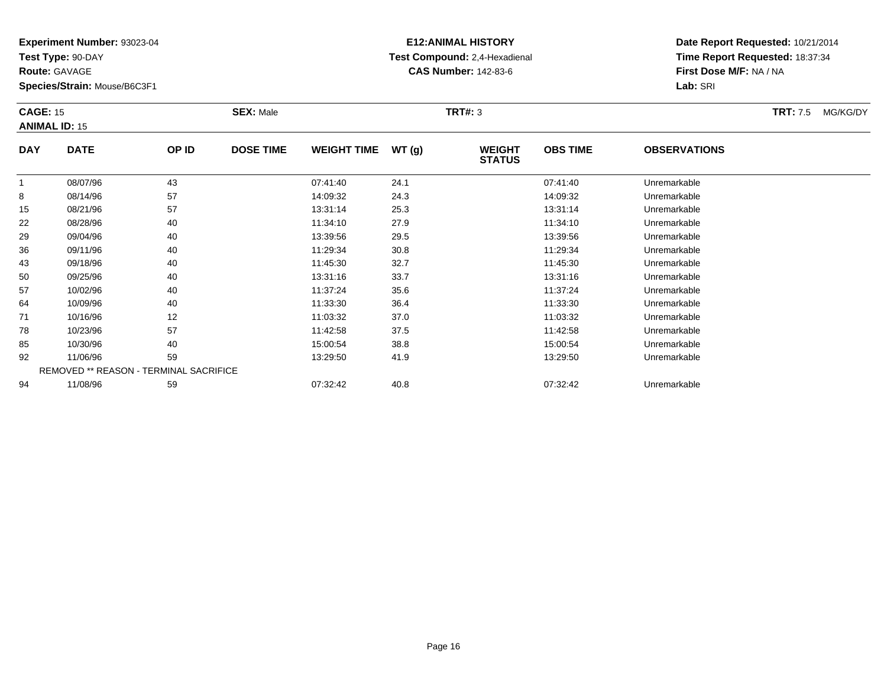**Test Type:** 90-DAY

**Route:** GAVAGE

57

64

71

78

85

92

94

**Species/Strain:** Mouse/B6C3F1

REMOVED \*\* REASON - TERMINAL SACRIFICE

### **E12:ANIMAL HISTORY Test Compound:** 2,4-Hexadienal **CAS Number:** 142-83-6

**Date Report Requested:** 10/21/2014**Time Report Requested:** 18:37:34**First Dose M/F:** NA / NA**Lab:** SRI

#### **CAGE:** 15 **SEX:** Male **TRT#:** <sup>3</sup> **TRT:** 7.5 MG/KG/DY**ANIMAL ID:** 15**DAY DATE OP ID DOSE TIME WEIGHT TIME WT (g) WEIGHT STATUSOBS TIME OBSERVATIONS** 1 08/07/96 <sup>43</sup> 07:41:40 24.1 07:41:40 Unremarkable 88 08/14/96 57 57 14:09:32 24.3 24.3 14:09:32 Dhremarkable 15 08/21/96 <sup>57</sup> 13:31:14 25.3 13:31:14 Unremarkable 22 08/28/96 <sup>40</sup> 11:34:10 27.9 11:34:10 Unremarkable 29 09/04/96 <sup>40</sup> 13:39:56 29.5 13:39:56 Unremarkable 366 09/11/96 40 40 11:29:34 30.8 11:29 11:29 11:29 11:29 11:29 11:29 11:29 11:29 11:29 11:29 11:29 11:29 11:29 1 43 09/18/96 <sup>40</sup> 11:45:30 32.7 11:45:30 Unremarkable 5009/25/96 <sup>40</sup> 13:31:16 33.7 13:31:16 Unremarkable

10/02/96 <sup>40</sup> 11:37:24 35.6 11:37:24 Unremarkable

10/09/96 <sup>40</sup> 11:33:30 36.4 11:33:30 Unremarkable

1 10/16/96 12 12 11:03:32 37.0 11:03:32 10/16/96 Unremarkable

10/23/96 <sup>57</sup> 11:42:58 37.5 11:42:58 Unremarkable

10/30/96 <sup>40</sup> 15:00:54 38.8 15:00:54 Unremarkable

11/06/96 <sup>59</sup> 13:29:50 41.9 13:29:50 Unremarkable

11/08/96 <sup>59</sup> 07:32:42 40.8 07:32:42 Unremarkable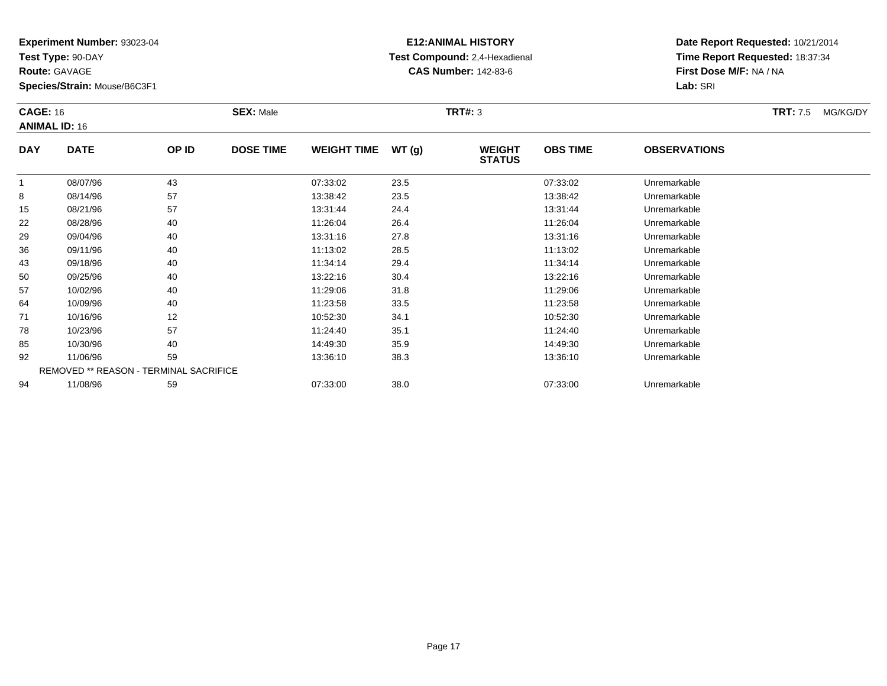**Test Type:** 90-DAY

**Route:** GAVAGE

78

85

92

94

**Species/Strain:** Mouse/B6C3F1

REMOVED \*\* REASON - TERMINAL SACRIFICE

# **E12:ANIMAL HISTORY Test Compound:** 2,4-Hexadienal **CAS Number:** 142-83-6

**Date Report Requested:** 10/21/2014**Time Report Requested:** 18:37:34**First Dose M/F:** NA / NA**Lab:** SRI

| <b>CAGE: 16</b><br><b>ANIMAL ID: 16</b> |             |       | <b>SEX: Male</b> |                    |       | TRT#: 3                        |                 |                     | <b>TRT: 7.5</b> | MG/KG/DY |
|-----------------------------------------|-------------|-------|------------------|--------------------|-------|--------------------------------|-----------------|---------------------|-----------------|----------|
| <b>DAY</b>                              | <b>DATE</b> | OP ID | <b>DOSE TIME</b> | <b>WEIGHT TIME</b> | WT(g) | <b>WEIGHT</b><br><b>STATUS</b> | <b>OBS TIME</b> | <b>OBSERVATIONS</b> |                 |          |
|                                         | 08/07/96    | 43    |                  | 07:33:02           | 23.5  |                                | 07:33:02        | Unremarkable        |                 |          |
| 8                                       | 08/14/96    | 57    |                  | 13:38:42           | 23.5  |                                | 13:38:42        | Unremarkable        |                 |          |
| 15                                      | 08/21/96    | 57    |                  | 13:31:44           | 24.4  |                                | 13:31:44        | Unremarkable        |                 |          |
| 22                                      | 08/28/96    | 40    |                  | 11:26:04           | 26.4  |                                | 11:26:04        | Unremarkable        |                 |          |
| 29                                      | 09/04/96    | 40    |                  | 13:31:16           | 27.8  |                                | 13:31:16        | Unremarkable        |                 |          |
| 36                                      | 09/11/96    | 40    |                  | 11:13:02           | 28.5  |                                | 11:13:02        | Unremarkable        |                 |          |
| 43                                      | 09/18/96    | 40    |                  | 11:34:14           | 29.4  |                                | 11:34:14        | Unremarkable        |                 |          |
| 50                                      | 09/25/96    | 40    |                  | 13:22:16           | 30.4  |                                | 13:22:16        | Unremarkable        |                 |          |
| 57                                      | 10/02/96    | 40    |                  | 11:29:06           | 31.8  |                                | 11:29:06        | Unremarkable        |                 |          |
| 64                                      | 10/09/96    | 40    |                  | 11:23:58           | 33.5  |                                | 11:23:58        | Unremarkable        |                 |          |
| 71                                      | 10/16/96    | 12    |                  | 10:52:30           | 34.1  |                                | 10:52:30        | Unremarkable        |                 |          |

8 10/23/96 57 57 11:24:40 35.1 11:24:40 10/23/96 Unremarkable

10/30/96 <sup>40</sup> 14:49:30 35.9 14:49:30 Unremarkable

11/06/96 <sup>59</sup> 13:36:10 38.3 13:36:10 Unremarkable

11/08/96 <sup>59</sup> 07:33:00 38.0 07:33:00 Unremarkable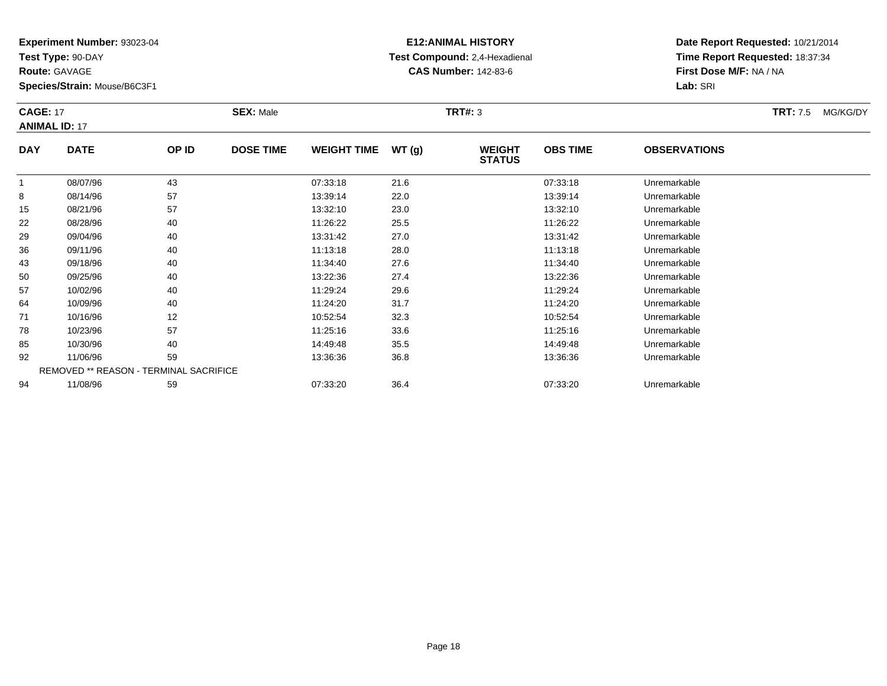**Test Type:** 90-DAY

**Route:** GAVAGE

**Species/Strain:** Mouse/B6C3F1

# **E12:ANIMAL HISTORY Test Compound:** 2,4-Hexadienal **CAS Number:** 142-83-6

**Date Report Requested:** 10/21/2014**Time Report Requested:** 18:37:34**First Dose M/F:** NA / NA**Lab:** SRI

#### **CAGE:** 17 **SEX:** Male **TRT#:** <sup>3</sup> **TRT:** 7.5 MG/KG/DY**ANIMAL ID:** 17**DAY DATE OP IDDOSE TIME WEIGHT TIME WT** (g) **STATUSOBS TIME OBSERVATIONS** 1 08/07/96 <sup>43</sup> 07:33:18 21.6 07:33:18 Unremarkable 88 08/14/96 57 57 13:39:14 22.0 13:39:14 13:39:14 Dhremarkable 15

|    | 08/07/96 | 43                                            | 07:33:18 | 21.6 | 07:33:18 | Unremarkable |  |
|----|----------|-----------------------------------------------|----------|------|----------|--------------|--|
| 8  | 08/14/96 | 57                                            | 13:39:14 | 22.0 | 13:39:14 | Unremarkable |  |
| 15 | 08/21/96 | 57                                            | 13:32:10 | 23.0 | 13:32:10 | Unremarkable |  |
| 22 | 08/28/96 | 40                                            | 11:26:22 | 25.5 | 11:26:22 | Unremarkable |  |
| 29 | 09/04/96 | 40                                            | 13:31:42 | 27.0 | 13:31:42 | Unremarkable |  |
| 36 | 09/11/96 | 40                                            | 11:13:18 | 28.0 | 11:13:18 | Unremarkable |  |
| 43 | 09/18/96 | 40                                            | 11:34:40 | 27.6 | 11:34:40 | Unremarkable |  |
| 50 | 09/25/96 | 40                                            | 13:22:36 | 27.4 | 13:22:36 | Unremarkable |  |
| 57 | 10/02/96 | 40                                            | 11:29:24 | 29.6 | 11:29:24 | Unremarkable |  |
| 64 | 10/09/96 | 40                                            | 11:24:20 | 31.7 | 11:24:20 | Unremarkable |  |
| 71 | 10/16/96 | 12                                            | 10:52:54 | 32.3 | 10:52:54 | Unremarkable |  |
| 78 | 10/23/96 | 57                                            | 11:25:16 | 33.6 | 11:25:16 | Unremarkable |  |
| 85 | 10/30/96 | 40                                            | 14:49:48 | 35.5 | 14:49:48 | Unremarkable |  |
| 92 | 11/06/96 | 59                                            | 13:36:36 | 36.8 | 13:36:36 | Unremarkable |  |
|    |          | <b>REMOVED ** REASON - TERMINAL SACRIFICE</b> |          |      |          |              |  |
| 94 | 11/08/96 | 59                                            | 07:33:20 | 36.4 | 07:33:20 | Unremarkable |  |
|    |          |                                               |          |      |          |              |  |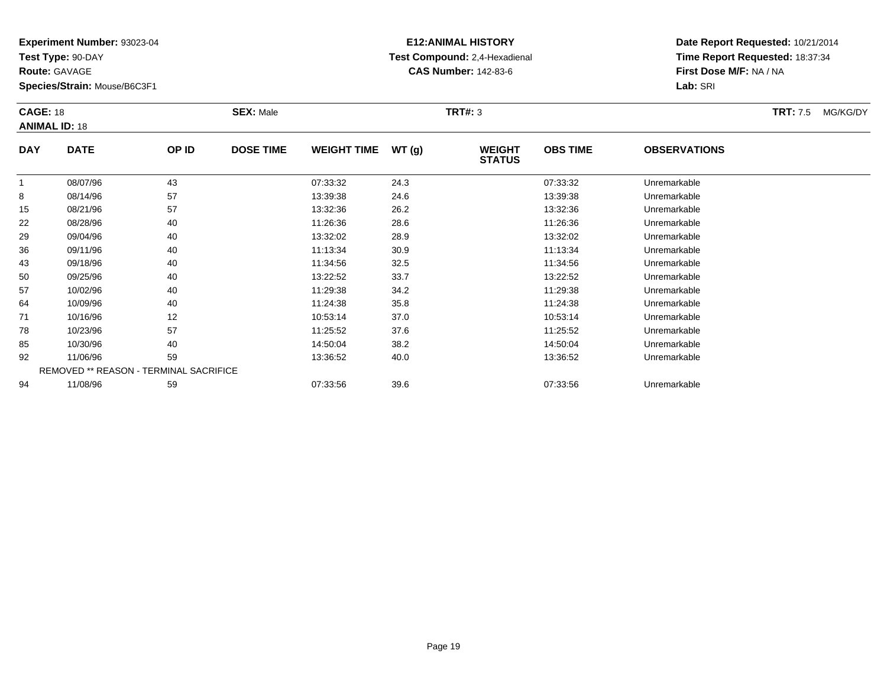**Test Type:** 90-DAY

**Route:** GAVAGE

78

85

92

94

**Species/Strain:** Mouse/B6C3F1

REMOVED \*\* REASON - TERMINAL SACRIFICE

# **E12:ANIMAL HISTORY Test Compound:** 2,4-Hexadienal **CAS Number:** 142-83-6

**Date Report Requested:** 10/21/2014**Time Report Requested:** 18:37:34**First Dose M/F:** NA / NA**Lab:** SRI

| <b>CAGE: 18</b><br><b>ANIMAL ID: 18</b> |             |       | <b>SEX: Male</b> |                    |       | <b>TRT#: 3</b>                 |                 |                     | <b>TRT: 7.5</b> | MG/KG/DY |
|-----------------------------------------|-------------|-------|------------------|--------------------|-------|--------------------------------|-----------------|---------------------|-----------------|----------|
| <b>DAY</b>                              | <b>DATE</b> | OP ID | <b>DOSE TIME</b> | <b>WEIGHT TIME</b> | WT(g) | <b>WEIGHT</b><br><b>STATUS</b> | <b>OBS TIME</b> | <b>OBSERVATIONS</b> |                 |          |
|                                         | 08/07/96    | 43    |                  | 07:33:32           | 24.3  |                                | 07:33:32        | Unremarkable        |                 |          |
| 8                                       | 08/14/96    | 57    |                  | 13:39:38           | 24.6  |                                | 13:39:38        | Unremarkable        |                 |          |
| 15                                      | 08/21/96    | 57    |                  | 13:32:36           | 26.2  |                                | 13:32:36        | Unremarkable        |                 |          |
| 22                                      | 08/28/96    | 40    |                  | 11:26:36           | 28.6  |                                | 11:26:36        | Unremarkable        |                 |          |
| 29                                      | 09/04/96    | 40    |                  | 13:32:02           | 28.9  |                                | 13:32:02        | Unremarkable        |                 |          |
| 36                                      | 09/11/96    | 40    |                  | 11:13:34           | 30.9  |                                | 11:13:34        | Unremarkable        |                 |          |
| 43                                      | 09/18/96    | 40    |                  | 11:34:56           | 32.5  |                                | 11:34:56        | Unremarkable        |                 |          |
| 50                                      | 09/25/96    | 40    |                  | 13:22:52           | 33.7  |                                | 13:22:52        | Unremarkable        |                 |          |
| 57                                      | 10/02/96    | 40    |                  | 11:29:38           | 34.2  |                                | 11:29:38        | Unremarkable        |                 |          |
| 64                                      | 10/09/96    | 40    |                  | 11:24:38           | 35.8  |                                | 11:24:38        | Unremarkable        |                 |          |
| 71                                      | 10/16/96    | 12    |                  | 10:53:14           | 37.0  |                                | 10:53:14        | Unremarkable        |                 |          |

10/23/96 <sup>57</sup> 11:25:52 37.6 11:25:52 Unremarkable

10/30/96 <sup>40</sup> 14:50:04 38.2 14:50:04 Unremarkable

11/06/96 <sup>59</sup> 13:36:52 40.0 13:36:52 Unremarkable

11/08/96 <sup>59</sup> 07:33:56 39.6 07:33:56 Unremarkable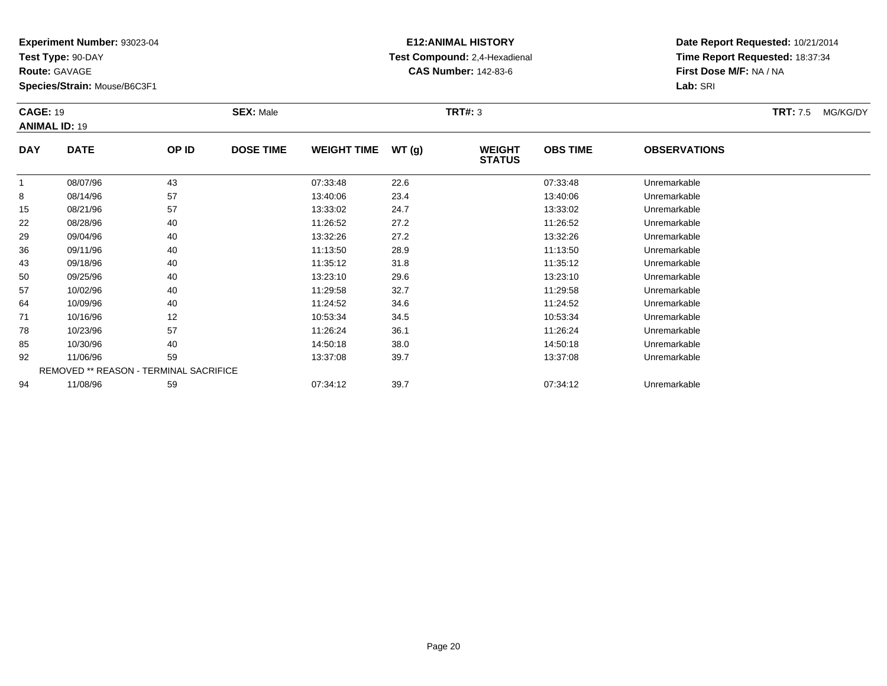**Test Type:** 90-DAY

**Route:** GAVAGE

78

85

92

94

**Species/Strain:** Mouse/B6C3F1

REMOVED \*\* REASON - TERMINAL SACRIFICE

# **E12:ANIMAL HISTORY Test Compound:** 2,4-Hexadienal **CAS Number:** 142-83-6

**Date Report Requested:** 10/21/2014**Time Report Requested:** 18:37:34**First Dose M/F:** NA / NA**Lab:** SRI

| <b>CAGE: 19</b> | <b>ANIMAL ID: 19</b> |                   | <b>SEX: Male</b> |                    |       | TRT#: 3                        |                 |                     | <b>TRT:</b> 7.5 | MG/KG/DY |
|-----------------|----------------------|-------------------|------------------|--------------------|-------|--------------------------------|-----------------|---------------------|-----------------|----------|
| <b>DAY</b>      | <b>DATE</b>          | OP ID             | <b>DOSE TIME</b> | <b>WEIGHT TIME</b> | WT(g) | <b>WEIGHT</b><br><b>STATUS</b> | <b>OBS TIME</b> | <b>OBSERVATIONS</b> |                 |          |
|                 | 08/07/96             | 43                |                  | 07:33:48           | 22.6  |                                | 07:33:48        | Unremarkable        |                 |          |
| 8               | 08/14/96             | 57                |                  | 13:40:06           | 23.4  |                                | 13:40:06        | Unremarkable        |                 |          |
| 15              | 08/21/96             | 57                |                  | 13:33:02           | 24.7  |                                | 13:33:02        | Unremarkable        |                 |          |
| 22              | 08/28/96             | 40                |                  | 11:26:52           | 27.2  |                                | 11:26:52        | Unremarkable        |                 |          |
| 29              | 09/04/96             | 40                |                  | 13:32:26           | 27.2  |                                | 13:32:26        | Unremarkable        |                 |          |
| 36              | 09/11/96             | 40                |                  | 11:13:50           | 28.9  |                                | 11:13:50        | Unremarkable        |                 |          |
| 43              | 09/18/96             | 40                |                  | 11:35:12           | 31.8  |                                | 11:35:12        | Unremarkable        |                 |          |
| 50              | 09/25/96             | 40                |                  | 13:23:10           | 29.6  |                                | 13:23:10        | Unremarkable        |                 |          |
| 57              | 10/02/96             | 40                |                  | 11:29:58           | 32.7  |                                | 11:29:58        | Unremarkable        |                 |          |
| 64              | 10/09/96             | 40                |                  | 11:24:52           | 34.6  |                                | 11:24:52        | Unremarkable        |                 |          |
| 71              | 10/16/96             | $12 \overline{ }$ |                  | 10:53:34           | 34.5  |                                | 10:53:34        | Unremarkable        |                 |          |

1 10/16/96 12 12 10:53:34 34.5 10:53 10:53:34 Dhremarkable

10/23/96 <sup>57</sup> 11:26:24 36.1 11:26:24 Unremarkable

10/30/96 <sup>40</sup> 14:50:18 38.0 14:50:18 Unremarkable

11/06/96 <sup>59</sup> 13:37:08 39.7 13:37:08 Unremarkable

11/08/96 <sup>59</sup> 07:34:12 39.7 07:34:12 Unremarkable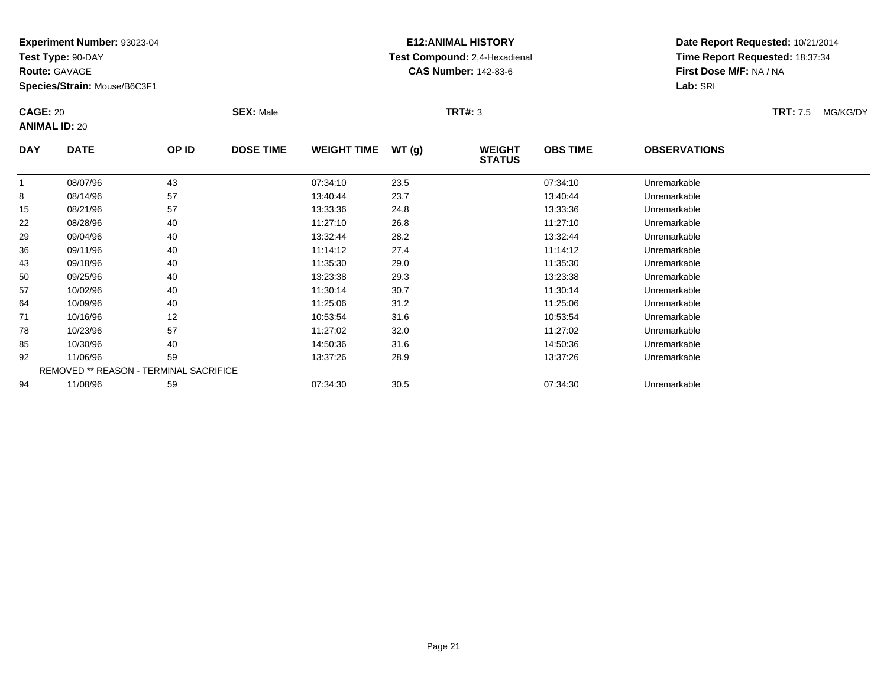**Test Type:** 90-DAY

**Route:** GAVAGE

92

94

**Species/Strain:** Mouse/B6C3F1

REMOVED \*\* REASON - TERMINAL SACRIFICE

### **E12:ANIMAL HISTORY Test Compound:** 2,4-Hexadienal **CAS Number:** 142-83-6

**Date Report Requested:** 10/21/2014**Time Report Requested:** 18:37:34**First Dose M/F:** NA / NA**Lab:** SRI

| <b>CAGE: 20</b><br><b>ANIMAL ID: 20</b> |             |       | <b>SEX: Male</b> |                    |       | TRT#: 3                        |                 |                     | <b>TRT: 7.5</b> | MG/KG/DY |
|-----------------------------------------|-------------|-------|------------------|--------------------|-------|--------------------------------|-----------------|---------------------|-----------------|----------|
| <b>DAY</b>                              | <b>DATE</b> | OP ID | <b>DOSE TIME</b> | <b>WEIGHT TIME</b> | WT(g) | <b>WEIGHT</b><br><b>STATUS</b> | <b>OBS TIME</b> | <b>OBSERVATIONS</b> |                 |          |
| 1                                       | 08/07/96    | 43    |                  | 07:34:10           | 23.5  |                                | 07:34:10        | Unremarkable        |                 |          |
| 8                                       | 08/14/96    | 57    |                  | 13:40:44           | 23.7  |                                | 13:40:44        | Unremarkable        |                 |          |
| 15                                      | 08/21/96    | 57    |                  | 13:33:36           | 24.8  |                                | 13:33:36        | Unremarkable        |                 |          |
| 22                                      | 08/28/96    | 40    |                  | 11:27:10           | 26.8  |                                | 11:27:10        | Unremarkable        |                 |          |
| 29                                      | 09/04/96    | 40    |                  | 13:32:44           | 28.2  |                                | 13:32:44        | Unremarkable        |                 |          |
| 36                                      | 09/11/96    | 40    |                  | 11:14:12           | 27.4  |                                | 11:14:12        | Unremarkable        |                 |          |
| 43                                      | 09/18/96    | 40    |                  | 11:35:30           | 29.0  |                                | 11:35:30        | Unremarkable        |                 |          |
| 50                                      | 09/25/96    | 40    |                  | 13:23:38           | 29.3  |                                | 13:23:38        | Unremarkable        |                 |          |
| 57                                      | 10/02/96    | 40    |                  | 11:30:14           | 30.7  |                                | 11:30:14        | Unremarkable        |                 |          |
| 64                                      | 10/09/96    | 40    |                  | 11:25:06           | 31.2  |                                | 11:25:06        | Unremarkable        |                 |          |
| 71                                      | 10/16/96    | 12    |                  | 10:53:54           | 31.6  |                                | 10:53:54        | Unremarkable        |                 |          |
| 78                                      | 10/23/96    | 57    |                  | 11:27:02           | 32.0  |                                | 11:27:02        | Unremarkable        |                 |          |
| 85                                      | 10/30/96    | 40    |                  | 14:50:36           | 31.6  |                                | 14:50:36        | Unremarkable        |                 |          |

11/06/96 <sup>59</sup> 13:37:26 28.9 13:37:26 Unremarkable

11/08/96 <sup>59</sup> 07:34:30 30.5 07:34:30 Unremarkable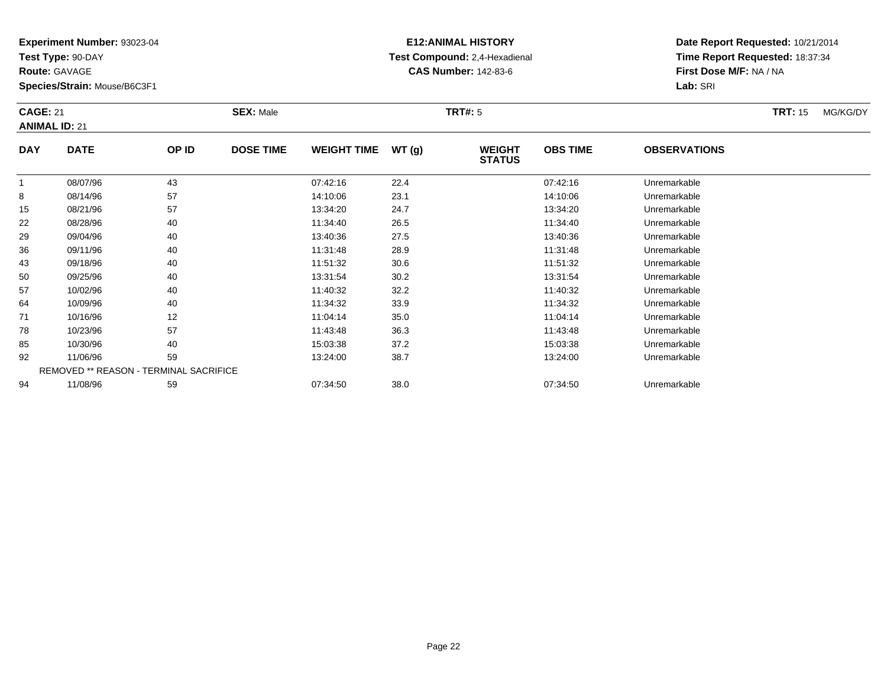**Test Type:** 90-DAY

**Route:** GAVAGE

**Species/Strain:** Mouse/B6C3F1

# **E12:ANIMAL HISTORY Test Compound:** 2,4-Hexadienal **CAS Number:** 142-83-6

**Date Report Requested:** 10/21/2014**Time Report Requested:** 18:37:34**First Dose M/F:** NA / NA**Lab:** SRI

#### **CAGE:** 21 **SEX:** Male **TRT#:** <sup>5</sup> **TRT:** 15 MG/KG/DY**ANIMAL ID:** 21**DAY DATE OP IDDOSE TIME WEIGHT TIME WT** (g) **STATUSOBS TIME OBSERVATIONS** 1 08/07/96 <sup>43</sup> 07:42:16 22.4 07:42:16 Unremarkable 88 08/14/96 57 57 14:10:06 23.1 14:10:06 14:10:06 Dhremarkable 15 08/21/96 <sup>57</sup> 13:34:20 24.7 13:34:20 Unremarkable 22 08/28/96 <sup>40</sup> 11:34:40 26.5 11:34:40 Unremarkable 29 09/04/96 <sup>40</sup> 13:40:36 27.5 13:40:36 Unremarkable 3609/11/96 <sup>40</sup> 11:31:48 28.9 11:31:48 Unremarkable

| 15 | 08/21/96 | 57                                            | 13:34:20 | 24.7 | 13:34:20 | Unremarkable |  |
|----|----------|-----------------------------------------------|----------|------|----------|--------------|--|
| 22 | 08/28/96 | 40                                            | 11:34:40 | 26.5 | 11:34:40 | Unremarkable |  |
| 29 | 09/04/96 | 40                                            | 13:40:36 | 27.5 | 13:40:36 | Unremarkable |  |
| 36 | 09/11/96 | 40                                            | 11:31:48 | 28.9 | 11:31:48 | Unremarkable |  |
| 43 | 09/18/96 | 40                                            | 11:51:32 | 30.6 | 11:51:32 | Unremarkable |  |
| 50 | 09/25/96 | 40                                            | 13:31:54 | 30.2 | 13:31:54 | Unremarkable |  |
| 57 | 10/02/96 | 40                                            | 11:40:32 | 32.2 | 11:40:32 | Unremarkable |  |
| 64 | 10/09/96 | 40                                            | 11:34:32 | 33.9 | 11:34:32 | Unremarkable |  |
| 71 | 10/16/96 | 12                                            | 11:04:14 | 35.0 | 11:04:14 | Unremarkable |  |
| 78 | 10/23/96 | 57                                            | 11:43:48 | 36.3 | 11:43:48 | Unremarkable |  |
| 85 | 10/30/96 | 40                                            | 15:03:38 | 37.2 | 15:03:38 | Unremarkable |  |
| 92 | 11/06/96 | 59                                            | 13:24:00 | 38.7 | 13:24:00 | Unremarkable |  |
|    |          | <b>REMOVED ** REASON - TERMINAL SACRIFICE</b> |          |      |          |              |  |
| 94 | 11/08/96 | 59                                            | 07:34:50 | 38.0 | 07:34:50 | Unremarkable |  |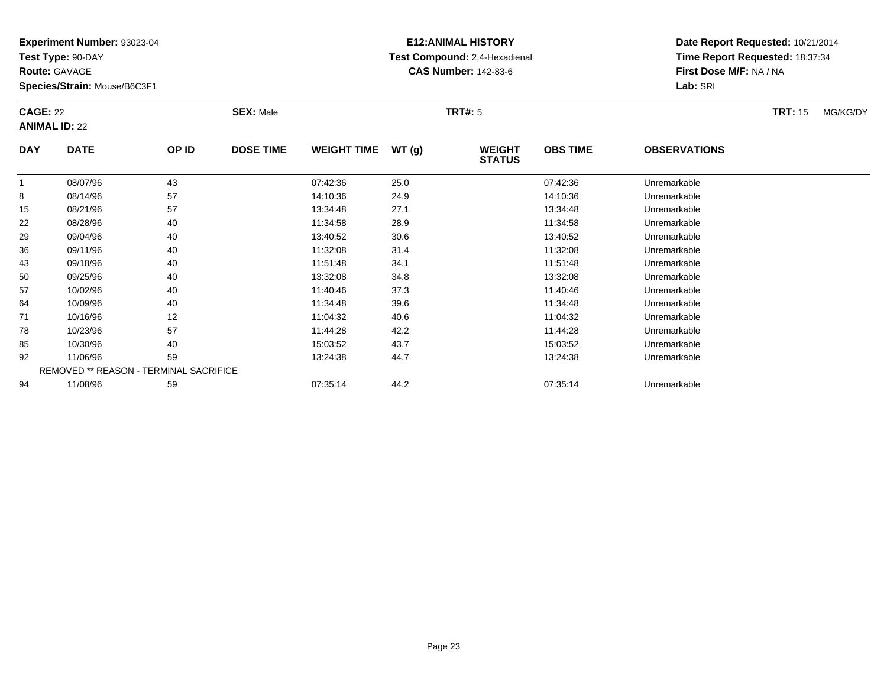**Test Type:** 90-DAY

**Route:** GAVAGE

**Species/Strain:** Mouse/B6C3F1

# **E12:ANIMAL HISTORY Test Compound:** 2,4-Hexadienal **CAS Number:** 142-83-6

**Date Report Requested:** 10/21/2014**Time Report Requested:** 18:37:34**First Dose M/F:** NA / NA**Lab:** SRI

#### **CAGE:** 22 **SEX:** Male **TRT#:** <sup>5</sup> **TRT:** 15 MG/KG/DY**ANIMAL ID:** 22**DAY DATE OP IDDOSE TIME WEIGHT TIME WT** (g) **STATUSOBS TIME OBSERVATIONS**  $\overline{1}$  08/07/96 <sup>43</sup> 07:42:36 25.0 07:42:36 Unremarkable 88 08/14/96 57 57 14:10:36 24.9 24.9 14:10:36 14:10:36 25 14:10:36 14:10:36 155 08/21/96 57 57 13:34:48 27.1 13:34:48 13:34:48 Dhremarkable

| 8  | 08/14/96 | 57                                            | 14:10:36 | 24.9 | 14:10:36 | Unremarkable |  |
|----|----------|-----------------------------------------------|----------|------|----------|--------------|--|
| 15 | 08/21/96 | 57                                            | 13:34:48 | 27.1 | 13:34:48 | Unremarkable |  |
| 22 | 08/28/96 | 40                                            | 11:34:58 | 28.9 | 11:34:58 | Unremarkable |  |
| 29 | 09/04/96 | 40                                            | 13:40:52 | 30.6 | 13:40:52 | Unremarkable |  |
| 36 | 09/11/96 | 40                                            | 11:32:08 | 31.4 | 11:32:08 | Unremarkable |  |
| 43 | 09/18/96 | 40                                            | 11:51:48 | 34.1 | 11:51:48 | Unremarkable |  |
| 50 | 09/25/96 | 40                                            | 13:32:08 | 34.8 | 13:32:08 | Unremarkable |  |
| 57 | 10/02/96 | 40                                            | 11:40:46 | 37.3 | 11:40:46 | Unremarkable |  |
| 64 | 10/09/96 | 40                                            | 11:34:48 | 39.6 | 11:34:48 | Unremarkable |  |
| 71 | 10/16/96 | 12                                            | 11:04:32 | 40.6 | 11:04:32 | Unremarkable |  |
| 78 | 10/23/96 | 57                                            | 11:44:28 | 42.2 | 11:44:28 | Unremarkable |  |
| 85 | 10/30/96 | 40                                            | 15:03:52 | 43.7 | 15:03:52 | Unremarkable |  |
| 92 | 11/06/96 | 59                                            | 13:24:38 | 44.7 | 13:24:38 | Unremarkable |  |
|    |          | <b>REMOVED ** REASON - TERMINAL SACRIFICE</b> |          |      |          |              |  |
| 94 | 11/08/96 | 59                                            | 07:35:14 | 44.2 | 07:35:14 | Unremarkable |  |
|    |          |                                               |          |      |          |              |  |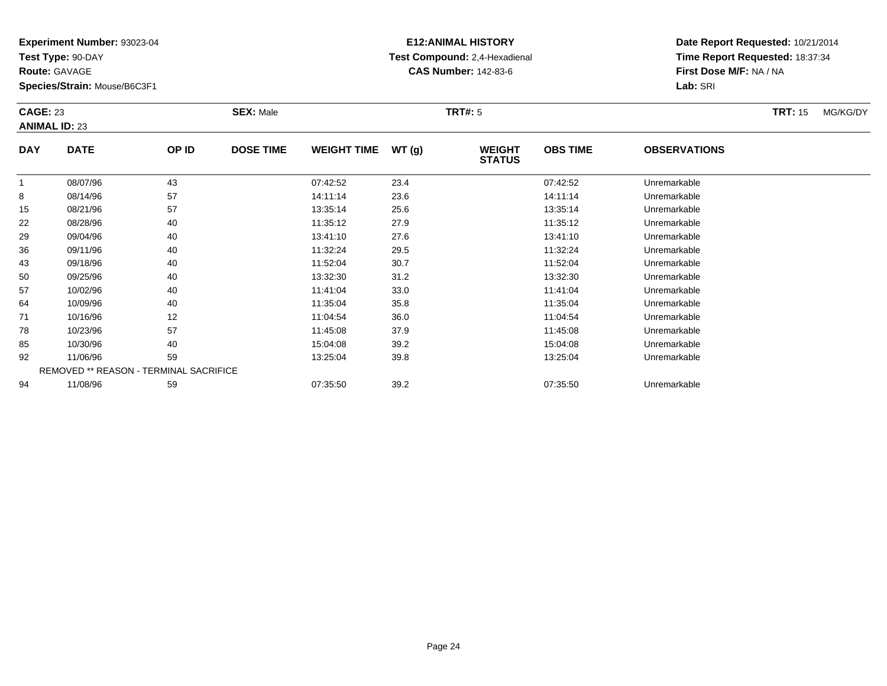**Test Type:** 90-DAY

**Route:** GAVAGE

64

71

78

85

92

94

**Species/Strain:** Mouse/B6C3F1

REMOVED \*\* REASON - TERMINAL SACRIFICE

### **E12:ANIMAL HISTORY Test Compound:** 2,4-Hexadienal **CAS Number:** 142-83-6

**Date Report Requested:** 10/21/2014**Time Report Requested:** 18:37:34**First Dose M/F:** NA / NA**Lab:** SRI

#### **CAGE:** 23 **SEX:** Male **TRT#:** <sup>5</sup> **TRT:** 15 MG/KG/DY**ANIMAL ID:** 23**DAY DATE OP ID DOSE TIME WEIGHT TIME WT (g) WEIGHT STATUSOBS TIME OBSERVATIONS** 1 08/07/96 <sup>43</sup> 07:42:52 23.4 07:42:52 Unremarkable 88 08/14/96 57 57 14:11:14 23.6 14:11:14 14:11:14 Dhremarkable 15 08/21/96 <sup>57</sup> 13:35:14 25.6 13:35:14 Unremarkable 22 08/28/96 <sup>40</sup> 11:35:12 27.9 11:35:12 Unremarkable 29 09/04/96 <sup>40</sup> 13:41:10 27.6 13:41:10 Unremarkable 36 09/11/96 <sup>40</sup> 11:32:24 29.5 11:32:24 Unremarkable 43 09/18/96 <sup>40</sup> 11:52:04 30.7 11:52:04 Unremarkable 50 09/25/96 <sup>40</sup> 13:32:30 31.2 13:32:30 Unremarkable 5710/02/96 <sup>40</sup> 11:41:04 33.0 11:41:04 Unremarkable

10/09/96 <sup>40</sup> 11:35:04 35.8 11:35:04 Unremarkable

1 10/16/96 12 12 11:04:54 36.0 11:04:54 10/16/96 Unremarkable

10/23/96 <sup>57</sup> 11:45:08 37.9 11:45:08 Unremarkable

10/30/96 <sup>40</sup> 15:04:08 39.2 15:04:08 Unremarkable

11/06/96 <sup>59</sup> 13:25:04 39.8 13:25:04 Unremarkable

11/08/96 <sup>59</sup> 07:35:50 39.2 07:35:50 Unremarkable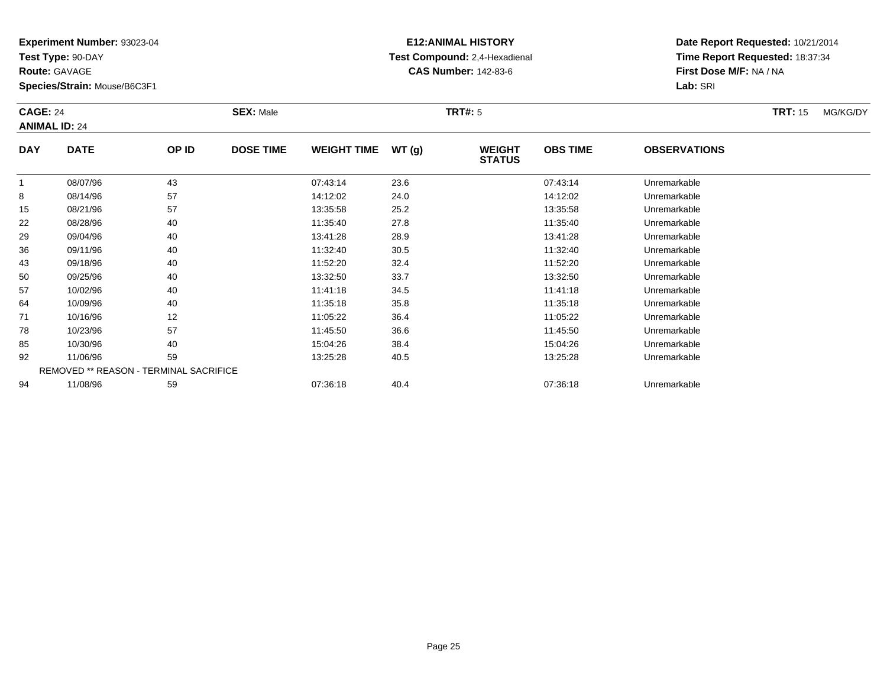**Test Type:** 90-DAY

**Route:** GAVAGE

**Species/Strain:** Mouse/B6C3F1

# **E12:ANIMAL HISTORY Test Compound:** 2,4-Hexadienal **CAS Number:** 142-83-6

**Date Report Requested:** 10/21/2014**Time Report Requested:** 18:37:34**First Dose M/F:** NA / NA**Lab:** SRI

#### **CAGE:** 24 **SEX:** Male **TRT#:** <sup>5</sup> **TRT:** 15 MG/KG/DY**ANIMAL ID:** 24**DAY DATE OP IDDOSE TIME WEIGHT TIME WT** (g) **STATUSOBS TIME OBSERVATIONS** 1 08/07/96 <sup>43</sup> 07:43:14 23.6 07:43:14 Unremarkable 88 08/14/96 57 57 14:12:02 24.0 14:12:02 14:12:02 Dhremarkable

|    | 08/07/96 | 43                                            | 07:43:14 | 23.6 | 07:43:14 | Unremarkable |  |
|----|----------|-----------------------------------------------|----------|------|----------|--------------|--|
| 8  | 08/14/96 | 57                                            | 14:12:02 | 24.0 | 14:12:02 | Unremarkable |  |
| 15 | 08/21/96 | 57                                            | 13:35:58 | 25.2 | 13:35:58 | Unremarkable |  |
| 22 | 08/28/96 | 40                                            | 11:35:40 | 27.8 | 11:35:40 | Unremarkable |  |
| 29 | 09/04/96 | 40                                            | 13:41:28 | 28.9 | 13:41:28 | Unremarkable |  |
| 36 | 09/11/96 | 40                                            | 11:32:40 | 30.5 | 11:32:40 | Unremarkable |  |
| 43 | 09/18/96 | 40                                            | 11:52:20 | 32.4 | 11:52:20 | Unremarkable |  |
| 50 | 09/25/96 | 40                                            | 13:32:50 | 33.7 | 13:32:50 | Unremarkable |  |
| 57 | 10/02/96 | 40                                            | 11:41:18 | 34.5 | 11:41:18 | Unremarkable |  |
| 64 | 10/09/96 | 40                                            | 11:35:18 | 35.8 | 11:35:18 | Unremarkable |  |
| 71 | 10/16/96 | 12                                            | 11:05:22 | 36.4 | 11:05:22 | Unremarkable |  |
| 78 | 10/23/96 | 57                                            | 11:45:50 | 36.6 | 11:45:50 | Unremarkable |  |
| 85 | 10/30/96 | 40                                            | 15:04:26 | 38.4 | 15:04:26 | Unremarkable |  |
| 92 | 11/06/96 | 59                                            | 13:25:28 | 40.5 | 13:25:28 | Unremarkable |  |
|    |          | <b>REMOVED ** REASON - TERMINAL SACRIFICE</b> |          |      |          |              |  |
| 94 | 11/08/96 | 59                                            | 07:36:18 | 40.4 | 07:36:18 | Unremarkable |  |
|    |          |                                               |          |      |          |              |  |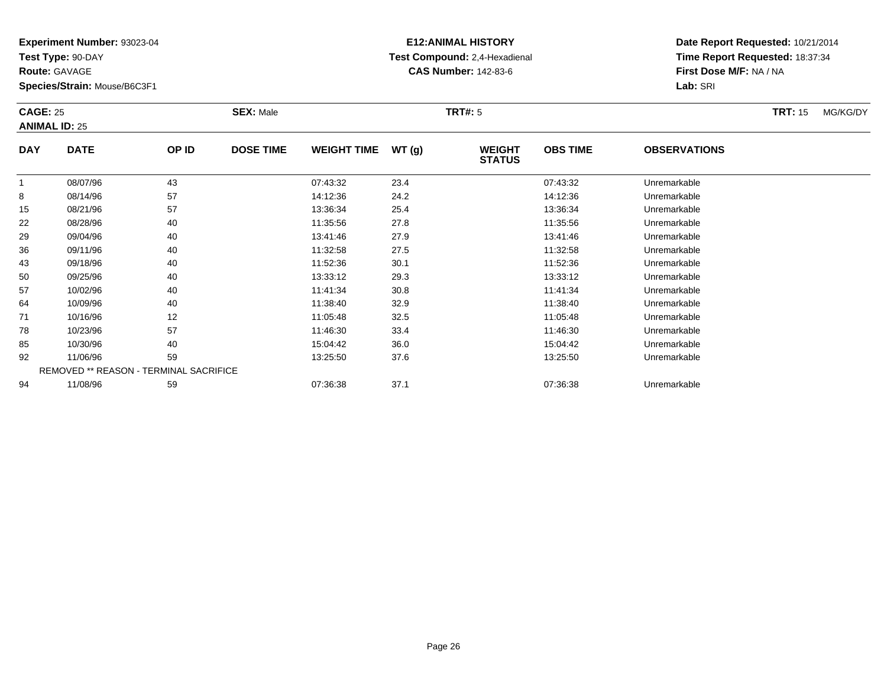**Test Type:** 90-DAY

**Route:** GAVAGE

85

92

94

**Species/Strain:** Mouse/B6C3F1

REMOVED \*\* REASON - TERMINAL SACRIFICE

### **E12:ANIMAL HISTORY Test Compound:** 2,4-Hexadienal **CAS Number:** 142-83-6

**Date Report Requested:** 10/21/2014**Time Report Requested:** 18:37:34**First Dose M/F:** NA / NA**Lab:** SRI

#### **CAGE:** 25 **SEX:** Male **TRT#:** <sup>5</sup> **TRT:** 15 MG/KG/DY**ANIMAL ID:** 25**DAY DATE OP ID DOSE TIME WEIGHT TIME WT (g) WEIGHT STATUSOBS TIME OBSERVATIONS** 1 08/07/96 <sup>43</sup> 07:43:32 23.4 07:43:32 Unremarkable 88 08/14/96 57 57 14:12:36 24.2 24.2 14:12:36 Dhremarkable 15 08/21/96 <sup>57</sup> 13:36:34 25.4 13:36:34 Unremarkable 22 08/28/96 <sup>40</sup> 11:35:56 27.8 11:35:56 Unremarkable 29 09/04/96 <sup>40</sup> 13:41:46 27.9 13:41:46 Unremarkable 36 09/11/96 <sup>40</sup> 11:32:58 27.5 11:32:58 Unremarkable 433 09/18/96 40 40 11:52:36 30.1 11:52:36 11:52:36 Dhremarkable 50 09/25/96 <sup>40</sup> 13:33:12 29.3 13:33:12 Unremarkable 57 10/02/96 <sup>40</sup> 11:41:34 30.8 11:41:34 Unremarkable 64 10/09/96 <sup>40</sup> 11:38:40 32.9 11:38:40 Unremarkable 711 10/16/96 12 12 11:05:48 32.5 11:05:48 11:05:48 10/16/96 Unremarkable 78

10/23/96 <sup>57</sup> 11:46:30 33.4 11:46:30 Unremarkable

10/30/96 <sup>40</sup> 15:04:42 36.0 15:04:42 Unremarkable

11/06/96 <sup>59</sup> 13:25:50 37.6 13:25:50 Unremarkable

11/08/96 <sup>59</sup> 07:36:38 37.1 07:36:38 Unremarkable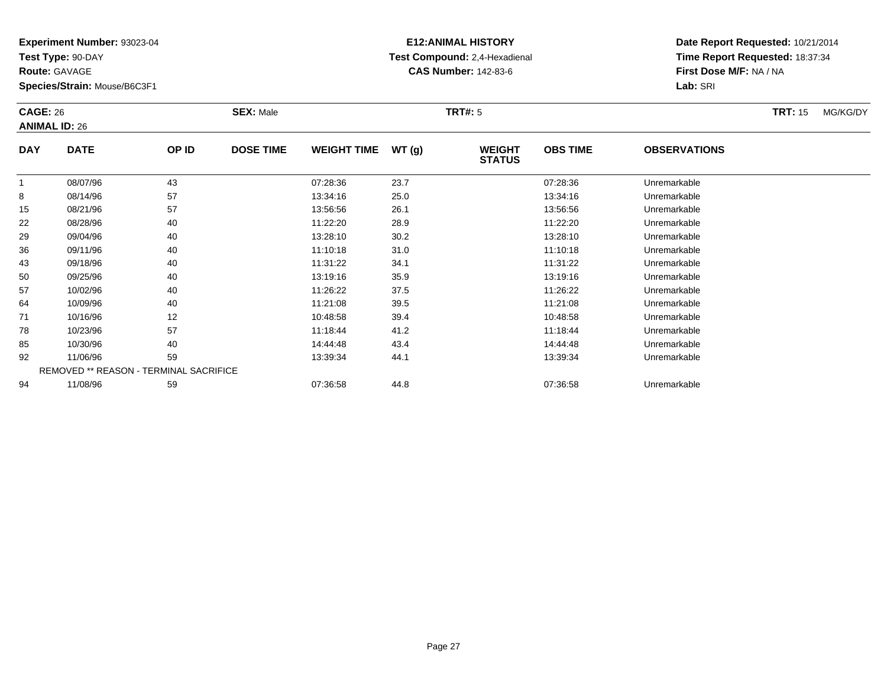**Test Type:** 90-DAY

**Route:** GAVAGE

64

71

78

85

92

94

**Species/Strain:** Mouse/B6C3F1

REMOVED \*\* REASON - TERMINAL SACRIFICE

### **E12:ANIMAL HISTORY Test Compound:** 2,4-Hexadienal **CAS Number:** 142-83-6

**Date Report Requested:** 10/21/2014**Time Report Requested:** 18:37:34**First Dose M/F:** NA / NA**Lab:** SRI

#### **CAGE:** 26 **SEX:** Male **TRT#:** <sup>5</sup> **TRT:** 15 MG/KG/DY**ANIMAL ID:** 26**DAY DATE OP ID DOSE TIME WEIGHT TIME WT (g) WEIGHT STATUSOBS TIME OBSERVATIONS** 1 08/07/96 <sup>43</sup> 07:28:36 23.7 07:28:36 Unremarkable 88 08/14/96 57 57 13:34:16 25.0 13:34:16 13:34:16 Dhremarkable 15 08/21/96 <sup>57</sup> 13:56:56 26.1 13:56:56 Unremarkable 22 08/28/96 <sup>40</sup> 11:22:20 28.9 11:22:20 Unremarkable 29 09/04/96 <sup>40</sup> 13:28:10 30.2 13:28:10 Unremarkable 366 09/11/96 40 40 11:10:18 31.0 11:10 11:10:18 Junemarkable 433 09/18/96 40 40 11:31:22 34.1 11:31:22 11:31:22 Dhremarkable 50 09/25/96 <sup>40</sup> 13:19:16 35.9 13:19:16 Unremarkable 5710/02/96 <sup>40</sup> 11:26:22 37.5 11:26:22 Unremarkable

10/09/96 <sup>40</sup> 11:21:08 39.5 11:21:08 Unremarkable

1 10/16/96 12 12 10:48:58 39.4 10:49 10:48 10:48 10:48 10:48 10:48:58 Unremarkable

10/23/96 <sup>57</sup> 11:18:44 41.2 11:18:44 Unremarkable

10/30/96 <sup>40</sup> 14:44:48 43.4 14:44:48 Unremarkable

11/06/96 <sup>59</sup> 13:39:34 44.1 13:39:34 Unremarkable

11/08/96 <sup>59</sup> 07:36:58 44.8 07:36:58 Unremarkable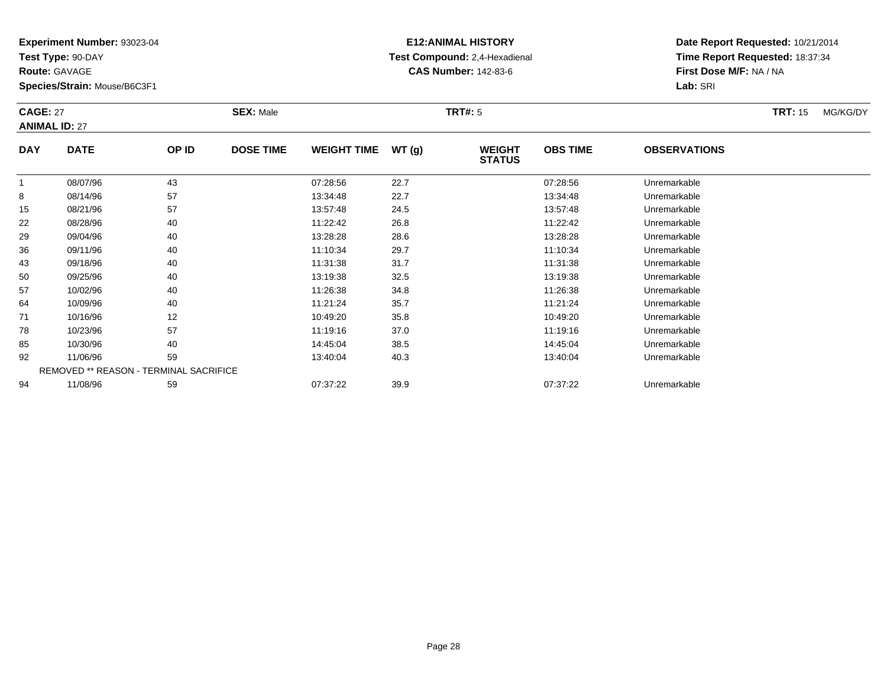**Test Type:** 90-DAY

**Route:** GAVAGE

**Species/Strain:** Mouse/B6C3F1

### **E12:ANIMAL HISTORY Test Compound:** 2,4-Hexadienal **CAS Number:** 142-83-6

**Date Report Requested:** 10/21/2014**Time Report Requested:** 18:37:34**First Dose M/F:** NA / NA**Lab:** SRI

#### **CAGE:** 27 **SEX:** Male **TRT#:** <sup>5</sup> **TRT:** 15 MG/KG/DY**ANIMAL ID:** 27**DAY DATE OP IDDOSE TIME WEIGHT TIME WT** (g) **STATUSOBS TIME OBSERVATIONS** 1 08/07/96 <sup>43</sup> 07:28:56 22.7 07:28:56 Unremarkable 88 08/14/96 57 57 13:34:48 22.7 13:34:48 13:34:48 Dhremarkable 15 08/21/96 <sup>57</sup> 13:57:48 24.5 13:57:48 Unremarkable 22 08/28/96 <sup>40</sup> 11:22:42 26.8 11:22:42 Unremarkable 29 09/04/96 <sup>40</sup> 13:28:28 28.6 13:28:28 Unremarkable 36

| ن ا | $00/Z$ 1/90 | ິ∪ /                                   | 10.07.40 | 24.J | 10.07.40 | <b>UILLEITIAINADIE</b> |  |
|-----|-------------|----------------------------------------|----------|------|----------|------------------------|--|
| 22  | 08/28/96    | 40                                     | 11:22:42 | 26.8 | 11:22:42 | Unremarkable           |  |
| 29  | 09/04/96    | 40                                     | 13:28:28 | 28.6 | 13:28:28 | Unremarkable           |  |
| 36  | 09/11/96    | 40                                     | 11:10:34 | 29.7 | 11:10:34 | Unremarkable           |  |
| 43  | 09/18/96    | 40                                     | 11:31:38 | 31.7 | 11:31:38 | Unremarkable           |  |
| 50  | 09/25/96    | 40                                     | 13:19:38 | 32.5 | 13:19:38 | Unremarkable           |  |
| 57  | 10/02/96    | 40                                     | 11:26:38 | 34.8 | 11:26:38 | Unremarkable           |  |
| 64  | 10/09/96    | 40                                     | 11:21:24 | 35.7 | 11:21:24 | Unremarkable           |  |
| 71  | 10/16/96    | 12                                     | 10:49:20 | 35.8 | 10:49:20 | Unremarkable           |  |
| 78  | 10/23/96    | 57                                     | 11:19:16 | 37.0 | 11:19:16 | Unremarkable           |  |
| 85  | 10/30/96    | 40                                     | 14:45:04 | 38.5 | 14:45:04 | Unremarkable           |  |
| 92  | 11/06/96    | 59                                     | 13:40:04 | 40.3 | 13:40:04 | Unremarkable           |  |
|     |             | REMOVED ** REASON - TERMINAL SACRIFICE |          |      |          |                        |  |
| 94  | 11/08/96    | 59                                     | 07:37:22 | 39.9 | 07:37:22 | Unremarkable           |  |
|     |             |                                        |          |      |          |                        |  |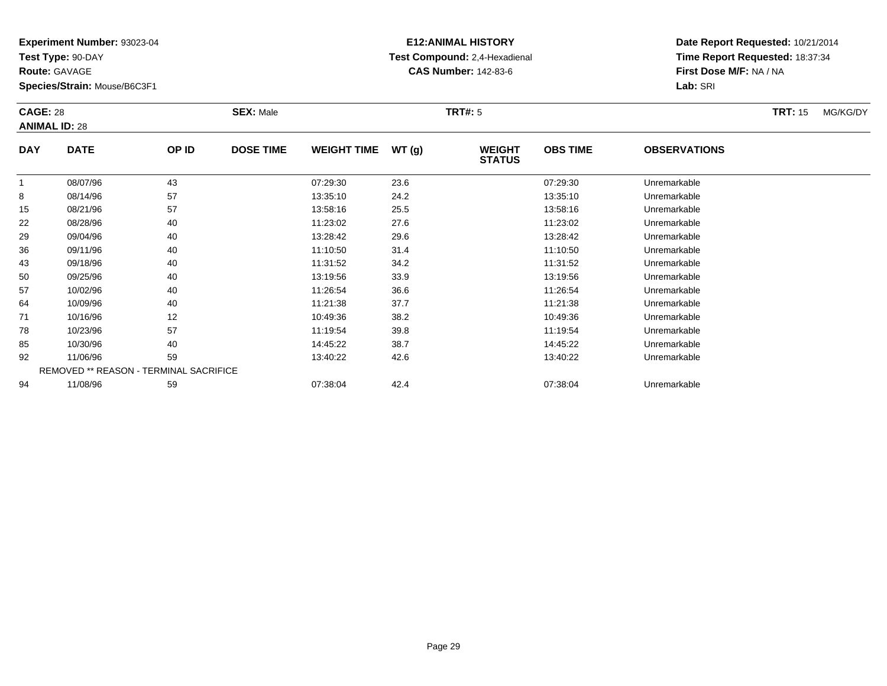**Test Type:** 90-DAY

**Route:** GAVAGE

64

71

78

85

92

94

**Species/Strain:** Mouse/B6C3F1

REMOVED \*\* REASON - TERMINAL SACRIFICE

### **E12:ANIMAL HISTORY Test Compound:** 2,4-Hexadienal **CAS Number:** 142-83-6

**Date Report Requested:** 10/21/2014**Time Report Requested:** 18:37:34**First Dose M/F:** NA / NA**Lab:** SRI

#### **CAGE:** 28 **SEX:** Male **TRT#:** <sup>5</sup> **TRT:** 15 MG/KG/DY**ANIMAL ID:** 28**DAY DATE OP ID DOSE TIME WEIGHT TIME WT (g) WEIGHT STATUSOBS TIME OBSERVATIONS** 1 08/07/96 <sup>43</sup> 07:29:30 23.6 07:29:30 Unremarkable 88 08/14/96 57 57 13:35:10 24.2 13:35:10 13:35:10 13:35:10 15 08/21/96 <sup>57</sup> 13:58:16 25.5 13:58:16 Unremarkable 22 08/28/96 <sup>40</sup> 11:23:02 27.6 11:23:02 Unremarkable 29 09/04/96 <sup>40</sup> 13:28:42 29.6 13:28:42 Unremarkable 366 09/11/96 40 40 11:10:50 31.4 11:10 11:10:50 Dhremarkable 43 09/18/96 <sup>40</sup> 11:31:52 34.2 11:31:52 Unremarkable 50 09/25/96 <sup>40</sup> 13:19:56 33.9 13:19:56 Unremarkable 57

10/02/96 <sup>40</sup> 11:26:54 36.6 11:26:54 Unremarkable

4 10/09/96 40 40 11:21:38 37.7 11:21:38 11:21:38 11:21:38

1 10/16/96 12 12 10:49:36 38.2 10:49 10:49 10:49 10:49 10:49 10:49 10:49 10:49 10:49 10:49 10:49 10:49 10:49 10:49 10:49 10:49 10:49 10:49 10:49 10:49 10:49 10:49 10:49 10:49 10:49 10:49 10:49 10:49 10:49 10:49 10:49 10:49

10/23/96 <sup>57</sup> 11:19:54 39.8 11:19:54 Unremarkable

10/30/96 <sup>40</sup> 14:45:22 38.7 14:45:22 Unremarkable

11/06/96 <sup>59</sup> 13:40:22 42.6 13:40:22 Unremarkable

11/08/96 <sup>59</sup> 07:38:04 42.4 07:38:04 Unremarkable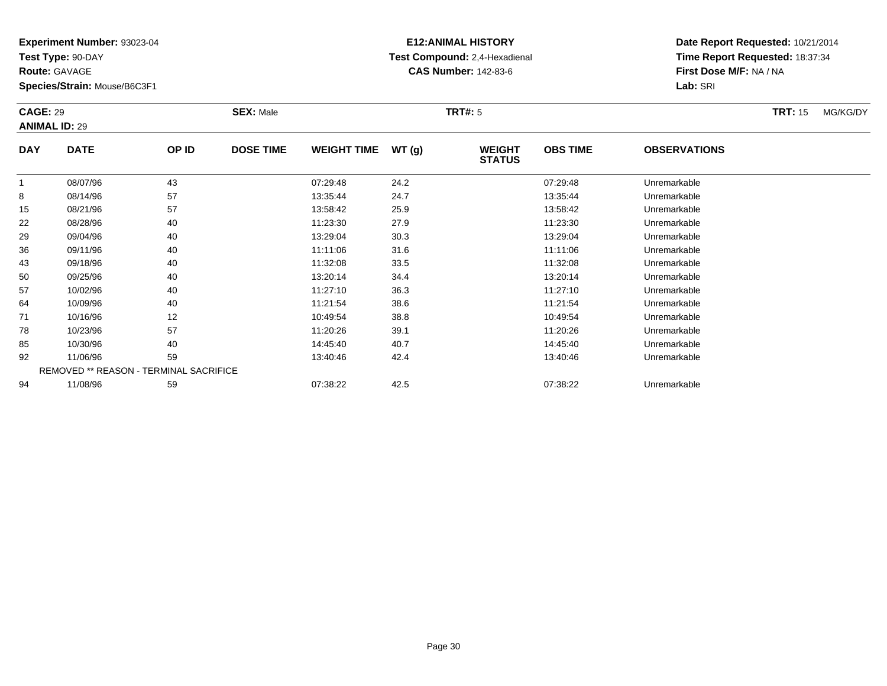**Test Type:** 90-DAY

**Route:** GAVAGE

85

92

94

**Species/Strain:** Mouse/B6C3F1

REMOVED \*\* REASON - TERMINAL SACRIFICE

### **E12:ANIMAL HISTORY Test Compound:** 2,4-Hexadienal **CAS Number:** 142-83-6

**Date Report Requested:** 10/21/2014**Time Report Requested:** 18:37:34**First Dose M/F:** NA / NA**Lab:** SRI

| <b>CAGE: 29</b><br><b>ANIMAL ID: 29</b> |             | <b>SEX: Male</b> |                  |                    | <b>TRT#: 5</b> | <b>TRT: 15</b>                 | MG/KG/DY        |                     |  |  |
|-----------------------------------------|-------------|------------------|------------------|--------------------|----------------|--------------------------------|-----------------|---------------------|--|--|
| <b>DAY</b>                              | <b>DATE</b> | OP ID            | <b>DOSE TIME</b> | <b>WEIGHT TIME</b> | WT(g)          | <b>WEIGHT</b><br><b>STATUS</b> | <b>OBS TIME</b> | <b>OBSERVATIONS</b> |  |  |
|                                         | 08/07/96    | 43               |                  | 07:29:48           | 24.2           |                                | 07:29:48        | Unremarkable        |  |  |
| 8                                       | 08/14/96    | 57               |                  | 13:35:44           | 24.7           |                                | 13:35:44        | Unremarkable        |  |  |
| 15                                      | 08/21/96    | 57               |                  | 13:58:42           | 25.9           |                                | 13:58:42        | Unremarkable        |  |  |
| 22                                      | 08/28/96    | 40               |                  | 11:23:30           | 27.9           |                                | 11:23:30        | Unremarkable        |  |  |
| 29                                      | 09/04/96    | 40               |                  | 13:29:04           | 30.3           |                                | 13:29:04        | Unremarkable        |  |  |
| 36                                      | 09/11/96    | 40               |                  | 11:11:06           | 31.6           |                                | 11:11:06        | Unremarkable        |  |  |
| 43                                      | 09/18/96    | 40               |                  | 11:32:08           | 33.5           |                                | 11:32:08        | Unremarkable        |  |  |
| 50                                      | 09/25/96    | 40               |                  | 13:20:14           | 34.4           |                                | 13:20:14        | Unremarkable        |  |  |
| 57                                      | 10/02/96    | 40               |                  | 11:27:10           | 36.3           |                                | 11:27:10        | Unremarkable        |  |  |
| 64                                      | 10/09/96    | 40               |                  | 11:21:54           | 38.6           |                                | 11:21:54        | Unremarkable        |  |  |
| 71                                      | 10/16/96    | 12               |                  | 10:49:54           | 38.8           |                                | 10:49:54        | Unremarkable        |  |  |
| 78                                      | 10/23/96    | 57               |                  | 11:20:26           | 39.1           |                                | 11:20:26        | Unremarkable        |  |  |

10/30/96 <sup>40</sup> 14:45:40 40.7 14:45:40 Unremarkable

11/06/96 <sup>59</sup> 13:40:46 42.4 13:40:46 Unremarkable

11/08/96 <sup>59</sup> 07:38:22 42.5 07:38:22 Unremarkable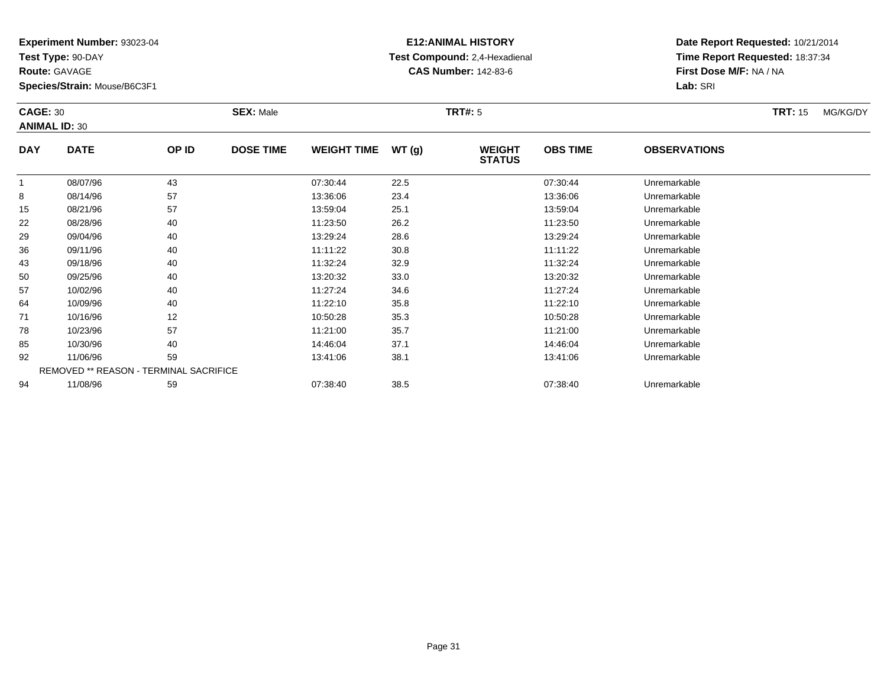**Test Type:** 90-DAY

**Route:** GAVAGE

92

94

**Species/Strain:** Mouse/B6C3F1

REMOVED \*\* REASON - TERMINAL SACRIFICE

### **E12:ANIMAL HISTORY Test Compound:** 2,4-Hexadienal **CAS Number:** 142-83-6

**Date Report Requested:** 10/21/2014**Time Report Requested:** 18:37:34**First Dose M/F:** NA / NA**Lab:** SRI

| <b>CAGE: 30</b><br><b>ANIMAL ID: 30</b> |             | <b>SEX: Male</b><br>TRT#: 5 |                  |                    |       |                                |                 | <b>TRT: 15</b>      | MG/KG/DY |  |
|-----------------------------------------|-------------|-----------------------------|------------------|--------------------|-------|--------------------------------|-----------------|---------------------|----------|--|
| <b>DAY</b>                              | <b>DATE</b> | OP ID                       | <b>DOSE TIME</b> | <b>WEIGHT TIME</b> | WT(g) | <b>WEIGHT</b><br><b>STATUS</b> | <b>OBS TIME</b> | <b>OBSERVATIONS</b> |          |  |
|                                         | 08/07/96    | 43                          |                  | 07:30:44           | 22.5  |                                | 07:30:44        | Unremarkable        |          |  |
| 8                                       | 08/14/96    | 57                          |                  | 13:36:06           | 23.4  |                                | 13:36:06        | Unremarkable        |          |  |
| 15                                      | 08/21/96    | 57                          |                  | 13:59:04           | 25.1  |                                | 13:59:04        | Unremarkable        |          |  |
| 22                                      | 08/28/96    | 40                          |                  | 11:23:50           | 26.2  |                                | 11:23:50        | Unremarkable        |          |  |
| 29                                      | 09/04/96    | 40                          |                  | 13:29:24           | 28.6  |                                | 13:29:24        | Unremarkable        |          |  |
| 36                                      | 09/11/96    | 40                          |                  | 11:11:22           | 30.8  |                                | 11:11:22        | Unremarkable        |          |  |
| 43                                      | 09/18/96    | 40                          |                  | 11:32:24           | 32.9  |                                | 11:32:24        | Unremarkable        |          |  |
| 50                                      | 09/25/96    | 40                          |                  | 13:20:32           | 33.0  |                                | 13:20:32        | Unremarkable        |          |  |
| 57                                      | 10/02/96    | 40                          |                  | 11:27:24           | 34.6  |                                | 11:27:24        | Unremarkable        |          |  |
| 64                                      | 10/09/96    | 40                          |                  | 11:22:10           | 35.8  |                                | 11:22:10        | Unremarkable        |          |  |
| 71                                      | 10/16/96    | 12                          |                  | 10:50:28           | 35.3  |                                | 10:50:28        | Unremarkable        |          |  |
| 78                                      | 10/23/96    | 57                          |                  | 11:21:00           | 35.7  |                                | 11:21:00        | Unremarkable        |          |  |
| 85                                      | 10/30/96    | 40                          |                  | 14:46:04           | 37.1  |                                | 14:46:04        | Unremarkable        |          |  |

11/06/96 <sup>59</sup> 13:41:06 38.1 13:41:06 Unremarkable

11/08/96 <sup>59</sup> 07:38:40 38.5 07:38:40 Unremarkable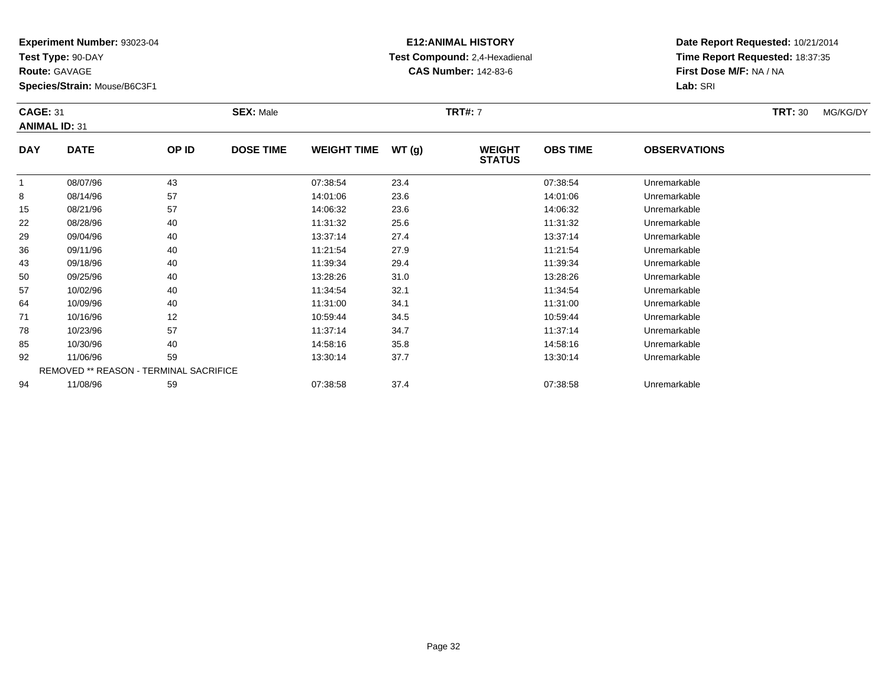**Test Type:** 90-DAY

**Route:** GAVAGE

**Species/Strain:** Mouse/B6C3F1

### **E12:ANIMAL HISTORY Test Compound:** 2,4-Hexadienal **CAS Number:** 142-83-6

**Date Report Requested:** 10/21/2014**Time Report Requested:** 18:37:35**First Dose M/F:** NA / NA**Lab:** SRI

#### **CAGE:** 31 **SEX:** Male **TRT#:** <sup>7</sup> **TRT:** 30 MG/KG/DY**ANIMAL ID:** 31**DAY DATE OP IDDOSE TIME WEIGHT TIME WT** (g) **STATUSOBS TIME OBSERVATIONS** 1 08/07/96 <sup>43</sup> 07:38:54 23.4 07:38:54 Unremarkable 88 08/14/96 57 57 14:01:06 23.6 14:01:06 14:01:06 Dhremarkable  $\overline{1}$  08/21/96 <sup>57</sup> 14:06:32 23.6 14:06:32 Unremarkable 22 08/28/96 <sup>40</sup> 11:31:32 25.6 11:31:32 Unremarkable 29 09/04/96 <sup>40</sup> 13:37:14 27.4 13:37:14 Unremarkable 36

| 15 | 08/21/96 | 57                                            | 14:06:32 | 23.6 | 14:06:32 | Unremarkable |  |
|----|----------|-----------------------------------------------|----------|------|----------|--------------|--|
| 22 | 08/28/96 | 40                                            | 11:31:32 | 25.6 | 11:31:32 | Unremarkable |  |
| 29 | 09/04/96 | 40                                            | 13:37:14 | 27.4 | 13:37:14 | Unremarkable |  |
| 36 | 09/11/96 | 40                                            | 11:21:54 | 27.9 | 11:21:54 | Unremarkable |  |
| 43 | 09/18/96 | 40                                            | 11:39:34 | 29.4 | 11:39:34 | Unremarkable |  |
| 50 | 09/25/96 | 40                                            | 13:28:26 | 31.0 | 13:28:26 | Unremarkable |  |
| 57 | 10/02/96 | 40                                            | 11:34:54 | 32.1 | 11:34:54 | Unremarkable |  |
| 64 | 10/09/96 | 40                                            | 11:31:00 | 34.1 | 11:31:00 | Unremarkable |  |
| 71 | 10/16/96 | 12                                            | 10:59:44 | 34.5 | 10:59:44 | Unremarkable |  |
| 78 | 10/23/96 | 57                                            | 11:37:14 | 34.7 | 11:37:14 | Unremarkable |  |
| 85 | 10/30/96 | 40                                            | 14:58:16 | 35.8 | 14:58:16 | Unremarkable |  |
| 92 | 11/06/96 | 59                                            | 13:30:14 | 37.7 | 13:30:14 | Unremarkable |  |
|    |          | <b>REMOVED ** REASON - TERMINAL SACRIFICE</b> |          |      |          |              |  |
| 94 | 11/08/96 | 59                                            | 07:38:58 | 37.4 | 07:38:58 | Unremarkable |  |
|    |          |                                               |          |      |          |              |  |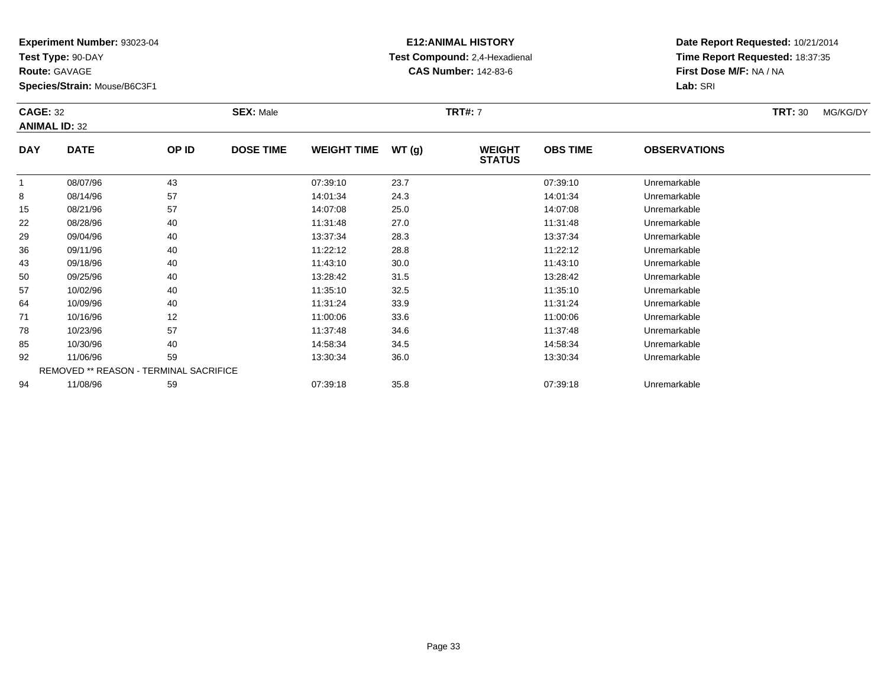**Test Type:** 90-DAY

**Route:** GAVAGE

78

85

92

94

**Species/Strain:** Mouse/B6C3F1

REMOVED \*\* REASON - TERMINAL SACRIFICE

### **E12:ANIMAL HISTORY Test Compound:** 2,4-Hexadienal **CAS Number:** 142-83-6

**Date Report Requested:** 10/21/2014**Time Report Requested:** 18:37:35**First Dose M/F:** NA / NA**Lab:** SRI

#### **CAGE:** 32 **SEX:** Male **TRT#:** <sup>7</sup> **TRT:** 30 MG/KG/DY**ANIMAL ID:** 32**DAY DATE OP ID DOSE TIME WEIGHT TIME WT (g) WEIGHT STATUSOBS TIME OBSERVATIONS** 1 08/07/96 <sup>43</sup> 07:39:10 23.7 07:39:10 Unremarkable 88 08/14/96 57 57 14:01:34 24.3 14:01:34 14:01:34 Dhremarkable 15 08/21/96 <sup>57</sup> 14:07:08 25.0 14:07:08 Unremarkable 22 08/28/96 <sup>40</sup> 11:31:48 27.0 11:31:48 Unremarkable 29 09/04/96 <sup>40</sup> 13:37:34 28.3 13:37:34 Unremarkable 366 09/11/96 40 40 11:22:12 28.8 11:22:12 11:22:12 Dhremarkable 43 09/18/96 <sup>40</sup> 11:43:10 30.0 11:43:10 Unremarkable 50 09/25/96 <sup>40</sup> 13:28:42 31.5 13:28:42 Unremarkable 57 10/02/96 <sup>40</sup> 11:35:10 32.5 11:35:10 Unremarkable 64 10/09/96 <sup>40</sup> 11:31:24 33.9 11:31:24 Unremarkable 711 10/16/96 12 12 11:00:06 33.6 11:00:06 11:00:06 11:00:06 11:00:06 Unremarkable

10/23/96 <sup>57</sup> 11:37:48 34.6 11:37:48 Unremarkable

10/30/96 <sup>40</sup> 14:58:34 34.5 14:58:34 Unremarkable

11/06/96 <sup>59</sup> 13:30:34 36.0 13:30:34 Unremarkable

11/08/96 <sup>59</sup> 07:39:18 35.8 07:39:18 Unremarkable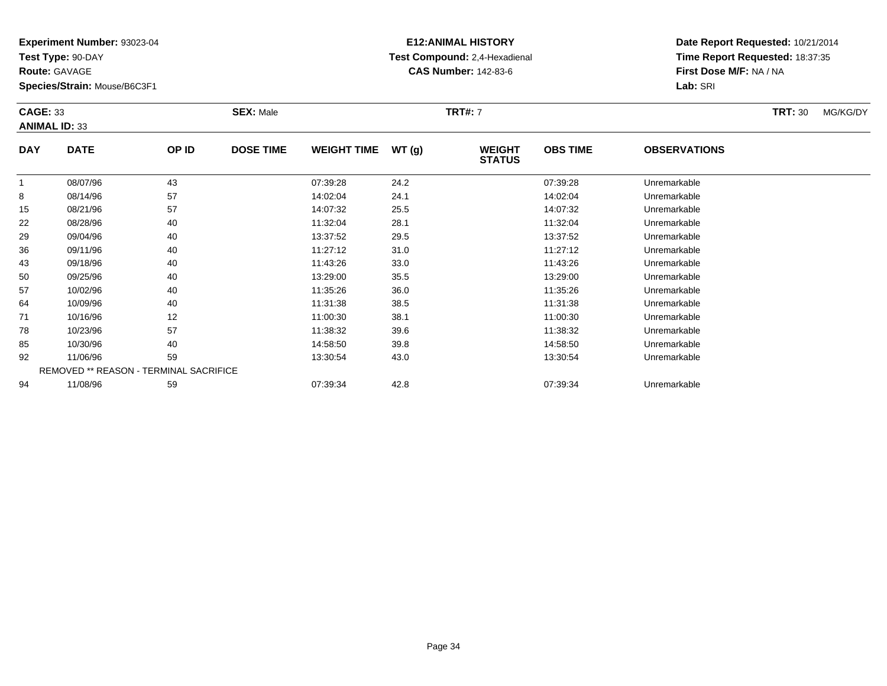**Test Type:** 90-DAY

**Route:** GAVAGE

78

85

92

94

**Species/Strain:** Mouse/B6C3F1

REMOVED \*\* REASON - TERMINAL SACRIFICE

# **E12:ANIMAL HISTORY Test Compound:** 2,4-Hexadienal **CAS Number:** 142-83-6

**Date Report Requested:** 10/21/2014**Time Report Requested:** 18:37:35**First Dose M/F:** NA / NA**Lab:** SRI

| <b>CAGE: 33</b><br><b>ANIMAL ID: 33</b> |             |       | <b>SEX: Male</b> |                    |       | <b>TRT#: 7</b>                 |                 |                     |  | MG/KG/DY |
|-----------------------------------------|-------------|-------|------------------|--------------------|-------|--------------------------------|-----------------|---------------------|--|----------|
| <b>DAY</b>                              | <b>DATE</b> | OP ID | <b>DOSE TIME</b> | <b>WEIGHT TIME</b> | WT(g) | <b>WEIGHT</b><br><b>STATUS</b> | <b>OBS TIME</b> | <b>OBSERVATIONS</b> |  |          |
|                                         | 08/07/96    | 43    |                  | 07:39:28           | 24.2  |                                | 07:39:28        | Unremarkable        |  |          |
| 8                                       | 08/14/96    | 57    |                  | 14:02:04           | 24.1  |                                | 14:02:04        | Unremarkable        |  |          |
| 15                                      | 08/21/96    | 57    |                  | 14:07:32           | 25.5  |                                | 14:07:32        | Unremarkable        |  |          |
| 22                                      | 08/28/96    | 40    |                  | 11:32:04           | 28.1  |                                | 11:32:04        | Unremarkable        |  |          |
| 29                                      | 09/04/96    | 40    |                  | 13:37:52           | 29.5  |                                | 13:37:52        | Unremarkable        |  |          |
| 36                                      | 09/11/96    | 40    |                  | 11:27:12           | 31.0  |                                | 11:27:12        | Unremarkable        |  |          |
| 43                                      | 09/18/96    | 40    |                  | 11:43:26           | 33.0  |                                | 11:43:26        | Unremarkable        |  |          |
| 50                                      | 09/25/96    | 40    |                  | 13:29:00           | 35.5  |                                | 13:29:00        | Unremarkable        |  |          |
| 57                                      | 10/02/96    | 40    |                  | 11:35:26           | 36.0  |                                | 11:35:26        | Unremarkable        |  |          |
| 64                                      | 10/09/96    | 40    |                  | 11:31:38           | 38.5  |                                | 11:31:38        | Unremarkable        |  |          |
| 71                                      | 10/16/96    | 12    |                  | 11:00:30           | 38.1  |                                | 11:00:30        | Unremarkable        |  |          |

10/23/96 <sup>57</sup> 11:38:32 39.6 11:38:32 Unremarkable

10/30/96 <sup>40</sup> 14:58:50 39.8 14:58:50 Unremarkable

11/06/96 <sup>59</sup> 13:30:54 43.0 13:30:54 Unremarkable

11/08/96 <sup>59</sup> 07:39:34 42.8 07:39:34 Unremarkable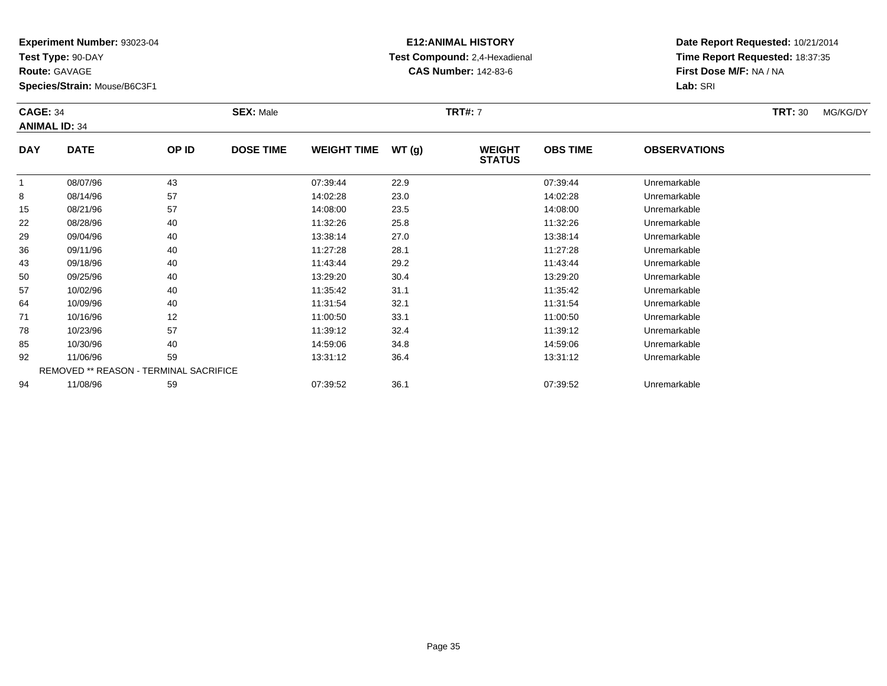**Test Type:** 90-DAY

**Route:** GAVAGE

57

64

71

78

85

92

94

**Species/Strain:** Mouse/B6C3F1

REMOVED \*\* REASON - TERMINAL SACRIFICE

#### **E12:ANIMAL HISTORY Test Compound:** 2,4-Hexadienal **CAS Number:** 142-83-6

**Date Report Requested:** 10/21/2014**Time Report Requested:** 18:37:35**First Dose M/F:** NA / NA**Lab:** SRI

#### **CAGE:** 34 **SEX:** Male **TRT#:** <sup>7</sup> **TRT:** 30 MG/KG/DY**ANIMAL ID:** 34**DAY DATE OP ID DOSE TIME WEIGHT TIME WT (g) WEIGHT STATUSOBS TIME OBSERVATIONS** 1 08/07/96 <sup>43</sup> 07:39:44 22.9 07:39:44 Unremarkable 88 08/14/96 57 57 14:02:28 23.0 23.0 14:02:28 Unremarkable 15 08/21/96 <sup>57</sup> 14:08:00 23.5 14:08:00 Unremarkable 22 08/28/96 <sup>40</sup> 11:32:26 25.8 11:32:26 Unremarkable 29 09/04/96 <sup>40</sup> 13:38:14 27.0 13:38:14 Unremarkable 366 09/11/96 40 40 11:27:28 28.1 11:27.28 11:27:28 Dhremarkable 43 09/18/96 <sup>40</sup> 11:43:44 29.2 11:43:44 Unremarkable 5009/25/96 <sup>40</sup> 13:29:20 30.4 13:29:20 Unremarkable

7 10/02/96 40 40 11:35:42 31.1 11:35:42 10:35:42 Unremarkable

10/09/96 <sup>40</sup> 11:31:54 32.1 11:31:54 Unremarkable

1 10/16/96 12 12 11:00:50 33.1 11:00:50 11:00:50 Dhremarkable

10/23/96 <sup>57</sup> 11:39:12 32.4 11:39:12 Unremarkable

10/30/96 <sup>40</sup> 14:59:06 34.8 14:59:06 Unremarkable

11/06/96 <sup>59</sup> 13:31:12 36.4 13:31:12 Unremarkable

11/08/96 <sup>59</sup> 07:39:52 36.1 07:39:52 Unremarkable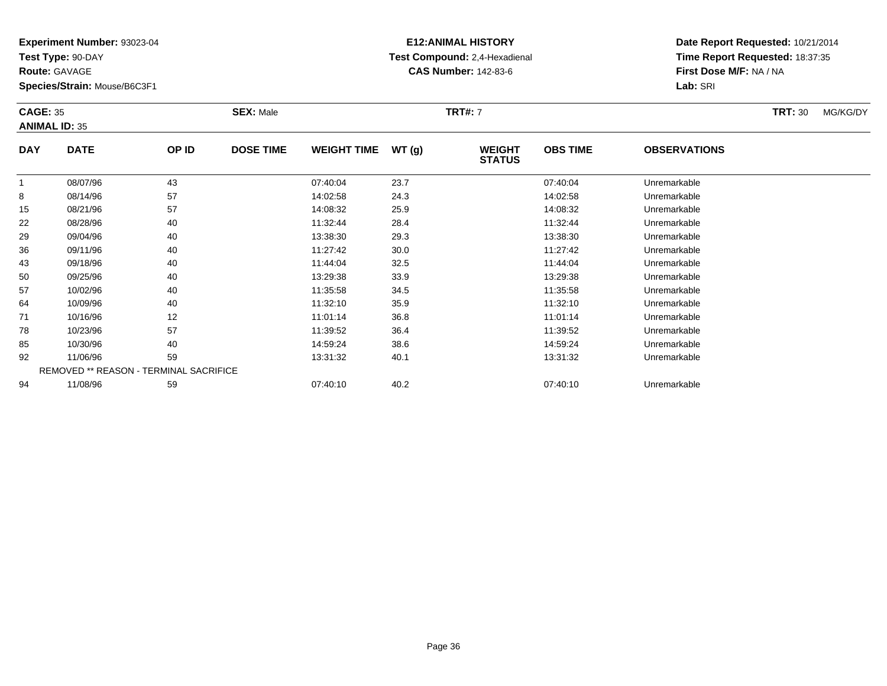**Test Type:** 90-DAY

**Route:** GAVAGE

78

85

92

94

**Species/Strain:** Mouse/B6C3F1

REMOVED \*\* REASON - TERMINAL SACRIFICE

### **E12:ANIMAL HISTORY Test Compound:** 2,4-Hexadienal **CAS Number:** 142-83-6

**Date Report Requested:** 10/21/2014**Time Report Requested:** 18:37:35**First Dose M/F:** NA / NA**Lab:** SRI

| <b>CAGE: 35</b><br><b>ANIMAL ID: 35</b> |             |       | <b>SEX: Male</b> |                    |       | <b>TRT#: 7</b>                 |                 |                     |  | MG/KG/DY |
|-----------------------------------------|-------------|-------|------------------|--------------------|-------|--------------------------------|-----------------|---------------------|--|----------|
| <b>DAY</b>                              | <b>DATE</b> | OP ID | <b>DOSE TIME</b> | <b>WEIGHT TIME</b> | WT(g) | <b>WEIGHT</b><br><b>STATUS</b> | <b>OBS TIME</b> | <b>OBSERVATIONS</b> |  |          |
|                                         | 08/07/96    | 43    |                  | 07:40:04           | 23.7  |                                | 07:40:04        | Unremarkable        |  |          |
| 8                                       | 08/14/96    | 57    |                  | 14:02:58           | 24.3  |                                | 14:02:58        | Unremarkable        |  |          |
| 15                                      | 08/21/96    | 57    |                  | 14:08:32           | 25.9  |                                | 14:08:32        | Unremarkable        |  |          |
| 22                                      | 08/28/96    | 40    |                  | 11:32:44           | 28.4  |                                | 11:32:44        | Unremarkable        |  |          |
| 29                                      | 09/04/96    | 40    |                  | 13:38:30           | 29.3  |                                | 13:38:30        | Unremarkable        |  |          |
| 36                                      | 09/11/96    | 40    |                  | 11:27:42           | 30.0  |                                | 11:27:42        | Unremarkable        |  |          |
| 43                                      | 09/18/96    | 40    |                  | 11:44:04           | 32.5  |                                | 11:44:04        | Unremarkable        |  |          |
| 50                                      | 09/25/96    | 40    |                  | 13:29:38           | 33.9  |                                | 13:29:38        | Unremarkable        |  |          |
| 57                                      | 10/02/96    | 40    |                  | 11:35:58           | 34.5  |                                | 11:35:58        | Unremarkable        |  |          |
| 64                                      | 10/09/96    | 40    |                  | 11:32:10           | 35.9  |                                | 11:32:10        | Unremarkable        |  |          |
| 71                                      | 10/16/96    | 12    |                  | 11:01:14           | 36.8  |                                | 11:01:14        | Unremarkable        |  |          |

10/23/96 <sup>57</sup> 11:39:52 36.4 11:39:52 Unremarkable

10/30/96 <sup>40</sup> 14:59:24 38.6 14:59:24 Unremarkable

11/06/96 <sup>59</sup> 13:31:32 40.1 13:31:32 Unremarkable

11/08/96 <sup>59</sup> 07:40:10 40.2 07:40:10 Unremarkable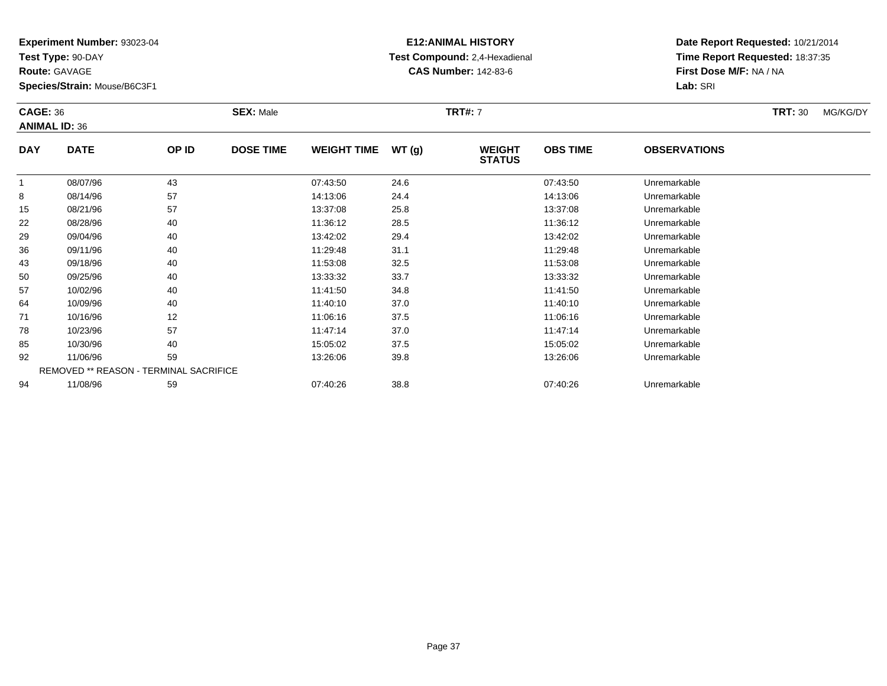**Test Type:** 90-DAY

**Route:** GAVAGE

85

92

94

**Species/Strain:** Mouse/B6C3F1

REMOVED \*\* REASON - TERMINAL SACRIFICE

### **E12:ANIMAL HISTORY Test Compound:** 2,4-Hexadienal **CAS Number:** 142-83-6

**Date Report Requested:** 10/21/2014**Time Report Requested:** 18:37:35**First Dose M/F:** NA / NA**Lab:** SRI

#### **CAGE:** 36 **SEX:** Male **TRT#:** <sup>7</sup> **TRT:** 30 MG/KG/DY**ANIMAL ID:** 36**DAY DATE OP ID DOSE TIME WEIGHT TIME WT (g) WEIGHT STATUSOBS TIME OBSERVATIONS** 1 08/07/96 <sup>43</sup> 07:43:50 24.6 07:43:50 Unremarkable 88 08/14/96 57 57 14:13:06 24.4 14:14 14:13:06 Dhremarkable 15 08/21/96 <sup>57</sup> 13:37:08 25.8 13:37:08 Unremarkable 22 08/28/96 <sup>40</sup> 11:36:12 28.5 11:36:12 Unremarkable 29 09/04/96 <sup>40</sup> 13:42:02 29.4 13:42:02 Unremarkable 366 09/11/96 40 40 11:29:48 31.1 11:29:48 31.1 11:29:48 Unremarkable 43 09/18/96 <sup>40</sup> 11:53:08 32.5 11:53:08 Unremarkable 500 09/25/96 40 40 13:33:32 33.7 33.7 13:33:32 Unremarkable 57 10/02/96 <sup>40</sup> 11:41:50 34.8 11:41:50 Unremarkable 64 10/09/96 <sup>40</sup> 11:40:10 37.0 11:40:10 Unremarkable 711 10/16/96 12 12 11:06:16 37.5 11:06:16 11:06:16 11:06:16 7810/23/96 <sup>57</sup> 11:47:14 37.0 11:47:14 Unremarkable

10/30/96 <sup>40</sup> 15:05:02 37.5 15:05:02 Unremarkable

11/06/96 <sup>59</sup> 13:26:06 39.8 13:26:06 Unremarkable

11/08/96 <sup>59</sup> 07:40:26 38.8 07:40:26 Unremarkable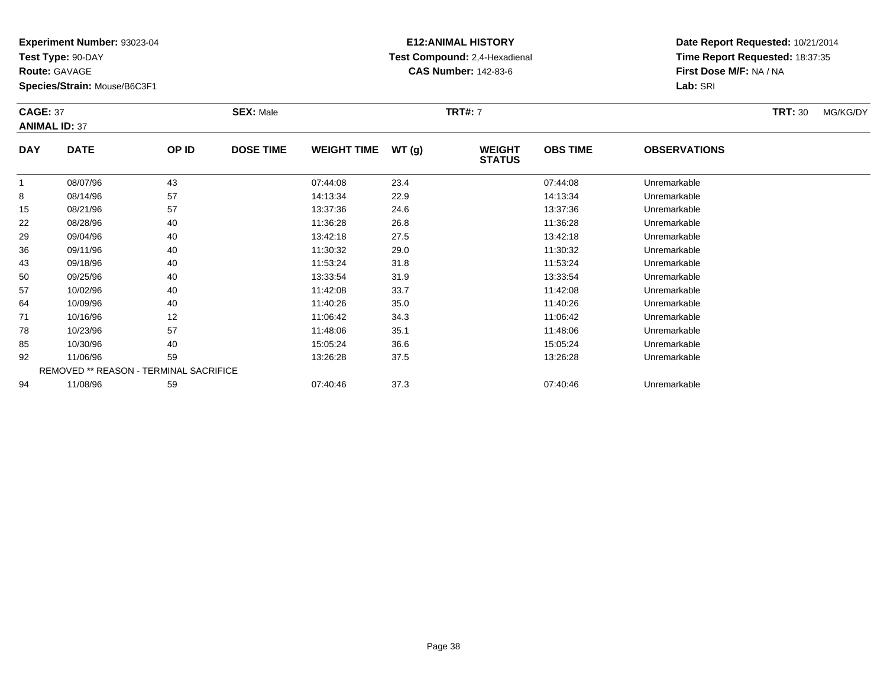**Test Type:** 90-DAY

**Route:** GAVAGE

57

64

71

78

85

92

94

**Species/Strain:** Mouse/B6C3F1

REMOVED \*\* REASON - TERMINAL SACRIFICE

#### **E12:ANIMAL HISTORY Test Compound:** 2,4-Hexadienal **CAS Number:** 142-83-6

**Date Report Requested:** 10/21/2014**Time Report Requested:** 18:37:35**First Dose M/F:** NA / NA**Lab:** SRI

#### **CAGE:** 37 **SEX:** Male **TRT#:** <sup>7</sup> **TRT:** 30 MG/KG/DY**ANIMAL ID:** 37**DAY DATE OP ID DOSE TIME WEIGHT TIME WT (g) WEIGHT STATUSOBS TIME OBSERVATIONS** 1 08/07/96 <sup>43</sup> 07:44:08 23.4 07:44:08 Unremarkable 8 08/14/96 <sup>57</sup> 14:13:34 22.9 14:13:34 Unremarkable 15 08/21/96 <sup>57</sup> 13:37:36 24.6 13:37:36 Unremarkable 22 08/28/96 <sup>40</sup> 11:36:28 26.8 11:36:28 Unremarkable 29 09/04/96 <sup>40</sup> 13:42:18 27.5 13:42:18 Unremarkable 36 09/11/96 <sup>40</sup> 11:30:32 29.0 11:30:32 Unremarkable 43 09/18/96 <sup>40</sup> 11:53:24 31.8 11:53:24 Unremarkable 5009/25/96 <sup>40</sup> 13:33:54 31.9 13:33:54 Unremarkable

10/02/96 <sup>40</sup> 11:42:08 33.7 11:42:08 Unremarkable

10/09/96 <sup>40</sup> 11:40:26 35.0 11:40:26 Unremarkable

1 10/16/96 12 12 11:06:42 34.3 11:06:42 10/16/96 Unremarkable

8 10/23/96 57 57 11:48:06 35.1 11:48:06 11:48:06 57 Unremarkable

10/30/96 <sup>40</sup> 15:05:24 36.6 15:05:24 Unremarkable

11/06/96 <sup>59</sup> 13:26:28 37.5 13:26:28 Unremarkable

11/08/96 <sup>59</sup> 07:40:46 37.3 07:40:46 Unremarkable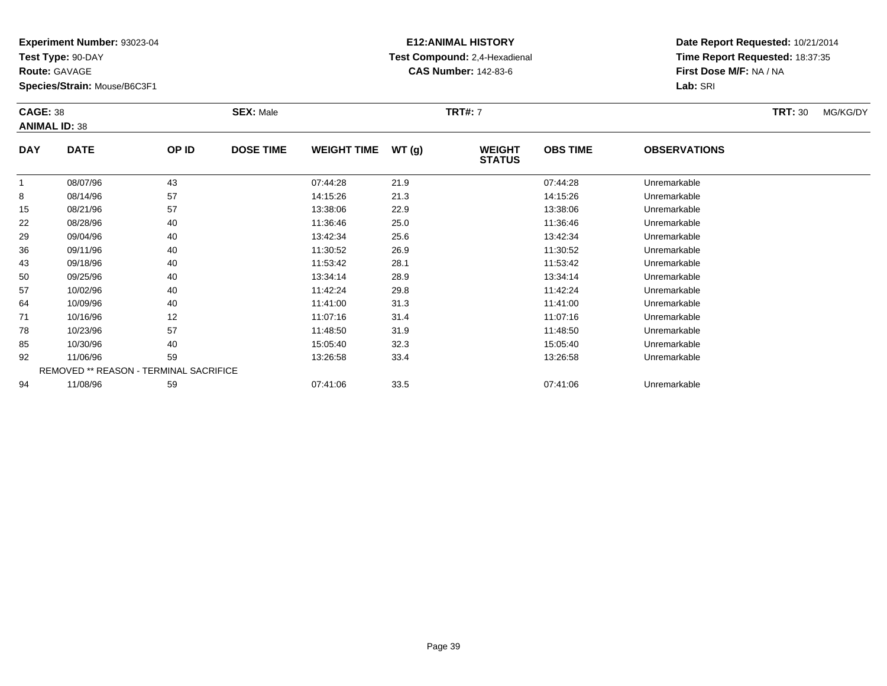**Test Type:** 90-DAY

**Route:** GAVAGE

94

**Species/Strain:** Mouse/B6C3F1

REMOVED \*\* REASON - TERMINAL SACRIFICE

## **E12:ANIMAL HISTORY Test Compound:** 2,4-Hexadienal **CAS Number:** 142-83-6

**Date Report Requested:** 10/21/2014**Time Report Requested:** 18:37:35**First Dose M/F:** NA / NA**Lab:** SRI

|            | <b>CAGE: 38</b><br><b>ANIMAL ID: 38</b> |       | <b>SEX: Male</b> |                    |       | <b>TRT#: 7</b>                 |                 | <b>TRT: 30</b>      | MG/KG/DY |  |
|------------|-----------------------------------------|-------|------------------|--------------------|-------|--------------------------------|-----------------|---------------------|----------|--|
| <b>DAY</b> | <b>DATE</b>                             | OP ID | <b>DOSE TIME</b> | <b>WEIGHT TIME</b> | WT(g) | <b>WEIGHT</b><br><b>STATUS</b> | <b>OBS TIME</b> | <b>OBSERVATIONS</b> |          |  |
| 1          | 08/07/96                                | 43    |                  | 07:44:28           | 21.9  |                                | 07:44:28        | Unremarkable        |          |  |
| 8          | 08/14/96                                | 57    |                  | 14:15:26           | 21.3  |                                | 14:15:26        | Unremarkable        |          |  |
| 15         | 08/21/96                                | 57    |                  | 13:38:06           | 22.9  |                                | 13:38:06        | Unremarkable        |          |  |
| 22         | 08/28/96                                | 40    |                  | 11:36:46           | 25.0  |                                | 11:36:46        | Unremarkable        |          |  |
| 29         | 09/04/96                                | 40    |                  | 13:42:34           | 25.6  |                                | 13:42:34        | Unremarkable        |          |  |
| 36         | 09/11/96                                | 40    |                  | 11:30:52           | 26.9  |                                | 11:30:52        | Unremarkable        |          |  |
| 43         | 09/18/96                                | 40    |                  | 11:53:42           | 28.1  |                                | 11:53:42        | Unremarkable        |          |  |
| 50         | 09/25/96                                | 40    |                  | 13:34:14           | 28.9  |                                | 13:34:14        | Unremarkable        |          |  |
| 57         | 10/02/96                                | 40    |                  | 11:42:24           | 29.8  |                                | 11:42:24        | Unremarkable        |          |  |
| 64         | 10/09/96                                | 40    |                  | 11:41:00           | 31.3  |                                | 11:41:00        | Unremarkable        |          |  |
| 71         | 10/16/96                                | 12    |                  | 11:07:16           | 31.4  |                                | 11:07:16        | Unremarkable        |          |  |
| 78         | 10/23/96                                | 57    |                  | 11:48:50           | 31.9  |                                | 11:48:50        | Unremarkable        |          |  |
| 85         | 10/30/96                                | 40    |                  | 15:05:40           | 32.3  |                                | 15:05:40        | Unremarkable        |          |  |
| 92         | 11/06/96                                | 59    |                  | 13:26:58           | 33.4  |                                | 13:26:58        | Unremarkable        |          |  |

11/06/96 <sup>59</sup> 13:26:58 33.4 13:26:58 Unremarkable

11/08/96 <sup>59</sup> 07:41:06 33.5 07:41:06 Unremarkable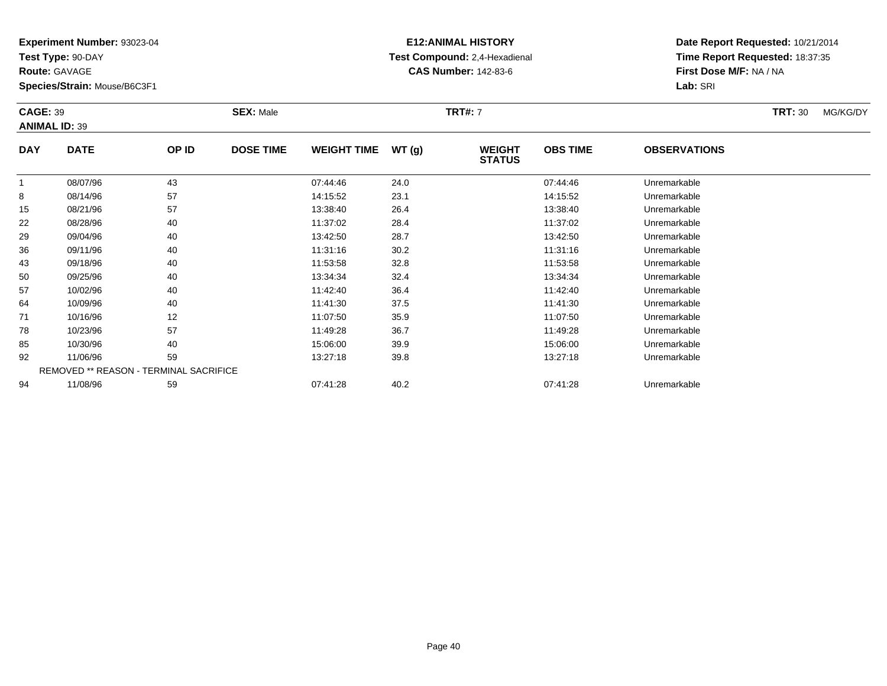**Test Type:** 90-DAY

**Route:** GAVAGE

92

94

**Species/Strain:** Mouse/B6C3F1

REMOVED \*\* REASON - TERMINAL SACRIFICE

## **E12:ANIMAL HISTORY Test Compound:** 2,4-Hexadienal **CAS Number:** 142-83-6

**Date Report Requested:** 10/21/2014**Time Report Requested:** 18:37:35**First Dose M/F:** NA / NA**Lab:** SRI

| <b>CAGE: 39</b><br><b>ANIMAL ID: 39</b> |             | <b>SEX: Male</b> |                  |                    | <b>TRT#: 7</b> |                                | <b>TRT: 30</b>  | MG/KG/DY            |  |  |
|-----------------------------------------|-------------|------------------|------------------|--------------------|----------------|--------------------------------|-----------------|---------------------|--|--|
| <b>DAY</b>                              | <b>DATE</b> | OP ID            | <b>DOSE TIME</b> | <b>WEIGHT TIME</b> | WT(g)          | <b>WEIGHT</b><br><b>STATUS</b> | <b>OBS TIME</b> | <b>OBSERVATIONS</b> |  |  |
|                                         | 08/07/96    | 43               |                  | 07:44:46           | 24.0           |                                | 07:44:46        | Unremarkable        |  |  |
| 8                                       | 08/14/96    | 57               |                  | 14:15:52           | 23.1           |                                | 14:15:52        | Unremarkable        |  |  |
| 15                                      | 08/21/96    | 57               |                  | 13:38:40           | 26.4           |                                | 13:38:40        | Unremarkable        |  |  |
| 22                                      | 08/28/96    | 40               |                  | 11:37:02           | 28.4           |                                | 11:37:02        | Unremarkable        |  |  |
| 29                                      | 09/04/96    | 40               |                  | 13:42:50           | 28.7           |                                | 13:42:50        | Unremarkable        |  |  |
| 36                                      | 09/11/96    | 40               |                  | 11:31:16           | 30.2           |                                | 11:31:16        | Unremarkable        |  |  |
| 43                                      | 09/18/96    | 40               |                  | 11:53:58           | 32.8           |                                | 11:53:58        | Unremarkable        |  |  |
| 50                                      | 09/25/96    | 40               |                  | 13:34:34           | 32.4           |                                | 13:34:34        | Unremarkable        |  |  |
| 57                                      | 10/02/96    | 40               |                  | 11:42:40           | 36.4           |                                | 11:42:40        | Unremarkable        |  |  |
| 64                                      | 10/09/96    | 40               |                  | 11:41:30           | 37.5           |                                | 11:41:30        | Unremarkable        |  |  |
| 71                                      | 10/16/96    | 12               |                  | 11:07:50           | 35.9           |                                | 11:07:50        | Unremarkable        |  |  |
| 78                                      | 10/23/96    | 57               |                  | 11:49:28           | 36.7           |                                | 11:49:28        | Unremarkable        |  |  |
| 85                                      | 10/30/96    | 40               |                  | 15:06:00           | 39.9           |                                | 15:06:00        | Unremarkable        |  |  |

11/06/96 <sup>59</sup> 13:27:18 39.8 13:27:18 Unremarkable

11/08/96 <sup>59</sup> 07:41:28 40.2 07:41:28 Unremarkable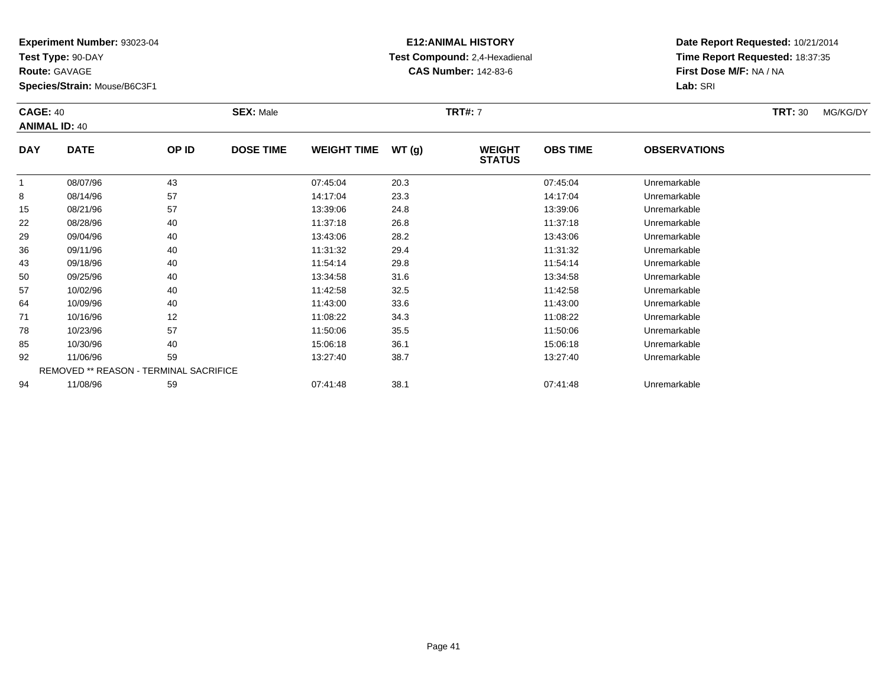**Test Type:** 90-DAY

**Route:** GAVAGE

78

85

92

94

**Species/Strain:** Mouse/B6C3F1

REMOVED \*\* REASON - TERMINAL SACRIFICE

## **E12:ANIMAL HISTORY Test Compound:** 2,4-Hexadienal **CAS Number:** 142-83-6

**Date Report Requested:** 10/21/2014**Time Report Requested:** 18:37:35**First Dose M/F:** NA / NA**Lab:** SRI

#### **CAGE:** 40 **SEX:** Male **TRT#:** <sup>7</sup> **TRT:** 30 MG/KG/DY**ANIMAL ID:** 40**DAY DATE OP ID DOSE TIME WEIGHT TIME WT (g) WEIGHT STATUSOBS TIME OBSERVATIONS** 1 08/07/96 <sup>43</sup> 07:45:04 20.3 07:45:04 Unremarkable 88 08/14/96 57 57 14:17:04 23.3 14:17:04 14:17:04 Dhremarkable 15 08/21/96 <sup>57</sup> 13:39:06 24.8 13:39:06 Unremarkable 22 08/28/96 <sup>40</sup> 11:37:18 26.8 11:37:18 Unremarkable 29 09/04/96 <sup>40</sup> 13:43:06 28.2 13:43:06 Unremarkable 36 09/11/96 <sup>40</sup> 11:31:32 29.4 11:31:32 Unremarkable 43 09/18/96 <sup>40</sup> 11:54:14 29.8 11:54:14 Unremarkable 500 09/25/96 40 40 13:34:58 31.6 13:34 31.6 13:34:58 Dhremarkable 57 10/02/96 <sup>40</sup> 11:42:58 32.5 11:42:58 Unremarkable 64 10/09/96 <sup>40</sup> 11:43:00 33.6 11:43:00 Unremarkable 711 10/16/96 12 12 11:08:22 34.3 11:08:22 10/16/96 Unremarkable

10/23/96 <sup>57</sup> 11:50:06 35.5 11:50:06 Unremarkable

10/30/96 <sup>40</sup> 15:06:18 36.1 15:06:18 Unremarkable

11/06/96 <sup>59</sup> 13:27:40 38.7 13:27:40 Unremarkable

11/08/96 <sup>59</sup> 07:41:48 38.1 07:41:48 Unremarkable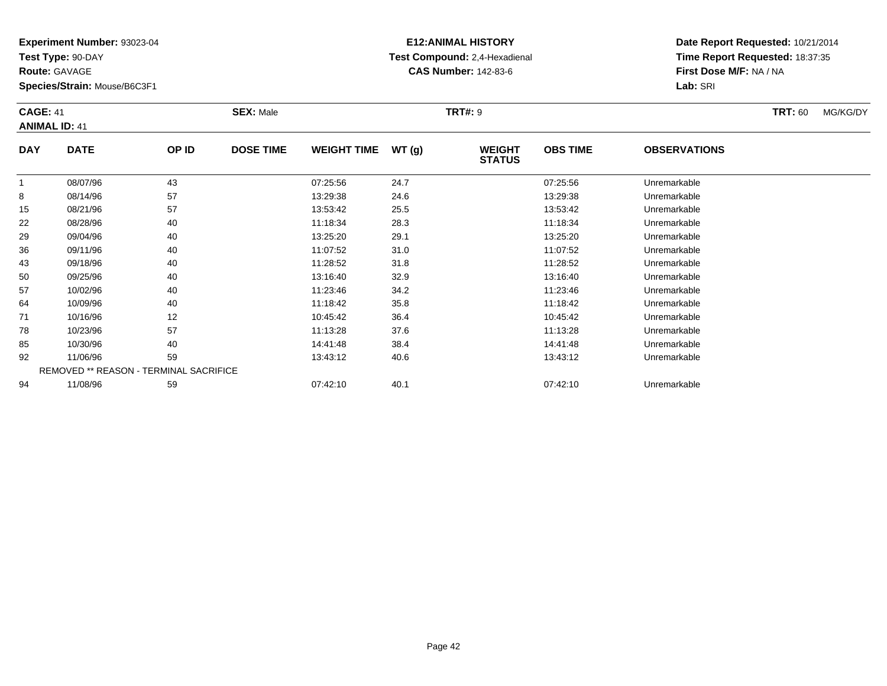**Test Type:** 90-DAY

**Route:** GAVAGE

**Species/Strain:** Mouse/B6C3F1

## **E12:ANIMAL HISTORY Test Compound:** 2,4-Hexadienal **CAS Number:** 142-83-6

**Date Report Requested:** 10/21/2014**Time Report Requested:** 18:37:35**First Dose M/F:** NA / NA**Lab:** SRI

#### **CAGE:** 41 **SEX:** Male **TRT#:** <sup>9</sup> **TRT:** 60 MG/KG/DY**ANIMAL ID:** 41**DAY DATE OP IDDOSE TIME WEIGHT TIME WT** (g) **STATUSOBS TIME OBSERVATIONS** 1 08/07/96 <sup>43</sup> 07:25:56 24.7 07:25:56 Unremarkable 88 08/14/96 57 57 13:29:38 24.6 2010 13:29:38 Dhremarkable  $15$  08/21/96 <sup>57</sup> 13:53:42 25.5 13:53:42 Unremarkable 22 08/28/96 <sup>40</sup> 11:18:34 28.3 11:18:34 Unremarkable 29 09/04/96 <sup>40</sup> 13:25:20 29.1 13:25:20 Unremarkable 36

| 15 | 08/21/96 | 5/                                            | 13:53:42 | 25.5 | 13.53.42 | Unremarkable |  |
|----|----------|-----------------------------------------------|----------|------|----------|--------------|--|
| 22 | 08/28/96 | 40                                            | 11:18:34 | 28.3 | 11:18:34 | Unremarkable |  |
| 29 | 09/04/96 | 40                                            | 13:25:20 | 29.1 | 13:25:20 | Unremarkable |  |
| 36 | 09/11/96 | 40                                            | 11:07:52 | 31.0 | 11:07:52 | Unremarkable |  |
| 43 | 09/18/96 | 40                                            | 11:28:52 | 31.8 | 11:28:52 | Unremarkable |  |
| 50 | 09/25/96 | 40                                            | 13:16:40 | 32.9 | 13:16:40 | Unremarkable |  |
| 57 | 10/02/96 | 40                                            | 11:23:46 | 34.2 | 11:23:46 | Unremarkable |  |
| 64 | 10/09/96 | 40                                            | 11:18:42 | 35.8 | 11:18:42 | Unremarkable |  |
| 71 | 10/16/96 | 12                                            | 10:45:42 | 36.4 | 10:45:42 | Unremarkable |  |
| 78 | 10/23/96 | 57                                            | 11:13:28 | 37.6 | 11:13:28 | Unremarkable |  |
| 85 | 10/30/96 | 40                                            | 14:41:48 | 38.4 | 14:41:48 | Unremarkable |  |
| 92 | 11/06/96 | 59                                            | 13:43:12 | 40.6 | 13:43:12 | Unremarkable |  |
|    |          | <b>REMOVED ** REASON - TERMINAL SACRIFICE</b> |          |      |          |              |  |
| 94 | 11/08/96 | 59                                            | 07:42:10 | 40.1 | 07:42:10 | Unremarkable |  |
|    |          |                                               |          |      |          |              |  |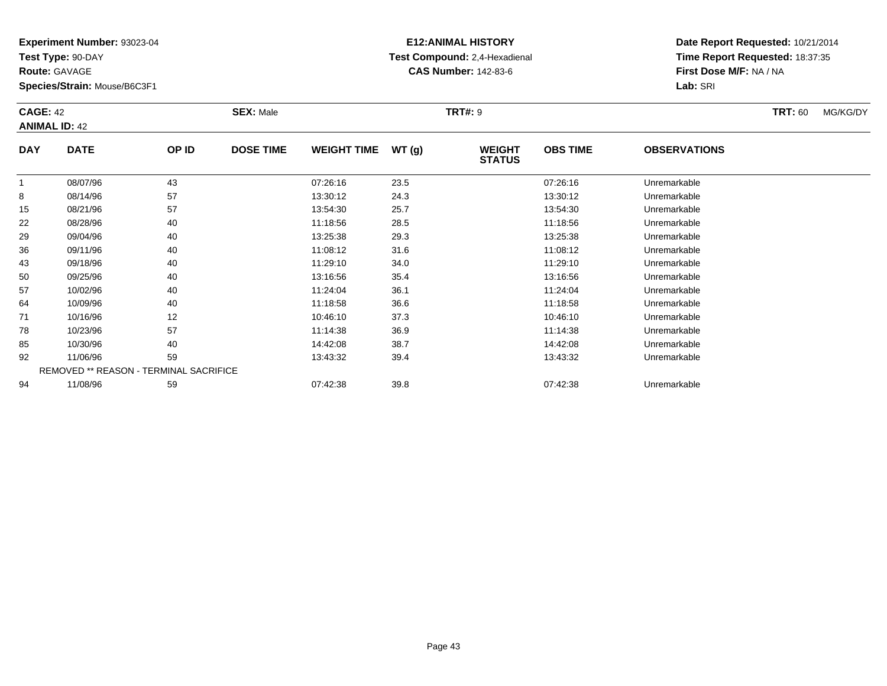**Test Type:** 90-DAY

**Route:** GAVAGE

64

71

78

85

92

94

**Species/Strain:** Mouse/B6C3F1

REMOVED \*\* REASON - TERMINAL SACRIFICE

## **E12:ANIMAL HISTORY Test Compound:** 2,4-Hexadienal **CAS Number:** 142-83-6

**Date Report Requested:** 10/21/2014**Time Report Requested:** 18:37:35**First Dose M/F:** NA / NA**Lab:** SRI

#### **CAGE:** 42 **SEX:** Male **TRT#:** <sup>9</sup> **TRT:** 60 MG/KG/DY**ANIMAL ID:** 42**DAY DATE OP ID DOSE TIME WEIGHT TIME WT (g) WEIGHT STATUSOBS TIME OBSERVATIONS** 1 08/07/96 <sup>43</sup> 07:26:16 23.5 07:26:16 Unremarkable 88 08/14/96 57 57 13:30:12 24.3 13:30:12 13:30:12 13:30:12 15 08/21/96 <sup>57</sup> 13:54:30 25.7 13:54:30 Unremarkable 22 08/28/96 <sup>40</sup> 11:18:56 28.5 11:18:56 Unremarkable 29 09/04/96 <sup>40</sup> 13:25:38 29.3 13:25:38 Unremarkable 366 09/11/96 40 40 11:08:12 31.6 11:08 11:08 11:08 11:08 11:08 11:08 11:08 11:08 11 43 09/18/96 <sup>40</sup> 11:29:10 34.0 11:29:10 Unremarkable 50 09/25/96 <sup>40</sup> 13:16:56 35.4 13:16:56 Unremarkable 5710/02/96 <sup>40</sup> 11:24:04 36.1 11:24:04 Unremarkable

10/09/96 <sup>40</sup> 11:18:58 36.6 11:18:58 Unremarkable

1 10/16/96 12 12 10:46:10 37.3 10:46 10:46 10 10:46:10 10:46:10 10:46:10

10/23/96 <sup>57</sup> 11:14:38 36.9 11:14:38 Unremarkable

10/30/96 <sup>40</sup> 14:42:08 38.7 14:42:08 Unremarkable

11/06/96 <sup>59</sup> 13:43:32 39.4 13:43:32 Unremarkable

11/08/96 <sup>59</sup> 07:42:38 39.8 07:42:38 Unremarkable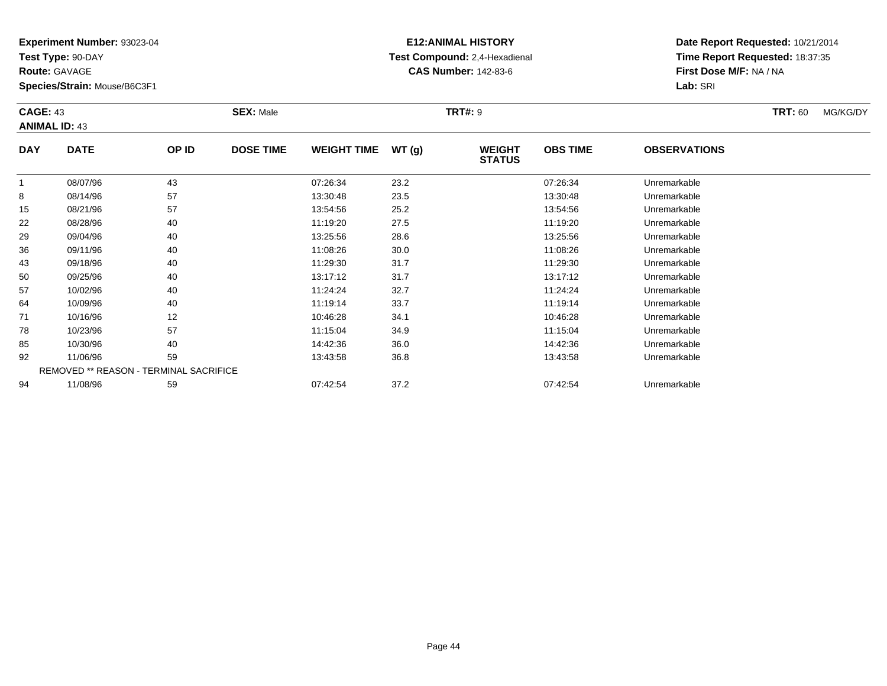**Test Type:** 90-DAY

**Route:** GAVAGE

57

64

71

78

85

92

94

**Species/Strain:** Mouse/B6C3F1

REMOVED \*\* REASON - TERMINAL SACRIFICE

## **E12:ANIMAL HISTORY Test Compound:** 2,4-Hexadienal **CAS Number:** 142-83-6

**Date Report Requested:** 10/21/2014**Time Report Requested:** 18:37:35**First Dose M/F:** NA / NA**Lab:** SRI

#### **CAGE:** 43 **SEX:** Male **TRT#:** <sup>9</sup> **TRT:** 60 MG/KG/DY**ANIMAL ID:** 43**DAY DATE OP ID DOSE TIME WEIGHT TIME WT (g) WEIGHT STATUSOBS TIME OBSERVATIONS** 1 08/07/96 <sup>43</sup> 07:26:34 23.2 07:26:34 Unremarkable 88 08/14/96 57 57 13:30:48 23.5 13:30:48 13:30:48 Dhremarkable 15 08/21/96 <sup>57</sup> 13:54:56 25.2 13:54:56 Unremarkable 22 08/28/96 <sup>40</sup> 11:19:20 27.5 11:19:20 Unremarkable 29 09/04/96 <sup>40</sup> 13:25:56 28.6 13:25:56 Unremarkable 366 09/11/96 40 40 11:08:26 30.0 11:08 11:08 11:08 126 433 09/18/96 40 40 11:29:30 31.7 11:29:30 11:29:30 11:29:30 500 09/25/96 40 40 13:17:12 31.7 31.7 13:17:12 13:17:12 Unremarkable

10/02/96 <sup>40</sup> 11:24:24 32.7 11:24:24 Unremarkable

10/09/96 <sup>40</sup> 11:19:14 33.7 11:19:14 Unremarkable

1 10/16/96 12 12 10:46:28 34.1 10:46 10:46 10:46 10:46:28 Unremarkable

10/23/96 <sup>57</sup> 11:15:04 34.9 11:15:04 Unremarkable

10/30/96 <sup>40</sup> 14:42:36 36.0 14:42:36 Unremarkable

11/06/96 <sup>59</sup> 13:43:58 36.8 13:43:58 Unremarkable

11/08/96 <sup>59</sup> 07:42:54 37.2 07:42:54 Unremarkable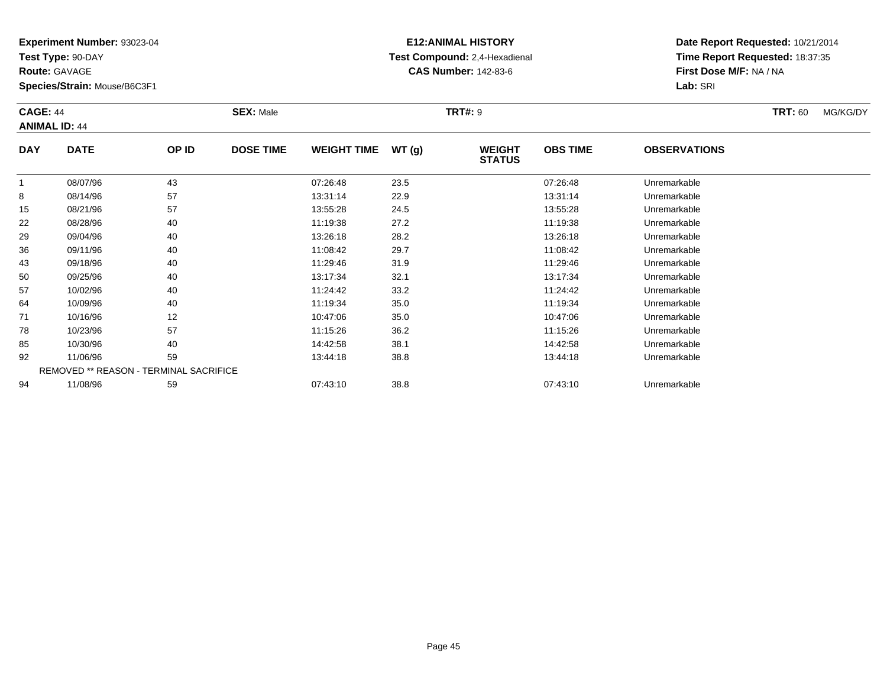**Test Type:** 90-DAY

**Route:** GAVAGE

50

57

64

71

78

85

92

94

**Species/Strain:** Mouse/B6C3F1

REMOVED \*\* REASON - TERMINAL SACRIFICE

#### **E12:ANIMAL HISTORY Test Compound:** 2,4-Hexadienal **CAS Number:** 142-83-6

**Date Report Requested:** 10/21/2014**Time Report Requested:** 18:37:35**First Dose M/F:** NA / NA**Lab:** SRI

#### **CAGE:** 44 **SEX:** Male **TRT#:** <sup>9</sup> **TRT:** 60 MG/KG/DY**ANIMAL ID:** 44**DAY DATE OP ID DOSE TIME WEIGHT TIME WT (g) WEIGHT STATUSOBS TIME OBSERVATIONS** 1 08/07/96 <sup>43</sup> 07:26:48 23.5 07:26:48 Unremarkable 88 08/14/96 57 57 13:31:14 22.9 13:31:14 13:31:14 13:31:14 15 08/21/96 <sup>57</sup> 13:55:28 24.5 13:55:28 Unremarkable 22 08/28/96 <sup>40</sup> 11:19:38 27.2 11:19:38 Unremarkable 29 09/04/96 <sup>40</sup> 13:26:18 28.2 13:26:18 Unremarkable 366 09/11/96 40 40 11:08:42 29.7 11:08:42 11:08:42 11:08:42 Unremarkable 4309/18/96 <sup>40</sup> 11:29:46 31.9 11:29:46 Unremarkable

0 09/25/96 40 40 13:17:34 32.1 13:17:34 13:17:34 Dhremarkable

10/02/96 <sup>40</sup> 11:24:42 33.2 11:24:42 Unremarkable

10/09/96 <sup>40</sup> 11:19:34 35.0 11:19:34 Unremarkable

1 10/16/96 12 12 10:47:06 35.0 10:47:06 10:47:06 10:47:06 Diremarkable

10/23/96 <sup>57</sup> 11:15:26 36.2 11:15:26 Unremarkable

5 10/30/96 40 40 14:42:58 38.1 14:42.58 19/30/96 Unremarkable

11/06/96 <sup>59</sup> 13:44:18 38.8 13:44:18 Unremarkable

11/08/96 <sup>59</sup> 07:43:10 38.8 07:43:10 Unremarkable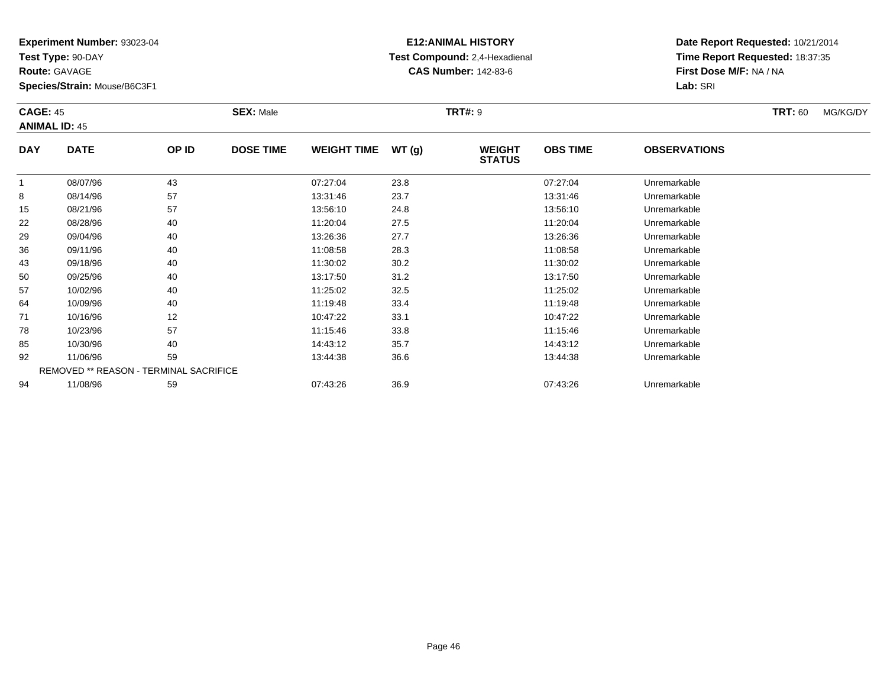**Test Type:** 90-DAY

**Route:** GAVAGE

**Species/Strain:** Mouse/B6C3F1

# **E12:ANIMAL HISTORY Test Compound:** 2,4-Hexadienal **CAS Number:** 142-83-6

**Date Report Requested:** 10/21/2014**Time Report Requested:** 18:37:35**First Dose M/F:** NA / NA**Lab:** SRI

#### **CAGE:** 45 **SEX:** Male **TRT#:** <sup>9</sup> **TRT:** 60 MG/KG/DY**ANIMAL ID:** 45**DAY DATE OP IDDOSE TIME WEIGHT TIME WT** (g) **STATUSOBS TIME OBSERVATIONS**  $\overline{1}$  08/07/96 <sup>43</sup> 07:27:04 23.8 07:27:04 Unremarkable 88 08/14/96 57 57 13:31:46 23.7 13:31:46 13:31:46 Dhremarkable 1508/21/96 <sup>57</sup> 13:56:10 24.8 13:56:10 Unremarkable

| 8  | 08/14/96 | 57                                            | 13:31:46 | 23.7 | 13:31:46 | Unremarkable |
|----|----------|-----------------------------------------------|----------|------|----------|--------------|
| 15 | 08/21/96 | 57                                            | 13:56:10 | 24.8 | 13:56:10 | Unremarkable |
| 22 | 08/28/96 | 40                                            | 11:20:04 | 27.5 | 11:20:04 | Unremarkable |
| 29 | 09/04/96 | 40                                            | 13:26:36 | 27.7 | 13:26:36 | Unremarkable |
| 36 | 09/11/96 | 40                                            | 11:08:58 | 28.3 | 11:08:58 | Unremarkable |
| 43 | 09/18/96 | 40                                            | 11:30:02 | 30.2 | 11:30:02 | Unremarkable |
| 50 | 09/25/96 | 40                                            | 13:17:50 | 31.2 | 13:17:50 | Unremarkable |
| 57 | 10/02/96 | 40                                            | 11:25:02 | 32.5 | 11:25:02 | Unremarkable |
| 64 | 10/09/96 | 40                                            | 11:19:48 | 33.4 | 11:19:48 | Unremarkable |
| 71 | 10/16/96 | 12                                            | 10:47:22 | 33.1 | 10:47:22 | Unremarkable |
| 78 | 10/23/96 | 57                                            | 11:15:46 | 33.8 | 11:15:46 | Unremarkable |
| 85 | 10/30/96 | 40                                            | 14:43:12 | 35.7 | 14:43:12 | Unremarkable |
| 92 | 11/06/96 | 59                                            | 13:44:38 | 36.6 | 13:44:38 | Unremarkable |
|    |          | <b>REMOVED ** REASON - TERMINAL SACRIFICE</b> |          |      |          |              |
| 94 | 11/08/96 | 59                                            | 07:43:26 | 36.9 | 07:43:26 | Unremarkable |
|    |          |                                               |          |      |          |              |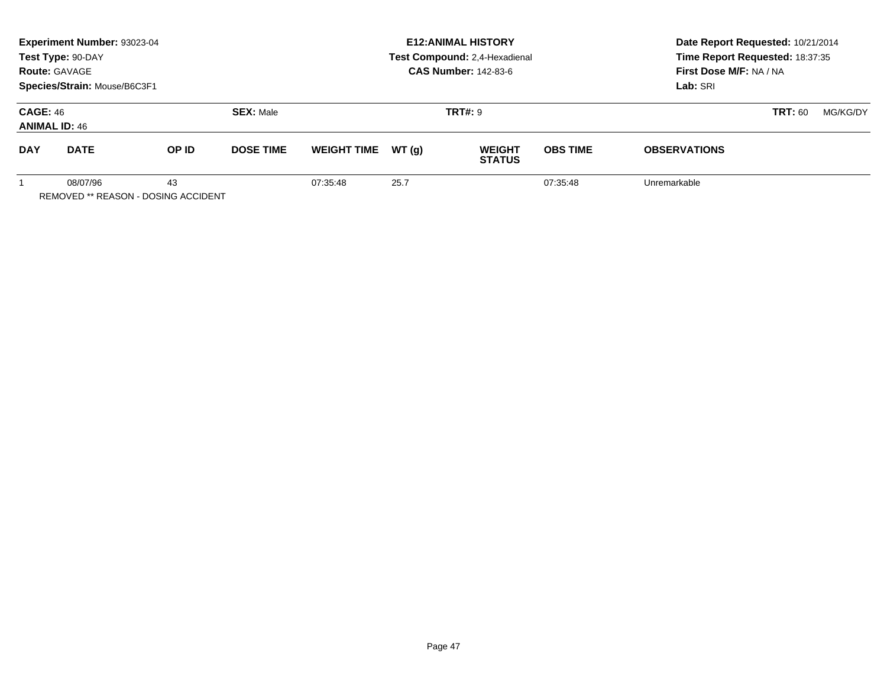| Experiment Number: 93023-04<br>Test Type: 90-DAY<br><b>Route: GAVAGE</b><br>Species/Strain: Mouse/B6C3F1 |             |          |                  |                    | <b>E12:ANIMAL HISTORY</b><br>Test Compound: 2,4-Hexadienal<br><b>CAS Number: 142-83-6</b> | Date Report Requested: 10/21/2014<br>Time Report Requested: 18:37:35<br>First Dose M/F: NA / NA<br>Lab: SRI |                 |                            |  |
|----------------------------------------------------------------------------------------------------------|-------------|----------|------------------|--------------------|-------------------------------------------------------------------------------------------|-------------------------------------------------------------------------------------------------------------|-----------------|----------------------------|--|
| <b>CAGE: 46</b><br><b>SEX: Male</b><br><b>ANIMAL ID: 46</b>                                              |             |          |                  | <b>TRT#: 9</b>     |                                                                                           |                                                                                                             |                 | <b>TRT: 60</b><br>MG/KG/DY |  |
| <b>DAY</b>                                                                                               | <b>DATE</b> | OP ID    | <b>DOSE TIME</b> | <b>WEIGHT TIME</b> | WT(a)                                                                                     | <b>WEIGHT</b><br><b>STATUS</b>                                                                              | <b>OBS TIME</b> | <b>OBSERVATIONS</b>        |  |
| 08/07/96<br>43<br><b>REMOVED ** REASON - DOSING ACCIDENT</b>                                             |             | 07:35:48 | 25.7             |                    | 07:35:48                                                                                  | Unremarkable                                                                                                |                 |                            |  |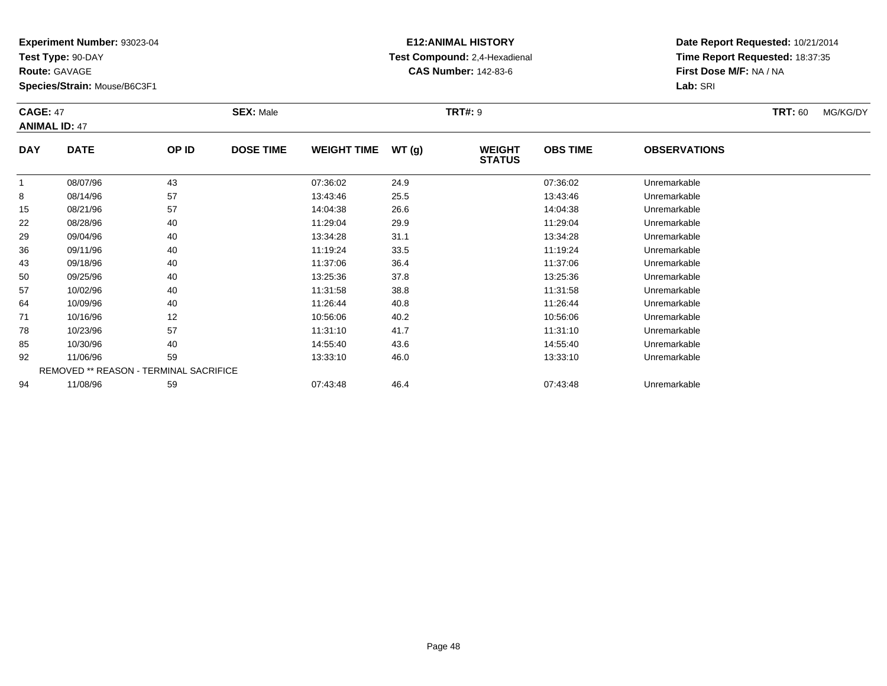**Test Type:** 90-DAY

**Route:** GAVAGE

**Species/Strain:** Mouse/B6C3F1

# **E12:ANIMAL HISTORY Test Compound:** 2,4-Hexadienal **CAS Number:** 142-83-6

**Date Report Requested:** 10/21/2014**Time Report Requested:** 18:37:35**First Dose M/F:** NA / NA**Lab:** SRI

#### **CAGE:** 47 **SEX:** Male **TRT#:** <sup>9</sup> **TRT:** 60 MG/KG/DY**ANIMAL ID:** 47**DAY DATE OP IDDOSE TIME WEIGHT TIME WT** (g) **STATUSOBS TIME OBSERVATIONS** 1 08/07/96 <sup>43</sup> 07:36:02 24.9 07:36:02 Unremarkable 88 08/14/96 57 57 13:43:46 25.5 13:43:46 13:43:46 Dhremarkable 15 08/21/96 <sup>57</sup> 14:04:38 26.6 14:04:38 Unremarkable 22 08/28/96 <sup>40</sup> 11:29:04 29.9 11:29:04 Unremarkable 2909/04/96 <sup>40</sup> 13:34:28 31.1 13:34:28 Unremarkable

| 15 | 08/21/96                                      | 57 | 14:04:38 | 26.6 | 14:04:38 | Unremarkable |
|----|-----------------------------------------------|----|----------|------|----------|--------------|
| 22 | 08/28/96                                      | 40 | 11:29:04 | 29.9 | 11:29:04 | Unremarkable |
| 29 | 09/04/96                                      | 40 | 13:34:28 | 31.1 | 13:34:28 | Unremarkable |
| 36 | 09/11/96                                      | 40 | 11:19:24 | 33.5 | 11:19:24 | Unremarkable |
| 43 | 09/18/96                                      | 40 | 11:37:06 | 36.4 | 11:37:06 | Unremarkable |
| 50 | 09/25/96                                      | 40 | 13:25:36 | 37.8 | 13:25:36 | Unremarkable |
| 57 | 10/02/96                                      | 40 | 11:31:58 | 38.8 | 11:31:58 | Unremarkable |
| 64 | 10/09/96                                      | 40 | 11:26:44 | 40.8 | 11:26:44 | Unremarkable |
| 71 | 10/16/96                                      | 12 | 10:56:06 | 40.2 | 10:56:06 | Unremarkable |
| 78 | 10/23/96                                      | 57 | 11:31:10 | 41.7 | 11:31:10 | Unremarkable |
| 85 | 10/30/96                                      | 40 | 14:55:40 | 43.6 | 14:55:40 | Unremarkable |
| 92 | 11/06/96                                      | 59 | 13:33:10 | 46.0 | 13:33:10 | Unremarkable |
|    | <b>REMOVED ** REASON - TERMINAL SACRIFICE</b> |    |          |      |          |              |
| 94 | 11/08/96                                      | 59 | 07:43:48 | 46.4 | 07:43:48 | Unremarkable |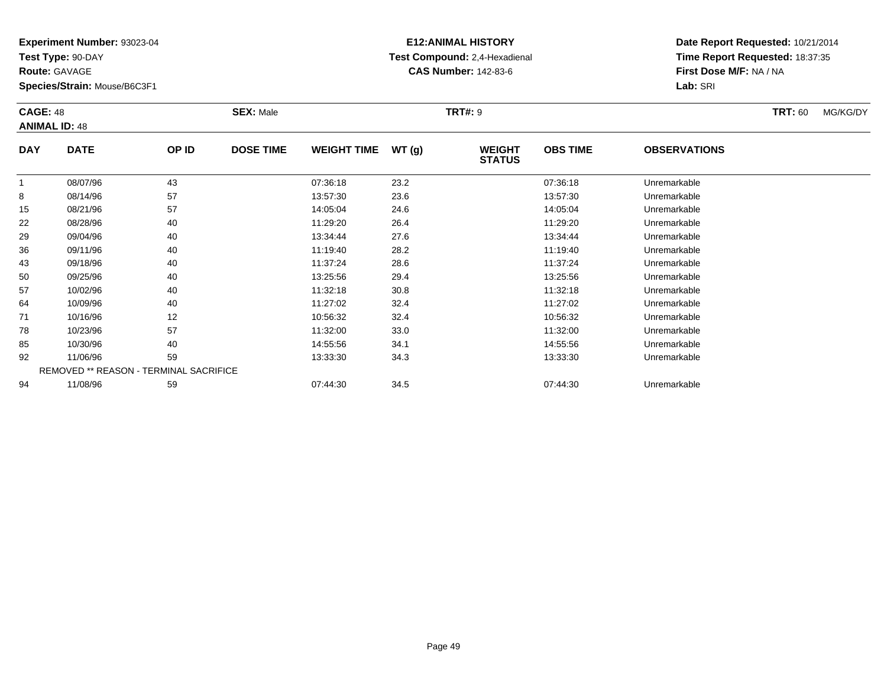**Test Type:** 90-DAY

**Route:** GAVAGE

92

94

**Species/Strain:** Mouse/B6C3F1

REMOVED \*\* REASON - TERMINAL SACRIFICE

### **E12:ANIMAL HISTORY Test Compound:** 2,4-Hexadienal **CAS Number:** 142-83-6

**Date Report Requested:** 10/21/2014**Time Report Requested:** 18:37:35**First Dose M/F:** NA / NA**Lab:** SRI

#### **CAGE:** 48 **SEX:** Male **TRT#:** <sup>9</sup> **TRT:** 60 MG/KG/DY**ANIMAL ID:** 48**DAY DATE OP ID DOSE TIME WEIGHT TIME WT (g) WEIGHT STATUSOBS TIME OBSERVATIONS** 1 08/07/96 <sup>43</sup> 07:36:18 23.2 07:36:18 Unremarkable 88 08/14/96 57 57 13:57:30 23.6 13:57:30 13:57:30 Dhremarkable 15 08/21/96 <sup>57</sup> 14:05:04 24.6 14:05:04 Unremarkable 22 08/28/96 <sup>40</sup> 11:29:20 26.4 11:29:20 Unremarkable 29 09/04/96 <sup>40</sup> 13:34:44 27.6 13:34:44 Unremarkable 36 09/11/96 <sup>40</sup> 11:19:40 28.2 11:19:40 Unremarkable 43 09/18/96 <sup>40</sup> 11:37:24 28.6 11:37:24 Unremarkable 500 09/25/96 40 40 13:25:56 29.4 29.4 13:25:56 Dhremarkable 57 10/02/96 <sup>40</sup> 11:32:18 30.8 11:32:18 Unremarkable 64 10/09/96 <sup>40</sup> 11:27:02 32.4 11:27:02 Unremarkable 711 10/16/96 12 12 10:56:32 32.4 10:56 10:56:32 Unremarkable 78 10/23/96 <sup>57</sup> 11:32:00 33.0 11:32:00 Unremarkable 8510/30/96 <sup>40</sup> 14:55:56 34.1 14:55:56 Unremarkable

11/06/96 <sup>59</sup> 13:33:30 34.3 13:33:30 Unremarkable

11/08/96 <sup>59</sup> 07:44:30 34.5 07:44:30 Unremarkable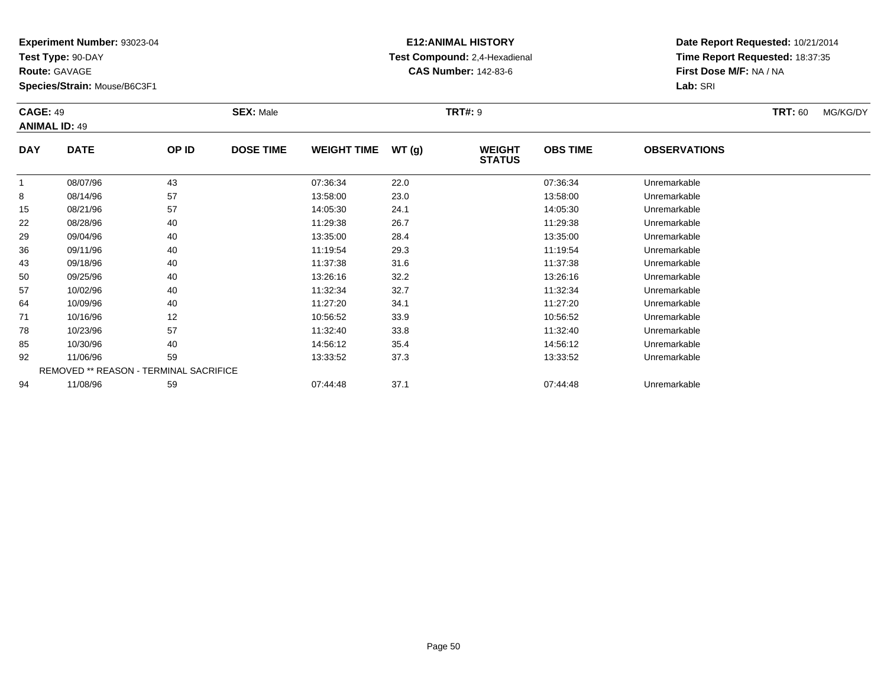**Test Type:** 90-DAY

**Route:** GAVAGE

94

**Species/Strain:** Mouse/B6C3F1

REMOVED \*\* REASON - TERMINAL SACRIFICE

## **E12:ANIMAL HISTORY Test Compound:** 2,4-Hexadienal **CAS Number:** 142-83-6

**Date Report Requested:** 10/21/2014**Time Report Requested:** 18:37:35**First Dose M/F:** NA / NA**Lab:** SRI

|            | <b>CAGE: 49</b><br><b>ANIMAL ID: 49</b> |       | <b>SEX: Male</b> |                    |       | <b>TRT#: 9</b>                 |                 | <b>TRT: 60</b>      | MG/KG/DY |  |
|------------|-----------------------------------------|-------|------------------|--------------------|-------|--------------------------------|-----------------|---------------------|----------|--|
| <b>DAY</b> | <b>DATE</b>                             | OP ID | <b>DOSE TIME</b> | <b>WEIGHT TIME</b> | WT(g) | <b>WEIGHT</b><br><b>STATUS</b> | <b>OBS TIME</b> | <b>OBSERVATIONS</b> |          |  |
| 1          | 08/07/96                                | 43    |                  | 07:36:34           | 22.0  |                                | 07:36:34        | Unremarkable        |          |  |
| 8          | 08/14/96                                | 57    |                  | 13:58:00           | 23.0  |                                | 13:58:00        | Unremarkable        |          |  |
| 15         | 08/21/96                                | 57    |                  | 14:05:30           | 24.1  |                                | 14:05:30        | Unremarkable        |          |  |
| 22         | 08/28/96                                | 40    |                  | 11:29:38           | 26.7  |                                | 11:29:38        | Unremarkable        |          |  |
| 29         | 09/04/96                                | 40    |                  | 13:35:00           | 28.4  |                                | 13:35:00        | Unremarkable        |          |  |
| 36         | 09/11/96                                | 40    |                  | 11:19:54           | 29.3  |                                | 11:19:54        | Unremarkable        |          |  |
| 43         | 09/18/96                                | 40    |                  | 11:37:38           | 31.6  |                                | 11:37:38        | Unremarkable        |          |  |
| 50         | 09/25/96                                | 40    |                  | 13:26:16           | 32.2  |                                | 13:26:16        | Unremarkable        |          |  |
| 57         | 10/02/96                                | 40    |                  | 11:32:34           | 32.7  |                                | 11:32:34        | Unremarkable        |          |  |
| 64         | 10/09/96                                | 40    |                  | 11:27:20           | 34.1  |                                | 11:27:20        | Unremarkable        |          |  |
| 71         | 10/16/96                                | 12    |                  | 10:56:52           | 33.9  |                                | 10:56:52        | Unremarkable        |          |  |
| 78         | 10/23/96                                | 57    |                  | 11:32:40           | 33.8  |                                | 11:32:40        | Unremarkable        |          |  |
| 85         | 10/30/96                                | 40    |                  | 14:56:12           | 35.4  |                                | 14:56:12        | Unremarkable        |          |  |
| 92         | 11/06/96                                | 59    |                  | 13:33:52           | 37.3  |                                | 13:33:52        | Unremarkable        |          |  |

11/08/96 <sup>59</sup> 07:44:48 37.1 07:44:48 Unremarkable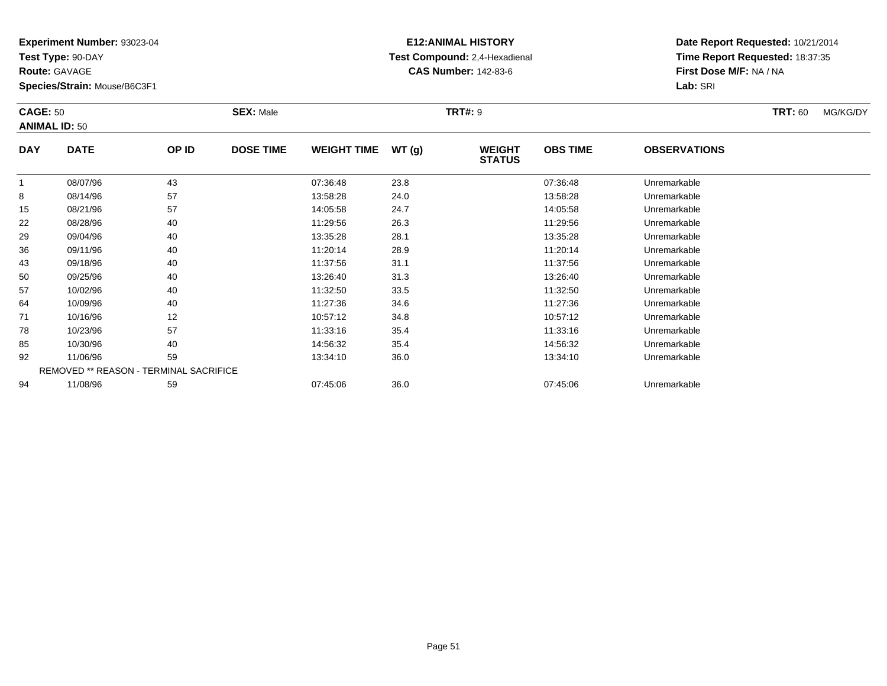**Test Type:** 90-DAY

**Route:** GAVAGE

94

**Species/Strain:** Mouse/B6C3F1

REMOVED \*\* REASON - TERMINAL SACRIFICE

## **E12:ANIMAL HISTORY Test Compound:** 2,4-Hexadienal **CAS Number:** 142-83-6

**Date Report Requested:** 10/21/2014**Time Report Requested:** 18:37:35**First Dose M/F:** NA / NA**Lab:** SRI

|            | <b>CAGE: 50</b><br><b>ANIMAL ID: 50</b> |       | <b>SEX: Male</b> |                    |       | <b>TRT#: 9</b>                 |                 | <b>TRT: 60</b>      | MG/KG/DY |  |
|------------|-----------------------------------------|-------|------------------|--------------------|-------|--------------------------------|-----------------|---------------------|----------|--|
| <b>DAY</b> | <b>DATE</b>                             | OP ID | <b>DOSE TIME</b> | <b>WEIGHT TIME</b> | WT(g) | <b>WEIGHT</b><br><b>STATUS</b> | <b>OBS TIME</b> | <b>OBSERVATIONS</b> |          |  |
| 1          | 08/07/96                                | 43    |                  | 07:36:48           | 23.8  |                                | 07:36:48        | Unremarkable        |          |  |
| 8          | 08/14/96                                | 57    |                  | 13:58:28           | 24.0  |                                | 13:58:28        | Unremarkable        |          |  |
| 15         | 08/21/96                                | 57    |                  | 14:05:58           | 24.7  |                                | 14:05:58        | Unremarkable        |          |  |
| 22         | 08/28/96                                | 40    |                  | 11:29:56           | 26.3  |                                | 11:29:56        | Unremarkable        |          |  |
| 29         | 09/04/96                                | 40    |                  | 13:35:28           | 28.1  |                                | 13:35:28        | Unremarkable        |          |  |
| 36         | 09/11/96                                | 40    |                  | 11:20:14           | 28.9  |                                | 11:20:14        | Unremarkable        |          |  |
| 43         | 09/18/96                                | 40    |                  | 11:37:56           | 31.1  |                                | 11:37:56        | Unremarkable        |          |  |
| 50         | 09/25/96                                | 40    |                  | 13:26:40           | 31.3  |                                | 13:26:40        | Unremarkable        |          |  |
| 57         | 10/02/96                                | 40    |                  | 11:32:50           | 33.5  |                                | 11:32:50        | Unremarkable        |          |  |
| 64         | 10/09/96                                | 40    |                  | 11:27:36           | 34.6  |                                | 11:27:36        | Unremarkable        |          |  |
| 71         | 10/16/96                                | 12    |                  | 10:57:12           | 34.8  |                                | 10:57:12        | Unremarkable        |          |  |
| 78         | 10/23/96                                | 57    |                  | 11:33:16           | 35.4  |                                | 11:33:16        | Unremarkable        |          |  |
| 85         | 10/30/96                                | 40    |                  | 14:56:32           | 35.4  |                                | 14:56:32        | Unremarkable        |          |  |
| 92         | 11/06/96                                | 59    |                  | 13:34:10           | 36.0  |                                | 13:34:10        | Unremarkable        |          |  |

11/08/96 <sup>59</sup> 07:45:06 36.0 07:45:06 Unremarkable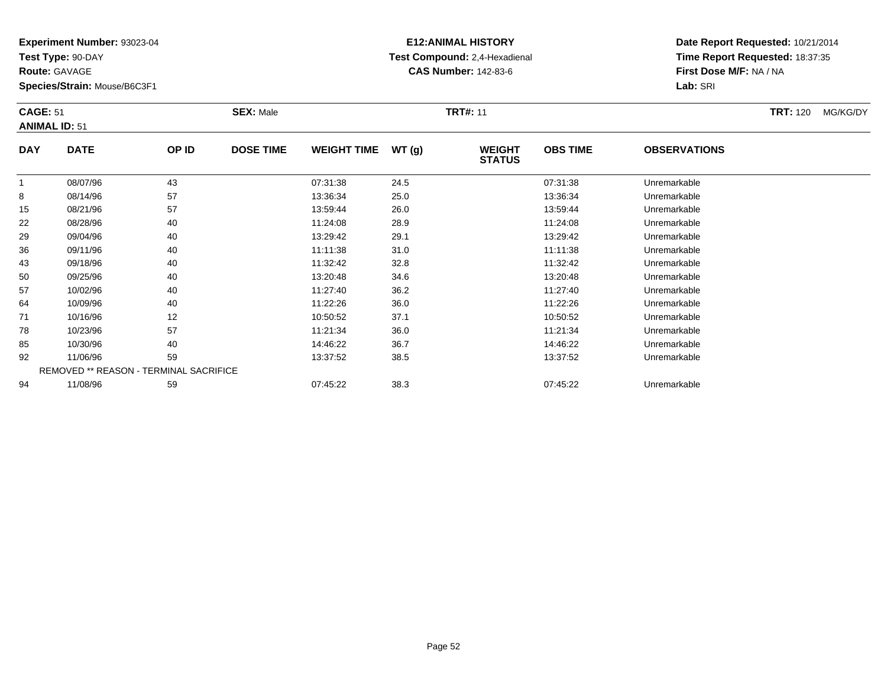**Test Type:** 90-DAY

**Route:** GAVAGE

57

64

71

78

85

92

94

**Species/Strain:** Mouse/B6C3F1

REMOVED \*\* REASON - TERMINAL SACRIFICE

## **E12:ANIMAL HISTORY Test Compound:** 2,4-Hexadienal **CAS Number:** 142-83-6

**Date Report Requested:** 10/21/2014**Time Report Requested:** 18:37:35**First Dose M/F:** NA / NA**Lab:** SRI

| <b>CAGE: 51</b><br><b>ANIMAL ID: 51</b> |             |       | <b>SEX: Male</b> |                    | <b>TRT#: 11</b> |                                |                 |                     | <b>TRT: 120</b><br>MG/KG/DY |
|-----------------------------------------|-------------|-------|------------------|--------------------|-----------------|--------------------------------|-----------------|---------------------|-----------------------------|
| <b>DAY</b>                              | <b>DATE</b> | OP ID | <b>DOSE TIME</b> | <b>WEIGHT TIME</b> | WT(q)           | <b>WEIGHT</b><br><b>STATUS</b> | <b>OBS TIME</b> | <b>OBSERVATIONS</b> |                             |
|                                         | 08/07/96    | 43    |                  | 07:31:38           | 24.5            |                                | 07:31:38        | Unremarkable        |                             |
| 8                                       | 08/14/96    | 57    |                  | 13:36:34           | 25.0            |                                | 13:36:34        | Unremarkable        |                             |
| 15                                      | 08/21/96    | 57    |                  | 13:59:44           | 26.0            |                                | 13:59:44        | Unremarkable        |                             |
| 22                                      | 08/28/96    | 40    |                  | 11:24:08           | 28.9            |                                | 11:24:08        | Unremarkable        |                             |
| 29                                      | 09/04/96    | 40    |                  | 13:29:42           | 29.1            |                                | 13:29:42        | Unremarkable        |                             |
| 36                                      | 09/11/96    | 40    |                  | 11:11:38           | 31.0            |                                | 11:11:38        | Unremarkable        |                             |
| 43                                      | 09/18/96    | 40    |                  | 11:32:42           | 32.8            |                                | 11:32:42        | Unremarkable        |                             |
| 50                                      | 09/25/96    | 40    |                  | 13:20:48           | 34.6            |                                | 13:20:48        | Unremarkable        |                             |

10/02/96 <sup>40</sup> 11:27:40 36.2 11:27:40 Unremarkable

10/09/96 <sup>40</sup> 11:22:26 36.0 11:22:26 Unremarkable

1 10/16/96 12 12 10:50:52 37.1 10:50:52 10:50:52 Dhremarkable

10/23/96 <sup>57</sup> 11:21:34 36.0 11:21:34 Unremarkable

10/30/96 <sup>40</sup> 14:46:22 36.7 14:46:22 Unremarkable

11/06/96 <sup>59</sup> 13:37:52 38.5 13:37:52 Unremarkable

11/08/96 <sup>59</sup> 07:45:22 38.3 07:45:22 Unremarkable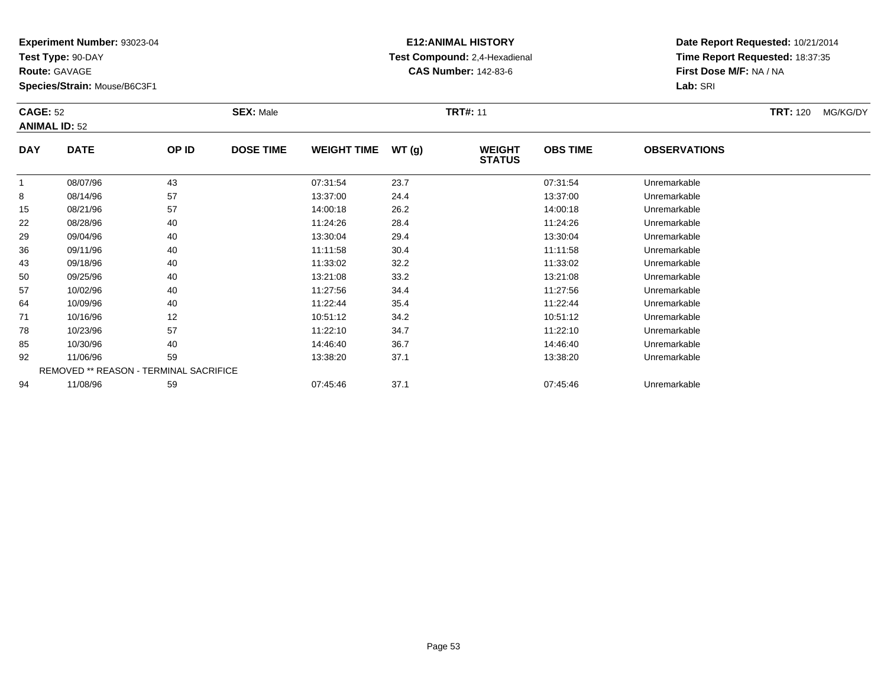**Test Type:** 90-DAY

**Route:** GAVAGE

64

71

78

85

92

94

**Species/Strain:** Mouse/B6C3F1

REMOVED \*\* REASON - TERMINAL SACRIFICE

## **E12:ANIMAL HISTORY Test Compound:** 2,4-Hexadienal **CAS Number:** 142-83-6

**Date Report Requested:** 10/21/2014**Time Report Requested:** 18:37:35**First Dose M/F:** NA / NA**Lab:** SRI

| <b>CAGE: 52</b><br><b>ANIMAL ID: 52</b> |             |       | <b>SEX: Male</b> |                    |       | <b>TRT#: 11</b>                |                 | <b>TRT: 120</b>     | MG/KG/DY |  |
|-----------------------------------------|-------------|-------|------------------|--------------------|-------|--------------------------------|-----------------|---------------------|----------|--|
| <b>DAY</b>                              | <b>DATE</b> | OP ID | <b>DOSE TIME</b> | <b>WEIGHT TIME</b> | WT(g) | <b>WEIGHT</b><br><b>STATUS</b> | <b>OBS TIME</b> | <b>OBSERVATIONS</b> |          |  |
|                                         | 08/07/96    | 43    |                  | 07:31:54           | 23.7  |                                | 07:31:54        | Unremarkable        |          |  |
| 8                                       | 08/14/96    | 57    |                  | 13:37:00           | 24.4  |                                | 13:37:00        | Unremarkable        |          |  |
| 15                                      | 08/21/96    | 57    |                  | 14:00:18           | 26.2  |                                | 14:00:18        | Unremarkable        |          |  |
| 22                                      | 08/28/96    | 40    |                  | 11:24:26           | 28.4  |                                | 11:24:26        | Unremarkable        |          |  |
| 29                                      | 09/04/96    | 40    |                  | 13:30:04           | 29.4  |                                | 13:30:04        | Unremarkable        |          |  |
| 36                                      | 09/11/96    | 40    |                  | 11:11:58           | 30.4  |                                | 11:11:58        | Unremarkable        |          |  |
| 43                                      | 09/18/96    | 40    |                  | 11:33:02           | 32.2  |                                | 11:33:02        | Unremarkable        |          |  |
| 50                                      | 09/25/96    | 40    |                  | 13:21:08           | 33.2  |                                | 13:21:08        | Unremarkable        |          |  |
| 57                                      | 10/02/96    | 40    |                  | 11:27:56           | 34.4  |                                | 11:27:56        | Unremarkable        |          |  |

10/09/96 <sup>40</sup> 11:22:44 35.4 11:22:44 Unremarkable

1 10/16/96 12 12 10:51:12 34.2 10:51:12 10:51:12 10:51:12 10:51:12 Unremarkable

8 10/23/96 57 57 11:22:10 34.7 11:22 10 11:22:10 11:22:10

10/30/96 <sup>40</sup> 14:46:40 36.7 14:46:40 Unremarkable

11/06/96 <sup>59</sup> 13:38:20 37.1 13:38:20 Unremarkable

11/08/96 <sup>59</sup> 07:45:46 37.1 07:45:46 Unremarkable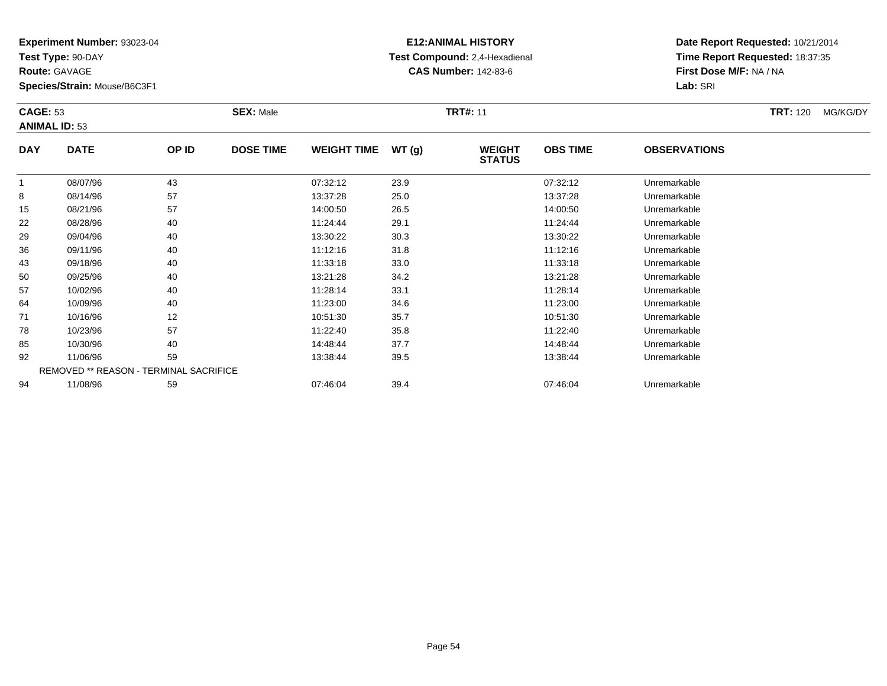**Test Type:** 90-DAY

**Route:** GAVAGE

64

71

78

85

92

94

**Species/Strain:** Mouse/B6C3F1

REMOVED \*\* REASON - TERMINAL SACRIFICE

## **E12:ANIMAL HISTORY Test Compound:** 2,4-Hexadienal **CAS Number:** 142-83-6

**Date Report Requested:** 10/21/2014**Time Report Requested:** 18:37:35**First Dose M/F:** NA / NA**Lab:** SRI

|            | <b>CAGE: 53</b><br><b>ANIMAL ID: 53</b> |       | <b>SEX: Male</b> |                    |       | <b>TRT#: 11</b>                |                 | <b>TRT:</b> 120     | MG/KG/DY |  |
|------------|-----------------------------------------|-------|------------------|--------------------|-------|--------------------------------|-----------------|---------------------|----------|--|
| <b>DAY</b> | <b>DATE</b>                             | OP ID | <b>DOSE TIME</b> | <b>WEIGHT TIME</b> | WT(g) | <b>WEIGHT</b><br><b>STATUS</b> | <b>OBS TIME</b> | <b>OBSERVATIONS</b> |          |  |
|            | 08/07/96                                | 43    |                  | 07:32:12           | 23.9  |                                | 07:32:12        | Unremarkable        |          |  |
| 8          | 08/14/96                                | 57    |                  | 13:37:28           | 25.0  |                                | 13:37:28        | Unremarkable        |          |  |
| 15         | 08/21/96                                | 57    |                  | 14:00:50           | 26.5  |                                | 14:00:50        | Unremarkable        |          |  |
| 22         | 08/28/96                                | 40    |                  | 11:24:44           | 29.1  |                                | 11:24:44        | Unremarkable        |          |  |
| 29         | 09/04/96                                | 40    |                  | 13:30:22           | 30.3  |                                | 13:30:22        | Unremarkable        |          |  |
| 36         | 09/11/96                                | 40    |                  | 11:12:16           | 31.8  |                                | 11:12:16        | Unremarkable        |          |  |
| 43         | 09/18/96                                | 40    |                  | 11:33:18           | 33.0  |                                | 11:33:18        | Unremarkable        |          |  |
| 50         | 09/25/96                                | 40    |                  | 13:21:28           | 34.2  |                                | 13:21:28        | Unremarkable        |          |  |
| 57         | 10/02/96                                | 40    |                  | 11:28:14           | 33.1  |                                | 11:28:14        | Unremarkable        |          |  |

10/09/96 <sup>40</sup> 11:23:00 34.6 11:23:00 Unremarkable

1 10/16/96 12 12 10:51:30 35.7 10:51:30 10:51:30 10:51:30 10:51:30 Dhremarkable

10/23/96 <sup>57</sup> 11:22:40 35.8 11:22:40 Unremarkable

5 10/30/96 40 40 14:48:44 37.7 14:48:44 14:48:44 Unremarkable

11/06/96 <sup>59</sup> 13:38:44 39.5 13:38:44 Unremarkable

11/08/96 <sup>59</sup> 07:46:04 39.4 07:46:04 Unremarkable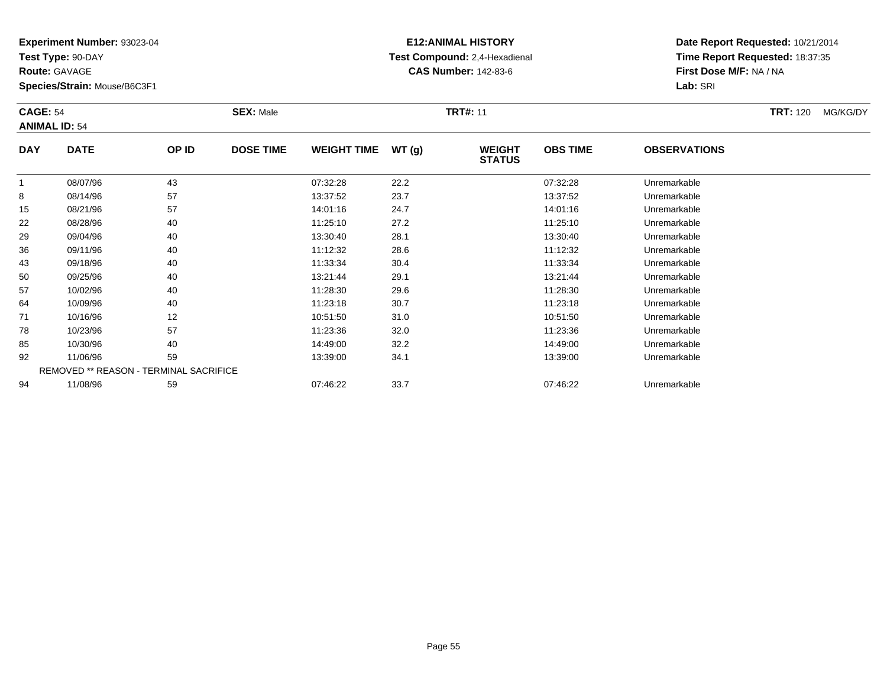**Test Type:** 90-DAY

**Route:** GAVAGE

**Species/Strain:** Mouse/B6C3F1

# **E12:ANIMAL HISTORY Test Compound:** 2,4-Hexadienal **CAS Number:** 142-83-6

**Date Report Requested:** 10/21/2014**Time Report Requested:** 18:37:35**First Dose M/F:** NA / NA**Lab:** SRI

#### **CAGE:** 54 **SEX:** Male **TRT#:** <sup>11</sup> **TRT:** 120 MG/KG/DY**ANIMAL ID:** 54**DAY DATE OP IDDOSE TIME WEIGHT TIME WT** (g) **STATUSOBS TIME OBSERVATIONS** 1 08/07/96 <sup>43</sup> 07:32:28 22.2 07:32:28 Unremarkable 88 08/14/96 57 57 13:37:52 23.7 23.7 13:37:52 13:37:52 Unremarkable 15 08/21/96 <sup>57</sup> 14:01:16 24.7 14:01:16 Unremarkable 22 08/28/96 <sup>40</sup> 11:25:10 27.2 11:25:10 Unremarkable 29 09/04/96 <sup>40</sup> 13:30:40 28.1 13:30:40 Unremarkable 36

| 15 | 08/21/96 | 57                                            | 14:01:16 | 24.7 | 14:01:16 | Unremarkable |  |
|----|----------|-----------------------------------------------|----------|------|----------|--------------|--|
| 22 | 08/28/96 | 40                                            | 11:25:10 | 27.2 | 11:25:10 | Unremarkable |  |
| 29 | 09/04/96 | 40                                            | 13:30:40 | 28.1 | 13:30:40 | Unremarkable |  |
| 36 | 09/11/96 | 40                                            | 11:12:32 | 28.6 | 11:12:32 | Unremarkable |  |
| 43 | 09/18/96 | 40                                            | 11:33:34 | 30.4 | 11:33:34 | Unremarkable |  |
| 50 | 09/25/96 | 40                                            | 13:21:44 | 29.1 | 13:21:44 | Unremarkable |  |
| 57 | 10/02/96 | 40                                            | 11:28:30 | 29.6 | 11:28:30 | Unremarkable |  |
| 64 | 10/09/96 | 40                                            | 11:23:18 | 30.7 | 11:23:18 | Unremarkable |  |
| 71 | 10/16/96 | 12                                            | 10:51:50 | 31.0 | 10:51:50 | Unremarkable |  |
| 78 | 10/23/96 | 57                                            | 11:23:36 | 32.0 | 11:23:36 | Unremarkable |  |
| 85 | 10/30/96 | 40                                            | 14:49:00 | 32.2 | 14:49:00 | Unremarkable |  |
| 92 | 11/06/96 | 59                                            | 13:39:00 | 34.1 | 13:39:00 | Unremarkable |  |
|    |          | <b>REMOVED ** REASON - TERMINAL SACRIFICE</b> |          |      |          |              |  |
| 94 | 11/08/96 | 59                                            | 07:46:22 | 33.7 | 07:46:22 | Unremarkable |  |
|    |          |                                               |          |      |          |              |  |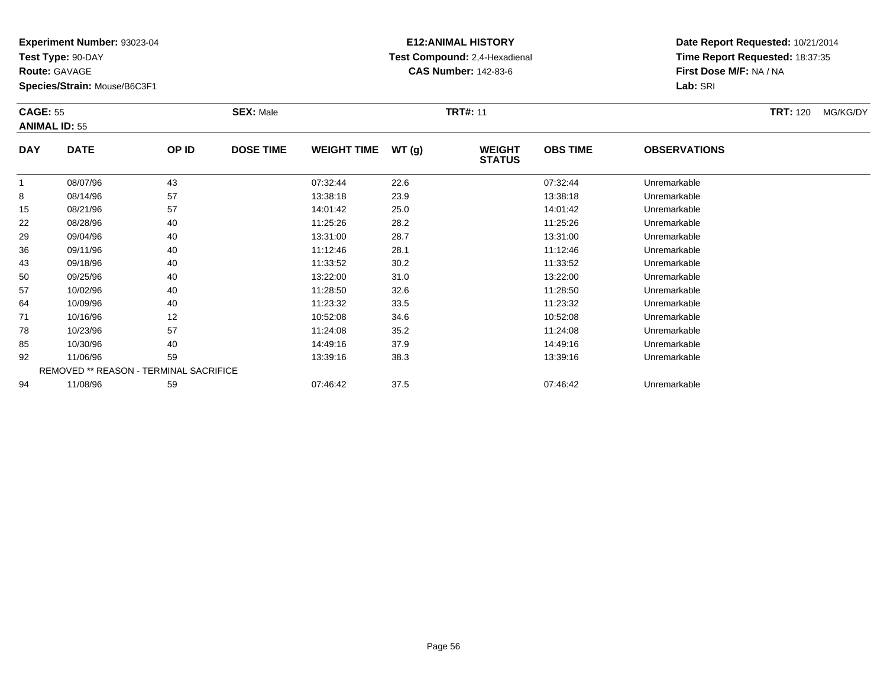**Test Type:** 90-DAY

**Route:** GAVAGE

78

85

92

94

**Species/Strain:** Mouse/B6C3F1

REMOVED \*\* REASON - TERMINAL SACRIFICE

# **E12:ANIMAL HISTORY Test Compound:** 2,4-Hexadienal **CAS Number:** 142-83-6

**Date Report Requested:** 10/21/2014**Time Report Requested:** 18:37:35**First Dose M/F:** NA / NA**Lab:** SRI

| <b>CAGE: 55</b> | <b>ANIMAL ID: 55</b> |       | <b>SEX: Male</b> |                    |       | <b>TRT#: 11</b>                |                 |                     | <b>TRT: 120</b> | MG/KG/DY |
|-----------------|----------------------|-------|------------------|--------------------|-------|--------------------------------|-----------------|---------------------|-----------------|----------|
| <b>DAY</b>      | <b>DATE</b>          | OP ID | <b>DOSE TIME</b> | <b>WEIGHT TIME</b> | WT(g) | <b>WEIGHT</b><br><b>STATUS</b> | <b>OBS TIME</b> | <b>OBSERVATIONS</b> |                 |          |
|                 | 08/07/96             | 43    |                  | 07:32:44           | 22.6  |                                | 07:32:44        | Unremarkable        |                 |          |
| 8               | 08/14/96             | 57    |                  | 13:38:18           | 23.9  |                                | 13:38:18        | Unremarkable        |                 |          |
| 15              | 08/21/96             | 57    |                  | 14:01:42           | 25.0  |                                | 14:01:42        | Unremarkable        |                 |          |
| 22              | 08/28/96             | 40    |                  | 11:25:26           | 28.2  |                                | 11:25:26        | Unremarkable        |                 |          |
| 29              | 09/04/96             | 40    |                  | 13:31:00           | 28.7  |                                | 13:31:00        | Unremarkable        |                 |          |
| 36              | 09/11/96             | 40    |                  | 11:12:46           | 28.1  |                                | 11:12:46        | Unremarkable        |                 |          |
| 43              | 09/18/96             | 40    |                  | 11:33:52           | 30.2  |                                | 11:33:52        | Unremarkable        |                 |          |
| 50              | 09/25/96             | 40    |                  | 13:22:00           | 31.0  |                                | 13:22:00        | Unremarkable        |                 |          |
| 57              | 10/02/96             | 40    |                  | 11:28:50           | 32.6  |                                | 11:28:50        | Unremarkable        |                 |          |
| 64              | 10/09/96             | 40    |                  | 11:23:32           | 33.5  |                                | 11:23:32        | Unremarkable        |                 |          |
| 71              | 10/16/96             | 12    |                  | 10:52:08           | 34.6  |                                | 10:52:08        | Unremarkable        |                 |          |

1 10/16/96 12 12 10:52:08 34.6 10:52 10:52 10:52:08 Unremarkable

10/23/96 <sup>57</sup> 11:24:08 35.2 11:24:08 Unremarkable

10/30/96 <sup>40</sup> 14:49:16 37.9 14:49:16 Unremarkable

11/06/96 <sup>59</sup> 13:39:16 38.3 13:39:16 Unremarkable

11/08/96 <sup>59</sup> 07:46:42 37.5 07:46:42 Unremarkable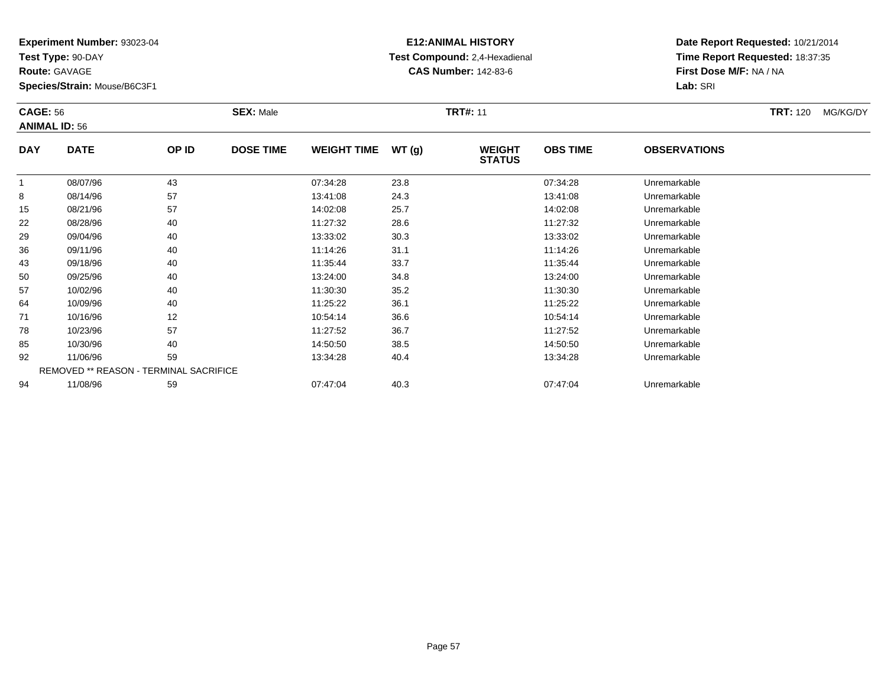**Test Type:** 90-DAY

**Route:** GAVAGE

92

94

**Species/Strain:** Mouse/B6C3F1

REMOVED \*\* REASON - TERMINAL SACRIFICE

## **E12:ANIMAL HISTORY Test Compound:** 2,4-Hexadienal **CAS Number:** 142-83-6

**Date Report Requested:** 10/21/2014**Time Report Requested:** 18:37:35**First Dose M/F:** NA / NA**Lab:** SRI

| <b>CAGE: 56</b> | <b>ANIMAL ID: 56</b> |       | <b>SEX: Male</b> |                    |       | <b>TRT#: 11</b>                |                 |                     | <b>TRT: 120</b> | MG/KG/DY |
|-----------------|----------------------|-------|------------------|--------------------|-------|--------------------------------|-----------------|---------------------|-----------------|----------|
| <b>DAY</b>      | <b>DATE</b>          | OP ID | <b>DOSE TIME</b> | <b>WEIGHT TIME</b> | WT(g) | <b>WEIGHT</b><br><b>STATUS</b> | <b>OBS TIME</b> | <b>OBSERVATIONS</b> |                 |          |
|                 | 08/07/96             | 43    |                  | 07:34:28           | 23.8  |                                | 07:34:28        | Unremarkable        |                 |          |
| 8               | 08/14/96             | 57    |                  | 13:41:08           | 24.3  |                                | 13:41:08        | Unremarkable        |                 |          |
| 15              | 08/21/96             | 57    |                  | 14:02:08           | 25.7  |                                | 14:02:08        | Unremarkable        |                 |          |
| 22              | 08/28/96             | 40    |                  | 11:27:32           | 28.6  |                                | 11:27:32        | Unremarkable        |                 |          |
| 29              | 09/04/96             | 40    |                  | 13:33:02           | 30.3  |                                | 13:33:02        | Unremarkable        |                 |          |
| 36              | 09/11/96             | 40    |                  | 11:14:26           | 31.1  |                                | 11:14:26        | Unremarkable        |                 |          |
| 43              | 09/18/96             | 40    |                  | 11:35:44           | 33.7  |                                | 11:35:44        | Unremarkable        |                 |          |
| 50              | 09/25/96             | 40    |                  | 13:24:00           | 34.8  |                                | 13:24:00        | Unremarkable        |                 |          |
| 57              | 10/02/96             | 40    |                  | 11:30:30           | 35.2  |                                | 11:30:30        | Unremarkable        |                 |          |
| 64              | 10/09/96             | 40    |                  | 11:25:22           | 36.1  |                                | 11:25:22        | Unremarkable        |                 |          |
| 71              | 10/16/96             | 12    |                  | 10:54:14           | 36.6  |                                | 10:54:14        | Unremarkable        |                 |          |
| 78              | 10/23/96             | 57    |                  | 11:27:52           | 36.7  |                                | 11:27:52        | Unremarkable        |                 |          |
| 85              | 10/30/96             | 40    |                  | 14:50:50           | 38.5  |                                | 14:50:50        | Unremarkable        |                 |          |

10/30/96 <sup>40</sup> 14:50:50 38.5 14:50:50 Unremarkable

11/06/96 <sup>59</sup> 13:34:28 40.4 13:34:28 Unremarkable

11/08/96 <sup>59</sup> 07:47:04 40.3 07:47:04 Unremarkable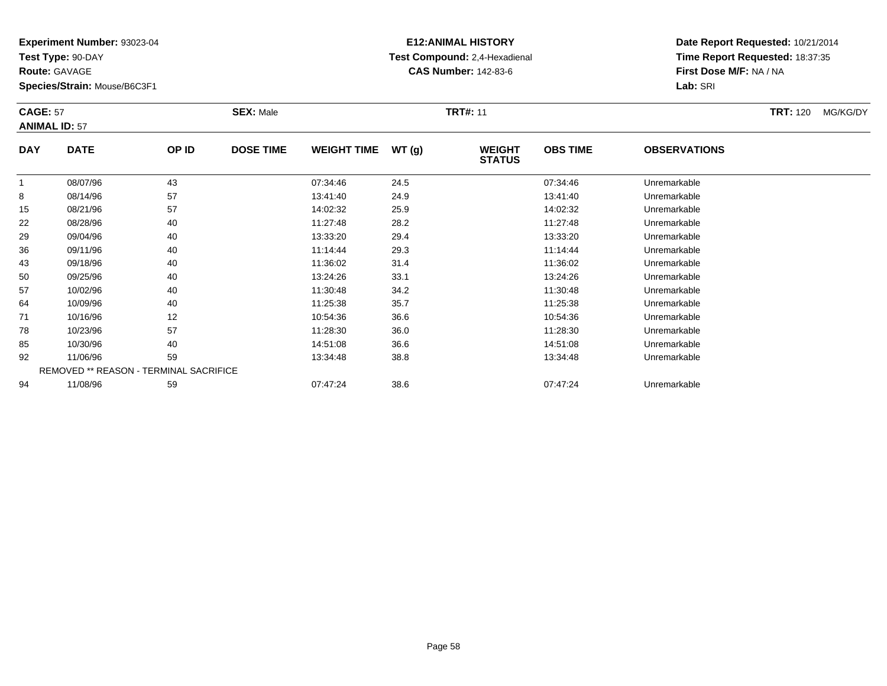**Test Type:** 90-DAY

**Route:** GAVAGE

57

64

71

78

85

92

94

**Species/Strain:** Mouse/B6C3F1

REMOVED \*\* REASON - TERMINAL SACRIFICE

## **E12:ANIMAL HISTORY Test Compound:** 2,4-Hexadienal **CAS Number:** 142-83-6

**Date Report Requested:** 10/21/2014**Time Report Requested:** 18:37:35**First Dose M/F:** NA / NA**Lab:** SRI

| <b>CAGE: 57</b> | <b>ANIMAL ID: 57</b> | <b>SEX: Male</b> |                  |                    | <b>TRT#: 11</b> |                                |                 |                     | <b>TRT: 120</b> | MG/KG/DY |
|-----------------|----------------------|------------------|------------------|--------------------|-----------------|--------------------------------|-----------------|---------------------|-----------------|----------|
| <b>DAY</b>      | <b>DATE</b>          | OP ID            | <b>DOSE TIME</b> | <b>WEIGHT TIME</b> | WT(q)           | <b>WEIGHT</b><br><b>STATUS</b> | <b>OBS TIME</b> | <b>OBSERVATIONS</b> |                 |          |
|                 | 08/07/96             | 43               |                  | 07:34:46           | 24.5            |                                | 07:34:46        | Unremarkable        |                 |          |
| 8               | 08/14/96             | 57               |                  | 13:41:40           | 24.9            |                                | 13:41:40        | Unremarkable        |                 |          |
| 15              | 08/21/96             | 57               |                  | 14:02:32           | 25.9            |                                | 14:02:32        | Unremarkable        |                 |          |
| 22              | 08/28/96             | 40               |                  | 11:27:48           | 28.2            |                                | 11:27:48        | Unremarkable        |                 |          |
| 29              | 09/04/96             | 40               |                  | 13:33:20           | 29.4            |                                | 13:33:20        | Unremarkable        |                 |          |
| 36              | 09/11/96             | 40               |                  | 11:14:44           | 29.3            |                                | 11:14:44        | Unremarkable        |                 |          |
| 43              | 09/18/96             | 40               |                  | 11:36:02           | 31.4            |                                | 11:36:02        | Unremarkable        |                 |          |
| 50              | 09/25/96             | 40               |                  | 13:24:26           | 33.1            |                                | 13:24:26        | Unremarkable        |                 |          |

0 09/25/96 40 40 13:24:26 33.1 13:24:26 13:24:26 Dhremarkable

10/02/96 <sup>40</sup> 11:30:48 34.2 11:30:48 Unremarkable

10/09/96 <sup>40</sup> 11:25:38 35.7 11:25:38 Unremarkable

1 10/16/96 12 12 10:54:36 36.6 10:54:36 10:54:36 10:54:36 10:54:36 10:54:36

10/23/96 <sup>57</sup> 11:28:30 36.0 11:28:30 Unremarkable

10/30/96 <sup>40</sup> 14:51:08 36.6 14:51:08 Unremarkable

11/06/96 <sup>59</sup> 13:34:48 38.8 13:34:48 Unremarkable

11/08/96 <sup>59</sup> 07:47:24 38.6 07:47:24 Unremarkable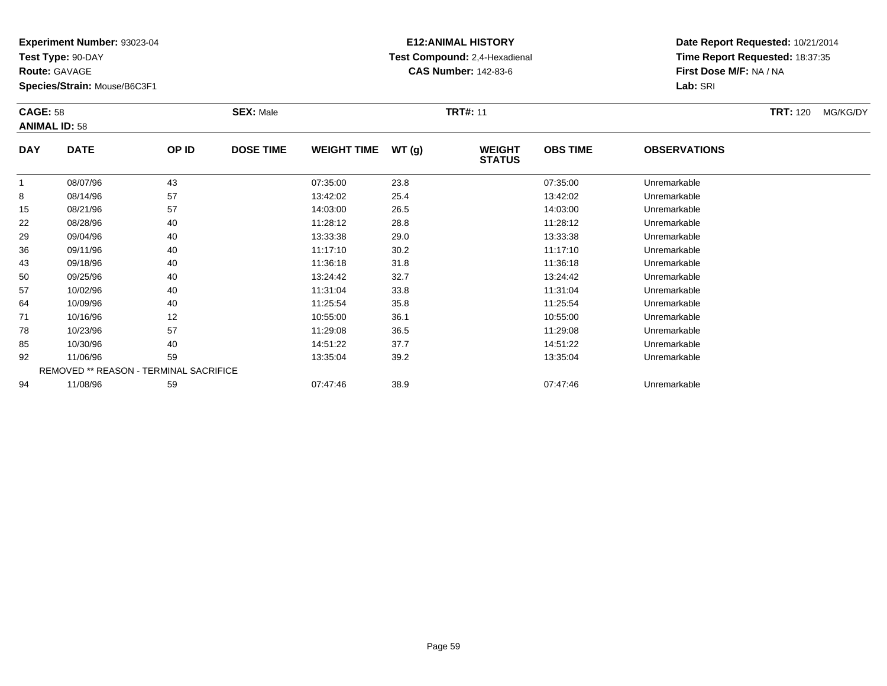**Test Type:** 90-DAY

**Route:** GAVAGE

92

94

**Species/Strain:** Mouse/B6C3F1

REMOVED \*\* REASON - TERMINAL SACRIFICE

## **E12:ANIMAL HISTORY Test Compound:** 2,4-Hexadienal **CAS Number:** 142-83-6

**Date Report Requested:** 10/21/2014**Time Report Requested:** 18:37:35**First Dose M/F:** NA / NA**Lab:** SRI

| <b>CAGE: 58</b><br><b>ANIMAL ID: 58</b> |             |       | <b>SEX: Male</b> |                    |       | <b>TRT#: 11</b>                |                 |                     | <b>TRT: 120</b> | MG/KG/DY |
|-----------------------------------------|-------------|-------|------------------|--------------------|-------|--------------------------------|-----------------|---------------------|-----------------|----------|
| <b>DAY</b>                              | <b>DATE</b> | OP ID | <b>DOSE TIME</b> | <b>WEIGHT TIME</b> | WT(g) | <b>WEIGHT</b><br><b>STATUS</b> | <b>OBS TIME</b> | <b>OBSERVATIONS</b> |                 |          |
| 1                                       | 08/07/96    | 43    |                  | 07:35:00           | 23.8  |                                | 07:35:00        | Unremarkable        |                 |          |
| 8                                       | 08/14/96    | 57    |                  | 13:42:02           | 25.4  |                                | 13:42:02        | Unremarkable        |                 |          |
| 15                                      | 08/21/96    | 57    |                  | 14:03:00           | 26.5  |                                | 14:03:00        | Unremarkable        |                 |          |
| 22                                      | 08/28/96    | 40    |                  | 11:28:12           | 28.8  |                                | 11:28:12        | Unremarkable        |                 |          |
| 29                                      | 09/04/96    | 40    |                  | 13:33:38           | 29.0  |                                | 13:33:38        | Unremarkable        |                 |          |
| 36                                      | 09/11/96    | 40    |                  | 11:17:10           | 30.2  |                                | 11:17:10        | Unremarkable        |                 |          |
| 43                                      | 09/18/96    | 40    |                  | 11:36:18           | 31.8  |                                | 11:36:18        | Unremarkable        |                 |          |
| 50                                      | 09/25/96    | 40    |                  | 13:24:42           | 32.7  |                                | 13:24:42        | Unremarkable        |                 |          |
| 57                                      | 10/02/96    | 40    |                  | 11:31:04           | 33.8  |                                | 11:31:04        | Unremarkable        |                 |          |
| 64                                      | 10/09/96    | 40    |                  | 11:25:54           | 35.8  |                                | 11:25:54        | Unremarkable        |                 |          |
| 71                                      | 10/16/96    | 12    |                  | 10:55:00           | 36.1  |                                | 10:55:00        | Unremarkable        |                 |          |
| 78                                      | 10/23/96    | 57    |                  | 11:29:08           | 36.5  |                                | 11:29:08        | Unremarkable        |                 |          |
| 85                                      | 10/30/96    | 40    |                  | 14:51:22           | 37.7  |                                | 14:51:22        | Unremarkable        |                 |          |

11/06/96 <sup>59</sup> 13:35:04 39.2 13:35:04 Unremarkable

11/08/96 <sup>59</sup> 07:47:46 38.9 07:47:46 Unremarkable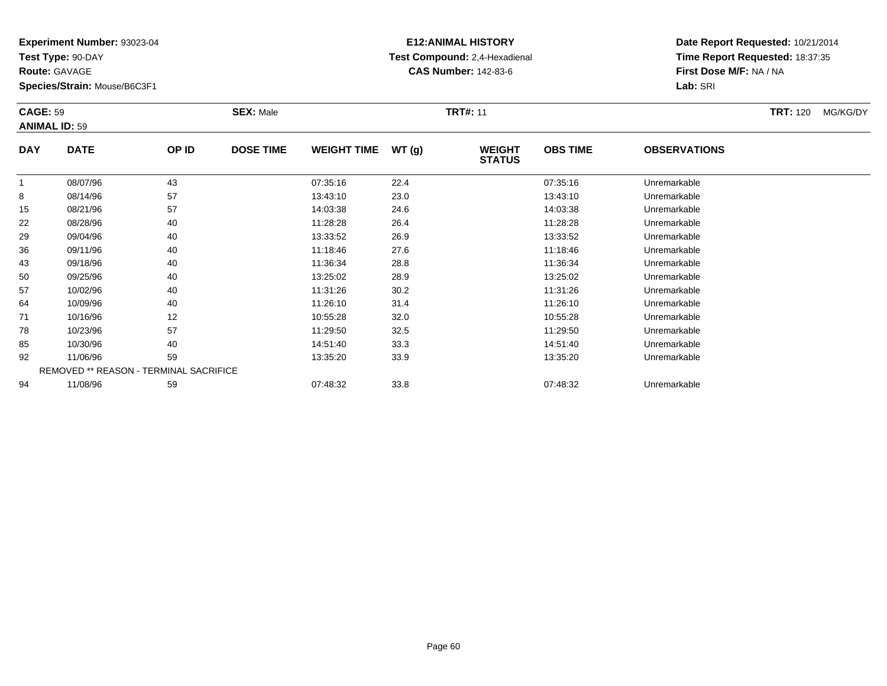**Test Type:** 90-DAY

**Route:** GAVAGE

94

**Species/Strain:** Mouse/B6C3F1

REMOVED \*\* REASON - TERMINAL SACRIFICE

## **E12:ANIMAL HISTORY Test Compound:** 2,4-Hexadienal **CAS Number:** 142-83-6

**Date Report Requested:** 10/21/2014**Time Report Requested:** 18:37:35**First Dose M/F:** NA / NA**Lab:** SRI

|            | <b>CAGE: 59</b><br><b>ANIMAL ID: 59</b> |       | <b>SEX: Male</b> |                    |       | <b>TRT#: 11</b>                |                 | <b>TRT: 120</b>     | MG/KG/DY |  |
|------------|-----------------------------------------|-------|------------------|--------------------|-------|--------------------------------|-----------------|---------------------|----------|--|
| <b>DAY</b> | <b>DATE</b>                             | OP ID | <b>DOSE TIME</b> | <b>WEIGHT TIME</b> | WT(g) | <b>WEIGHT</b><br><b>STATUS</b> | <b>OBS TIME</b> | <b>OBSERVATIONS</b> |          |  |
|            | 08/07/96                                | 43    |                  | 07:35:16           | 22.4  |                                | 07:35:16        | Unremarkable        |          |  |
| 8          | 08/14/96                                | 57    |                  | 13:43:10           | 23.0  |                                | 13:43:10        | Unremarkable        |          |  |
| 15         | 08/21/96                                | 57    |                  | 14:03:38           | 24.6  |                                | 14:03:38        | Unremarkable        |          |  |
| 22         | 08/28/96                                | 40    |                  | 11:28:28           | 26.4  |                                | 11:28:28        | Unremarkable        |          |  |
| 29         | 09/04/96                                | 40    |                  | 13:33:52           | 26.9  |                                | 13:33:52        | Unremarkable        |          |  |
| 36         | 09/11/96                                | 40    |                  | 11:18:46           | 27.6  |                                | 11:18:46        | Unremarkable        |          |  |
| 43         | 09/18/96                                | 40    |                  | 11:36:34           | 28.8  |                                | 11:36:34        | Unremarkable        |          |  |
| 50         | 09/25/96                                | 40    |                  | 13:25:02           | 28.9  |                                | 13:25:02        | Unremarkable        |          |  |
| 57         | 10/02/96                                | 40    |                  | 11:31:26           | 30.2  |                                | 11:31:26        | Unremarkable        |          |  |
| 64         | 10/09/96                                | 40    |                  | 11:26:10           | 31.4  |                                | 11:26:10        | Unremarkable        |          |  |
| 71         | 10/16/96                                | 12    |                  | 10:55:28           | 32.0  |                                | 10:55:28        | Unremarkable        |          |  |
| 78         | 10/23/96                                | 57    |                  | 11:29:50           | 32.5  |                                | 11:29:50        | Unremarkable        |          |  |
| 85         | 10/30/96                                | 40    |                  | 14:51:40           | 33.3  |                                | 14:51:40        | Unremarkable        |          |  |
| 92         | 11/06/96                                | 59    |                  | 13:35:20           | 33.9  |                                | 13:35:20        | Unremarkable        |          |  |

11/08/96 <sup>59</sup> 07:48:32 33.8 07:48:32 Unremarkable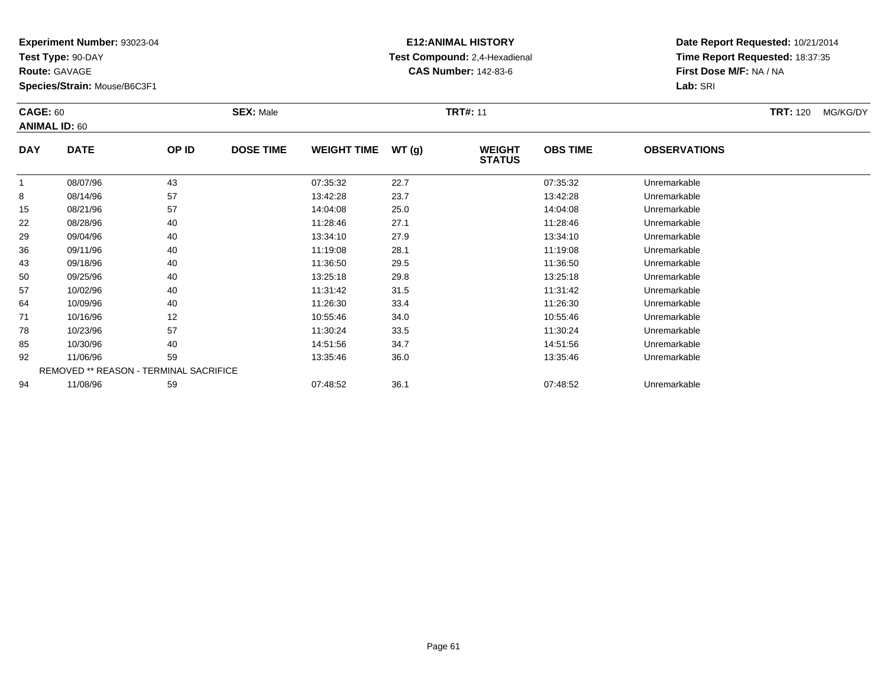**Test Type:** 90-DAY

**Route:** GAVAGE

85

92

94

**Species/Strain:** Mouse/B6C3F1

REMOVED \*\* REASON - TERMINAL SACRIFICE

## **E12:ANIMAL HISTORY Test Compound:** 2,4-Hexadienal **CAS Number:** 142-83-6

**Date Report Requested:** 10/21/2014**Time Report Requested:** 18:37:35**First Dose M/F:** NA / NA**Lab:** SRI

| <b>CAGE: 60</b><br><b>ANIMAL ID: 60</b> |             |       | <b>SEX: Male</b> |                    |       | <b>TRT#: 11</b>                |                 |                     | <b>TRT: 120</b> | MG/KG/DY |
|-----------------------------------------|-------------|-------|------------------|--------------------|-------|--------------------------------|-----------------|---------------------|-----------------|----------|
| <b>DAY</b>                              | <b>DATE</b> | OP ID | <b>DOSE TIME</b> | <b>WEIGHT TIME</b> | WT(g) | <b>WEIGHT</b><br><b>STATUS</b> | <b>OBS TIME</b> | <b>OBSERVATIONS</b> |                 |          |
| $\mathbf{1}$                            | 08/07/96    | 43    |                  | 07:35:32           | 22.7  |                                | 07:35:32        | Unremarkable        |                 |          |
| 8                                       | 08/14/96    | 57    |                  | 13:42:28           | 23.7  |                                | 13:42:28        | Unremarkable        |                 |          |
| 15                                      | 08/21/96    | 57    |                  | 14:04:08           | 25.0  |                                | 14:04:08        | Unremarkable        |                 |          |
| 22                                      | 08/28/96    | 40    |                  | 11:28:46           | 27.1  |                                | 11:28:46        | Unremarkable        |                 |          |
| 29                                      | 09/04/96    | 40    |                  | 13:34:10           | 27.9  |                                | 13:34:10        | Unremarkable        |                 |          |
| 36                                      | 09/11/96    | 40    |                  | 11:19:08           | 28.1  |                                | 11:19:08        | Unremarkable        |                 |          |
| 43                                      | 09/18/96    | 40    |                  | 11:36:50           | 29.5  |                                | 11:36:50        | Unremarkable        |                 |          |
| 50                                      | 09/25/96    | 40    |                  | 13:25:18           | 29.8  |                                | 13:25:18        | Unremarkable        |                 |          |
| 57                                      | 10/02/96    | 40    |                  | 11:31:42           | 31.5  |                                | 11:31:42        | Unremarkable        |                 |          |
| 64                                      | 10/09/96    | 40    |                  | 11:26:30           | 33.4  |                                | 11:26:30        | Unremarkable        |                 |          |
| 71                                      | 10/16/96    | 12    |                  | 10:55:46           | 34.0  |                                | 10:55:46        | Unremarkable        |                 |          |
| 78                                      | 10/23/96    | 57    |                  | 11:30:24           | 33.5  |                                | 11:30:24        | Unremarkable        |                 |          |

10/30/96 <sup>40</sup> 14:51:56 34.7 14:51:56 Unremarkable

11/06/96 <sup>59</sup> 13:35:46 36.0 13:35:46 Unremarkable

11/08/96 <sup>59</sup> 07:48:52 36.1 07:48:52 Unremarkable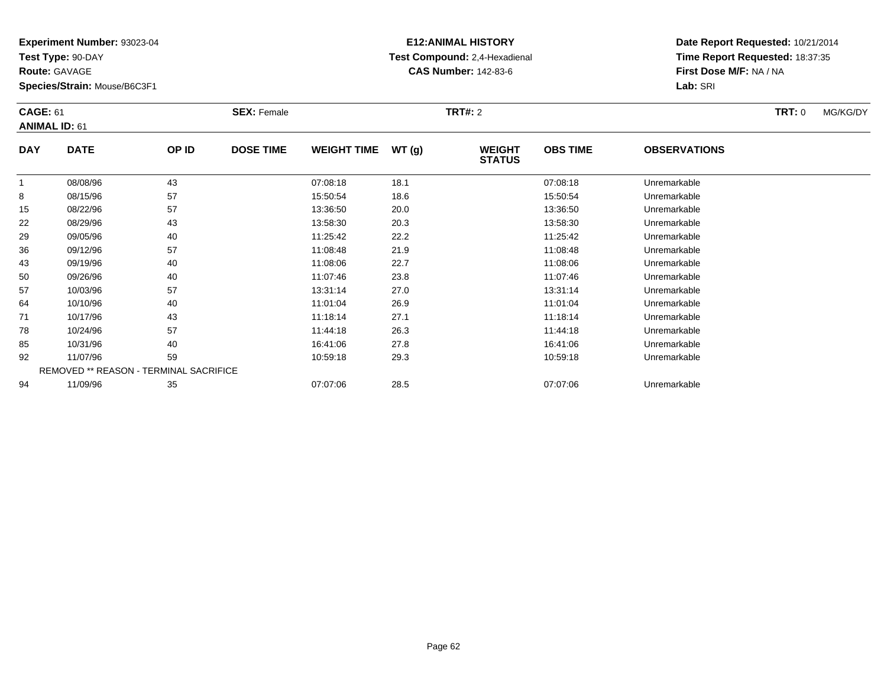**Test Type:** 90-DAY

**Route:** GAVAGE

**Species/Strain:** Mouse/B6C3F1

## **E12:ANIMAL HISTORY Test Compound:** 2,4-Hexadienal **CAS Number:** 142-83-6

| <b>CAGE: 61</b> | <b>ANIMAL ID: 61</b>                   |       | <b>SEX: Female</b> |                    |       | <b>TRT#: 2</b>                 |                 |                     | <b>TRT: 0</b> | MG/KG/DY |
|-----------------|----------------------------------------|-------|--------------------|--------------------|-------|--------------------------------|-----------------|---------------------|---------------|----------|
| <b>DAY</b>      | <b>DATE</b>                            | OP ID | <b>DOSE TIME</b>   | <b>WEIGHT TIME</b> | WT(g) | <b>WEIGHT</b><br><b>STATUS</b> | <b>OBS TIME</b> | <b>OBSERVATIONS</b> |               |          |
|                 | 08/08/96                               | 43    |                    | 07:08:18           | 18.1  |                                | 07:08:18        | Unremarkable        |               |          |
| 8               | 08/15/96                               | 57    |                    | 15:50:54           | 18.6  |                                | 15:50:54        | Unremarkable        |               |          |
| 15              | 08/22/96                               | 57    |                    | 13:36:50           | 20.0  |                                | 13:36:50        | Unremarkable        |               |          |
| 22              | 08/29/96                               | 43    |                    | 13:58:30           | 20.3  |                                | 13:58:30        | Unremarkable        |               |          |
| 29              | 09/05/96                               | 40    |                    | 11:25:42           | 22.2  |                                | 11:25:42        | Unremarkable        |               |          |
| 36              | 09/12/96                               | 57    |                    | 11:08:48           | 21.9  |                                | 11:08:48        | Unremarkable        |               |          |
| 43              | 09/19/96                               | 40    |                    | 11:08:06           | 22.7  |                                | 11:08:06        | Unremarkable        |               |          |
| 50              | 09/26/96                               | 40    |                    | 11:07:46           | 23.8  |                                | 11:07:46        | Unremarkable        |               |          |
| 57              | 10/03/96                               | 57    |                    | 13:31:14           | 27.0  |                                | 13:31:14        | Unremarkable        |               |          |
| 64              | 10/10/96                               | 40    |                    | 11:01:04           | 26.9  |                                | 11:01:04        | Unremarkable        |               |          |
| 71              | 10/17/96                               | 43    |                    | 11:18:14           | 27.1  |                                | 11:18:14        | Unremarkable        |               |          |
| 78              | 10/24/96                               | 57    |                    | 11:44:18           | 26.3  |                                | 11:44:18        | Unremarkable        |               |          |
| 85              | 10/31/96                               | 40    |                    | 16:41:06           | 27.8  |                                | 16:41:06        | Unremarkable        |               |          |
| 92              | 11/07/96                               | 59    |                    | 10:59:18           | 29.3  |                                | 10:59:18        | Unremarkable        |               |          |
|                 | REMOVED ** REASON - TERMINAL SACRIFICE |       |                    |                    |       |                                |                 |                     |               |          |
| 94              | 11/09/96                               | 35    |                    | 07:07:06           | 28.5  |                                | 07:07:06        | Unremarkable        |               |          |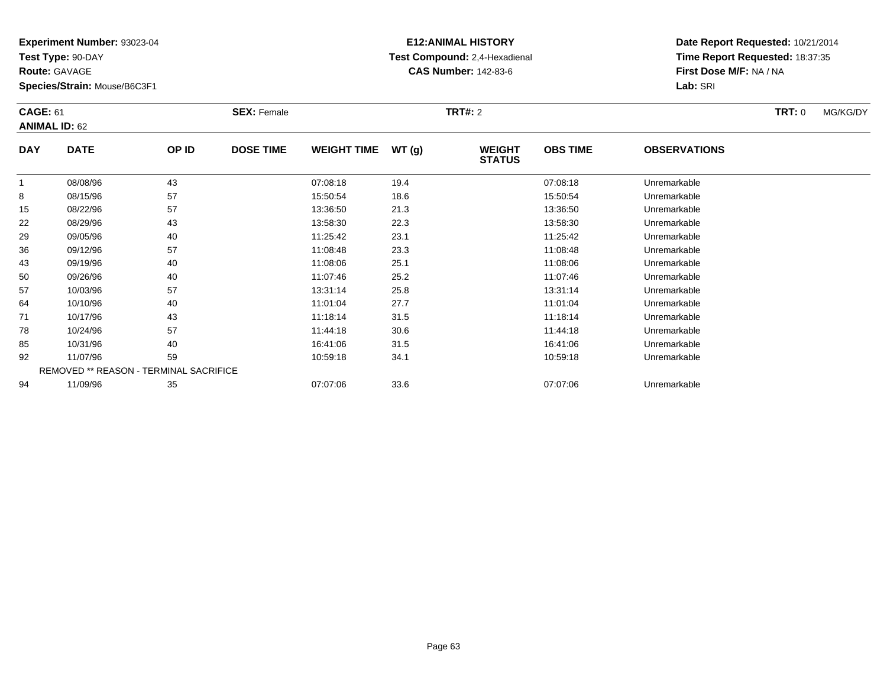**Test Type:** 90-DAY

**Route:** GAVAGE

**Species/Strain:** Mouse/B6C3F1

# **E12:ANIMAL HISTORY Test Compound:** 2,4-Hexadienal **CAS Number:** 142-83-6

| <b>CAGE: 61</b> | <b>ANIMAL ID: 62</b>                   |       | <b>SEX: Female</b> |                    |       | <b>TRT#: 2</b>                 |                 |                     | <b>TRT: 0</b> | MG/KG/DY |
|-----------------|----------------------------------------|-------|--------------------|--------------------|-------|--------------------------------|-----------------|---------------------|---------------|----------|
| <b>DAY</b>      | <b>DATE</b>                            | OP ID | <b>DOSE TIME</b>   | <b>WEIGHT TIME</b> | WT(g) | <b>WEIGHT</b><br><b>STATUS</b> | <b>OBS TIME</b> | <b>OBSERVATIONS</b> |               |          |
|                 | 08/08/96                               | 43    |                    | 07:08:18           | 19.4  |                                | 07:08:18        | Unremarkable        |               |          |
| 8               | 08/15/96                               | 57    |                    | 15:50:54           | 18.6  |                                | 15:50:54        | Unremarkable        |               |          |
| 15              | 08/22/96                               | 57    |                    | 13:36:50           | 21.3  |                                | 13:36:50        | Unremarkable        |               |          |
| 22              | 08/29/96                               | 43    |                    | 13:58:30           | 22.3  |                                | 13:58:30        | Unremarkable        |               |          |
| 29              | 09/05/96                               | 40    |                    | 11:25:42           | 23.1  |                                | 11:25:42        | Unremarkable        |               |          |
| 36              | 09/12/96                               | 57    |                    | 11:08:48           | 23.3  |                                | 11:08:48        | Unremarkable        |               |          |
| 43              | 09/19/96                               | 40    |                    | 11:08:06           | 25.1  |                                | 11:08:06        | Unremarkable        |               |          |
| 50              | 09/26/96                               | 40    |                    | 11:07:46           | 25.2  |                                | 11:07:46        | Unremarkable        |               |          |
| 57              | 10/03/96                               | 57    |                    | 13:31:14           | 25.8  |                                | 13:31:14        | Unremarkable        |               |          |
| 64              | 10/10/96                               | 40    |                    | 11:01:04           | 27.7  |                                | 11:01:04        | Unremarkable        |               |          |
| 71              | 10/17/96                               | 43    |                    | 11:18:14           | 31.5  |                                | 11:18:14        | Unremarkable        |               |          |
| 78              | 10/24/96                               | 57    |                    | 11:44:18           | 30.6  |                                | 11:44:18        | Unremarkable        |               |          |
| 85              | 10/31/96                               | 40    |                    | 16:41:06           | 31.5  |                                | 16:41:06        | Unremarkable        |               |          |
| 92              | 11/07/96                               | 59    |                    | 10:59:18           | 34.1  |                                | 10:59:18        | Unremarkable        |               |          |
|                 | REMOVED ** REASON - TERMINAL SACRIFICE |       |                    |                    |       |                                |                 |                     |               |          |
| 94              | 11/09/96                               | 35    |                    | 07:07:06           | 33.6  |                                | 07:07:06        | Unremarkable        |               |          |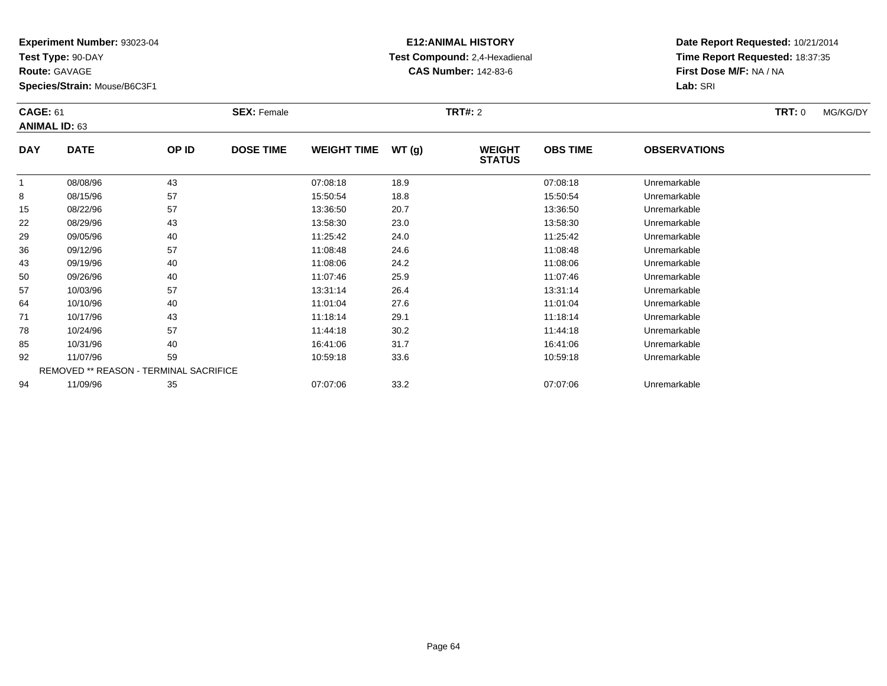**Test Type:** 90-DAY

**Route:** GAVAGE

**Species/Strain:** Mouse/B6C3F1

## **E12:ANIMAL HISTORY Test Compound:** 2,4-Hexadienal **CAS Number:** 142-83-6

| <b>CAGE: 61</b> | <b>ANIMAL ID: 63</b>                          |       | <b>SEX: Female</b> |                    |       | <b>TRT#: 2</b>                 |                 |                     | TRT: 0 | MG/KG/DY |
|-----------------|-----------------------------------------------|-------|--------------------|--------------------|-------|--------------------------------|-----------------|---------------------|--------|----------|
| <b>DAY</b>      | <b>DATE</b>                                   | OP ID | <b>DOSE TIME</b>   | <b>WEIGHT TIME</b> | WT(g) | <b>WEIGHT</b><br><b>STATUS</b> | <b>OBS TIME</b> | <b>OBSERVATIONS</b> |        |          |
|                 | 08/08/96                                      | 43    |                    | 07:08:18           | 18.9  |                                | 07:08:18        | Unremarkable        |        |          |
| 8               | 08/15/96                                      | 57    |                    | 15:50:54           | 18.8  |                                | 15:50:54        | Unremarkable        |        |          |
| 15              | 08/22/96                                      | 57    |                    | 13:36:50           | 20.7  |                                | 13:36:50        | Unremarkable        |        |          |
| 22              | 08/29/96                                      | 43    |                    | 13:58:30           | 23.0  |                                | 13:58:30        | Unremarkable        |        |          |
| 29              | 09/05/96                                      | 40    |                    | 11:25:42           | 24.0  |                                | 11:25:42        | Unremarkable        |        |          |
| 36              | 09/12/96                                      | 57    |                    | 11:08:48           | 24.6  |                                | 11:08:48        | Unremarkable        |        |          |
| 43              | 09/19/96                                      | 40    |                    | 11:08:06           | 24.2  |                                | 11:08:06        | Unremarkable        |        |          |
| 50              | 09/26/96                                      | 40    |                    | 11:07:46           | 25.9  |                                | 11:07:46        | Unremarkable        |        |          |
| 57              | 10/03/96                                      | 57    |                    | 13:31:14           | 26.4  |                                | 13:31:14        | Unremarkable        |        |          |
| 64              | 10/10/96                                      | 40    |                    | 11:01:04           | 27.6  |                                | 11:01:04        | Unremarkable        |        |          |
| 71              | 10/17/96                                      | 43    |                    | 11:18:14           | 29.1  |                                | 11:18:14        | Unremarkable        |        |          |
| 78              | 10/24/96                                      | 57    |                    | 11:44:18           | 30.2  |                                | 11:44:18        | Unremarkable        |        |          |
| 85              | 10/31/96                                      | 40    |                    | 16:41:06           | 31.7  |                                | 16:41:06        | Unremarkable        |        |          |
| 92              | 11/07/96                                      | 59    |                    | 10:59:18           | 33.6  |                                | 10:59:18        | Unremarkable        |        |          |
|                 | <b>REMOVED ** REASON - TERMINAL SACRIFICE</b> |       |                    |                    |       |                                |                 |                     |        |          |
| 94              | 11/09/96                                      | 35    |                    | 07:07:06           | 33.2  |                                | 07:07:06        | Unremarkable        |        |          |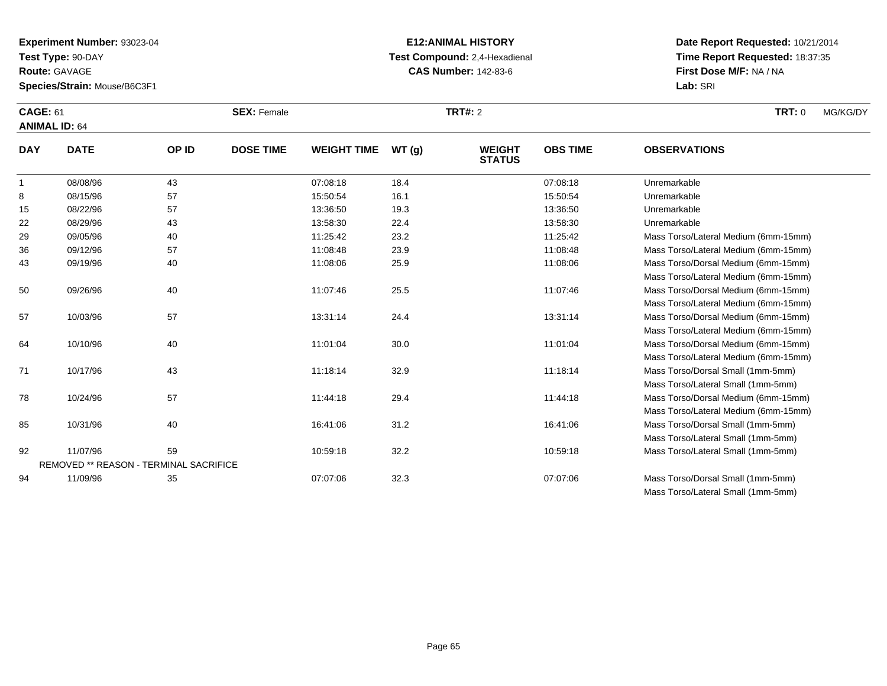**Test Type:** 90-DAY

**Route:** GAVAGE

**Species/Strain:** Mouse/B6C3F1

# **E12:ANIMAL HISTORY Test Compound:** 2,4-Hexadienal **CAS Number:** 142-83-6

| <b>CAGE: 61</b><br><b>ANIMAL ID: 64</b> |             |       | <b>SEX: Female</b> |                    |        | TRT#: 2                        |                 |                     | <b>TRT: 0</b> | MG/KG/DY |
|-----------------------------------------|-------------|-------|--------------------|--------------------|--------|--------------------------------|-----------------|---------------------|---------------|----------|
| <b>DAY</b>                              | <b>DATE</b> | OP ID | <b>DOSE TIME</b>   | <b>WEIGHT TIME</b> | WT (a) | <b>WEIGHT</b><br><b>STATUS</b> | <b>OBS TIME</b> | <b>OBSERVATIONS</b> |               |          |
|                                         | 08/08/96    | 43    |                    | 07:08:18           | 18.4   |                                | 07:08:18        | Unremarkable        |               |          |
| 8                                       | 08/15/96    | 57    |                    | 15:50:54           | 16.1   |                                | 15:50:54        | Unremarkable        |               |          |
| 15                                      | 08/22/96    | 57    |                    | 13:36:50           | 19.3   |                                | 13:36:50        | Unremarkable        |               |          |

| 10 | <b>UOIZZI90</b> | 07                                            | 15.50.50 | 19.0 | 13.30.30 | Universitat Kapit                    |  |
|----|-----------------|-----------------------------------------------|----------|------|----------|--------------------------------------|--|
| 22 | 08/29/96        | 43                                            | 13:58:30 | 22.4 | 13:58:30 | Unremarkable                         |  |
| 29 | 09/05/96        | 40                                            | 11:25:42 | 23.2 | 11:25:42 | Mass Torso/Lateral Medium (6mm-15mm) |  |
| 36 | 09/12/96        | 57                                            | 11:08:48 | 23.9 | 11:08:48 | Mass Torso/Lateral Medium (6mm-15mm) |  |
| 43 | 09/19/96        | 40                                            | 11:08:06 | 25.9 | 11:08:06 | Mass Torso/Dorsal Medium (6mm-15mm)  |  |
|    |                 |                                               |          |      |          | Mass Torso/Lateral Medium (6mm-15mm) |  |
| 50 | 09/26/96        | 40                                            | 11:07:46 | 25.5 | 11:07:46 | Mass Torso/Dorsal Medium (6mm-15mm)  |  |
|    |                 |                                               |          |      |          | Mass Torso/Lateral Medium (6mm-15mm) |  |
| 57 | 10/03/96        | 57                                            | 13:31:14 | 24.4 | 13:31:14 | Mass Torso/Dorsal Medium (6mm-15mm)  |  |
|    |                 |                                               |          |      |          | Mass Torso/Lateral Medium (6mm-15mm) |  |
| 64 | 10/10/96        | 40                                            | 11:01:04 | 30.0 | 11:01:04 | Mass Torso/Dorsal Medium (6mm-15mm)  |  |
|    |                 |                                               |          |      |          | Mass Torso/Lateral Medium (6mm-15mm) |  |
| 71 | 10/17/96        | 43                                            | 11:18:14 | 32.9 | 11:18:14 | Mass Torso/Dorsal Small (1mm-5mm)    |  |
|    |                 |                                               |          |      |          | Mass Torso/Lateral Small (1mm-5mm)   |  |
| 78 | 10/24/96        | 57                                            | 11:44:18 | 29.4 | 11:44:18 | Mass Torso/Dorsal Medium (6mm-15mm)  |  |
|    |                 |                                               |          |      |          | Mass Torso/Lateral Medium (6mm-15mm) |  |
| 85 | 10/31/96        | 40                                            | 16:41:06 | 31.2 | 16:41:06 | Mass Torso/Dorsal Small (1mm-5mm)    |  |
|    |                 |                                               |          |      |          | Mass Torso/Lateral Small (1mm-5mm)   |  |
| 92 | 11/07/96        | 59                                            | 10:59:18 | 32.2 | 10:59:18 | Mass Torso/Lateral Small (1mm-5mm)   |  |
|    |                 | <b>REMOVED ** REASON - TERMINAL SACRIFICE</b> |          |      |          |                                      |  |
| 94 | 11/09/96        | 35                                            | 07:07:06 | 32.3 | 07:07:06 | Mass Torso/Dorsal Small (1mm-5mm)    |  |
|    |                 |                                               |          |      |          | Mass Torso/Lateral Small (1mm-5mm)   |  |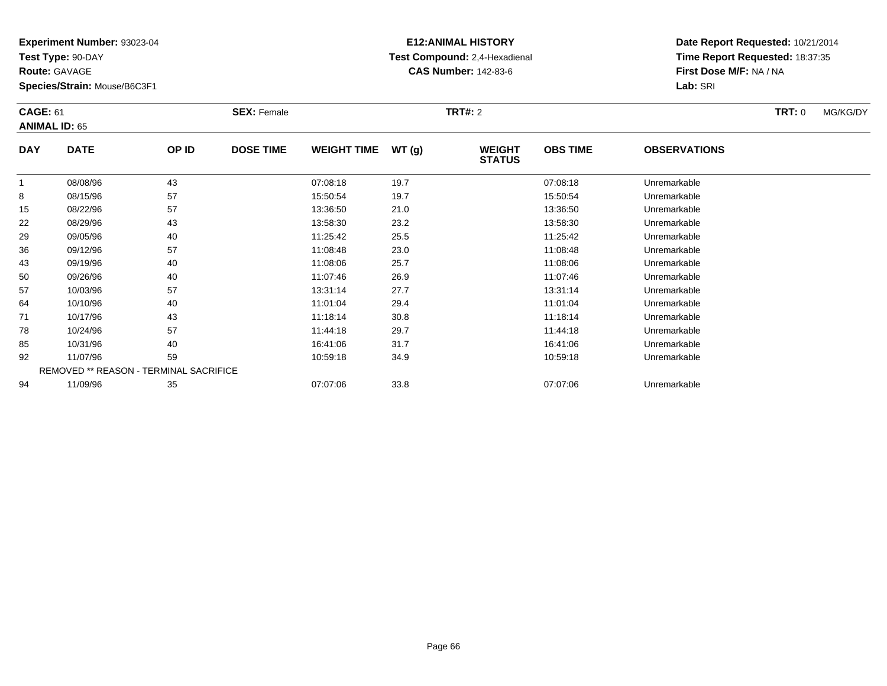**Test Type:** 90-DAY

**Route:** GAVAGE

**Species/Strain:** Mouse/B6C3F1

# **E12:ANIMAL HISTORY Test Compound:** 2,4-Hexadienal **CAS Number:** 142-83-6

| <b>CAGE: 61</b> | <b>ANIMAL ID: 65</b>                          |       | <b>SEX: Female</b> |                    |       | <b>TRT#: 2</b>                 |                 |                     | TRT: 0 | MG/KG/DY |
|-----------------|-----------------------------------------------|-------|--------------------|--------------------|-------|--------------------------------|-----------------|---------------------|--------|----------|
| <b>DAY</b>      | <b>DATE</b>                                   | OP ID | <b>DOSE TIME</b>   | <b>WEIGHT TIME</b> | WT(g) | <b>WEIGHT</b><br><b>STATUS</b> | <b>OBS TIME</b> | <b>OBSERVATIONS</b> |        |          |
| 1               | 08/08/96                                      | 43    |                    | 07:08:18           | 19.7  |                                | 07:08:18        | Unremarkable        |        |          |
| 8               | 08/15/96                                      | 57    |                    | 15:50:54           | 19.7  |                                | 15:50:54        | Unremarkable        |        |          |
| 15              | 08/22/96                                      | 57    |                    | 13:36:50           | 21.0  |                                | 13:36:50        | Unremarkable        |        |          |
| 22              | 08/29/96                                      | 43    |                    | 13:58:30           | 23.2  |                                | 13:58:30        | Unremarkable        |        |          |
| 29              | 09/05/96                                      | 40    |                    | 11:25:42           | 25.5  |                                | 11:25:42        | Unremarkable        |        |          |
| 36              | 09/12/96                                      | 57    |                    | 11:08:48           | 23.0  |                                | 11:08:48        | Unremarkable        |        |          |
| 43              | 09/19/96                                      | 40    |                    | 11:08:06           | 25.7  |                                | 11:08:06        | Unremarkable        |        |          |
| 50              | 09/26/96                                      | 40    |                    | 11:07:46           | 26.9  |                                | 11:07:46        | Unremarkable        |        |          |
| 57              | 10/03/96                                      | 57    |                    | 13:31:14           | 27.7  |                                | 13:31:14        | Unremarkable        |        |          |
| 64              | 10/10/96                                      | 40    |                    | 11:01:04           | 29.4  |                                | 11:01:04        | Unremarkable        |        |          |
| 71              | 10/17/96                                      | 43    |                    | 11:18:14           | 30.8  |                                | 11:18:14        | Unremarkable        |        |          |
| 78              | 10/24/96                                      | 57    |                    | 11:44:18           | 29.7  |                                | 11:44:18        | Unremarkable        |        |          |
| 85              | 10/31/96                                      | 40    |                    | 16:41:06           | 31.7  |                                | 16:41:06        | Unremarkable        |        |          |
| 92              | 11/07/96                                      | 59    |                    | 10:59:18           | 34.9  |                                | 10:59:18        | Unremarkable        |        |          |
|                 | <b>REMOVED ** REASON - TERMINAL SACRIFICE</b> |       |                    |                    |       |                                |                 |                     |        |          |
| 94              | 11/09/96                                      | 35    |                    | 07:07:06           | 33.8  |                                | 07:07:06        | Unremarkable        |        |          |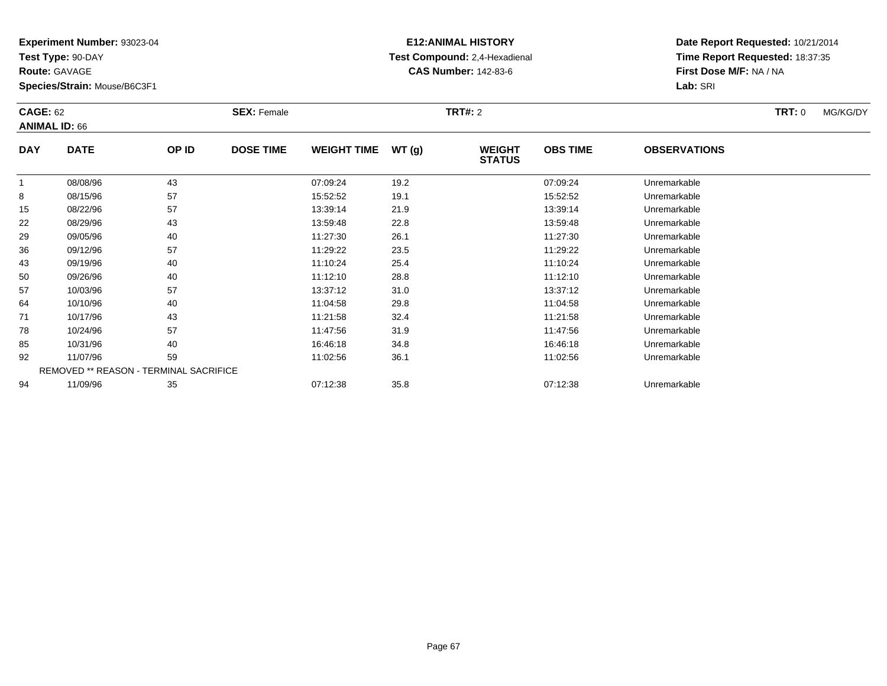**Test Type:** 90-DAY

**Route:** GAVAGE

**Species/Strain:** Mouse/B6C3F1

# **E12:ANIMAL HISTORY Test Compound:** 2,4-Hexadienal **CAS Number:** 142-83-6

| <b>CAGE: 62</b><br><b>ANIMAL ID: 66</b>                                                                        |             | <b>SEX: Female</b> |                  |                    | <b>TRT#: 2</b> | <b>TRT: 0</b>                  | MG/KG/DY        |                     |  |  |
|----------------------------------------------------------------------------------------------------------------|-------------|--------------------|------------------|--------------------|----------------|--------------------------------|-----------------|---------------------|--|--|
| <b>DAY</b>                                                                                                     | <b>DATE</b> | OP ID              | <b>DOSE TIME</b> | <b>WEIGHT TIME</b> | WT(g)          | <b>WEIGHT</b><br><b>STATUS</b> | <b>OBS TIME</b> | <b>OBSERVATIONS</b> |  |  |
|                                                                                                                | 08/08/96    | 43                 |                  | 07:09:24           | 19.2           |                                | 07:09:24        | Unremarkable        |  |  |
| 8                                                                                                              | 08/15/96    | 57                 |                  | 15:52:52           | 19.1           |                                | 15:52:52        | Unremarkable        |  |  |
| 15                                                                                                             | 08/22/96    | 57                 |                  | 13:39:14           | 21.9           |                                | 13:39:14        | Unremarkable        |  |  |
| 22                                                                                                             | 08/29/96    | 43                 |                  | 13:59:48           | 22.8           |                                | 13:59:48        | Unremarkable        |  |  |
| 29                                                                                                             | 09/05/96    | 40                 |                  | 11:27:30           | 26.1           |                                | 11:27:30        | Unremarkable        |  |  |
| 36                                                                                                             | 09/12/96    | 57                 |                  | 11:29:22           | 23.5           |                                | 11:29:22        | Unremarkable        |  |  |
| 43                                                                                                             | 09/19/96    | 40                 |                  | 11:10:24           | 25.4           |                                | 11:10:24        | Unremarkable        |  |  |
| 50                                                                                                             | 09/26/96    | 40                 |                  | 11:12:10           | 28.8           |                                | 11:12:10        | Unremarkable        |  |  |
| 57                                                                                                             | 10/03/96    | 57                 |                  | 13:37:12           | 31.0           |                                | 13:37:12        | Unremarkable        |  |  |
| 64                                                                                                             | 10/10/96    | 40                 |                  | 11:04:58           | 29.8           |                                | 11:04:58        | Unremarkable        |  |  |
| 71                                                                                                             | 10/17/96    | 43                 |                  | 11:21:58           | 32.4           |                                | 11:21:58        | Unremarkable        |  |  |
| 78                                                                                                             | 10/24/96    | 57                 |                  | 11:47:56           | 31.9           |                                | 11:47:56        | Unremarkable        |  |  |
| 85                                                                                                             | 10/31/96    | 40                 |                  | 16:46:18           | 34.8           |                                | 16:46:18        | Unremarkable        |  |  |
| 92                                                                                                             | 11/07/96    | 59                 |                  | 11:02:56           | 36.1           |                                | 11:02:56        | Unremarkable        |  |  |
| REMOVED ** REASON - TERMINAL SACRIFICE<br>11/09/96<br>35<br>35.8<br>94<br>07:12:38<br>07:12:38<br>Unremarkable |             |                    |                  |                    |                |                                |                 |                     |  |  |
|                                                                                                                |             |                    |                  |                    |                |                                |                 |                     |  |  |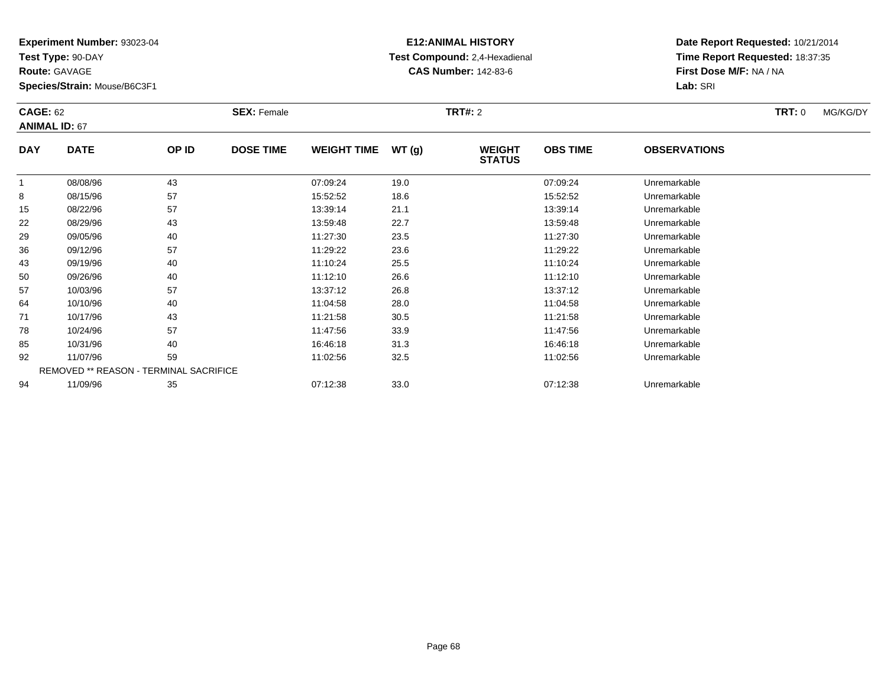**Test Type:** 90-DAY

**Route:** GAVAGE

**Species/Strain:** Mouse/B6C3F1

## **E12:ANIMAL HISTORY Test Compound:** 2,4-Hexadienal **CAS Number:** 142-83-6

| <b>CAGE: 62</b><br><b>ANIMAL ID: 67</b> |                                               | <b>SEX: Female</b> |                  |                    | <b>TRT#: 2</b> | <b>TRT:</b> 0                  | MG/KG/DY        |                     |  |  |
|-----------------------------------------|-----------------------------------------------|--------------------|------------------|--------------------|----------------|--------------------------------|-----------------|---------------------|--|--|
| <b>DAY</b>                              | <b>DATE</b>                                   | OP ID              | <b>DOSE TIME</b> | <b>WEIGHT TIME</b> | WT(g)          | <b>WEIGHT</b><br><b>STATUS</b> | <b>OBS TIME</b> | <b>OBSERVATIONS</b> |  |  |
|                                         | 08/08/96                                      | 43                 |                  | 07:09:24           | 19.0           |                                | 07:09:24        | Unremarkable        |  |  |
| 8                                       | 08/15/96                                      | 57                 |                  | 15:52:52           | 18.6           |                                | 15:52:52        | Unremarkable        |  |  |
| 15                                      | 08/22/96                                      | 57                 |                  | 13:39:14           | 21.1           |                                | 13:39:14        | Unremarkable        |  |  |
| 22                                      | 08/29/96                                      | 43                 |                  | 13:59:48           | 22.7           |                                | 13:59:48        | Unremarkable        |  |  |
| 29                                      | 09/05/96                                      | 40                 |                  | 11:27:30           | 23.5           |                                | 11:27:30        | Unremarkable        |  |  |
| 36                                      | 09/12/96                                      | 57                 |                  | 11:29:22           | 23.6           |                                | 11:29:22        | Unremarkable        |  |  |
| 43                                      | 09/19/96                                      | 40                 |                  | 11:10:24           | 25.5           |                                | 11:10:24        | Unremarkable        |  |  |
| 50                                      | 09/26/96                                      | 40                 |                  | 11:12:10           | 26.6           |                                | 11:12:10        | Unremarkable        |  |  |
| 57                                      | 10/03/96                                      | 57                 |                  | 13:37:12           | 26.8           |                                | 13:37:12        | Unremarkable        |  |  |
| 64                                      | 10/10/96                                      | 40                 |                  | 11:04:58           | 28.0           |                                | 11:04:58        | Unremarkable        |  |  |
| 71                                      | 10/17/96                                      | 43                 |                  | 11:21:58           | 30.5           |                                | 11:21:58        | Unremarkable        |  |  |
| 78                                      | 10/24/96                                      | 57                 |                  | 11:47:56           | 33.9           |                                | 11:47:56        | Unremarkable        |  |  |
| 85                                      | 10/31/96                                      | 40                 |                  | 16:46:18           | 31.3           |                                | 16:46:18        | Unremarkable        |  |  |
| 92                                      | 11/07/96                                      | 59                 |                  | 11:02:56           | 32.5           |                                | 11:02:56        | Unremarkable        |  |  |
|                                         | <b>REMOVED ** REASON - TERMINAL SACRIFICE</b> |                    |                  |                    |                |                                |                 |                     |  |  |
| 94                                      | 11/09/96                                      | 35                 |                  | 07:12:38           | 33.0           |                                | 07:12:38        | Unremarkable        |  |  |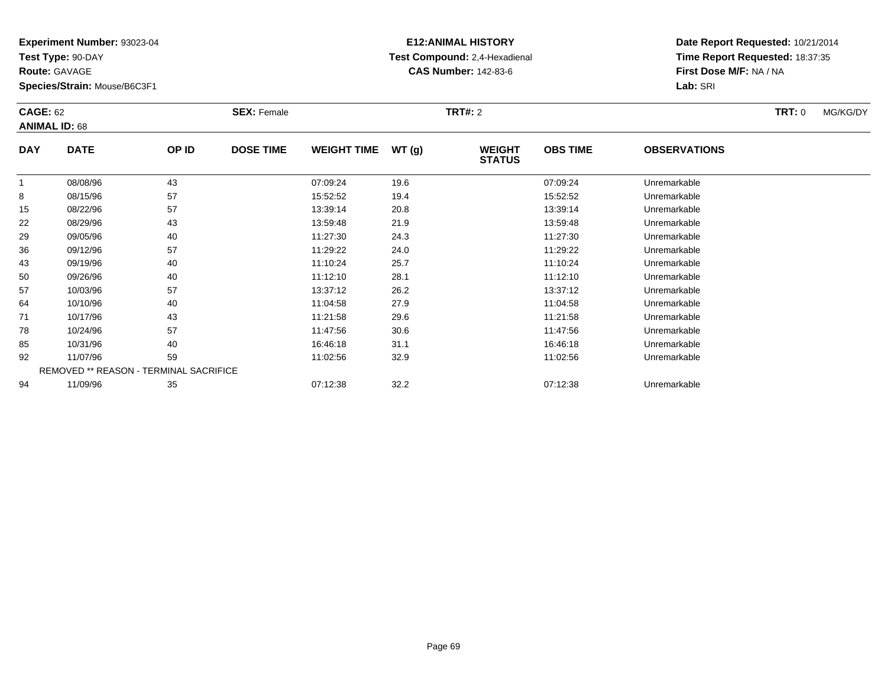**Test Type:** 90-DAY

**Route:** GAVAGE

**Species/Strain:** Mouse/B6C3F1

# **E12:ANIMAL HISTORY Test Compound:** 2,4-Hexadienal **CAS Number:** 142-83-6

| <b>CAGE: 62</b><br><b>ANIMAL ID: 68</b> |                                                                                                          | <b>SEX: Female</b> |                  |                    | <b>TRT#: 2</b> | <b>TRT:</b> 0                  | MG/KG/DY        |                     |  |  |
|-----------------------------------------|----------------------------------------------------------------------------------------------------------|--------------------|------------------|--------------------|----------------|--------------------------------|-----------------|---------------------|--|--|
| <b>DAY</b>                              | <b>DATE</b>                                                                                              | OP ID              | <b>DOSE TIME</b> | <b>WEIGHT TIME</b> | WT(g)          | <b>WEIGHT</b><br><b>STATUS</b> | <b>OBS TIME</b> | <b>OBSERVATIONS</b> |  |  |
|                                         | 08/08/96                                                                                                 | 43                 |                  | 07:09:24           | 19.6           |                                | 07:09:24        | Unremarkable        |  |  |
| 8                                       | 08/15/96                                                                                                 | 57                 |                  | 15:52:52           | 19.4           |                                | 15:52:52        | Unremarkable        |  |  |
| 15                                      | 08/22/96                                                                                                 | 57                 |                  | 13:39:14           | 20.8           |                                | 13:39:14        | Unremarkable        |  |  |
| 22                                      | 08/29/96                                                                                                 | 43                 |                  | 13:59:48           | 21.9           |                                | 13:59:48        | Unremarkable        |  |  |
| 29                                      | 09/05/96                                                                                                 | 40                 |                  | 11:27:30           | 24.3           |                                | 11:27:30        | Unremarkable        |  |  |
| 36                                      | 09/12/96                                                                                                 | 57                 |                  | 11:29:22           | 24.0           |                                | 11:29:22        | Unremarkable        |  |  |
| 43                                      | 09/19/96                                                                                                 | 40                 |                  | 11:10:24           | 25.7           |                                | 11:10:24        | Unremarkable        |  |  |
| 50                                      | 09/26/96                                                                                                 | 40                 |                  | 11:12:10           | 28.1           |                                | 11:12:10        | Unremarkable        |  |  |
| 57                                      | 10/03/96                                                                                                 | 57                 |                  | 13:37:12           | 26.2           |                                | 13:37:12        | Unremarkable        |  |  |
| 64                                      | 10/10/96                                                                                                 | 40                 |                  | 11:04:58           | 27.9           |                                | 11:04:58        | Unremarkable        |  |  |
| 71                                      | 10/17/96                                                                                                 | 43                 |                  | 11:21:58           | 29.6           |                                | 11:21:58        | Unremarkable        |  |  |
| 78                                      | 10/24/96                                                                                                 | 57                 |                  | 11:47:56           | 30.6           |                                | 11:47:56        | Unremarkable        |  |  |
| 85                                      | 10/31/96                                                                                                 | 40                 |                  | 16:46:18           | 31.1           |                                | 16:46:18        | Unremarkable        |  |  |
| 92                                      | 11/07/96                                                                                                 | 59                 |                  | 11:02:56           | 32.9           |                                | 11:02:56        | Unremarkable        |  |  |
|                                         | REMOVED ** REASON - TERMINAL SACRIFICE<br>32.2<br>11/09/96<br>35<br>07:12:38<br>07:12:38<br>Unremarkable |                    |                  |                    |                |                                |                 |                     |  |  |
| 94                                      |                                                                                                          |                    |                  |                    |                |                                |                 |                     |  |  |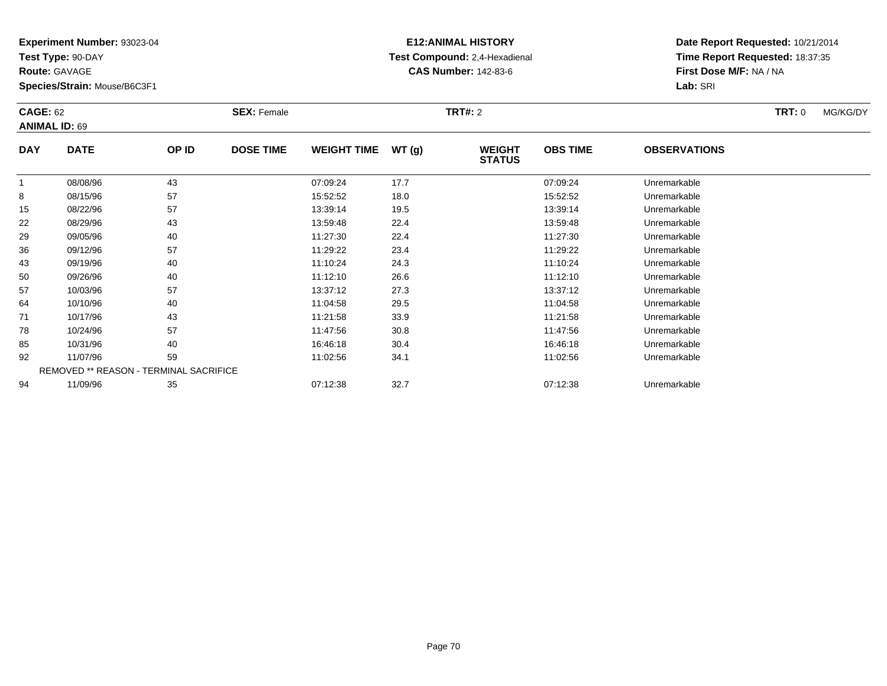**Test Type:** 90-DAY

**Route:** GAVAGE

**Species/Strain:** Mouse/B6C3F1

# **E12:ANIMAL HISTORY Test Compound:** 2,4-Hexadienal **CAS Number:** 142-83-6

| <b>CAGE: 62</b><br><b>ANIMAL ID: 69</b> |                                        | <b>SEX: Female</b> |                  |                    | <b>TRT#:</b> 2 |                                |                 |                     |  |  |
|-----------------------------------------|----------------------------------------|--------------------|------------------|--------------------|----------------|--------------------------------|-----------------|---------------------|--|--|
| <b>DAY</b>                              | <b>DATE</b>                            | OP ID              | <b>DOSE TIME</b> | <b>WEIGHT TIME</b> | WT(g)          | <b>WEIGHT</b><br><b>STATUS</b> | <b>OBS TIME</b> | <b>OBSERVATIONS</b> |  |  |
| 1                                       | 08/08/96                               | 43                 |                  | 07:09:24           | 17.7           |                                | 07:09:24        | Unremarkable        |  |  |
| 8                                       | 08/15/96                               | 57                 |                  | 15:52:52           | 18.0           |                                | 15:52:52        | Unremarkable        |  |  |
| 15                                      | 08/22/96                               | 57                 |                  | 13:39:14           | 19.5           |                                | 13:39:14        | Unremarkable        |  |  |
| 22                                      | 08/29/96                               | 43                 |                  | 13:59:48           | 22.4           |                                | 13:59:48        | Unremarkable        |  |  |
| 29                                      | 09/05/96                               | 40                 |                  | 11:27:30           | 22.4           |                                | 11:27:30        | Unremarkable        |  |  |
| 36                                      | 09/12/96                               | 57                 |                  | 11:29:22           | 23.4           |                                | 11:29:22        | Unremarkable        |  |  |
| 43                                      | 09/19/96                               | 40                 |                  | 11:10:24           | 24.3           |                                | 11:10:24        | Unremarkable        |  |  |
| 50                                      | 09/26/96                               | 40                 |                  | 11:12:10           | 26.6           |                                | 11:12:10        | Unremarkable        |  |  |
| 57                                      | 10/03/96                               | 57                 |                  | 13:37:12           | 27.3           |                                | 13:37:12        | Unremarkable        |  |  |
| 64                                      | 10/10/96                               | 40                 |                  | 11:04:58           | 29.5           |                                | 11:04:58        | Unremarkable        |  |  |
| 71                                      | 10/17/96                               | 43                 |                  | 11:21:58           | 33.9           |                                | 11:21:58        | Unremarkable        |  |  |
| 78                                      | 10/24/96                               | 57                 |                  | 11:47:56           | 30.8           |                                | 11:47:56        | Unremarkable        |  |  |
| 85                                      | 10/31/96                               | 40                 |                  | 16:46:18           | 30.4           |                                | 16:46:18        | Unremarkable        |  |  |
| 92                                      | 11/07/96                               | 59                 |                  | 11:02:56           | 34.1           |                                | 11:02:56        | Unremarkable        |  |  |
|                                         | REMOVED ** REASON - TERMINAL SACRIFICE |                    |                  |                    |                |                                |                 |                     |  |  |
| 94                                      | 11/09/96                               | 35                 |                  | 07:12:38           | 32.7           |                                | 07:12:38        | Unremarkable        |  |  |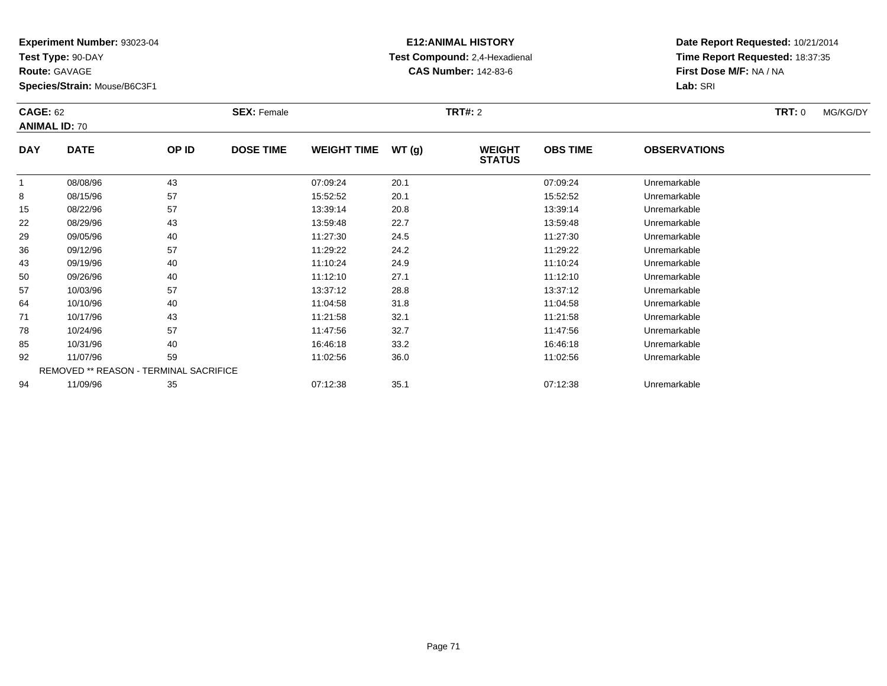**Test Type:** 90-DAY

**Route:** GAVAGE

**Species/Strain:** Mouse/B6C3F1

# **E12:ANIMAL HISTORY Test Compound:** 2,4-Hexadienal **CAS Number:** 142-83-6

| <b>CAGE: 62</b><br><b>ANIMAL ID: 70</b> |                                        | <b>SEX: Female</b> |                  |                    | <b>TRT#:</b> 2 |                                |                 |                     |  |  |
|-----------------------------------------|----------------------------------------|--------------------|------------------|--------------------|----------------|--------------------------------|-----------------|---------------------|--|--|
| <b>DAY</b>                              | <b>DATE</b>                            | OP ID              | <b>DOSE TIME</b> | <b>WEIGHT TIME</b> | WT(g)          | <b>WEIGHT</b><br><b>STATUS</b> | <b>OBS TIME</b> | <b>OBSERVATIONS</b> |  |  |
|                                         | 08/08/96                               | 43                 |                  | 07:09:24           | 20.1           |                                | 07:09:24        | Unremarkable        |  |  |
| 8                                       | 08/15/96                               | 57                 |                  | 15:52:52           | 20.1           |                                | 15:52:52        | Unremarkable        |  |  |
| 15                                      | 08/22/96                               | 57                 |                  | 13:39:14           | 20.8           |                                | 13:39:14        | Unremarkable        |  |  |
| 22                                      | 08/29/96                               | 43                 |                  | 13:59:48           | 22.7           |                                | 13:59:48        | Unremarkable        |  |  |
| 29                                      | 09/05/96                               | 40                 |                  | 11:27:30           | 24.5           |                                | 11:27:30        | Unremarkable        |  |  |
| 36                                      | 09/12/96                               | 57                 |                  | 11:29:22           | 24.2           |                                | 11:29:22        | Unremarkable        |  |  |
| 43                                      | 09/19/96                               | 40                 |                  | 11:10:24           | 24.9           |                                | 11:10:24        | Unremarkable        |  |  |
| 50                                      | 09/26/96                               | 40                 |                  | 11:12:10           | 27.1           |                                | 11:12:10        | Unremarkable        |  |  |
| 57                                      | 10/03/96                               | 57                 |                  | 13:37:12           | 28.8           |                                | 13:37:12        | Unremarkable        |  |  |
| 64                                      | 10/10/96                               | 40                 |                  | 11:04:58           | 31.8           |                                | 11:04:58        | Unremarkable        |  |  |
| 71                                      | 10/17/96                               | 43                 |                  | 11:21:58           | 32.1           |                                | 11:21:58        | Unremarkable        |  |  |
| 78                                      | 10/24/96                               | 57                 |                  | 11:47:56           | 32.7           |                                | 11:47:56        | Unremarkable        |  |  |
| 85                                      | 10/31/96                               | 40                 |                  | 16:46:18           | 33.2           |                                | 16:46:18        | Unremarkable        |  |  |
| 92                                      | 11/07/96                               | 59                 |                  | 11:02:56           | 36.0           |                                | 11:02:56        | Unremarkable        |  |  |
|                                         | REMOVED ** REASON - TERMINAL SACRIFICE |                    |                  |                    |                |                                |                 |                     |  |  |
| 94                                      | 11/09/96                               | 35                 |                  | 07:12:38           | 35.1           |                                | 07:12:38        | Unremarkable        |  |  |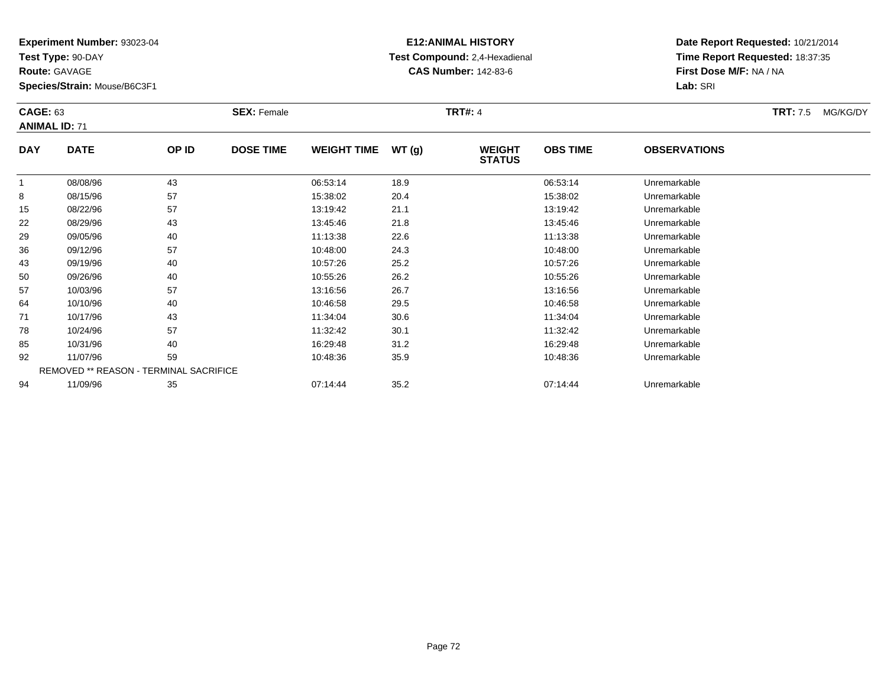**Test Type:** 90-DAY

**Route:** GAVAGE

**Species/Strain:** Mouse/B6C3F1

## **E12:ANIMAL HISTORY Test Compound:** 2,4-Hexadienal **CAS Number:** 142-83-6

| <b>CAGE: 63</b><br><b>ANIMAL ID: 71</b> |                                        | <b>SEX: Female</b> |                  |                    | <b>TRT#: 4</b> | <b>TRT: 7.5</b>                | MG/KG/DY        |                     |  |  |
|-----------------------------------------|----------------------------------------|--------------------|------------------|--------------------|----------------|--------------------------------|-----------------|---------------------|--|--|
| <b>DAY</b>                              | <b>DATE</b>                            | OP ID              | <b>DOSE TIME</b> | <b>WEIGHT TIME</b> | WT(g)          | <b>WEIGHT</b><br><b>STATUS</b> | <b>OBS TIME</b> | <b>OBSERVATIONS</b> |  |  |
|                                         | 08/08/96                               | 43                 |                  | 06:53:14           | 18.9           |                                | 06:53:14        | Unremarkable        |  |  |
| 8                                       | 08/15/96                               | 57                 |                  | 15:38:02           | 20.4           |                                | 15:38:02        | Unremarkable        |  |  |
| 15                                      | 08/22/96                               | 57                 |                  | 13:19:42           | 21.1           |                                | 13:19:42        | Unremarkable        |  |  |
| 22                                      | 08/29/96                               | 43                 |                  | 13:45:46           | 21.8           |                                | 13:45:46        | Unremarkable        |  |  |
| 29                                      | 09/05/96                               | 40                 |                  | 11:13:38           | 22.6           |                                | 11:13:38        | Unremarkable        |  |  |
| 36                                      | 09/12/96                               | 57                 |                  | 10:48:00           | 24.3           |                                | 10:48:00        | Unremarkable        |  |  |
| 43                                      | 09/19/96                               | 40                 |                  | 10:57:26           | 25.2           |                                | 10:57:26        | Unremarkable        |  |  |
| 50                                      | 09/26/96                               | 40                 |                  | 10:55:26           | 26.2           |                                | 10:55:26        | Unremarkable        |  |  |
| 57                                      | 10/03/96                               | 57                 |                  | 13:16:56           | 26.7           |                                | 13:16:56        | Unremarkable        |  |  |
| 64                                      | 10/10/96                               | 40                 |                  | 10:46:58           | 29.5           |                                | 10:46:58        | Unremarkable        |  |  |
| 71                                      | 10/17/96                               | 43                 |                  | 11:34:04           | 30.6           |                                | 11:34:04        | Unremarkable        |  |  |
| 78                                      | 10/24/96                               | 57                 |                  | 11:32:42           | 30.1           |                                | 11:32:42        | Unremarkable        |  |  |
| 85                                      | 10/31/96                               | 40                 |                  | 16:29:48           | 31.2           |                                | 16:29:48        | Unremarkable        |  |  |
| 92                                      | 11/07/96                               | 59                 |                  | 10:48:36           | 35.9           |                                | 10:48:36        | Unremarkable        |  |  |
|                                         | REMOVED ** REASON - TERMINAL SACRIFICE |                    |                  |                    |                |                                |                 |                     |  |  |
| 94                                      | 11/09/96                               | 35                 |                  | 07:14:44           | 35.2           |                                | 07:14:44        | Unremarkable        |  |  |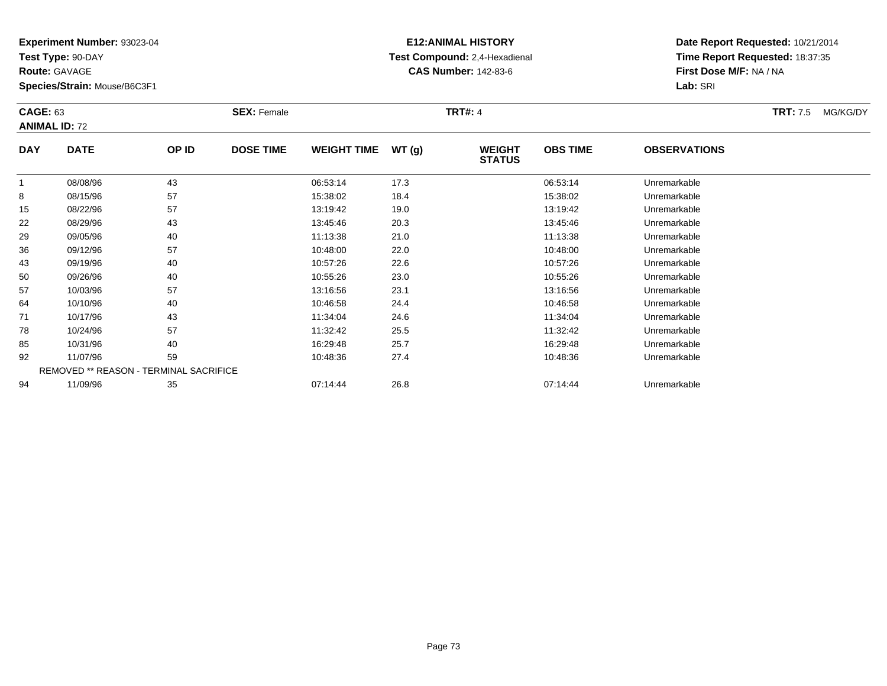**Test Type:** 90-DAY

**Route:** GAVAGE

**Species/Strain:** Mouse/B6C3F1

# **E12:ANIMAL HISTORY Test Compound:** 2,4-Hexadienal **CAS Number:** 142-83-6

|            | <b>CAGE: 63</b><br><b>ANIMAL ID: 72</b> |                                        | <b>SEX: Female</b> |                    |       | <b>TRT#: 4</b>                 |                 | <b>TRT:</b> 7.5     | MG/KG/DY |  |
|------------|-----------------------------------------|----------------------------------------|--------------------|--------------------|-------|--------------------------------|-----------------|---------------------|----------|--|
| <b>DAY</b> | <b>DATE</b>                             | OP ID                                  | <b>DOSE TIME</b>   | <b>WEIGHT TIME</b> | WT(g) | <b>WEIGHT</b><br><b>STATUS</b> | <b>OBS TIME</b> | <b>OBSERVATIONS</b> |          |  |
| 1          | 08/08/96                                | 43                                     |                    | 06:53:14           | 17.3  |                                | 06:53:14        | Unremarkable        |          |  |
| 8          | 08/15/96                                | 57                                     |                    | 15:38:02           | 18.4  |                                | 15:38:02        | Unremarkable        |          |  |
| 15         | 08/22/96                                | 57                                     |                    | 13:19:42           | 19.0  |                                | 13:19:42        | Unremarkable        |          |  |
| 22         | 08/29/96                                | 43                                     |                    | 13:45:46           | 20.3  |                                | 13:45:46        | Unremarkable        |          |  |
| 29         | 09/05/96                                | 40                                     |                    | 11:13:38           | 21.0  |                                | 11:13:38        | Unremarkable        |          |  |
| 36         | 09/12/96                                | 57                                     |                    | 10:48:00           | 22.0  |                                | 10:48:00        | Unremarkable        |          |  |
| 43         | 09/19/96                                | 40                                     |                    | 10:57:26           | 22.6  |                                | 10:57:26        | Unremarkable        |          |  |
| 50         | 09/26/96                                | 40                                     |                    | 10:55:26           | 23.0  |                                | 10:55:26        | Unremarkable        |          |  |
| 57         | 10/03/96                                | 57                                     |                    | 13:16:56           | 23.1  |                                | 13:16:56        | Unremarkable        |          |  |
| 64         | 10/10/96                                | 40                                     |                    | 10:46:58           | 24.4  |                                | 10:46:58        | Unremarkable        |          |  |
| 71         | 10/17/96                                | 43                                     |                    | 11:34:04           | 24.6  |                                | 11:34:04        | Unremarkable        |          |  |
| 78         | 10/24/96                                | 57                                     |                    | 11:32:42           | 25.5  |                                | 11:32:42        | Unremarkable        |          |  |
| 85         | 10/31/96                                | 40                                     |                    | 16:29:48           | 25.7  |                                | 16:29:48        | Unremarkable        |          |  |
| 92         | 11/07/96                                | 59                                     |                    | 10:48:36           | 27.4  |                                | 10:48:36        | Unremarkable        |          |  |
|            |                                         | REMOVED ** REASON - TERMINAL SACRIFICE |                    |                    |       |                                |                 |                     |          |  |
| 94         | 11/09/96                                | 35                                     |                    | 07:14:44           | 26.8  |                                | 07:14:44        | Unremarkable        |          |  |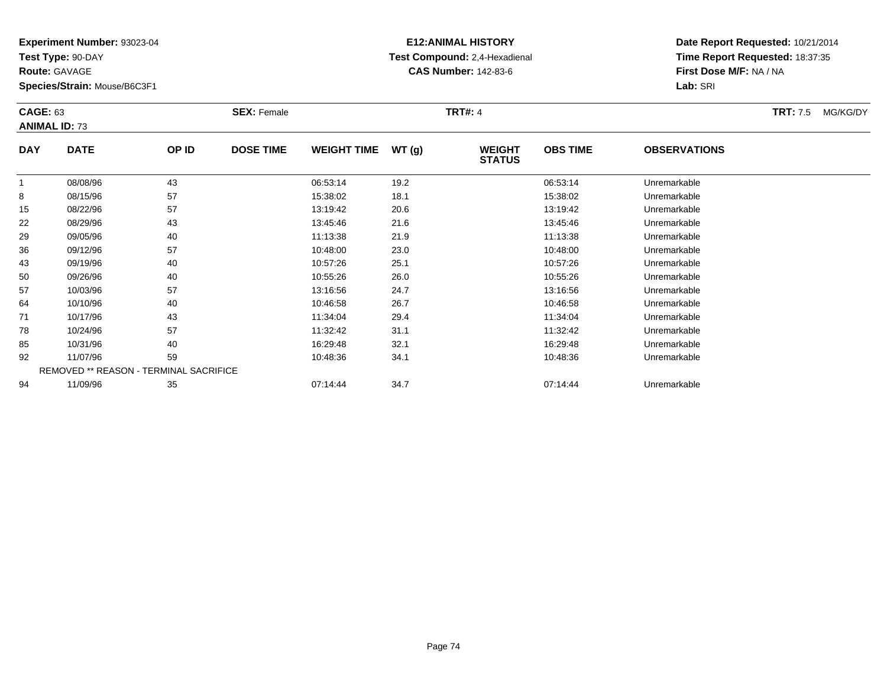**Test Type:** 90-DAY

**Route:** GAVAGE

**Species/Strain:** Mouse/B6C3F1

# **E12:ANIMAL HISTORY Test Compound:** 2,4-Hexadienal **CAS Number:** 142-83-6

| <b>CAGE: 63</b> | <b>ANIMAL ID: 73</b> |                                        | <b>SEX: Female</b> |                    |       | <b>TRT#: 4</b>                 |                 |                     | <b>TRT:</b> 7.5 | MG/KG/DY |
|-----------------|----------------------|----------------------------------------|--------------------|--------------------|-------|--------------------------------|-----------------|---------------------|-----------------|----------|
| <b>DAY</b>      | <b>DATE</b>          | OP ID                                  | <b>DOSE TIME</b>   | <b>WEIGHT TIME</b> | WT(g) | <b>WEIGHT</b><br><b>STATUS</b> | <b>OBS TIME</b> | <b>OBSERVATIONS</b> |                 |          |
|                 | 08/08/96             | 43                                     |                    | 06:53:14           | 19.2  |                                | 06:53:14        | Unremarkable        |                 |          |
| 8               | 08/15/96             | 57                                     |                    | 15:38:02           | 18.1  |                                | 15:38:02        | Unremarkable        |                 |          |
| 15              | 08/22/96             | 57                                     |                    | 13:19:42           | 20.6  |                                | 13:19:42        | Unremarkable        |                 |          |
| 22              | 08/29/96             | 43                                     |                    | 13:45:46           | 21.6  |                                | 13:45:46        | Unremarkable        |                 |          |
| 29              | 09/05/96             | 40                                     |                    | 11:13:38           | 21.9  |                                | 11:13:38        | Unremarkable        |                 |          |
| 36              | 09/12/96             | 57                                     |                    | 10:48:00           | 23.0  |                                | 10:48:00        | Unremarkable        |                 |          |
| 43              | 09/19/96             | 40                                     |                    | 10:57:26           | 25.1  |                                | 10:57:26        | Unremarkable        |                 |          |
| 50              | 09/26/96             | 40                                     |                    | 10:55:26           | 26.0  |                                | 10:55:26        | Unremarkable        |                 |          |
| 57              | 10/03/96             | 57                                     |                    | 13:16:56           | 24.7  |                                | 13:16:56        | Unremarkable        |                 |          |
| 64              | 10/10/96             | 40                                     |                    | 10:46:58           | 26.7  |                                | 10:46:58        | Unremarkable        |                 |          |
| 71              | 10/17/96             | 43                                     |                    | 11:34:04           | 29.4  |                                | 11:34:04        | Unremarkable        |                 |          |
| 78              | 10/24/96             | 57                                     |                    | 11:32:42           | 31.1  |                                | 11:32:42        | Unremarkable        |                 |          |
| 85              | 10/31/96             | 40                                     |                    | 16:29:48           | 32.1  |                                | 16:29:48        | Unremarkable        |                 |          |
| 92              | 11/07/96             | 59                                     |                    | 10:48:36           | 34.1  |                                | 10:48:36        | Unremarkable        |                 |          |
|                 |                      | REMOVED ** REASON - TERMINAL SACRIFICE |                    |                    |       |                                |                 |                     |                 |          |
| 94              | 11/09/96             | 35                                     |                    | 07:14:44           | 34.7  |                                | 07:14:44        | Unremarkable        |                 |          |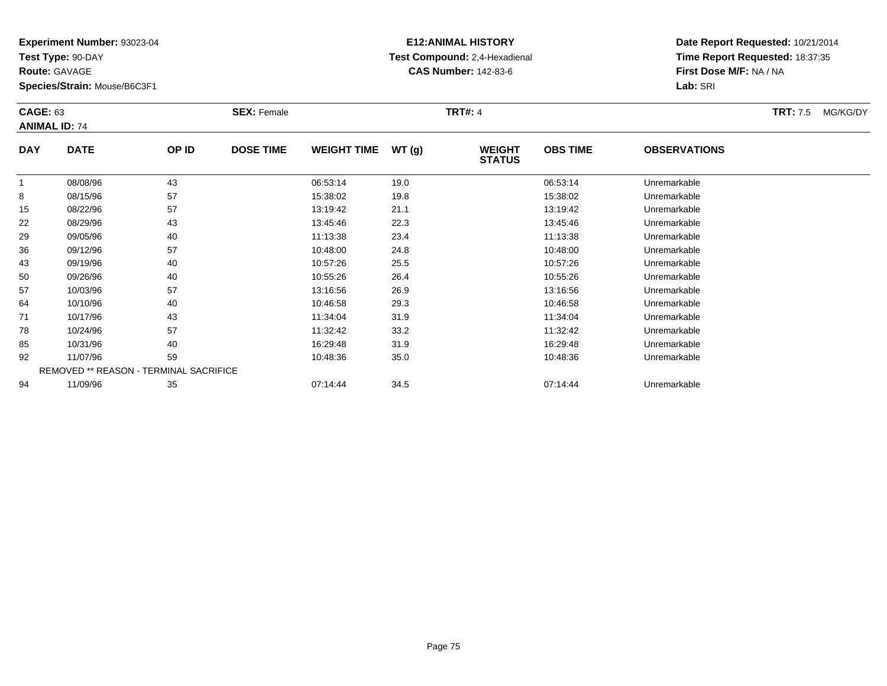**Test Type:** 90-DAY

**Route:** GAVAGE

**Species/Strain:** Mouse/B6C3F1

# **E12:ANIMAL HISTORY Test Compound:** 2,4-Hexadienal **CAS Number:** 142-83-6

|            | <b>CAGE: 63</b><br><b>ANIMAL ID: 74</b> |       | <b>SEX: Female</b> |                    |       |                                | <b>TRT#: 4</b>  |                     |  |  |
|------------|-----------------------------------------|-------|--------------------|--------------------|-------|--------------------------------|-----------------|---------------------|--|--|
| <b>DAY</b> | <b>DATE</b>                             | OP ID | <b>DOSE TIME</b>   | <b>WEIGHT TIME</b> | WT(g) | <b>WEIGHT</b><br><b>STATUS</b> | <b>OBS TIME</b> | <b>OBSERVATIONS</b> |  |  |
| 1          | 08/08/96                                | 43    |                    | 06:53:14           | 19.0  |                                | 06:53:14        | Unremarkable        |  |  |
| 8          | 08/15/96                                | 57    |                    | 15:38:02           | 19.8  |                                | 15:38:02        | Unremarkable        |  |  |
| 15         | 08/22/96                                | 57    |                    | 13:19:42           | 21.1  |                                | 13:19:42        | Unremarkable        |  |  |
| 22         | 08/29/96                                | 43    |                    | 13:45:46           | 22.3  |                                | 13:45:46        | Unremarkable        |  |  |
| 29         | 09/05/96                                | 40    |                    | 11:13:38           | 23.4  |                                | 11:13:38        | Unremarkable        |  |  |
| 36         | 09/12/96                                | 57    |                    | 10:48:00           | 24.8  |                                | 10:48:00        | Unremarkable        |  |  |
| 43         | 09/19/96                                | 40    |                    | 10:57:26           | 25.5  |                                | 10:57:26        | Unremarkable        |  |  |
| 50         | 09/26/96                                | 40    |                    | 10:55:26           | 26.4  |                                | 10:55:26        | Unremarkable        |  |  |
| 57         | 10/03/96                                | 57    |                    | 13:16:56           | 26.9  |                                | 13:16:56        | Unremarkable        |  |  |
| 64         | 10/10/96                                | 40    |                    | 10:46:58           | 29.3  |                                | 10:46:58        | Unremarkable        |  |  |
| 71         | 10/17/96                                | 43    |                    | 11:34:04           | 31.9  |                                | 11:34:04        | Unremarkable        |  |  |
| 78         | 10/24/96                                | 57    |                    | 11:32:42           | 33.2  |                                | 11:32:42        | Unremarkable        |  |  |
| 85         | 10/31/96                                | 40    |                    | 16:29:48           | 31.9  |                                | 16:29:48        | Unremarkable        |  |  |
| 92         | 11/07/96                                | 59    |                    | 10:48:36           | 35.0  |                                | 10:48:36        | Unremarkable        |  |  |
|            | REMOVED ** REASON - TERMINAL SACRIFICE  |       |                    |                    |       |                                |                 |                     |  |  |
| 94         | 11/09/96                                | 35    |                    | 07:14:44           | 34.5  |                                | 07:14:44        | Unremarkable        |  |  |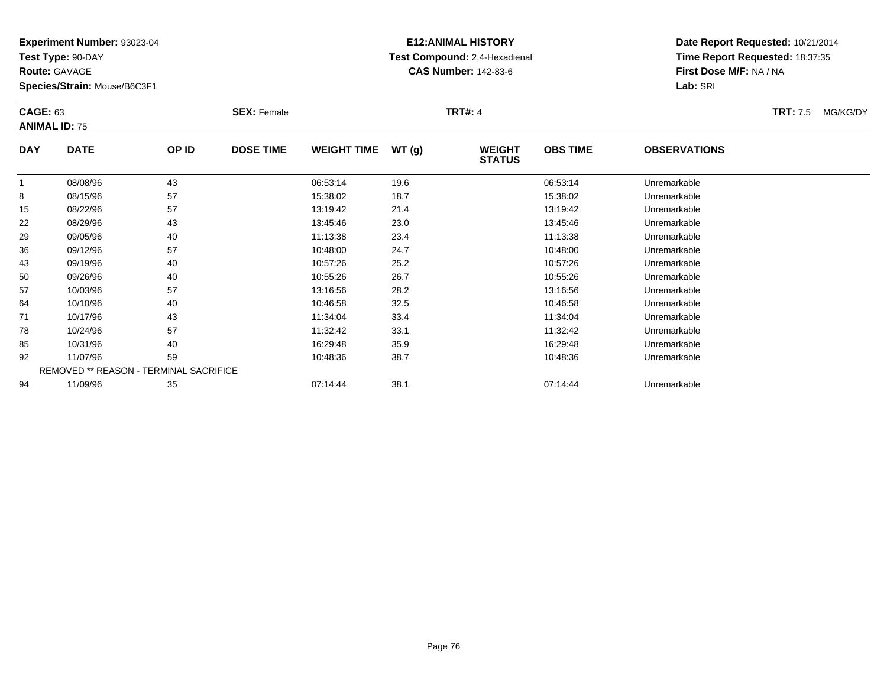**Test Type:** 90-DAY

**Route:** GAVAGE

**Species/Strain:** Mouse/B6C3F1

# **E12:ANIMAL HISTORY Test Compound:** 2,4-Hexadienal **CAS Number:** 142-83-6

| <b>CAGE: 63</b> | <b>ANIMAL ID: 75</b> |                                        | <b>SEX: Female</b> |                    |       | <b>TRT#: 4</b>                 |                 |                     | <b>TRT:</b> 7.5 | MG/KG/DY |
|-----------------|----------------------|----------------------------------------|--------------------|--------------------|-------|--------------------------------|-----------------|---------------------|-----------------|----------|
| <b>DAY</b>      | <b>DATE</b>          | OP ID                                  | <b>DOSE TIME</b>   | <b>WEIGHT TIME</b> | WT(g) | <b>WEIGHT</b><br><b>STATUS</b> | <b>OBS TIME</b> | <b>OBSERVATIONS</b> |                 |          |
| 1               | 08/08/96             | 43                                     |                    | 06:53:14           | 19.6  |                                | 06:53:14        | Unremarkable        |                 |          |
| 8               | 08/15/96             | 57                                     |                    | 15:38:02           | 18.7  |                                | 15:38:02        | Unremarkable        |                 |          |
| 15              | 08/22/96             | 57                                     |                    | 13:19:42           | 21.4  |                                | 13:19:42        | Unremarkable        |                 |          |
| 22              | 08/29/96             | 43                                     |                    | 13:45:46           | 23.0  |                                | 13:45:46        | Unremarkable        |                 |          |
| 29              | 09/05/96             | 40                                     |                    | 11:13:38           | 23.4  |                                | 11:13:38        | Unremarkable        |                 |          |
| 36              | 09/12/96             | 57                                     |                    | 10:48:00           | 24.7  |                                | 10:48:00        | Unremarkable        |                 |          |
| 43              | 09/19/96             | 40                                     |                    | 10:57:26           | 25.2  |                                | 10:57:26        | Unremarkable        |                 |          |
| 50              | 09/26/96             | 40                                     |                    | 10:55:26           | 26.7  |                                | 10:55:26        | Unremarkable        |                 |          |
| 57              | 10/03/96             | 57                                     |                    | 13:16:56           | 28.2  |                                | 13:16:56        | Unremarkable        |                 |          |
| 64              | 10/10/96             | 40                                     |                    | 10:46:58           | 32.5  |                                | 10:46:58        | Unremarkable        |                 |          |
| 71              | 10/17/96             | 43                                     |                    | 11:34:04           | 33.4  |                                | 11:34:04        | Unremarkable        |                 |          |
| 78              | 10/24/96             | 57                                     |                    | 11:32:42           | 33.1  |                                | 11:32:42        | Unremarkable        |                 |          |
| 85              | 10/31/96             | 40                                     |                    | 16:29:48           | 35.9  |                                | 16:29:48        | Unremarkable        |                 |          |
| 92              | 11/07/96             | 59                                     |                    | 10:48:36           | 38.7  |                                | 10:48:36        | Unremarkable        |                 |          |
|                 |                      | REMOVED ** REASON - TERMINAL SACRIFICE |                    |                    |       |                                |                 |                     |                 |          |
| 94              | 11/09/96             | 35                                     |                    | 07:14:44           | 38.1  |                                | 07:14:44        | Unremarkable        |                 |          |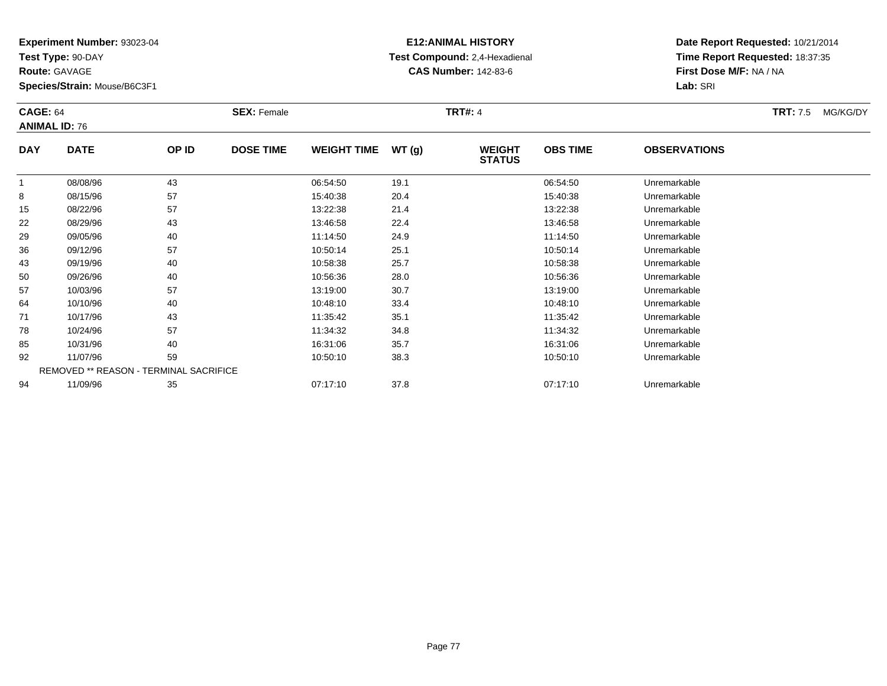**Test Type:** 90-DAY

**Route:** GAVAGE

**Species/Strain:** Mouse/B6C3F1

# **E12:ANIMAL HISTORY Test Compound:** 2,4-Hexadienal **CAS Number:** 142-83-6

|            | <b>CAGE: 64</b><br><b>ANIMAL ID: 76</b> |       | <b>SEX: Female</b> |                    |       | <b>TRT#: 4</b>                 |                 | <b>TRT: 7.5</b>     | MG/KG/DY |  |
|------------|-----------------------------------------|-------|--------------------|--------------------|-------|--------------------------------|-----------------|---------------------|----------|--|
| <b>DAY</b> | <b>DATE</b>                             | OP ID | <b>DOSE TIME</b>   | <b>WEIGHT TIME</b> | WT(g) | <b>WEIGHT</b><br><b>STATUS</b> | <b>OBS TIME</b> | <b>OBSERVATIONS</b> |          |  |
|            | 08/08/96                                | 43    |                    | 06:54:50           | 19.1  |                                | 06:54:50        | Unremarkable        |          |  |
| 8          | 08/15/96                                | 57    |                    | 15:40:38           | 20.4  |                                | 15:40:38        | Unremarkable        |          |  |
| 15         | 08/22/96                                | 57    |                    | 13:22:38           | 21.4  |                                | 13:22:38        | Unremarkable        |          |  |
| 22         | 08/29/96                                | 43    |                    | 13:46:58           | 22.4  |                                | 13:46:58        | Unremarkable        |          |  |
| 29         | 09/05/96                                | 40    |                    | 11:14:50           | 24.9  |                                | 11:14:50        | Unremarkable        |          |  |
| 36         | 09/12/96                                | 57    |                    | 10:50:14           | 25.1  |                                | 10:50:14        | Unremarkable        |          |  |
| 43         | 09/19/96                                | 40    |                    | 10:58:38           | 25.7  |                                | 10:58:38        | Unremarkable        |          |  |
| 50         | 09/26/96                                | 40    |                    | 10:56:36           | 28.0  |                                | 10:56:36        | Unremarkable        |          |  |
| 57         | 10/03/96                                | 57    |                    | 13:19:00           | 30.7  |                                | 13:19:00        | Unremarkable        |          |  |
| 64         | 10/10/96                                | 40    |                    | 10:48:10           | 33.4  |                                | 10:48:10        | Unremarkable        |          |  |
| 71         | 10/17/96                                | 43    |                    | 11:35:42           | 35.1  |                                | 11:35:42        | Unremarkable        |          |  |
| 78         | 10/24/96                                | 57    |                    | 11:34:32           | 34.8  |                                | 11:34:32        | Unremarkable        |          |  |
| 85         | 10/31/96                                | 40    |                    | 16:31:06           | 35.7  |                                | 16:31:06        | Unremarkable        |          |  |
| 92         | 11/07/96                                | 59    |                    | 10:50:10           | 38.3  |                                | 10:50:10        | Unremarkable        |          |  |
|            | REMOVED ** REASON - TERMINAL SACRIFICE  |       |                    |                    |       |                                |                 |                     |          |  |
| 94         | 11/09/96                                | 35    |                    | 07:17:10           | 37.8  |                                | 07:17:10        | Unremarkable        |          |  |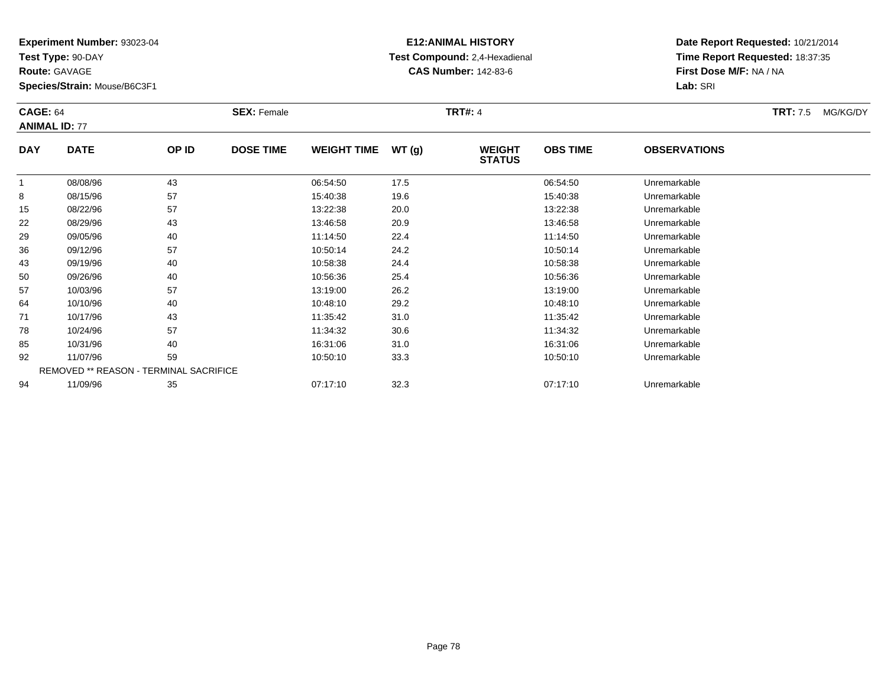**Test Type:** 90-DAY

**Route:** GAVAGE

94

**Species/Strain:** Mouse/B6C3F1

# **E12:ANIMAL HISTORY Test Compound:** 2,4-Hexadienal **CAS Number:** 142-83-6

**Date Report Requested:** 10/21/2014**Time Report Requested:** 18:37:35**First Dose M/F:** NA / NA**Lab:** SRI

| <b>CAGE: 64</b> | <b>ANIMAL ID: 77</b>                   |       | <b>SEX: Female</b> |                    |       | <b>TRT#: 4</b>                 |                 |                     | <b>TRT: 7.5</b> | MG/KG/DY |
|-----------------|----------------------------------------|-------|--------------------|--------------------|-------|--------------------------------|-----------------|---------------------|-----------------|----------|
| <b>DAY</b>      | <b>DATE</b>                            | OP ID | <b>DOSE TIME</b>   | <b>WEIGHT TIME</b> | WT(g) | <b>WEIGHT</b><br><b>STATUS</b> | <b>OBS TIME</b> | <b>OBSERVATIONS</b> |                 |          |
|                 | 08/08/96                               | 43    |                    | 06:54:50           | 17.5  |                                | 06:54:50        | Unremarkable        |                 |          |
| 8               | 08/15/96                               | 57    |                    | 15:40:38           | 19.6  |                                | 15:40:38        | Unremarkable        |                 |          |
| 15              | 08/22/96                               | 57    |                    | 13:22:38           | 20.0  |                                | 13:22:38        | Unremarkable        |                 |          |
| 22              | 08/29/96                               | 43    |                    | 13:46:58           | 20.9  |                                | 13:46:58        | Unremarkable        |                 |          |
| 29              | 09/05/96                               | 40    |                    | 11:14:50           | 22.4  |                                | 11:14:50        | Unremarkable        |                 |          |
| 36              | 09/12/96                               | 57    |                    | 10:50:14           | 24.2  |                                | 10:50:14        | Unremarkable        |                 |          |
| 43              | 09/19/96                               | 40    |                    | 10:58:38           | 24.4  |                                | 10:58:38        | Unremarkable        |                 |          |
| 50              | 09/26/96                               | 40    |                    | 10:56:36           | 25.4  |                                | 10:56:36        | Unremarkable        |                 |          |
| 57              | 10/03/96                               | 57    |                    | 13:19:00           | 26.2  |                                | 13:19:00        | Unremarkable        |                 |          |
| 64              | 10/10/96                               | 40    |                    | 10:48:10           | 29.2  |                                | 10:48:10        | Unremarkable        |                 |          |
| 71              | 10/17/96                               | 43    |                    | 11:35:42           | 31.0  |                                | 11:35:42        | Unremarkable        |                 |          |
| 78              | 10/24/96                               | 57    |                    | 11:34:32           | 30.6  |                                | 11:34:32        | Unremarkable        |                 |          |
| 85              | 10/31/96                               | 40    |                    | 16:31:06           | 31.0  |                                | 16:31:06        | Unremarkable        |                 |          |
| 92              | 11/07/96                               | 59    |                    | 10:50:10           | 33.3  |                                | 10:50:10        | Unremarkable        |                 |          |
|                 | REMOVED ** REASON - TERMINAL SACRIFICE |       |                    |                    |       |                                |                 |                     |                 |          |

11/09/96 <sup>35</sup> 07:17:10 32.3 07:17:10 Unremarkable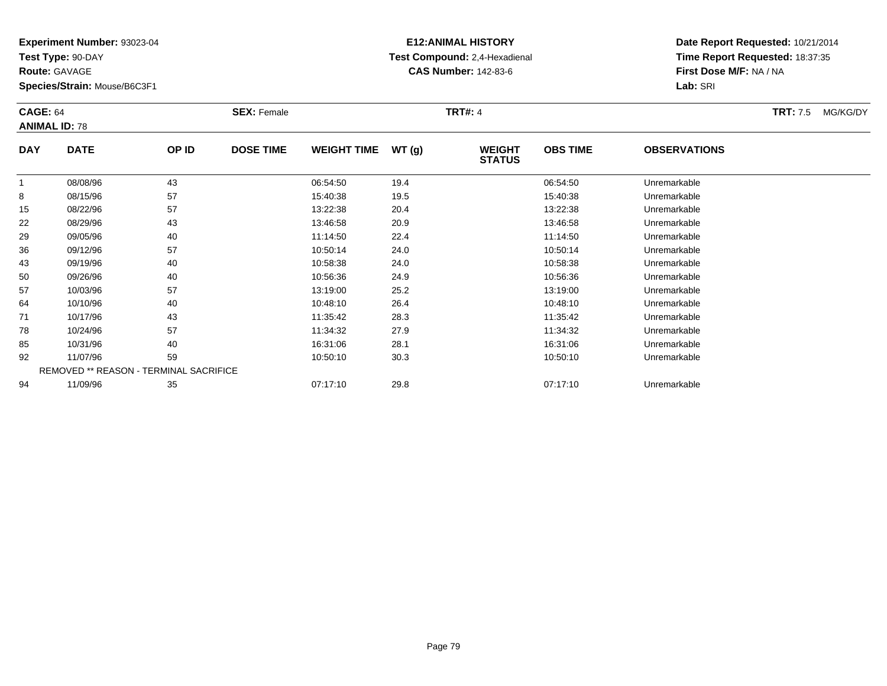**Test Type:** 90-DAY

**Route:** GAVAGE

**Species/Strain:** Mouse/B6C3F1

# **E12:ANIMAL HISTORY Test Compound:** 2,4-Hexadienal **CAS Number:** 142-83-6

|            | <b>CAGE: 64</b><br><b>ANIMAL ID: 78</b>       |       | <b>SEX: Female</b> |                    | <b>TRT#: 4</b> |                                | <b>TRT:</b> 7.5 | MG/KG/DY            |  |  |
|------------|-----------------------------------------------|-------|--------------------|--------------------|----------------|--------------------------------|-----------------|---------------------|--|--|
| <b>DAY</b> | <b>DATE</b>                                   | OP ID | <b>DOSE TIME</b>   | <b>WEIGHT TIME</b> | WT(g)          | <b>WEIGHT</b><br><b>STATUS</b> | <b>OBS TIME</b> | <b>OBSERVATIONS</b> |  |  |
|            | 08/08/96                                      | 43    |                    | 06:54:50           | 19.4           |                                | 06:54:50        | Unremarkable        |  |  |
| 8          | 08/15/96                                      | 57    |                    | 15:40:38           | 19.5           |                                | 15:40:38        | Unremarkable        |  |  |
| 15         | 08/22/96                                      | 57    |                    | 13:22:38           | 20.4           |                                | 13:22:38        | Unremarkable        |  |  |
| 22         | 08/29/96                                      | 43    |                    | 13:46:58           | 20.9           |                                | 13:46:58        | Unremarkable        |  |  |
| 29         | 09/05/96                                      | 40    |                    | 11:14:50           | 22.4           |                                | 11:14:50        | Unremarkable        |  |  |
| 36         | 09/12/96                                      | 57    |                    | 10:50:14           | 24.0           |                                | 10:50:14        | Unremarkable        |  |  |
| 43         | 09/19/96                                      | 40    |                    | 10:58:38           | 24.0           |                                | 10:58:38        | Unremarkable        |  |  |
| 50         | 09/26/96                                      | 40    |                    | 10:56:36           | 24.9           |                                | 10:56:36        | Unremarkable        |  |  |
| 57         | 10/03/96                                      | 57    |                    | 13:19:00           | 25.2           |                                | 13:19:00        | Unremarkable        |  |  |
| 64         | 10/10/96                                      | 40    |                    | 10:48:10           | 26.4           |                                | 10:48:10        | Unremarkable        |  |  |
| 71         | 10/17/96                                      | 43    |                    | 11:35:42           | 28.3           |                                | 11:35:42        | Unremarkable        |  |  |
| 78         | 10/24/96                                      | 57    |                    | 11:34:32           | 27.9           |                                | 11:34:32        | Unremarkable        |  |  |
| 85         | 10/31/96                                      | 40    |                    | 16:31:06           | 28.1           |                                | 16:31:06        | Unremarkable        |  |  |
| 92         | 11/07/96                                      | 59    |                    | 10:50:10           | 30.3           |                                | 10:50:10        | Unremarkable        |  |  |
|            | <b>REMOVED ** REASON - TERMINAL SACRIFICE</b> |       |                    |                    |                |                                |                 |                     |  |  |
| 94         | 11/09/96                                      | 35    |                    | 07:17:10           | 29.8           |                                | 07:17:10        | Unremarkable        |  |  |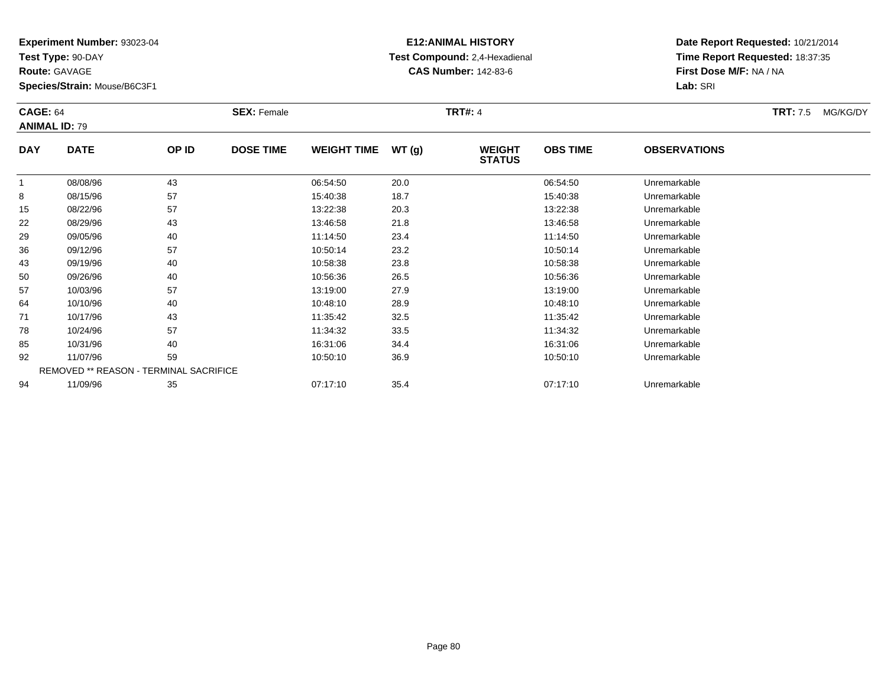**Test Type:** 90-DAY

**Route:** GAVAGE

**Species/Strain:** Mouse/B6C3F1

# **E12:ANIMAL HISTORY Test Compound:** 2,4-Hexadienal **CAS Number:** 142-83-6

|            | <b>CAGE: 64</b><br><b>ANIMAL ID: 79</b>       |       | <b>SEX: Female</b> |                    |       |                                | <b>TRT#: 4</b>  |                     |  |  |
|------------|-----------------------------------------------|-------|--------------------|--------------------|-------|--------------------------------|-----------------|---------------------|--|--|
| <b>DAY</b> | <b>DATE</b>                                   | OP ID | <b>DOSE TIME</b>   | <b>WEIGHT TIME</b> | WT(g) | <b>WEIGHT</b><br><b>STATUS</b> | <b>OBS TIME</b> | <b>OBSERVATIONS</b> |  |  |
| 1          | 08/08/96                                      | 43    |                    | 06:54:50           | 20.0  |                                | 06:54:50        | Unremarkable        |  |  |
| 8          | 08/15/96                                      | 57    |                    | 15:40:38           | 18.7  |                                | 15:40:38        | Unremarkable        |  |  |
| 15         | 08/22/96                                      | 57    |                    | 13:22:38           | 20.3  |                                | 13:22:38        | Unremarkable        |  |  |
| 22         | 08/29/96                                      | 43    |                    | 13:46:58           | 21.8  |                                | 13:46:58        | Unremarkable        |  |  |
| 29         | 09/05/96                                      | 40    |                    | 11:14:50           | 23.4  |                                | 11:14:50        | Unremarkable        |  |  |
| 36         | 09/12/96                                      | 57    |                    | 10:50:14           | 23.2  |                                | 10:50:14        | Unremarkable        |  |  |
| 43         | 09/19/96                                      | 40    |                    | 10:58:38           | 23.8  |                                | 10:58:38        | Unremarkable        |  |  |
| 50         | 09/26/96                                      | 40    |                    | 10:56:36           | 26.5  |                                | 10:56:36        | Unremarkable        |  |  |
| 57         | 10/03/96                                      | 57    |                    | 13:19:00           | 27.9  |                                | 13:19:00        | Unremarkable        |  |  |
| 64         | 10/10/96                                      | 40    |                    | 10:48:10           | 28.9  |                                | 10:48:10        | Unremarkable        |  |  |
| 71         | 10/17/96                                      | 43    |                    | 11:35:42           | 32.5  |                                | 11:35:42        | Unremarkable        |  |  |
| 78         | 10/24/96                                      | 57    |                    | 11:34:32           | 33.5  |                                | 11:34:32        | Unremarkable        |  |  |
| 85         | 10/31/96                                      | 40    |                    | 16:31:06           | 34.4  |                                | 16:31:06        | Unremarkable        |  |  |
| 92         | 11/07/96                                      | 59    |                    | 10:50:10           | 36.9  |                                | 10:50:10        | Unremarkable        |  |  |
|            | <b>REMOVED ** REASON - TERMINAL SACRIFICE</b> |       |                    |                    |       |                                |                 |                     |  |  |
| 94         | 11/09/96                                      | 35    |                    | 07:17:10           | 35.4  |                                | 07:17:10        | Unremarkable        |  |  |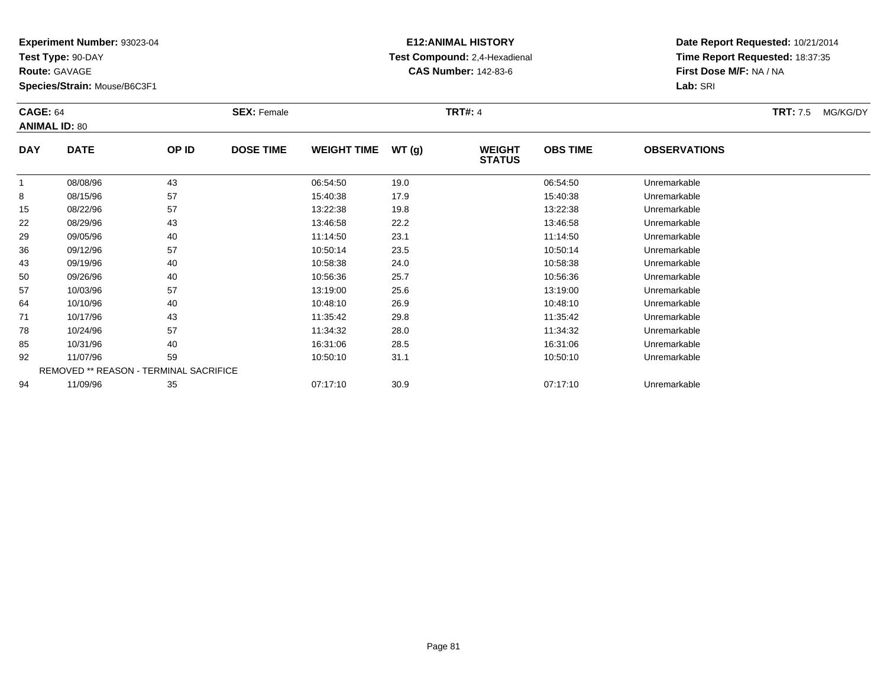**Test Type:** 90-DAY

**Route:** GAVAGE

**Species/Strain:** Mouse/B6C3F1

# **E12:ANIMAL HISTORY Test Compound:** 2,4-Hexadienal **CAS Number:** 142-83-6

|            | <b>CAGE: 64</b><br><b>ANIMAL ID: 80</b>       |       | <b>SEX: Female</b> |                    |       |                                | <b>TRT#: 4</b>  |                     |  |  |
|------------|-----------------------------------------------|-------|--------------------|--------------------|-------|--------------------------------|-----------------|---------------------|--|--|
| <b>DAY</b> | <b>DATE</b>                                   | OP ID | <b>DOSE TIME</b>   | <b>WEIGHT TIME</b> | WT(g) | <b>WEIGHT</b><br><b>STATUS</b> | <b>OBS TIME</b> | <b>OBSERVATIONS</b> |  |  |
|            | 08/08/96                                      | 43    |                    | 06:54:50           | 19.0  |                                | 06:54:50        | Unremarkable        |  |  |
| 8          | 08/15/96                                      | 57    |                    | 15:40:38           | 17.9  |                                | 15:40:38        | Unremarkable        |  |  |
| 15         | 08/22/96                                      | 57    |                    | 13:22:38           | 19.8  |                                | 13:22:38        | Unremarkable        |  |  |
| 22         | 08/29/96                                      | 43    |                    | 13:46:58           | 22.2  |                                | 13:46:58        | Unremarkable        |  |  |
| 29         | 09/05/96                                      | 40    |                    | 11:14:50           | 23.1  |                                | 11:14:50        | Unremarkable        |  |  |
| 36         | 09/12/96                                      | 57    |                    | 10:50:14           | 23.5  |                                | 10:50:14        | Unremarkable        |  |  |
| 43         | 09/19/96                                      | 40    |                    | 10:58:38           | 24.0  |                                | 10:58:38        | Unremarkable        |  |  |
| 50         | 09/26/96                                      | 40    |                    | 10:56:36           | 25.7  |                                | 10:56:36        | Unremarkable        |  |  |
| 57         | 10/03/96                                      | 57    |                    | 13:19:00           | 25.6  |                                | 13:19:00        | Unremarkable        |  |  |
| 64         | 10/10/96                                      | 40    |                    | 10:48:10           | 26.9  |                                | 10:48:10        | Unremarkable        |  |  |
| 71         | 10/17/96                                      | 43    |                    | 11:35:42           | 29.8  |                                | 11:35:42        | Unremarkable        |  |  |
| 78         | 10/24/96                                      | 57    |                    | 11:34:32           | 28.0  |                                | 11:34:32        | Unremarkable        |  |  |
| 85         | 10/31/96                                      | 40    |                    | 16:31:06           | 28.5  |                                | 16:31:06        | Unremarkable        |  |  |
| 92         | 11/07/96                                      | 59    |                    | 10:50:10           | 31.1  |                                | 10:50:10        | Unremarkable        |  |  |
|            | <b>REMOVED ** REASON - TERMINAL SACRIFICE</b> |       |                    |                    |       |                                |                 |                     |  |  |
| 94         | 11/09/96                                      | 35    |                    | 07:17:10           | 30.9  |                                | 07:17:10        | Unremarkable        |  |  |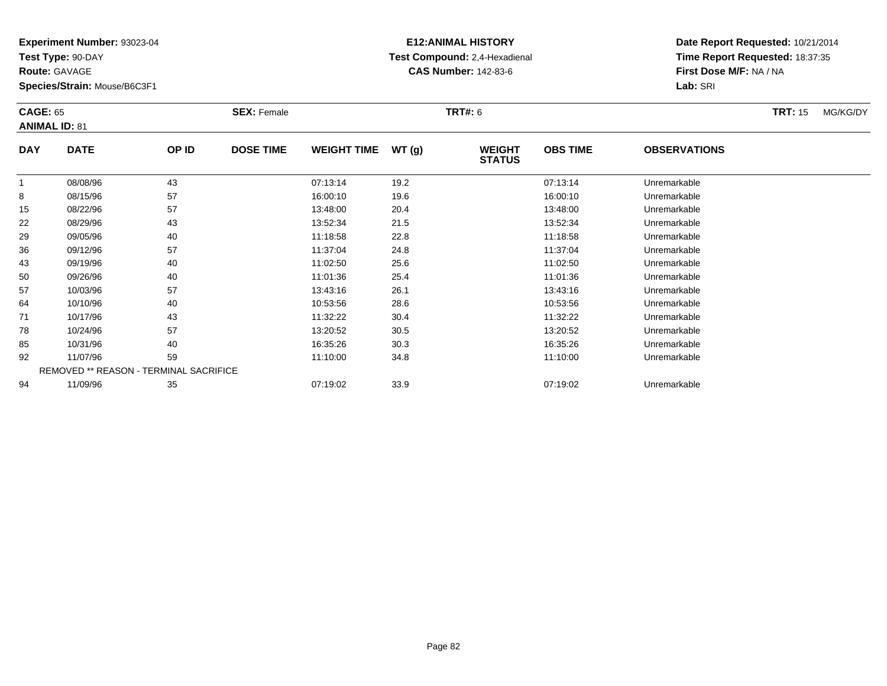**Test Type:** 90-DAY

**Route:** GAVAGE

**Species/Strain:** Mouse/B6C3F1

# **E12:ANIMAL HISTORY Test Compound:** 2,4-Hexadienal **CAS Number:** 142-83-6

|            | <b>CAGE: 65</b><br><b>ANIMAL ID: 81</b> |       | <b>SEX: Female</b> |                    |       |                                | <b>TRT#: 6</b>  |                     |  |  |
|------------|-----------------------------------------|-------|--------------------|--------------------|-------|--------------------------------|-----------------|---------------------|--|--|
| <b>DAY</b> | <b>DATE</b>                             | OP ID | <b>DOSE TIME</b>   | <b>WEIGHT TIME</b> | WT(g) | <b>WEIGHT</b><br><b>STATUS</b> | <b>OBS TIME</b> | <b>OBSERVATIONS</b> |  |  |
| 1          | 08/08/96                                | 43    |                    | 07:13:14           | 19.2  |                                | 07:13:14        | Unremarkable        |  |  |
| 8          | 08/15/96                                | 57    |                    | 16:00:10           | 19.6  |                                | 16:00:10        | Unremarkable        |  |  |
| 15         | 08/22/96                                | 57    |                    | 13:48:00           | 20.4  |                                | 13:48:00        | Unremarkable        |  |  |
| 22         | 08/29/96                                | 43    |                    | 13:52:34           | 21.5  |                                | 13:52:34        | Unremarkable        |  |  |
| 29         | 09/05/96                                | 40    |                    | 11:18:58           | 22.8  |                                | 11:18:58        | Unremarkable        |  |  |
| 36         | 09/12/96                                | 57    |                    | 11:37:04           | 24.8  |                                | 11:37:04        | Unremarkable        |  |  |
| 43         | 09/19/96                                | 40    |                    | 11:02:50           | 25.6  |                                | 11:02:50        | Unremarkable        |  |  |
| 50         | 09/26/96                                | 40    |                    | 11:01:36           | 25.4  |                                | 11:01:36        | Unremarkable        |  |  |
| 57         | 10/03/96                                | 57    |                    | 13:43:16           | 26.1  |                                | 13:43:16        | Unremarkable        |  |  |
| 64         | 10/10/96                                | 40    |                    | 10:53:56           | 28.6  |                                | 10:53:56        | Unremarkable        |  |  |
| 71         | 10/17/96                                | 43    |                    | 11:32:22           | 30.4  |                                | 11:32:22        | Unremarkable        |  |  |
| 78         | 10/24/96                                | 57    |                    | 13:20:52           | 30.5  |                                | 13:20:52        | Unremarkable        |  |  |
| 85         | 10/31/96                                | 40    |                    | 16:35:26           | 30.3  |                                | 16:35:26        | Unremarkable        |  |  |
| 92         | 11/07/96                                | 59    |                    | 11:10:00           | 34.8  |                                | 11:10:00        | Unremarkable        |  |  |
|            | REMOVED ** REASON - TERMINAL SACRIFICE  |       |                    |                    |       |                                |                 |                     |  |  |
| 94         | 11/09/96                                | 35    |                    | 07:19:02           | 33.9  |                                | 07:19:02        | Unremarkable        |  |  |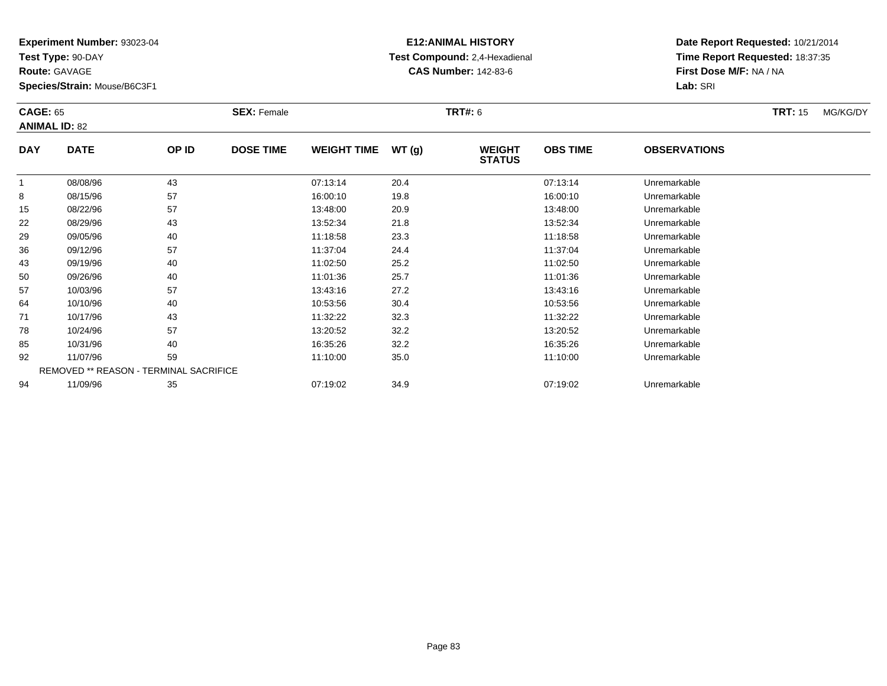**Test Type:** 90-DAY

**Route:** GAVAGE

**Species/Strain:** Mouse/B6C3F1

# **E12:ANIMAL HISTORY Test Compound:** 2,4-Hexadienal **CAS Number:** 142-83-6

|            | <b>CAGE: 65</b><br><b>ANIMAL ID: 82</b> |       | <b>SEX: Female</b> |                    |       | <b>TRT#: 6</b>                 |                 | <b>TRT:</b> 15      | MG/KG/DY |  |
|------------|-----------------------------------------|-------|--------------------|--------------------|-------|--------------------------------|-----------------|---------------------|----------|--|
| <b>DAY</b> | <b>DATE</b>                             | OP ID | <b>DOSE TIME</b>   | <b>WEIGHT TIME</b> | WT(g) | <b>WEIGHT</b><br><b>STATUS</b> | <b>OBS TIME</b> | <b>OBSERVATIONS</b> |          |  |
| 1          | 08/08/96                                | 43    |                    | 07:13:14           | 20.4  |                                | 07:13:14        | Unremarkable        |          |  |
| 8          | 08/15/96                                | 57    |                    | 16:00:10           | 19.8  |                                | 16:00:10        | Unremarkable        |          |  |
| 15         | 08/22/96                                | 57    |                    | 13:48:00           | 20.9  |                                | 13:48:00        | Unremarkable        |          |  |
| 22         | 08/29/96                                | 43    |                    | 13:52:34           | 21.8  |                                | 13:52:34        | Unremarkable        |          |  |
| 29         | 09/05/96                                | 40    |                    | 11:18:58           | 23.3  |                                | 11:18:58        | Unremarkable        |          |  |
| 36         | 09/12/96                                | 57    |                    | 11:37:04           | 24.4  |                                | 11:37:04        | Unremarkable        |          |  |
| 43         | 09/19/96                                | 40    |                    | 11:02:50           | 25.2  |                                | 11:02:50        | Unremarkable        |          |  |
| 50         | 09/26/96                                | 40    |                    | 11:01:36           | 25.7  |                                | 11:01:36        | Unremarkable        |          |  |
| 57         | 10/03/96                                | 57    |                    | 13:43:16           | 27.2  |                                | 13:43:16        | Unremarkable        |          |  |
| 64         | 10/10/96                                | 40    |                    | 10:53:56           | 30.4  |                                | 10:53:56        | Unremarkable        |          |  |
| 71         | 10/17/96                                | 43    |                    | 11:32:22           | 32.3  |                                | 11:32:22        | Unremarkable        |          |  |
| 78         | 10/24/96                                | 57    |                    | 13:20:52           | 32.2  |                                | 13:20:52        | Unremarkable        |          |  |
| 85         | 10/31/96                                | 40    |                    | 16:35:26           | 32.2  |                                | 16:35:26        | Unremarkable        |          |  |
| 92         | 11/07/96                                | 59    |                    | 11:10:00           | 35.0  |                                | 11:10:00        | Unremarkable        |          |  |
|            | REMOVED ** REASON - TERMINAL SACRIFICE  |       |                    |                    |       |                                |                 |                     |          |  |
| 94         | 11/09/96                                | 35    |                    | 07:19:02           | 34.9  |                                | 07:19:02        | Unremarkable        |          |  |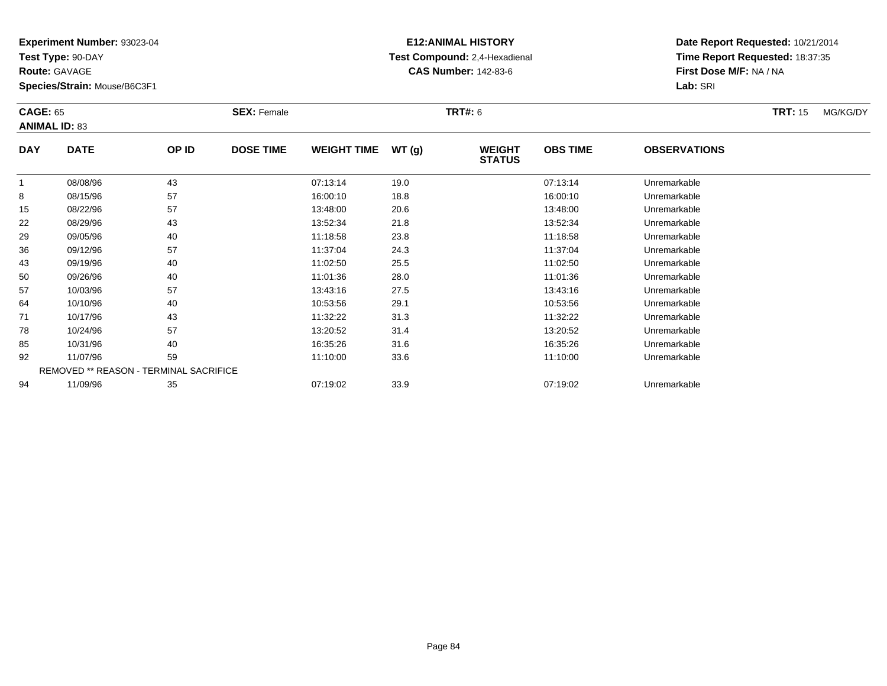**Test Type:** 90-DAY

**Route:** GAVAGE

**Species/Strain:** Mouse/B6C3F1

# **E12:ANIMAL HISTORY Test Compound:** 2,4-Hexadienal **CAS Number:** 142-83-6

| <b>CAGE: 65</b> | <b>ANIMAL ID: 83</b>                   |       | <b>SEX: Female</b> |                    |       | <b>TRT#: 6</b>                 |                 |                     | <b>TRT: 15</b> | MG/KG/DY |
|-----------------|----------------------------------------|-------|--------------------|--------------------|-------|--------------------------------|-----------------|---------------------|----------------|----------|
| <b>DAY</b>      | <b>DATE</b>                            | OP ID | <b>DOSE TIME</b>   | <b>WEIGHT TIME</b> | WT(g) | <b>WEIGHT</b><br><b>STATUS</b> | <b>OBS TIME</b> | <b>OBSERVATIONS</b> |                |          |
|                 | 08/08/96                               | 43    |                    | 07:13:14           | 19.0  |                                | 07:13:14        | Unremarkable        |                |          |
| 8               | 08/15/96                               | 57    |                    | 16:00:10           | 18.8  |                                | 16:00:10        | Unremarkable        |                |          |
| 15              | 08/22/96                               | 57    |                    | 13:48:00           | 20.6  |                                | 13:48:00        | Unremarkable        |                |          |
| 22              | 08/29/96                               | 43    |                    | 13:52:34           | 21.8  |                                | 13:52:34        | Unremarkable        |                |          |
| 29              | 09/05/96                               | 40    |                    | 11:18:58           | 23.8  |                                | 11:18:58        | Unremarkable        |                |          |
| 36              | 09/12/96                               | 57    |                    | 11:37:04           | 24.3  |                                | 11:37:04        | Unremarkable        |                |          |
| 43              | 09/19/96                               | 40    |                    | 11:02:50           | 25.5  |                                | 11:02:50        | Unremarkable        |                |          |
| 50              | 09/26/96                               | 40    |                    | 11:01:36           | 28.0  |                                | 11:01:36        | Unremarkable        |                |          |
| 57              | 10/03/96                               | 57    |                    | 13:43:16           | 27.5  |                                | 13:43:16        | Unremarkable        |                |          |
| 64              | 10/10/96                               | 40    |                    | 10:53:56           | 29.1  |                                | 10:53:56        | Unremarkable        |                |          |
| 71              | 10/17/96                               | 43    |                    | 11:32:22           | 31.3  |                                | 11:32:22        | Unremarkable        |                |          |
| 78              | 10/24/96                               | 57    |                    | 13:20:52           | 31.4  |                                | 13:20:52        | Unremarkable        |                |          |
| 85              | 10/31/96                               | 40    |                    | 16:35:26           | 31.6  |                                | 16:35:26        | Unremarkable        |                |          |
| 92              | 11/07/96                               | 59    |                    | 11:10:00           | 33.6  |                                | 11:10:00        | Unremarkable        |                |          |
|                 | REMOVED ** REASON - TERMINAL SACRIFICE |       |                    |                    |       |                                |                 |                     |                |          |
| 94              | 11/09/96                               | 35    |                    | 07:19:02           | 33.9  |                                | 07:19:02        | Unremarkable        |                |          |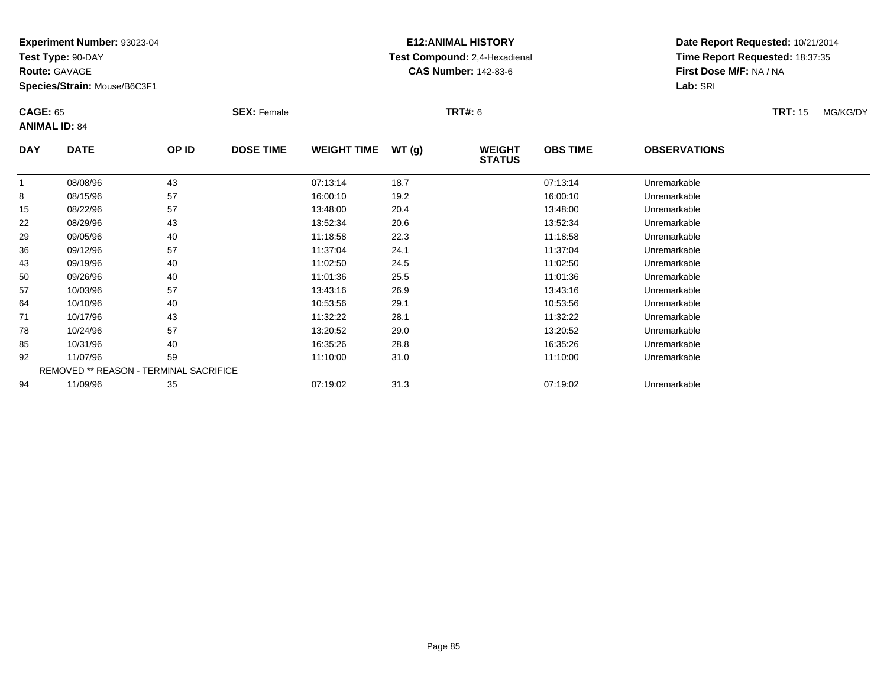**Test Type:** 90-DAY

**Route:** GAVAGE

**Species/Strain:** Mouse/B6C3F1

# **E12:ANIMAL HISTORY Test Compound:** 2,4-Hexadienal **CAS Number:** 142-83-6

| <b>CAGE: 65</b><br><b>ANIMAL ID: 84</b> |             |                                        | <b>SEX: Female</b> |                    |       | <b>TRT#:</b> 6                 |                 |                     | <b>TRT: 15</b> | MG/KG/DY |
|-----------------------------------------|-------------|----------------------------------------|--------------------|--------------------|-------|--------------------------------|-----------------|---------------------|----------------|----------|
| <b>DAY</b>                              | <b>DATE</b> | OP ID                                  | <b>DOSE TIME</b>   | <b>WEIGHT TIME</b> | WT(g) | <b>WEIGHT</b><br><b>STATUS</b> | <b>OBS TIME</b> | <b>OBSERVATIONS</b> |                |          |
|                                         | 08/08/96    | 43                                     |                    | 07:13:14           | 18.7  |                                | 07:13:14        | Unremarkable        |                |          |
| 8                                       | 08/15/96    | 57                                     |                    | 16:00:10           | 19.2  |                                | 16:00:10        | Unremarkable        |                |          |
| 15                                      | 08/22/96    | 57                                     |                    | 13:48:00           | 20.4  |                                | 13:48:00        | Unremarkable        |                |          |
| 22                                      | 08/29/96    | 43                                     |                    | 13:52:34           | 20.6  |                                | 13:52:34        | Unremarkable        |                |          |
| 29                                      | 09/05/96    | 40                                     |                    | 11:18:58           | 22.3  |                                | 11:18:58        | Unremarkable        |                |          |
| 36                                      | 09/12/96    | 57                                     |                    | 11:37:04           | 24.1  |                                | 11:37:04        | Unremarkable        |                |          |
| 43                                      | 09/19/96    | 40                                     |                    | 11:02:50           | 24.5  |                                | 11:02:50        | Unremarkable        |                |          |
| 50                                      | 09/26/96    | 40                                     |                    | 11:01:36           | 25.5  |                                | 11:01:36        | Unremarkable        |                |          |
| 57                                      | 10/03/96    | 57                                     |                    | 13:43:16           | 26.9  |                                | 13:43:16        | Unremarkable        |                |          |
| 64                                      | 10/10/96    | 40                                     |                    | 10:53:56           | 29.1  |                                | 10:53:56        | Unremarkable        |                |          |
| 71                                      | 10/17/96    | 43                                     |                    | 11:32:22           | 28.1  |                                | 11:32:22        | Unremarkable        |                |          |
| 78                                      | 10/24/96    | 57                                     |                    | 13:20:52           | 29.0  |                                | 13:20:52        | Unremarkable        |                |          |
| 85                                      | 10/31/96    | 40                                     |                    | 16:35:26           | 28.8  |                                | 16:35:26        | Unremarkable        |                |          |
| 92                                      | 11/07/96    | 59                                     |                    | 11:10:00           | 31.0  |                                | 11:10:00        | Unremarkable        |                |          |
|                                         |             | REMOVED ** REASON - TERMINAL SACRIFICE |                    |                    |       |                                |                 |                     |                |          |
| 94                                      | 11/09/96    | 35                                     |                    | 07:19:02           | 31.3  |                                | 07:19:02        | Unremarkable        |                |          |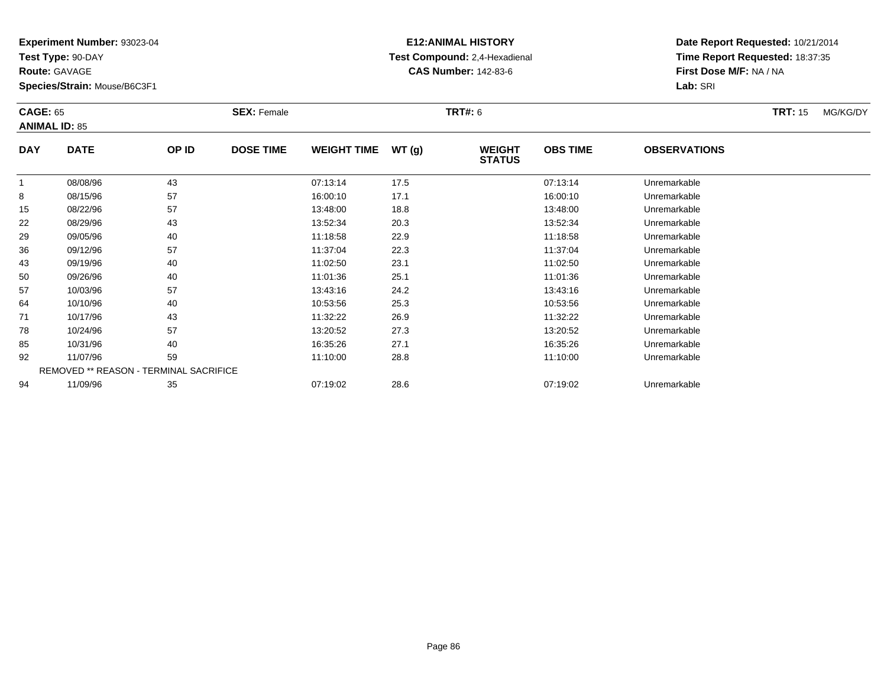**Test Type:** 90-DAY

**Route:** GAVAGE

**Species/Strain:** Mouse/B6C3F1

# **E12:ANIMAL HISTORY Test Compound:** 2,4-Hexadienal **CAS Number:** 142-83-6

| <b>CAGE: 65</b> | <b>ANIMAL ID: 85</b>                   |       | <b>SEX: Female</b> |                    |       | <b>TRT#: 6</b>                 |                 |                     | <b>TRT: 15</b> | MG/KG/DY |
|-----------------|----------------------------------------|-------|--------------------|--------------------|-------|--------------------------------|-----------------|---------------------|----------------|----------|
| <b>DAY</b>      | <b>DATE</b>                            | OP ID | <b>DOSE TIME</b>   | <b>WEIGHT TIME</b> | WT(g) | <b>WEIGHT</b><br><b>STATUS</b> | <b>OBS TIME</b> | <b>OBSERVATIONS</b> |                |          |
| $\mathbf{1}$    | 08/08/96                               | 43    |                    | 07:13:14           | 17.5  |                                | 07:13:14        | Unremarkable        |                |          |
| 8               | 08/15/96                               | 57    |                    | 16:00:10           | 17.1  |                                | 16:00:10        | Unremarkable        |                |          |
| 15              | 08/22/96                               | 57    |                    | 13:48:00           | 18.8  |                                | 13:48:00        | Unremarkable        |                |          |
| 22              | 08/29/96                               | 43    |                    | 13:52:34           | 20.3  |                                | 13:52:34        | Unremarkable        |                |          |
| 29              | 09/05/96                               | 40    |                    | 11:18:58           | 22.9  |                                | 11:18:58        | Unremarkable        |                |          |
| 36              | 09/12/96                               | 57    |                    | 11:37:04           | 22.3  |                                | 11:37:04        | Unremarkable        |                |          |
| 43              | 09/19/96                               | 40    |                    | 11:02:50           | 23.1  |                                | 11:02:50        | Unremarkable        |                |          |
| 50              | 09/26/96                               | 40    |                    | 11:01:36           | 25.1  |                                | 11:01:36        | Unremarkable        |                |          |
| 57              | 10/03/96                               | 57    |                    | 13:43:16           | 24.2  |                                | 13:43:16        | Unremarkable        |                |          |
| 64              | 10/10/96                               | 40    |                    | 10:53:56           | 25.3  |                                | 10:53:56        | Unremarkable        |                |          |
| 71              | 10/17/96                               | 43    |                    | 11:32:22           | 26.9  |                                | 11:32:22        | Unremarkable        |                |          |
| 78              | 10/24/96                               | 57    |                    | 13:20:52           | 27.3  |                                | 13:20:52        | Unremarkable        |                |          |
| 85              | 10/31/96                               | 40    |                    | 16:35:26           | 27.1  |                                | 16:35:26        | Unremarkable        |                |          |
| 92              | 11/07/96                               | 59    |                    | 11:10:00           | 28.8  |                                | 11:10:00        | Unremarkable        |                |          |
|                 | REMOVED ** REASON - TERMINAL SACRIFICE |       |                    |                    |       |                                |                 |                     |                |          |
| 94              | 11/09/96                               | 35    |                    | 07:19:02           | 28.6  |                                | 07:19:02        | Unremarkable        |                |          |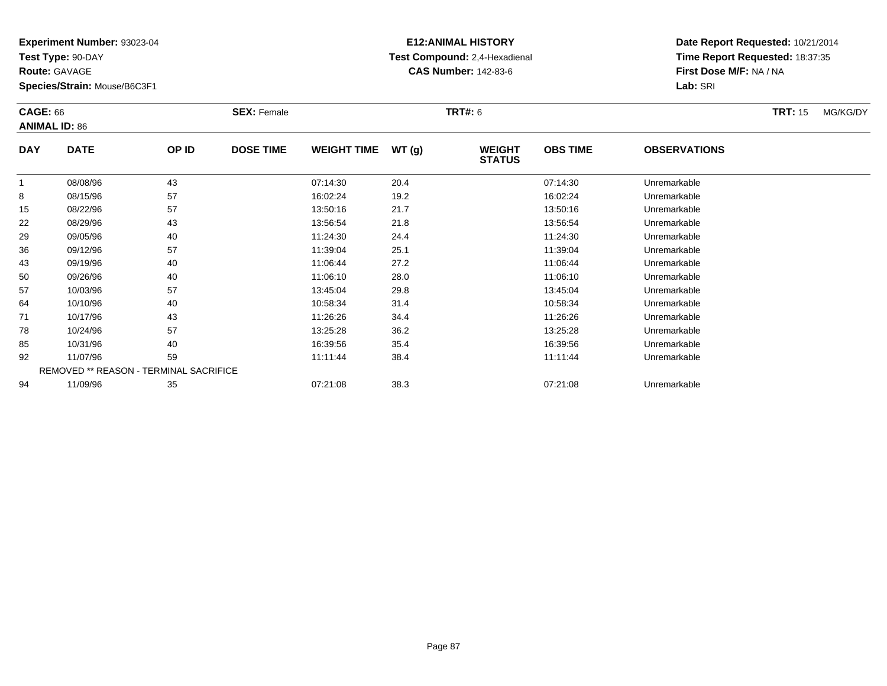**Test Type:** 90-DAY

**Route:** GAVAGE

**Species/Strain:** Mouse/B6C3F1

# **E12:ANIMAL HISTORY Test Compound:** 2,4-Hexadienal **CAS Number:** 142-83-6

| <b>CAGE: 66</b> | <b>ANIMAL ID: 86</b> |                                        | <b>SEX: Female</b> |                    |       | <b>TRT#: 6</b>                 |                 |                     | <b>TRT: 15</b> | MG/KG/DY |
|-----------------|----------------------|----------------------------------------|--------------------|--------------------|-------|--------------------------------|-----------------|---------------------|----------------|----------|
| <b>DAY</b>      | <b>DATE</b>          | OP ID                                  | <b>DOSE TIME</b>   | <b>WEIGHT TIME</b> | WT(g) | <b>WEIGHT</b><br><b>STATUS</b> | <b>OBS TIME</b> | <b>OBSERVATIONS</b> |                |          |
| -1              | 08/08/96             | 43                                     |                    | 07:14:30           | 20.4  |                                | 07:14:30        | Unremarkable        |                |          |
| 8               | 08/15/96             | 57                                     |                    | 16:02:24           | 19.2  |                                | 16:02:24        | Unremarkable        |                |          |
| 15              | 08/22/96             | 57                                     |                    | 13:50:16           | 21.7  |                                | 13:50:16        | Unremarkable        |                |          |
| 22              | 08/29/96             | 43                                     |                    | 13:56:54           | 21.8  |                                | 13:56:54        | Unremarkable        |                |          |
| 29              | 09/05/96             | 40                                     |                    | 11:24:30           | 24.4  |                                | 11:24:30        | Unremarkable        |                |          |
| 36              | 09/12/96             | 57                                     |                    | 11:39:04           | 25.1  |                                | 11:39:04        | Unremarkable        |                |          |
| 43              | 09/19/96             | 40                                     |                    | 11:06:44           | 27.2  |                                | 11:06:44        | Unremarkable        |                |          |
| 50              | 09/26/96             | 40                                     |                    | 11:06:10           | 28.0  |                                | 11:06:10        | Unremarkable        |                |          |
| 57              | 10/03/96             | 57                                     |                    | 13:45:04           | 29.8  |                                | 13:45:04        | Unremarkable        |                |          |
| 64              | 10/10/96             | 40                                     |                    | 10:58:34           | 31.4  |                                | 10:58:34        | Unremarkable        |                |          |
| 71              | 10/17/96             | 43                                     |                    | 11:26:26           | 34.4  |                                | 11:26:26        | Unremarkable        |                |          |
| 78              | 10/24/96             | 57                                     |                    | 13:25:28           | 36.2  |                                | 13:25:28        | Unremarkable        |                |          |
| 85              | 10/31/96             | 40                                     |                    | 16:39:56           | 35.4  |                                | 16:39:56        | Unremarkable        |                |          |
| 92              | 11/07/96             | 59                                     |                    | 11:11:44           | 38.4  |                                | 11:11:44        | Unremarkable        |                |          |
|                 |                      | REMOVED ** REASON - TERMINAL SACRIFICE |                    |                    |       |                                |                 |                     |                |          |
| 94              | 11/09/96             | 35                                     |                    | 07:21:08           | 38.3  |                                | 07:21:08        | Unremarkable        |                |          |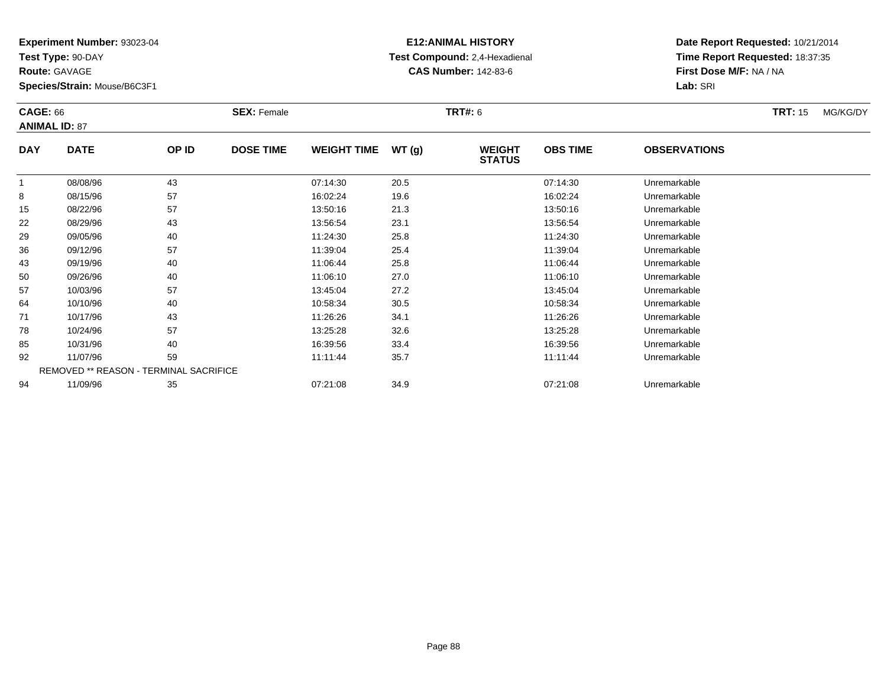**Test Type:** 90-DAY

**Route:** GAVAGE

**Species/Strain:** Mouse/B6C3F1

# **E12:ANIMAL HISTORY Test Compound:** 2,4-Hexadienal **CAS Number:** 142-83-6

| <b>CAGE: 66</b> | <b>ANIMAL ID: 87</b> |                                        | <b>SEX: Female</b> |                    |       | <b>TRT#: 6</b>                 |                 |                     | <b>TRT: 15</b> | MG/KG/DY |
|-----------------|----------------------|----------------------------------------|--------------------|--------------------|-------|--------------------------------|-----------------|---------------------|----------------|----------|
| <b>DAY</b>      | <b>DATE</b>          | OP ID                                  | <b>DOSE TIME</b>   | <b>WEIGHT TIME</b> | WT(g) | <b>WEIGHT</b><br><b>STATUS</b> | <b>OBS TIME</b> | <b>OBSERVATIONS</b> |                |          |
|                 | 08/08/96             | 43                                     |                    | 07:14:30           | 20.5  |                                | 07:14:30        | Unremarkable        |                |          |
| 8               | 08/15/96             | 57                                     |                    | 16:02:24           | 19.6  |                                | 16:02:24        | Unremarkable        |                |          |
| 15              | 08/22/96             | 57                                     |                    | 13:50:16           | 21.3  |                                | 13:50:16        | Unremarkable        |                |          |
| 22              | 08/29/96             | 43                                     |                    | 13:56:54           | 23.1  |                                | 13:56:54        | Unremarkable        |                |          |
| 29              | 09/05/96             | 40                                     |                    | 11:24:30           | 25.8  |                                | 11:24:30        | Unremarkable        |                |          |
| 36              | 09/12/96             | 57                                     |                    | 11:39:04           | 25.4  |                                | 11:39:04        | Unremarkable        |                |          |
| 43              | 09/19/96             | 40                                     |                    | 11:06:44           | 25.8  |                                | 11:06:44        | Unremarkable        |                |          |
| 50              | 09/26/96             | 40                                     |                    | 11:06:10           | 27.0  |                                | 11:06:10        | Unremarkable        |                |          |
| 57              | 10/03/96             | 57                                     |                    | 13:45:04           | 27.2  |                                | 13:45:04        | Unremarkable        |                |          |
| 64              | 10/10/96             | 40                                     |                    | 10:58:34           | 30.5  |                                | 10:58:34        | Unremarkable        |                |          |
| 71              | 10/17/96             | 43                                     |                    | 11:26:26           | 34.1  |                                | 11:26:26        | Unremarkable        |                |          |
| 78              | 10/24/96             | 57                                     |                    | 13:25:28           | 32.6  |                                | 13:25:28        | Unremarkable        |                |          |
| 85              | 10/31/96             | 40                                     |                    | 16:39:56           | 33.4  |                                | 16:39:56        | Unremarkable        |                |          |
| 92              | 11/07/96             | 59                                     |                    | 11:11:44           | 35.7  |                                | 11:11:44        | Unremarkable        |                |          |
|                 |                      | REMOVED ** REASON - TERMINAL SACRIFICE |                    |                    |       |                                |                 |                     |                |          |
| 94              | 11/09/96             | 35                                     |                    | 07:21:08           | 34.9  |                                | 07:21:08        | Unremarkable        |                |          |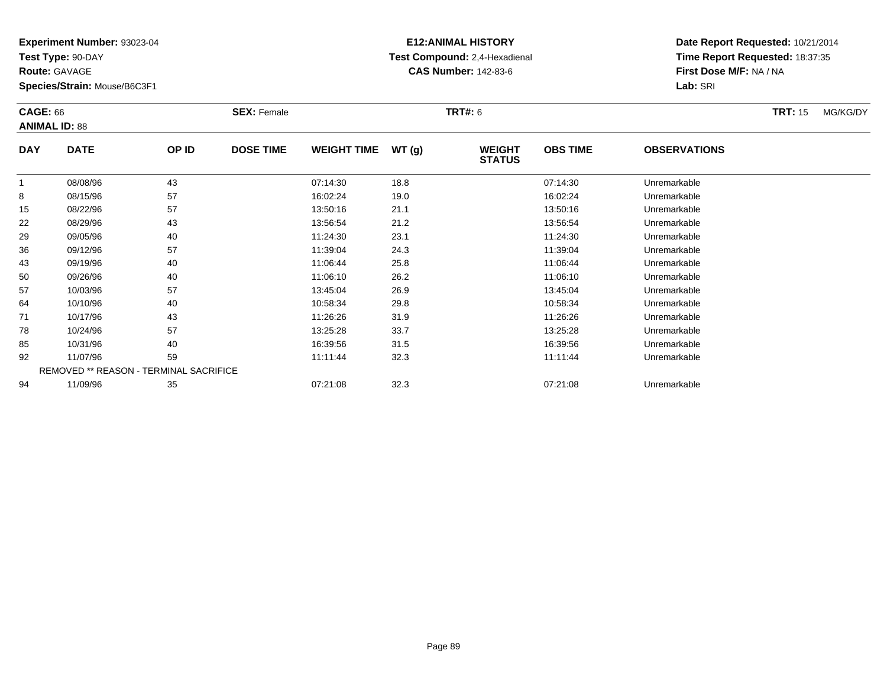**Test Type:** 90-DAY

**Route:** GAVAGE

**Species/Strain:** Mouse/B6C3F1

# **E12:ANIMAL HISTORY Test Compound:** 2,4-Hexadienal **CAS Number:** 142-83-6

| <b>CAGE: 66</b>      |                                        |       | <b>SEX: Female</b> |                    |       | TRT#: 6                        |                 |                     | MG/KG/DY<br><b>TRT:</b> 15 |
|----------------------|----------------------------------------|-------|--------------------|--------------------|-------|--------------------------------|-----------------|---------------------|----------------------------|
| <b>ANIMAL ID: 88</b> |                                        |       |                    |                    |       |                                |                 |                     |                            |
| <b>DAY</b>           | <b>DATE</b>                            | OP ID | <b>DOSE TIME</b>   | <b>WEIGHT TIME</b> | WT(g) | <b>WEIGHT</b><br><b>STATUS</b> | <b>OBS TIME</b> | <b>OBSERVATIONS</b> |                            |
| 1                    | 08/08/96                               | 43    |                    | 07:14:30           | 18.8  |                                | 07:14:30        | Unremarkable        |                            |
| 8                    | 08/15/96                               | 57    |                    | 16:02:24           | 19.0  |                                | 16:02:24        | Unremarkable        |                            |
| 15                   | 08/22/96                               | 57    |                    | 13:50:16           | 21.1  |                                | 13:50:16        | Unremarkable        |                            |
| 22                   | 08/29/96                               | 43    |                    | 13:56:54           | 21.2  |                                | 13:56:54        | Unremarkable        |                            |
| 29                   | 09/05/96                               | 40    |                    | 11:24:30           | 23.1  |                                | 11:24:30        | Unremarkable        |                            |
| 36                   | 09/12/96                               | 57    |                    | 11:39:04           | 24.3  |                                | 11:39:04        | Unremarkable        |                            |
| 43                   | 09/19/96                               | 40    |                    | 11:06:44           | 25.8  |                                | 11:06:44        | Unremarkable        |                            |
| 50                   | 09/26/96                               | 40    |                    | 11:06:10           | 26.2  |                                | 11:06:10        | Unremarkable        |                            |
| 57                   | 10/03/96                               | 57    |                    | 13:45:04           | 26.9  |                                | 13:45:04        | Unremarkable        |                            |
| 64                   | 10/10/96                               | 40    |                    | 10:58:34           | 29.8  |                                | 10:58:34        | Unremarkable        |                            |
| 71                   | 10/17/96                               | 43    |                    | 11:26:26           | 31.9  |                                | 11:26:26        | Unremarkable        |                            |
| 78                   | 10/24/96                               | 57    |                    | 13:25:28           | 33.7  |                                | 13:25:28        | Unremarkable        |                            |
| 85                   | 10/31/96                               | 40    |                    | 16:39:56           | 31.5  |                                | 16:39:56        | Unremarkable        |                            |
| 92                   | 11/07/96                               | 59    |                    | 11:11:44           | 32.3  |                                | 11:11:44        | Unremarkable        |                            |
|                      | REMOVED ** REASON - TERMINAL SACRIFICE |       |                    |                    |       |                                |                 |                     |                            |
| 94                   | 11/09/96                               | 35    |                    | 07:21:08           | 32.3  |                                | 07:21:08        | Unremarkable        |                            |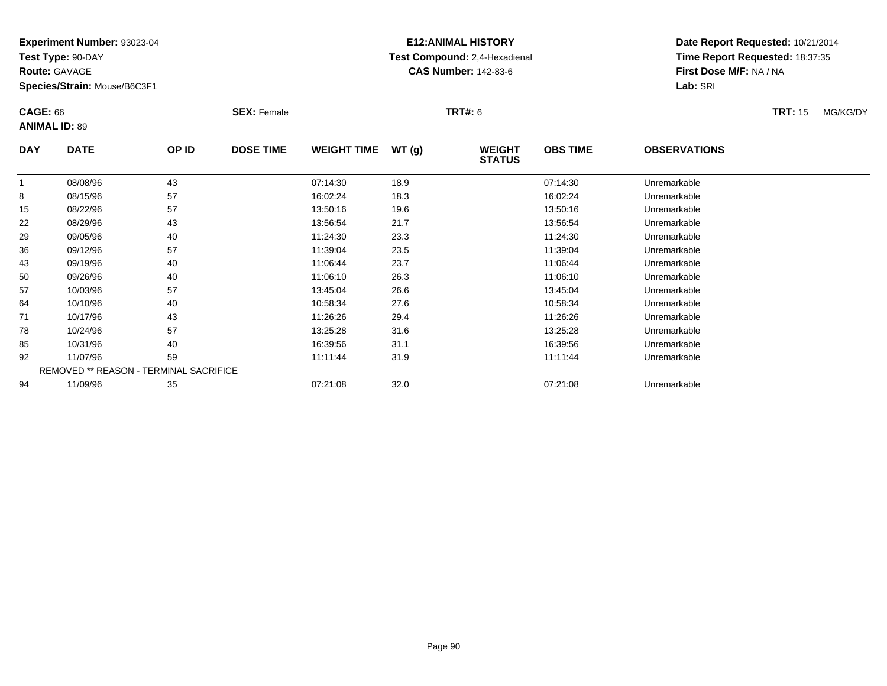**Test Type:** 90-DAY

**Route:** GAVAGE

**Species/Strain:** Mouse/B6C3F1

# **E12:ANIMAL HISTORY Test Compound:** 2,4-Hexadienal **CAS Number:** 142-83-6

| <b>CAGE: 66</b><br><b>ANIMAL ID: 89</b> |                                        |       | <b>SEX: Female</b> |                    |       | <b>TRT#:</b> 6                 |                 |                     | <b>TRT: 15</b> | MG/KG/DY |
|-----------------------------------------|----------------------------------------|-------|--------------------|--------------------|-------|--------------------------------|-----------------|---------------------|----------------|----------|
| <b>DAY</b>                              | <b>DATE</b>                            | OP ID | <b>DOSE TIME</b>   | <b>WEIGHT TIME</b> | WT(g) | <b>WEIGHT</b><br><b>STATUS</b> | <b>OBS TIME</b> | <b>OBSERVATIONS</b> |                |          |
| 1                                       | 08/08/96                               | 43    |                    | 07:14:30           | 18.9  |                                | 07:14:30        | Unremarkable        |                |          |
| 8                                       | 08/15/96                               | 57    |                    | 16:02:24           | 18.3  |                                | 16:02:24        | Unremarkable        |                |          |
| 15                                      | 08/22/96                               | 57    |                    | 13:50:16           | 19.6  |                                | 13:50:16        | Unremarkable        |                |          |
| 22                                      | 08/29/96                               | 43    |                    | 13:56:54           | 21.7  |                                | 13:56:54        | Unremarkable        |                |          |
| 29                                      | 09/05/96                               | 40    |                    | 11:24:30           | 23.3  |                                | 11:24:30        | Unremarkable        |                |          |
| 36                                      | 09/12/96                               | 57    |                    | 11:39:04           | 23.5  |                                | 11:39:04        | Unremarkable        |                |          |
| 43                                      | 09/19/96                               | 40    |                    | 11:06:44           | 23.7  |                                | 11:06:44        | Unremarkable        |                |          |
| 50                                      | 09/26/96                               | 40    |                    | 11:06:10           | 26.3  |                                | 11:06:10        | Unremarkable        |                |          |
| 57                                      | 10/03/96                               | 57    |                    | 13:45:04           | 26.6  |                                | 13:45:04        | Unremarkable        |                |          |
| 64                                      | 10/10/96                               | 40    |                    | 10:58:34           | 27.6  |                                | 10:58:34        | Unremarkable        |                |          |
| 71                                      | 10/17/96                               | 43    |                    | 11:26:26           | 29.4  |                                | 11:26:26        | Unremarkable        |                |          |
| 78                                      | 10/24/96                               | 57    |                    | 13:25:28           | 31.6  |                                | 13:25:28        | Unremarkable        |                |          |
| 85                                      | 10/31/96                               | 40    |                    | 16:39:56           | 31.1  |                                | 16:39:56        | Unremarkable        |                |          |
| 92                                      | 11/07/96                               | 59    |                    | 11:11:44           | 31.9  |                                | 11:11:44        | Unremarkable        |                |          |
|                                         | REMOVED ** REASON - TERMINAL SACRIFICE |       |                    |                    |       |                                |                 |                     |                |          |
| 94                                      | 11/09/96                               | 35    |                    | 07:21:08           | 32.0  |                                | 07:21:08        | Unremarkable        |                |          |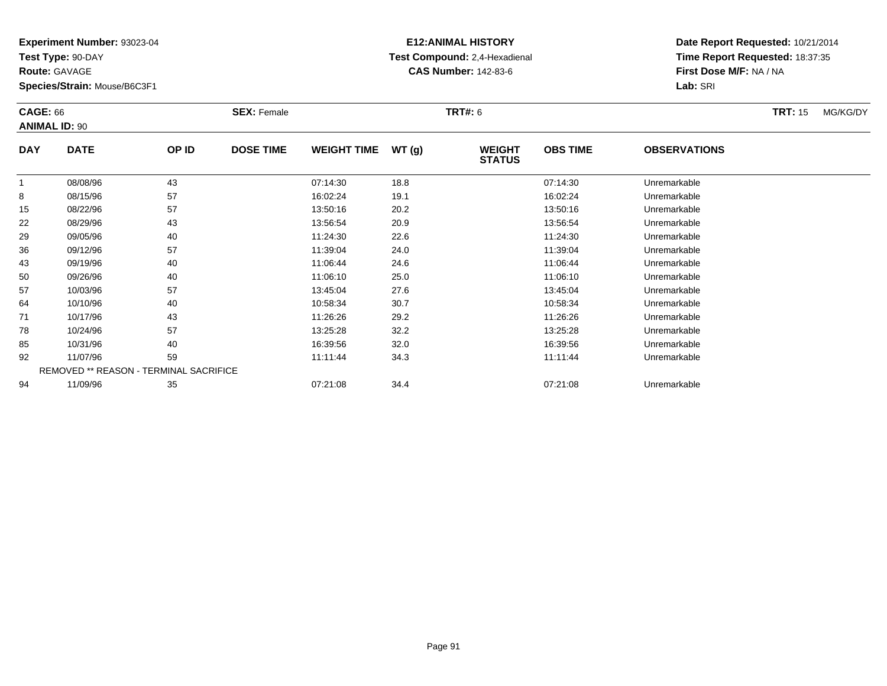**Test Type:** 90-DAY

**Route:** GAVAGE

**Species/Strain:** Mouse/B6C3F1

# **E12:ANIMAL HISTORY Test Compound:** 2,4-Hexadienal **CAS Number:** 142-83-6

| <b>CAGE: 66</b> | <b>ANIMAL ID: 90</b> |                                        | <b>SEX: Female</b> |                    |       | <b>TRT#: 6</b>                 |                 |                     | <b>TRT: 15</b> | MG/KG/DY |
|-----------------|----------------------|----------------------------------------|--------------------|--------------------|-------|--------------------------------|-----------------|---------------------|----------------|----------|
| <b>DAY</b>      | <b>DATE</b>          | OP ID                                  | <b>DOSE TIME</b>   | <b>WEIGHT TIME</b> | WT(g) | <b>WEIGHT</b><br><b>STATUS</b> | <b>OBS TIME</b> | <b>OBSERVATIONS</b> |                |          |
|                 | 08/08/96             | 43                                     |                    | 07:14:30           | 18.8  |                                | 07:14:30        | Unremarkable        |                |          |
| 8               | 08/15/96             | 57                                     |                    | 16:02:24           | 19.1  |                                | 16:02:24        | Unremarkable        |                |          |
| 15              | 08/22/96             | 57                                     |                    | 13:50:16           | 20.2  |                                | 13:50:16        | Unremarkable        |                |          |
| 22              | 08/29/96             | 43                                     |                    | 13:56:54           | 20.9  |                                | 13:56:54        | Unremarkable        |                |          |
| 29              | 09/05/96             | 40                                     |                    | 11:24:30           | 22.6  |                                | 11:24:30        | Unremarkable        |                |          |
| 36              | 09/12/96             | 57                                     |                    | 11:39:04           | 24.0  |                                | 11:39:04        | Unremarkable        |                |          |
| 43              | 09/19/96             | 40                                     |                    | 11:06:44           | 24.6  |                                | 11:06:44        | Unremarkable        |                |          |
| 50              | 09/26/96             | 40                                     |                    | 11:06:10           | 25.0  |                                | 11:06:10        | Unremarkable        |                |          |
| 57              | 10/03/96             | 57                                     |                    | 13:45:04           | 27.6  |                                | 13:45:04        | Unremarkable        |                |          |
| 64              | 10/10/96             | 40                                     |                    | 10:58:34           | 30.7  |                                | 10:58:34        | Unremarkable        |                |          |
| 71              | 10/17/96             | 43                                     |                    | 11:26:26           | 29.2  |                                | 11:26:26        | Unremarkable        |                |          |
| 78              | 10/24/96             | 57                                     |                    | 13:25:28           | 32.2  |                                | 13:25:28        | Unremarkable        |                |          |
| 85              | 10/31/96             | 40                                     |                    | 16:39:56           | 32.0  |                                | 16:39:56        | Unremarkable        |                |          |
| 92              | 11/07/96             | 59                                     |                    | 11:11:44           | 34.3  |                                | 11:11:44        | Unremarkable        |                |          |
|                 |                      | REMOVED ** REASON - TERMINAL SACRIFICE |                    |                    |       |                                |                 |                     |                |          |
| 94              | 11/09/96             | 35                                     |                    | 07:21:08           | 34.4  |                                | 07:21:08        | Unremarkable        |                |          |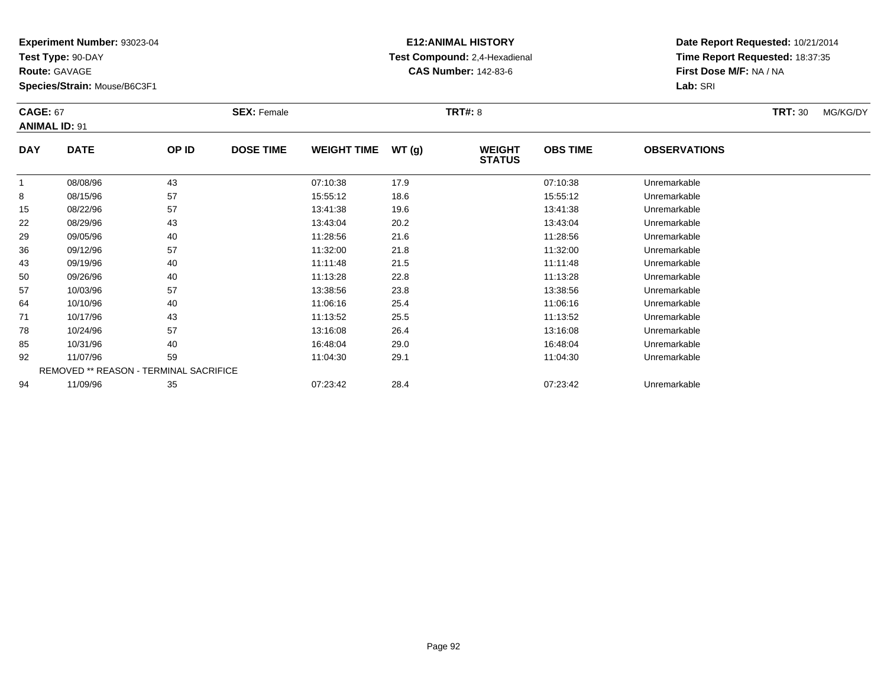**Test Type:** 90-DAY

**Route:** GAVAGE

**Species/Strain:** Mouse/B6C3F1

# **E12:ANIMAL HISTORY Test Compound:** 2,4-Hexadienal **CAS Number:** 142-83-6

| <b>CAGE: 67</b> | <b>ANIMAL ID: 91</b>                          |       | <b>SEX: Female</b> |                    |       | <b>TRT#: 8</b>                 |                 |                     | <b>TRT: 30</b> | MG/KG/DY |
|-----------------|-----------------------------------------------|-------|--------------------|--------------------|-------|--------------------------------|-----------------|---------------------|----------------|----------|
| <b>DAY</b>      | <b>DATE</b>                                   | OP ID | <b>DOSE TIME</b>   | <b>WEIGHT TIME</b> | WT(g) | <b>WEIGHT</b><br><b>STATUS</b> | <b>OBS TIME</b> | <b>OBSERVATIONS</b> |                |          |
| 1               | 08/08/96                                      | 43    |                    | 07:10:38           | 17.9  |                                | 07:10:38        | Unremarkable        |                |          |
| 8               | 08/15/96                                      | 57    |                    | 15:55:12           | 18.6  |                                | 15:55:12        | Unremarkable        |                |          |
| 15              | 08/22/96                                      | 57    |                    | 13:41:38           | 19.6  |                                | 13:41:38        | Unremarkable        |                |          |
| 22              | 08/29/96                                      | 43    |                    | 13:43:04           | 20.2  |                                | 13:43:04        | Unremarkable        |                |          |
| 29              | 09/05/96                                      | 40    |                    | 11:28:56           | 21.6  |                                | 11:28:56        | Unremarkable        |                |          |
| 36              | 09/12/96                                      | 57    |                    | 11:32:00           | 21.8  |                                | 11:32:00        | Unremarkable        |                |          |
| 43              | 09/19/96                                      | 40    |                    | 11:11:48           | 21.5  |                                | 11:11:48        | Unremarkable        |                |          |
| 50              | 09/26/96                                      | 40    |                    | 11:13:28           | 22.8  |                                | 11:13:28        | Unremarkable        |                |          |
| 57              | 10/03/96                                      | 57    |                    | 13:38:56           | 23.8  |                                | 13:38:56        | Unremarkable        |                |          |
| 64              | 10/10/96                                      | 40    |                    | 11:06:16           | 25.4  |                                | 11:06:16        | Unremarkable        |                |          |
| 71              | 10/17/96                                      | 43    |                    | 11:13:52           | 25.5  |                                | 11:13:52        | Unremarkable        |                |          |
| 78              | 10/24/96                                      | 57    |                    | 13:16:08           | 26.4  |                                | 13:16:08        | Unremarkable        |                |          |
| 85              | 10/31/96                                      | 40    |                    | 16:48:04           | 29.0  |                                | 16:48:04        | Unremarkable        |                |          |
| 92              | 11/07/96                                      | 59    |                    | 11:04:30           | 29.1  |                                | 11:04:30        | Unremarkable        |                |          |
|                 | <b>REMOVED ** REASON - TERMINAL SACRIFICE</b> |       |                    |                    |       |                                |                 |                     |                |          |
| 94              | 11/09/96                                      | 35    |                    | 07:23:42           | 28.4  |                                | 07:23:42        | Unremarkable        |                |          |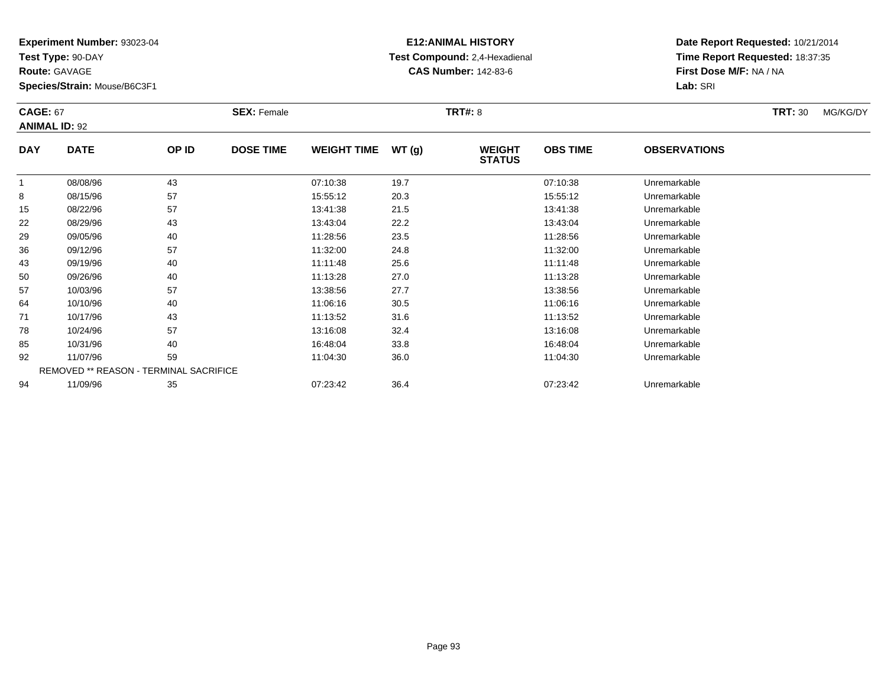**Test Type:** 90-DAY

**Route:** GAVAGE

**Species/Strain:** Mouse/B6C3F1

# **E12:ANIMAL HISTORY Test Compound:** 2,4-Hexadienal **CAS Number:** 142-83-6

| <b>CAGE: 67</b> | <b>ANIMAL ID: 92</b>                          |       | <b>SEX: Female</b> |                    |       | <b>TRT#: 8</b>                 |                 |                     | <b>TRT: 30</b> | MG/KG/DY |
|-----------------|-----------------------------------------------|-------|--------------------|--------------------|-------|--------------------------------|-----------------|---------------------|----------------|----------|
| <b>DAY</b>      | <b>DATE</b>                                   | OP ID | <b>DOSE TIME</b>   | <b>WEIGHT TIME</b> | WT(g) | <b>WEIGHT</b><br><b>STATUS</b> | <b>OBS TIME</b> | <b>OBSERVATIONS</b> |                |          |
| -1              | 08/08/96                                      | 43    |                    | 07:10:38           | 19.7  |                                | 07:10:38        | Unremarkable        |                |          |
| 8               | 08/15/96                                      | 57    |                    | 15:55:12           | 20.3  |                                | 15:55:12        | Unremarkable        |                |          |
| 15              | 08/22/96                                      | 57    |                    | 13:41:38           | 21.5  |                                | 13:41:38        | Unremarkable        |                |          |
| 22              | 08/29/96                                      | 43    |                    | 13:43:04           | 22.2  |                                | 13:43:04        | Unremarkable        |                |          |
| 29              | 09/05/96                                      | 40    |                    | 11:28:56           | 23.5  |                                | 11:28:56        | Unremarkable        |                |          |
| 36              | 09/12/96                                      | 57    |                    | 11:32:00           | 24.8  |                                | 11:32:00        | Unremarkable        |                |          |
| 43              | 09/19/96                                      | 40    |                    | 11:11:48           | 25.6  |                                | 11:11:48        | Unremarkable        |                |          |
| 50              | 09/26/96                                      | 40    |                    | 11:13:28           | 27.0  |                                | 11:13:28        | Unremarkable        |                |          |
| 57              | 10/03/96                                      | 57    |                    | 13:38:56           | 27.7  |                                | 13:38:56        | Unremarkable        |                |          |
| 64              | 10/10/96                                      | 40    |                    | 11:06:16           | 30.5  |                                | 11:06:16        | Unremarkable        |                |          |
| 71              | 10/17/96                                      | 43    |                    | 11:13:52           | 31.6  |                                | 11:13:52        | Unremarkable        |                |          |
| 78              | 10/24/96                                      | 57    |                    | 13:16:08           | 32.4  |                                | 13:16:08        | Unremarkable        |                |          |
| 85              | 10/31/96                                      | 40    |                    | 16:48:04           | 33.8  |                                | 16:48:04        | Unremarkable        |                |          |
| 92              | 11/07/96                                      | 59    |                    | 11:04:30           | 36.0  |                                | 11:04:30        | Unremarkable        |                |          |
|                 | <b>REMOVED ** REASON - TERMINAL SACRIFICE</b> |       |                    |                    |       |                                |                 |                     |                |          |
| 94              | 11/09/96                                      | 35    |                    | 07:23:42           | 36.4  |                                | 07:23:42        | Unremarkable        |                |          |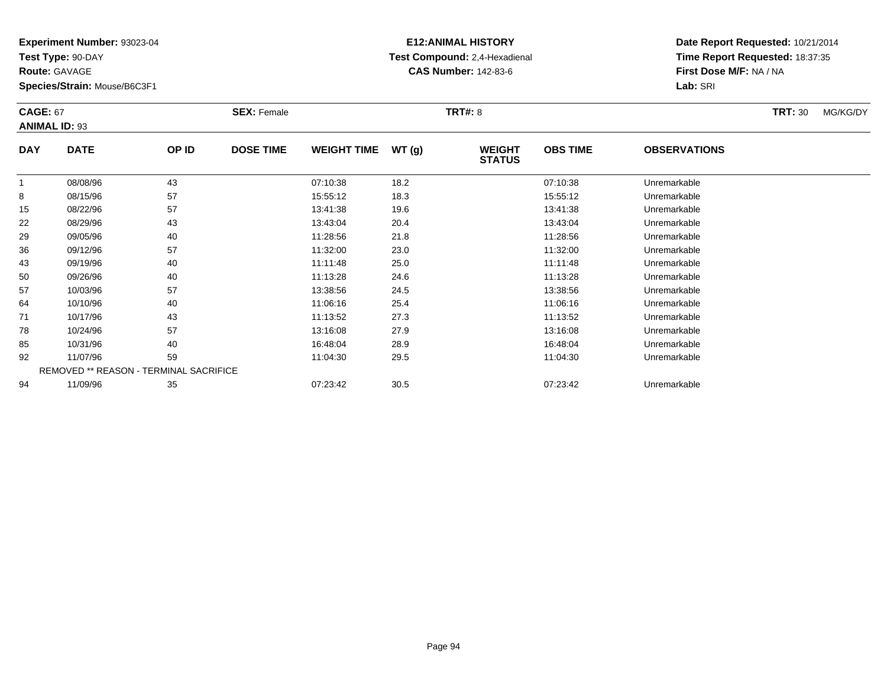**Test Type:** 90-DAY

**Route:** GAVAGE

**Species/Strain:** Mouse/B6C3F1

# **E12:ANIMAL HISTORY Test Compound:** 2,4-Hexadienal **CAS Number:** 142-83-6

| <b>CAGE: 67</b><br><b>ANIMAL ID: 93</b> |             |                                        | <b>SEX: Female</b> |                    |       | <b>TRT#: 8</b>                 |                 |                     | <b>TRT: 30</b> | MG/KG/DY |
|-----------------------------------------|-------------|----------------------------------------|--------------------|--------------------|-------|--------------------------------|-----------------|---------------------|----------------|----------|
| <b>DAY</b>                              | <b>DATE</b> | OP ID                                  | <b>DOSE TIME</b>   | <b>WEIGHT TIME</b> | WT(g) | <b>WEIGHT</b><br><b>STATUS</b> | <b>OBS TIME</b> | <b>OBSERVATIONS</b> |                |          |
|                                         | 08/08/96    | 43                                     |                    | 07:10:38           | 18.2  |                                | 07:10:38        | Unremarkable        |                |          |
| 8                                       | 08/15/96    | 57                                     |                    | 15:55:12           | 18.3  |                                | 15:55:12        | Unremarkable        |                |          |
| 15                                      | 08/22/96    | 57                                     |                    | 13:41:38           | 19.6  |                                | 13:41:38        | Unremarkable        |                |          |
| 22                                      | 08/29/96    | 43                                     |                    | 13:43:04           | 20.4  |                                | 13:43:04        | Unremarkable        |                |          |
| 29                                      | 09/05/96    | 40                                     |                    | 11:28:56           | 21.8  |                                | 11:28:56        | Unremarkable        |                |          |
| 36                                      | 09/12/96    | 57                                     |                    | 11:32:00           | 23.0  |                                | 11:32:00        | Unremarkable        |                |          |
| 43                                      | 09/19/96    | 40                                     |                    | 11:11:48           | 25.0  |                                | 11:11:48        | Unremarkable        |                |          |
| 50                                      | 09/26/96    | 40                                     |                    | 11:13:28           | 24.6  |                                | 11:13:28        | Unremarkable        |                |          |
| 57                                      | 10/03/96    | 57                                     |                    | 13:38:56           | 24.5  |                                | 13:38:56        | Unremarkable        |                |          |
| 64                                      | 10/10/96    | 40                                     |                    | 11:06:16           | 25.4  |                                | 11:06:16        | Unremarkable        |                |          |
| 71                                      | 10/17/96    | 43                                     |                    | 11:13:52           | 27.3  |                                | 11:13:52        | Unremarkable        |                |          |
| 78                                      | 10/24/96    | 57                                     |                    | 13:16:08           | 27.9  |                                | 13:16:08        | Unremarkable        |                |          |
| 85                                      | 10/31/96    | 40                                     |                    | 16:48:04           | 28.9  |                                | 16:48:04        | Unremarkable        |                |          |
| 92                                      | 11/07/96    | 59                                     |                    | 11:04:30           | 29.5  |                                | 11:04:30        | Unremarkable        |                |          |
|                                         |             | REMOVED ** REASON - TERMINAL SACRIFICE |                    |                    |       |                                |                 |                     |                |          |
| 94                                      | 11/09/96    | 35                                     |                    | 07:23:42           | 30.5  |                                | 07:23:42        | Unremarkable        |                |          |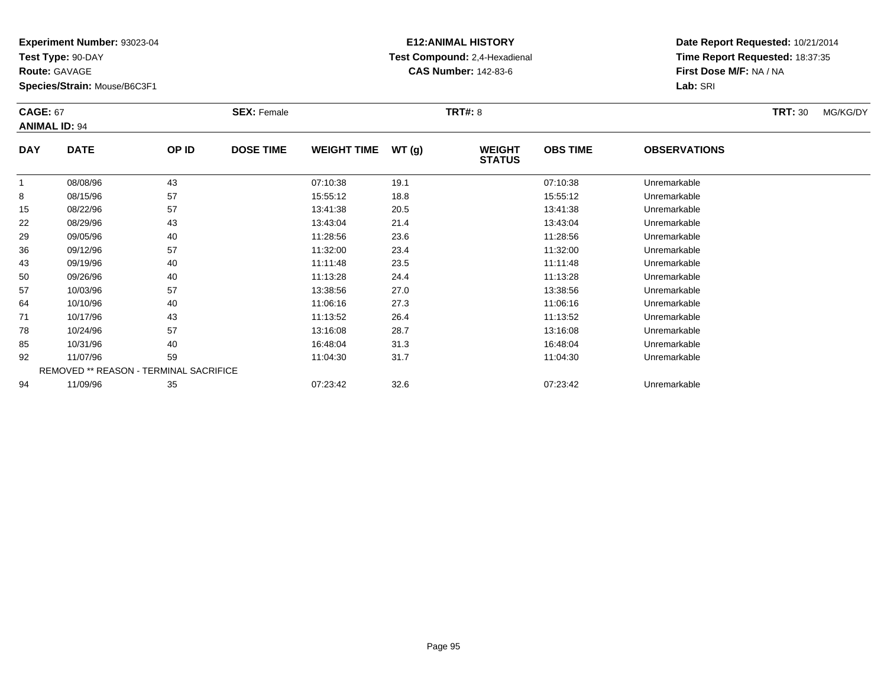**Test Type:** 90-DAY

**Route:** GAVAGE

**Species/Strain:** Mouse/B6C3F1

# **E12:ANIMAL HISTORY Test Compound:** 2,4-Hexadienal **CAS Number:** 142-83-6

| <b>CAGE: 67</b><br><b>ANIMAL ID: 94</b> |             |                                        | <b>SEX: Female</b> |                    |       | <b>TRT#: 8</b>                 |                 |                     | <b>TRT: 30</b> | MG/KG/DY |
|-----------------------------------------|-------------|----------------------------------------|--------------------|--------------------|-------|--------------------------------|-----------------|---------------------|----------------|----------|
| <b>DAY</b>                              | <b>DATE</b> | OP ID                                  | <b>DOSE TIME</b>   | <b>WEIGHT TIME</b> | WT(g) | <b>WEIGHT</b><br><b>STATUS</b> | <b>OBS TIME</b> | <b>OBSERVATIONS</b> |                |          |
|                                         | 08/08/96    | 43                                     |                    | 07:10:38           | 19.1  |                                | 07:10:38        | Unremarkable        |                |          |
| 8                                       | 08/15/96    | 57                                     |                    | 15:55:12           | 18.8  |                                | 15:55:12        | Unremarkable        |                |          |
| 15                                      | 08/22/96    | 57                                     |                    | 13:41:38           | 20.5  |                                | 13:41:38        | Unremarkable        |                |          |
| 22                                      | 08/29/96    | 43                                     |                    | 13:43:04           | 21.4  |                                | 13:43:04        | Unremarkable        |                |          |
| 29                                      | 09/05/96    | 40                                     |                    | 11:28:56           | 23.6  |                                | 11:28:56        | Unremarkable        |                |          |
| 36                                      | 09/12/96    | 57                                     |                    | 11:32:00           | 23.4  |                                | 11:32:00        | Unremarkable        |                |          |
| 43                                      | 09/19/96    | 40                                     |                    | 11:11:48           | 23.5  |                                | 11:11:48        | Unremarkable        |                |          |
| 50                                      | 09/26/96    | 40                                     |                    | 11:13:28           | 24.4  |                                | 11:13:28        | Unremarkable        |                |          |
| 57                                      | 10/03/96    | 57                                     |                    | 13:38:56           | 27.0  |                                | 13:38:56        | Unremarkable        |                |          |
| 64                                      | 10/10/96    | 40                                     |                    | 11:06:16           | 27.3  |                                | 11:06:16        | Unremarkable        |                |          |
| 71                                      | 10/17/96    | 43                                     |                    | 11:13:52           | 26.4  |                                | 11:13:52        | Unremarkable        |                |          |
| 78                                      | 10/24/96    | 57                                     |                    | 13:16:08           | 28.7  |                                | 13:16:08        | Unremarkable        |                |          |
| 85                                      | 10/31/96    | 40                                     |                    | 16:48:04           | 31.3  |                                | 16:48:04        | Unremarkable        |                |          |
| 92                                      | 11/07/96    | 59                                     |                    | 11:04:30           | 31.7  |                                | 11:04:30        | Unremarkable        |                |          |
|                                         |             | REMOVED ** REASON - TERMINAL SACRIFICE |                    |                    |       |                                |                 |                     |                |          |
| 94                                      | 11/09/96    | 35                                     |                    | 07:23:42           | 32.6  |                                | 07:23:42        | Unremarkable        |                |          |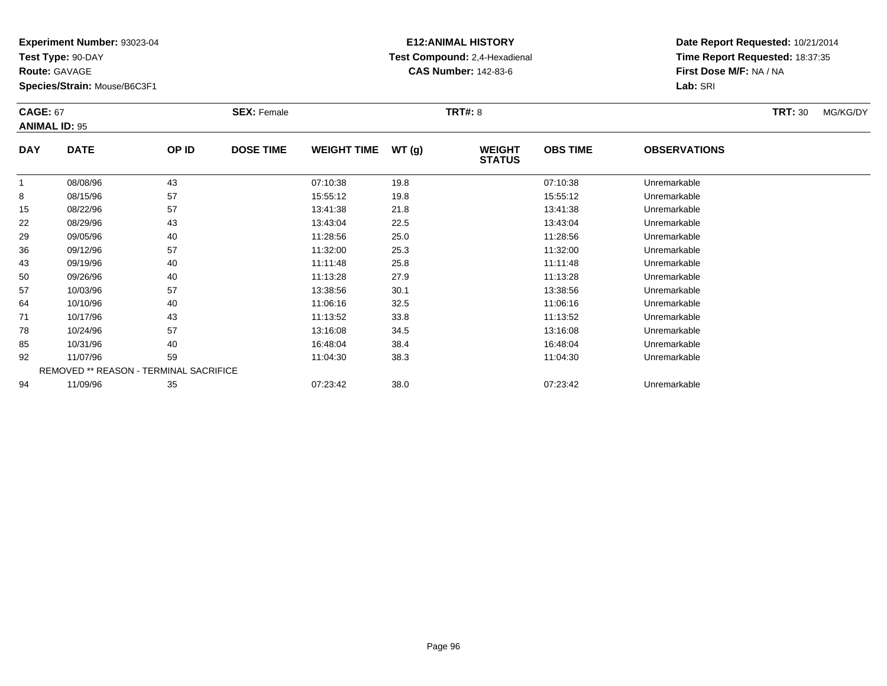**Test Type:** 90-DAY

**Route:** GAVAGE

**Species/Strain:** Mouse/B6C3F1

# **E12:ANIMAL HISTORY Test Compound:** 2,4-Hexadienal **CAS Number:** 142-83-6

| <b>CAGE: 67</b><br><b>ANIMAL ID: 95</b> |             |                                        | <b>SEX: Female</b> |                    |       | <b>TRT#: 8</b>                 |                 |                     | <b>TRT: 30</b> | MG/KG/DY |
|-----------------------------------------|-------------|----------------------------------------|--------------------|--------------------|-------|--------------------------------|-----------------|---------------------|----------------|----------|
| <b>DAY</b>                              | <b>DATE</b> | OP ID                                  | <b>DOSE TIME</b>   | <b>WEIGHT TIME</b> | WT(g) | <b>WEIGHT</b><br><b>STATUS</b> | <b>OBS TIME</b> | <b>OBSERVATIONS</b> |                |          |
|                                         | 08/08/96    | 43                                     |                    | 07:10:38           | 19.8  |                                | 07:10:38        | Unremarkable        |                |          |
| 8                                       | 08/15/96    | 57                                     |                    | 15:55:12           | 19.8  |                                | 15:55:12        | Unremarkable        |                |          |
| 15                                      | 08/22/96    | 57                                     |                    | 13:41:38           | 21.8  |                                | 13:41:38        | Unremarkable        |                |          |
| 22                                      | 08/29/96    | 43                                     |                    | 13:43:04           | 22.5  |                                | 13:43:04        | Unremarkable        |                |          |
| 29                                      | 09/05/96    | 40                                     |                    | 11:28:56           | 25.0  |                                | 11:28:56        | Unremarkable        |                |          |
| 36                                      | 09/12/96    | 57                                     |                    | 11:32:00           | 25.3  |                                | 11:32:00        | Unremarkable        |                |          |
| 43                                      | 09/19/96    | 40                                     |                    | 11:11:48           | 25.8  |                                | 11:11:48        | Unremarkable        |                |          |
| 50                                      | 09/26/96    | 40                                     |                    | 11:13:28           | 27.9  |                                | 11:13:28        | Unremarkable        |                |          |
| 57                                      | 10/03/96    | 57                                     |                    | 13:38:56           | 30.1  |                                | 13:38:56        | Unremarkable        |                |          |
| 64                                      | 10/10/96    | 40                                     |                    | 11:06:16           | 32.5  |                                | 11:06:16        | Unremarkable        |                |          |
| 71                                      | 10/17/96    | 43                                     |                    | 11:13:52           | 33.8  |                                | 11:13:52        | Unremarkable        |                |          |
| 78                                      | 10/24/96    | 57                                     |                    | 13:16:08           | 34.5  |                                | 13:16:08        | Unremarkable        |                |          |
| 85                                      | 10/31/96    | 40                                     |                    | 16:48:04           | 38.4  |                                | 16:48:04        | Unremarkable        |                |          |
| 92                                      | 11/07/96    | 59                                     |                    | 11:04:30           | 38.3  |                                | 11:04:30        | Unremarkable        |                |          |
|                                         |             | REMOVED ** REASON - TERMINAL SACRIFICE |                    |                    |       |                                |                 |                     |                |          |
| 94                                      | 11/09/96    | 35                                     |                    | 07:23:42           | 38.0  |                                | 07:23:42        | Unremarkable        |                |          |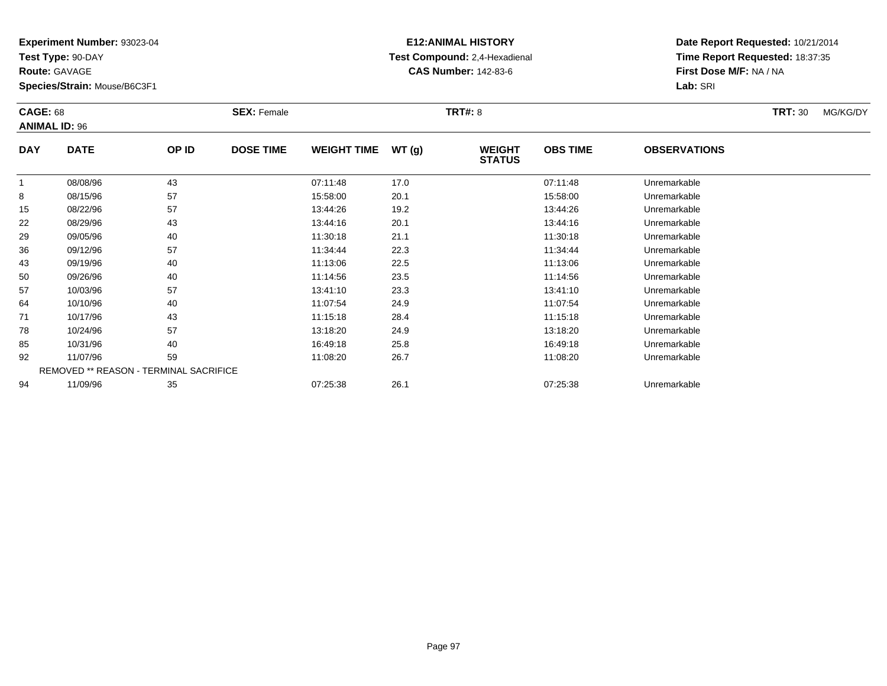**Test Type:** 90-DAY

**Route:** GAVAGE

**Species/Strain:** Mouse/B6C3F1

# **E12:ANIMAL HISTORY Test Compound:** 2,4-Hexadienal **CAS Number:** 142-83-6

| <b>CAGE: 68</b> | <b>ANIMAL ID: 96</b> |                                        | <b>SEX: Female</b> |                    |       | <b>TRT#: 8</b>                 |                 |                     | <b>TRT: 30</b> | MG/KG/DY |
|-----------------|----------------------|----------------------------------------|--------------------|--------------------|-------|--------------------------------|-----------------|---------------------|----------------|----------|
| <b>DAY</b>      | <b>DATE</b>          | OP ID                                  | <b>DOSE TIME</b>   | <b>WEIGHT TIME</b> | WT(g) | <b>WEIGHT</b><br><b>STATUS</b> | <b>OBS TIME</b> | <b>OBSERVATIONS</b> |                |          |
|                 | 08/08/96             | 43                                     |                    | 07:11:48           | 17.0  |                                | 07:11:48        | Unremarkable        |                |          |
| 8               | 08/15/96             | 57                                     |                    | 15:58:00           | 20.1  |                                | 15:58:00        | Unremarkable        |                |          |
| 15              | 08/22/96             | 57                                     |                    | 13:44:26           | 19.2  |                                | 13:44:26        | Unremarkable        |                |          |
| 22              | 08/29/96             | 43                                     |                    | 13:44:16           | 20.1  |                                | 13:44:16        | Unremarkable        |                |          |
| 29              | 09/05/96             | 40                                     |                    | 11:30:18           | 21.1  |                                | 11:30:18        | Unremarkable        |                |          |
| 36              | 09/12/96             | 57                                     |                    | 11:34:44           | 22.3  |                                | 11:34:44        | Unremarkable        |                |          |
| 43              | 09/19/96             | 40                                     |                    | 11:13:06           | 22.5  |                                | 11:13:06        | Unremarkable        |                |          |
| 50              | 09/26/96             | 40                                     |                    | 11:14:56           | 23.5  |                                | 11:14:56        | Unremarkable        |                |          |
| 57              | 10/03/96             | 57                                     |                    | 13:41:10           | 23.3  |                                | 13:41:10        | Unremarkable        |                |          |
| 64              | 10/10/96             | 40                                     |                    | 11:07:54           | 24.9  |                                | 11:07:54        | Unremarkable        |                |          |
| 71              | 10/17/96             | 43                                     |                    | 11:15:18           | 28.4  |                                | 11:15:18        | Unremarkable        |                |          |
| 78              | 10/24/96             | 57                                     |                    | 13:18:20           | 24.9  |                                | 13:18:20        | Unremarkable        |                |          |
| 85              | 10/31/96             | 40                                     |                    | 16:49:18           | 25.8  |                                | 16:49:18        | Unremarkable        |                |          |
| 92              | 11/07/96             | 59                                     |                    | 11:08:20           | 26.7  |                                | 11:08:20        | Unremarkable        |                |          |
|                 |                      | REMOVED ** REASON - TERMINAL SACRIFICE |                    |                    |       |                                |                 |                     |                |          |
| 94              | 11/09/96             | 35                                     |                    | 07:25:38           | 26.1  |                                | 07:25:38        | Unremarkable        |                |          |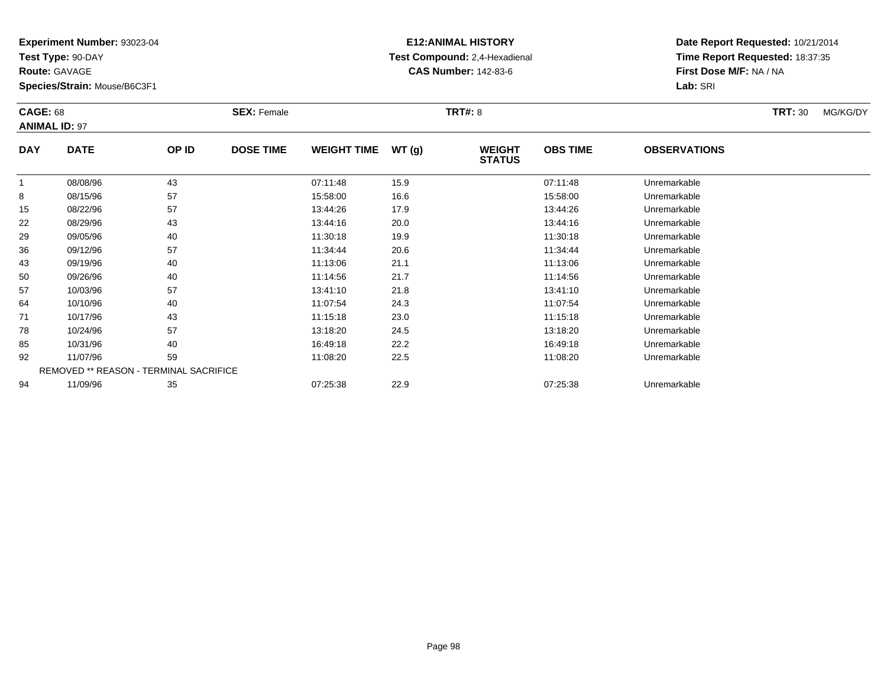**Test Type:** 90-DAY

**Route:** GAVAGE

**Species/Strain:** Mouse/B6C3F1

# **E12:ANIMAL HISTORY Test Compound:** 2,4-Hexadienal **CAS Number:** 142-83-6

| <b>CAGE: 68</b> | <b>ANIMAL ID: 97</b>                   |       | <b>SEX: Female</b> |                    |       | <b>TRT#: 8</b>                 |                 |                     | <b>TRT: 30</b> | MG/KG/DY |
|-----------------|----------------------------------------|-------|--------------------|--------------------|-------|--------------------------------|-----------------|---------------------|----------------|----------|
| <b>DAY</b>      | <b>DATE</b>                            | OP ID | <b>DOSE TIME</b>   | <b>WEIGHT TIME</b> | WT(g) | <b>WEIGHT</b><br><b>STATUS</b> | <b>OBS TIME</b> | <b>OBSERVATIONS</b> |                |          |
| -1              | 08/08/96                               | 43    |                    | 07:11:48           | 15.9  |                                | 07:11:48        | Unremarkable        |                |          |
| 8               | 08/15/96                               | 57    |                    | 15:58:00           | 16.6  |                                | 15:58:00        | Unremarkable        |                |          |
| 15              | 08/22/96                               | 57    |                    | 13:44:26           | 17.9  |                                | 13:44:26        | Unremarkable        |                |          |
| 22              | 08/29/96                               | 43    |                    | 13:44:16           | 20.0  |                                | 13:44:16        | Unremarkable        |                |          |
| 29              | 09/05/96                               | 40    |                    | 11:30:18           | 19.9  |                                | 11:30:18        | Unremarkable        |                |          |
| 36              | 09/12/96                               | 57    |                    | 11:34:44           | 20.6  |                                | 11:34:44        | Unremarkable        |                |          |
| 43              | 09/19/96                               | 40    |                    | 11:13:06           | 21.1  |                                | 11:13:06        | Unremarkable        |                |          |
| 50              | 09/26/96                               | 40    |                    | 11:14:56           | 21.7  |                                | 11:14:56        | Unremarkable        |                |          |
| 57              | 10/03/96                               | 57    |                    | 13:41:10           | 21.8  |                                | 13:41:10        | Unremarkable        |                |          |
| 64              | 10/10/96                               | 40    |                    | 11:07:54           | 24.3  |                                | 11:07:54        | Unremarkable        |                |          |
| 71              | 10/17/96                               | 43    |                    | 11:15:18           | 23.0  |                                | 11:15:18        | Unremarkable        |                |          |
| 78              | 10/24/96                               | 57    |                    | 13:18:20           | 24.5  |                                | 13:18:20        | Unremarkable        |                |          |
| 85              | 10/31/96                               | 40    |                    | 16:49:18           | 22.2  |                                | 16:49:18        | Unremarkable        |                |          |
| 92              | 11/07/96                               | 59    |                    | 11:08:20           | 22.5  |                                | 11:08:20        | Unremarkable        |                |          |
|                 | REMOVED ** REASON - TERMINAL SACRIFICE |       |                    |                    |       |                                |                 |                     |                |          |
| 94              | 11/09/96                               | 35    |                    | 07:25:38           | 22.9  |                                | 07:25:38        | Unremarkable        |                |          |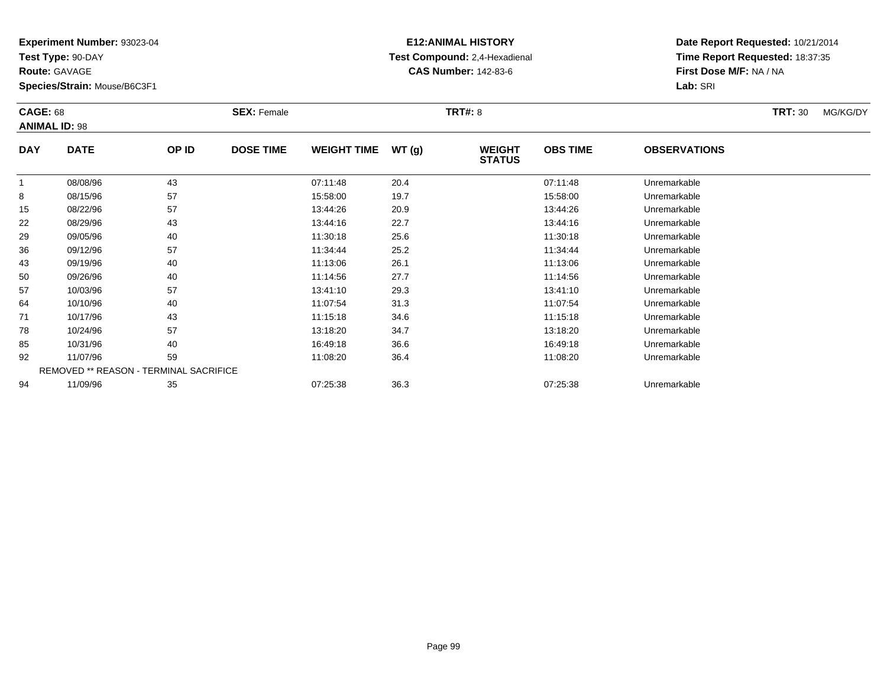**Test Type:** 90-DAY

**Route:** GAVAGE

**Species/Strain:** Mouse/B6C3F1

# **E12:ANIMAL HISTORY Test Compound:** 2,4-Hexadienal **CAS Number:** 142-83-6

| <b>CAGE: 68</b> |                                        |       | <b>SEX: Female</b> |                    |       | <b>TRT#: 8</b>                 |                 |                     | <b>TRT: 30</b> | MG/KG/DY |
|-----------------|----------------------------------------|-------|--------------------|--------------------|-------|--------------------------------|-----------------|---------------------|----------------|----------|
|                 | <b>ANIMAL ID: 98</b>                   |       |                    |                    |       |                                |                 |                     |                |          |
| <b>DAY</b>      | <b>DATE</b>                            | OP ID | <b>DOSE TIME</b>   | <b>WEIGHT TIME</b> | WT(g) | <b>WEIGHT</b><br><b>STATUS</b> | <b>OBS TIME</b> | <b>OBSERVATIONS</b> |                |          |
| 1               | 08/08/96                               | 43    |                    | 07:11:48           | 20.4  |                                | 07:11:48        | Unremarkable        |                |          |
| 8               | 08/15/96                               | 57    |                    | 15:58:00           | 19.7  |                                | 15:58:00        | Unremarkable        |                |          |
| 15              | 08/22/96                               | 57    |                    | 13:44:26           | 20.9  |                                | 13:44:26        | Unremarkable        |                |          |
| 22              | 08/29/96                               | 43    |                    | 13:44:16           | 22.7  |                                | 13:44:16        | Unremarkable        |                |          |
| 29              | 09/05/96                               | 40    |                    | 11:30:18           | 25.6  |                                | 11:30:18        | Unremarkable        |                |          |
| 36              | 09/12/96                               | 57    |                    | 11:34:44           | 25.2  |                                | 11:34:44        | Unremarkable        |                |          |
| 43              | 09/19/96                               | 40    |                    | 11:13:06           | 26.1  |                                | 11:13:06        | Unremarkable        |                |          |
| 50              | 09/26/96                               | 40    |                    | 11:14:56           | 27.7  |                                | 11:14:56        | Unremarkable        |                |          |
| 57              | 10/03/96                               | 57    |                    | 13:41:10           | 29.3  |                                | 13:41:10        | Unremarkable        |                |          |
| 64              | 10/10/96                               | 40    |                    | 11:07:54           | 31.3  |                                | 11:07:54        | Unremarkable        |                |          |
| 71              | 10/17/96                               | 43    |                    | 11:15:18           | 34.6  |                                | 11:15:18        | Unremarkable        |                |          |
| 78              | 10/24/96                               | 57    |                    | 13:18:20           | 34.7  |                                | 13:18:20        | Unremarkable        |                |          |
| 85              | 10/31/96                               | 40    |                    | 16:49:18           | 36.6  |                                | 16:49:18        | Unremarkable        |                |          |
| 92              | 11/07/96                               | 59    |                    | 11:08:20           | 36.4  |                                | 11:08:20        | Unremarkable        |                |          |
|                 | REMOVED ** REASON - TERMINAL SACRIFICE |       |                    |                    |       |                                |                 |                     |                |          |
| 94              | 11/09/96                               | 35    |                    | 07:25:38           | 36.3  |                                | 07:25:38        | Unremarkable        |                |          |
|                 |                                        |       |                    |                    |       |                                |                 |                     |                |          |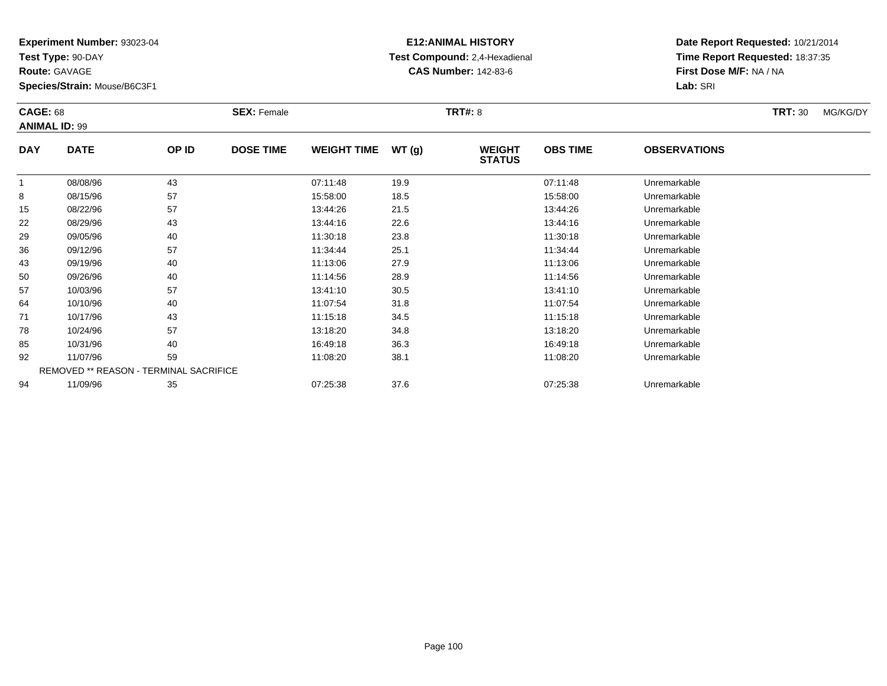**Test Type:** 90-DAY

**Route:** GAVAGE

**Species/Strain:** Mouse/B6C3F1

# **E12:ANIMAL HISTORY Test Compound:** 2,4-Hexadienal **CAS Number:** 142-83-6

| <b>CAGE: 68</b> | <b>ANIMAL ID: 99</b>                   |       | <b>SEX: Female</b> |                    |       | <b>TRT#: 8</b>                 |                 |                     | <b>TRT: 30</b> | MG/KG/DY |
|-----------------|----------------------------------------|-------|--------------------|--------------------|-------|--------------------------------|-----------------|---------------------|----------------|----------|
| <b>DAY</b>      | <b>DATE</b>                            | OP ID | <b>DOSE TIME</b>   | <b>WEIGHT TIME</b> | WT(g) | <b>WEIGHT</b><br><b>STATUS</b> | <b>OBS TIME</b> | <b>OBSERVATIONS</b> |                |          |
|                 | 08/08/96                               | 43    |                    | 07:11:48           | 19.9  |                                | 07:11:48        | Unremarkable        |                |          |
| 8               | 08/15/96                               | 57    |                    | 15:58:00           | 18.5  |                                | 15:58:00        | Unremarkable        |                |          |
| 15              | 08/22/96                               | 57    |                    | 13:44:26           | 21.5  |                                | 13:44:26        | Unremarkable        |                |          |
| 22              | 08/29/96                               | 43    |                    | 13:44:16           | 22.6  |                                | 13:44:16        | Unremarkable        |                |          |
| 29              | 09/05/96                               | 40    |                    | 11:30:18           | 23.8  |                                | 11:30:18        | Unremarkable        |                |          |
| 36              | 09/12/96                               | 57    |                    | 11:34:44           | 25.1  |                                | 11:34:44        | Unremarkable        |                |          |
| 43              | 09/19/96                               | 40    |                    | 11:13:06           | 27.9  |                                | 11:13:06        | Unremarkable        |                |          |
| 50              | 09/26/96                               | 40    |                    | 11:14:56           | 28.9  |                                | 11:14:56        | Unremarkable        |                |          |
| 57              | 10/03/96                               | 57    |                    | 13:41:10           | 30.5  |                                | 13:41:10        | Unremarkable        |                |          |
| 64              | 10/10/96                               | 40    |                    | 11:07:54           | 31.8  |                                | 11:07:54        | Unremarkable        |                |          |
| 71              | 10/17/96                               | 43    |                    | 11:15:18           | 34.5  |                                | 11:15:18        | Unremarkable        |                |          |
| 78              | 10/24/96                               | 57    |                    | 13:18:20           | 34.8  |                                | 13:18:20        | Unremarkable        |                |          |
| 85              | 10/31/96                               | 40    |                    | 16:49:18           | 36.3  |                                | 16:49:18        | Unremarkable        |                |          |
| 92              | 11/07/96                               | 59    |                    | 11:08:20           | 38.1  |                                | 11:08:20        | Unremarkable        |                |          |
|                 | REMOVED ** REASON - TERMINAL SACRIFICE |       |                    |                    |       |                                |                 |                     |                |          |
| 94              | 11/09/96                               | 35    |                    | 07:25:38           | 37.6  |                                | 07:25:38        | Unremarkable        |                |          |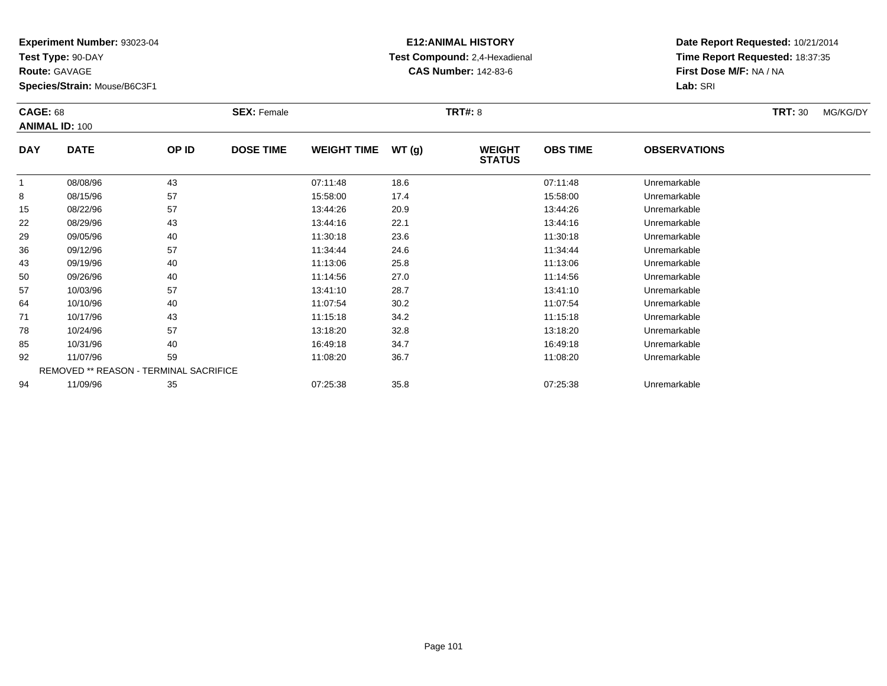**Test Type:** 90-DAY

**Route:** GAVAGE

**Species/Strain:** Mouse/B6C3F1

# **E12:ANIMAL HISTORY Test Compound:** 2,4-Hexadienal **CAS Number:** 142-83-6

| <b>CAGE: 68</b> | <b>ANIMAL ID: 100</b>                         |       | <b>SEX: Female</b> |                    |       | <b>TRT#: 8</b>                 |                 |                     | <b>TRT: 30</b> | MG/KG/DY |
|-----------------|-----------------------------------------------|-------|--------------------|--------------------|-------|--------------------------------|-----------------|---------------------|----------------|----------|
| <b>DAY</b>      | <b>DATE</b>                                   | OP ID | <b>DOSE TIME</b>   | <b>WEIGHT TIME</b> | WT(g) | <b>WEIGHT</b><br><b>STATUS</b> | <b>OBS TIME</b> | <b>OBSERVATIONS</b> |                |          |
|                 | 08/08/96                                      | 43    |                    | 07:11:48           | 18.6  |                                | 07:11:48        | Unremarkable        |                |          |
| 8               | 08/15/96                                      | 57    |                    | 15:58:00           | 17.4  |                                | 15:58:00        | Unremarkable        |                |          |
| 15              | 08/22/96                                      | 57    |                    | 13:44:26           | 20.9  |                                | 13:44:26        | Unremarkable        |                |          |
| 22              | 08/29/96                                      | 43    |                    | 13:44:16           | 22.1  |                                | 13:44:16        | Unremarkable        |                |          |
| 29              | 09/05/96                                      | 40    |                    | 11:30:18           | 23.6  |                                | 11:30:18        | Unremarkable        |                |          |
| 36              | 09/12/96                                      | 57    |                    | 11:34:44           | 24.6  |                                | 11:34:44        | Unremarkable        |                |          |
| 43              | 09/19/96                                      | 40    |                    | 11:13:06           | 25.8  |                                | 11:13:06        | Unremarkable        |                |          |
| 50              | 09/26/96                                      | 40    |                    | 11:14:56           | 27.0  |                                | 11:14:56        | Unremarkable        |                |          |
| 57              | 10/03/96                                      | 57    |                    | 13:41:10           | 28.7  |                                | 13:41:10        | Unremarkable        |                |          |
| 64              | 10/10/96                                      | 40    |                    | 11:07:54           | 30.2  |                                | 11:07:54        | Unremarkable        |                |          |
| 71              | 10/17/96                                      | 43    |                    | 11:15:18           | 34.2  |                                | 11:15:18        | Unremarkable        |                |          |
| 78              | 10/24/96                                      | 57    |                    | 13:18:20           | 32.8  |                                | 13:18:20        | Unremarkable        |                |          |
| 85              | 10/31/96                                      | 40    |                    | 16:49:18           | 34.7  |                                | 16:49:18        | Unremarkable        |                |          |
| 92              | 11/07/96                                      | 59    |                    | 11:08:20           | 36.7  |                                | 11:08:20        | Unremarkable        |                |          |
|                 | <b>REMOVED ** REASON - TERMINAL SACRIFICE</b> |       |                    |                    |       |                                |                 |                     |                |          |
| 94              | 11/09/96                                      | 35    |                    | 07:25:38           | 35.8  |                                | 07:25:38        | Unremarkable        |                |          |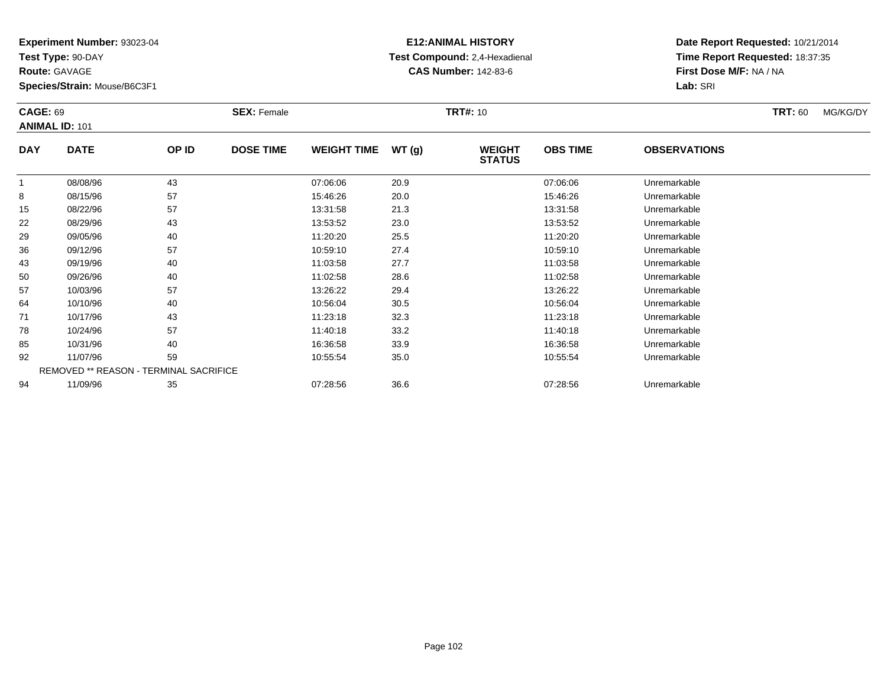**Test Type:** 90-DAY

**Route:** GAVAGE

**Species/Strain:** Mouse/B6C3F1

# **E12:ANIMAL HISTORY Test Compound:** 2,4-Hexadienal **CAS Number:** 142-83-6

|            | <b>CAGE: 69</b><br><b>ANIMAL ID: 101</b> |                                        | <b>SEX: Female</b> |                    | <b>TRT#: 10</b> |                                |                 | <b>TRT: 60</b>      | MG/KG/DY |  |
|------------|------------------------------------------|----------------------------------------|--------------------|--------------------|-----------------|--------------------------------|-----------------|---------------------|----------|--|
| <b>DAY</b> | <b>DATE</b>                              | OP ID                                  | <b>DOSE TIME</b>   | <b>WEIGHT TIME</b> | WT(g)           | <b>WEIGHT</b><br><b>STATUS</b> | <b>OBS TIME</b> | <b>OBSERVATIONS</b> |          |  |
|            | 08/08/96                                 | 43                                     |                    | 07:06:06           | 20.9            |                                | 07:06:06        | Unremarkable        |          |  |
| 8          | 08/15/96                                 | 57                                     |                    | 15:46:26           | 20.0            |                                | 15:46:26        | Unremarkable        |          |  |
| 15         | 08/22/96                                 | 57                                     |                    | 13:31:58           | 21.3            |                                | 13:31:58        | Unremarkable        |          |  |
| 22         | 08/29/96                                 | 43                                     |                    | 13:53:52           | 23.0            |                                | 13:53:52        | Unremarkable        |          |  |
| 29         | 09/05/96                                 | 40                                     |                    | 11:20:20           | 25.5            |                                | 11:20:20        | Unremarkable        |          |  |
| 36         | 09/12/96                                 | 57                                     |                    | 10:59:10           | 27.4            |                                | 10:59:10        | Unremarkable        |          |  |
| 43         | 09/19/96                                 | 40                                     |                    | 11:03:58           | 27.7            |                                | 11:03:58        | Unremarkable        |          |  |
| 50         | 09/26/96                                 | 40                                     |                    | 11:02:58           | 28.6            |                                | 11:02:58        | Unremarkable        |          |  |
| 57         | 10/03/96                                 | 57                                     |                    | 13:26:22           | 29.4            |                                | 13:26:22        | Unremarkable        |          |  |
| 64         | 10/10/96                                 | 40                                     |                    | 10:56:04           | 30.5            |                                | 10:56:04        | Unremarkable        |          |  |
| 71         | 10/17/96                                 | 43                                     |                    | 11:23:18           | 32.3            |                                | 11:23:18        | Unremarkable        |          |  |
| 78         | 10/24/96                                 | 57                                     |                    | 11:40:18           | 33.2            |                                | 11:40:18        | Unremarkable        |          |  |
| 85         | 10/31/96                                 | 40                                     |                    | 16:36:58           | 33.9            |                                | 16:36:58        | Unremarkable        |          |  |
| 92         | 11/07/96                                 | 59                                     |                    | 10:55:54           | 35.0            |                                | 10:55:54        | Unremarkable        |          |  |
|            |                                          | REMOVED ** REASON - TERMINAL SACRIFICE |                    |                    |                 |                                |                 |                     |          |  |
| 94         | 11/09/96                                 | 35                                     |                    | 07:28:56           | 36.6            |                                | 07:28:56        | Unremarkable        |          |  |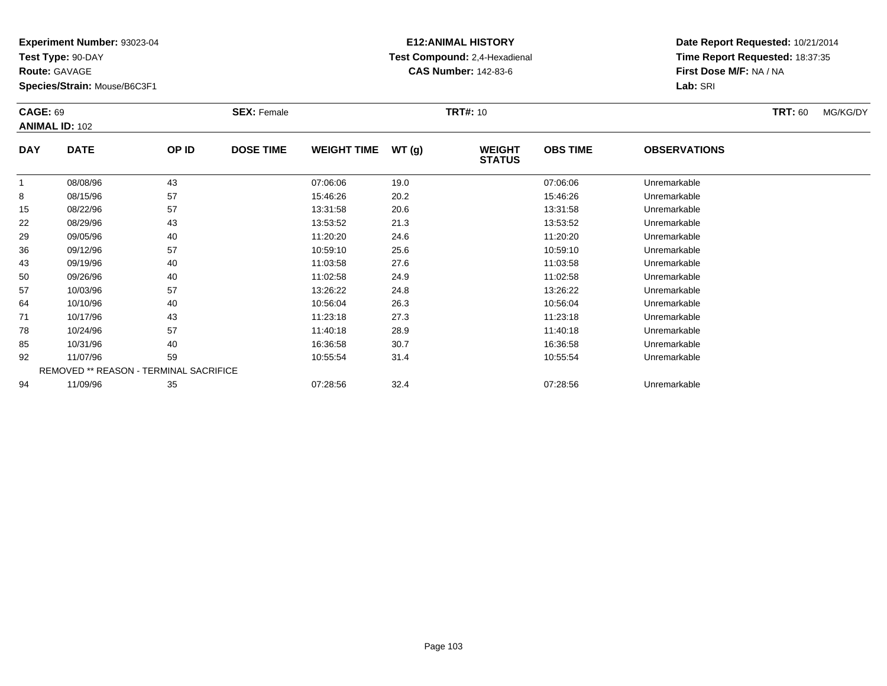**Test Type:** 90-DAY

**Route:** GAVAGE

**Species/Strain:** Mouse/B6C3F1

# **E12:ANIMAL HISTORY Test Compound:** 2,4-Hexadienal **CAS Number:** 142-83-6

|            | <b>CAGE: 69</b><br><b>ANIMAL ID: 102</b> |                                        | <b>SEX: Female</b> |                    | <b>TRT#: 10</b> |                                | <b>TRT: 60</b>  | MG/KG/DY            |  |  |
|------------|------------------------------------------|----------------------------------------|--------------------|--------------------|-----------------|--------------------------------|-----------------|---------------------|--|--|
| <b>DAY</b> | <b>DATE</b>                              | OP ID                                  | <b>DOSE TIME</b>   | <b>WEIGHT TIME</b> | WT(g)           | <b>WEIGHT</b><br><b>STATUS</b> | <b>OBS TIME</b> | <b>OBSERVATIONS</b> |  |  |
| 1          | 08/08/96                                 | 43                                     |                    | 07:06:06           | 19.0            |                                | 07:06:06        | Unremarkable        |  |  |
| 8          | 08/15/96                                 | 57                                     |                    | 15:46:26           | 20.2            |                                | 15:46:26        | Unremarkable        |  |  |
| 15         | 08/22/96                                 | 57                                     |                    | 13:31:58           | 20.6            |                                | 13:31:58        | Unremarkable        |  |  |
| 22         | 08/29/96                                 | 43                                     |                    | 13:53:52           | 21.3            |                                | 13:53:52        | Unremarkable        |  |  |
| 29         | 09/05/96                                 | 40                                     |                    | 11:20:20           | 24.6            |                                | 11:20:20        | Unremarkable        |  |  |
| 36         | 09/12/96                                 | 57                                     |                    | 10:59:10           | 25.6            |                                | 10:59:10        | Unremarkable        |  |  |
| 43         | 09/19/96                                 | 40                                     |                    | 11:03:58           | 27.6            |                                | 11:03:58        | Unremarkable        |  |  |
| 50         | 09/26/96                                 | 40                                     |                    | 11:02:58           | 24.9            |                                | 11:02:58        | Unremarkable        |  |  |
| 57         | 10/03/96                                 | 57                                     |                    | 13:26:22           | 24.8            |                                | 13:26:22        | Unremarkable        |  |  |
| 64         | 10/10/96                                 | 40                                     |                    | 10:56:04           | 26.3            |                                | 10:56:04        | Unremarkable        |  |  |
| 71         | 10/17/96                                 | 43                                     |                    | 11:23:18           | 27.3            |                                | 11:23:18        | Unremarkable        |  |  |
| 78         | 10/24/96                                 | 57                                     |                    | 11:40:18           | 28.9            |                                | 11:40:18        | Unremarkable        |  |  |
| 85         | 10/31/96                                 | 40                                     |                    | 16:36:58           | 30.7            |                                | 16:36:58        | Unremarkable        |  |  |
| 92         | 11/07/96                                 | 59                                     |                    | 10:55:54           | 31.4            |                                | 10:55:54        | Unremarkable        |  |  |
|            |                                          | REMOVED ** REASON - TERMINAL SACRIFICE |                    |                    |                 |                                |                 |                     |  |  |
| 94         | 11/09/96                                 | 35                                     |                    | 07:28:56           | 32.4            |                                | 07:28:56        | Unremarkable        |  |  |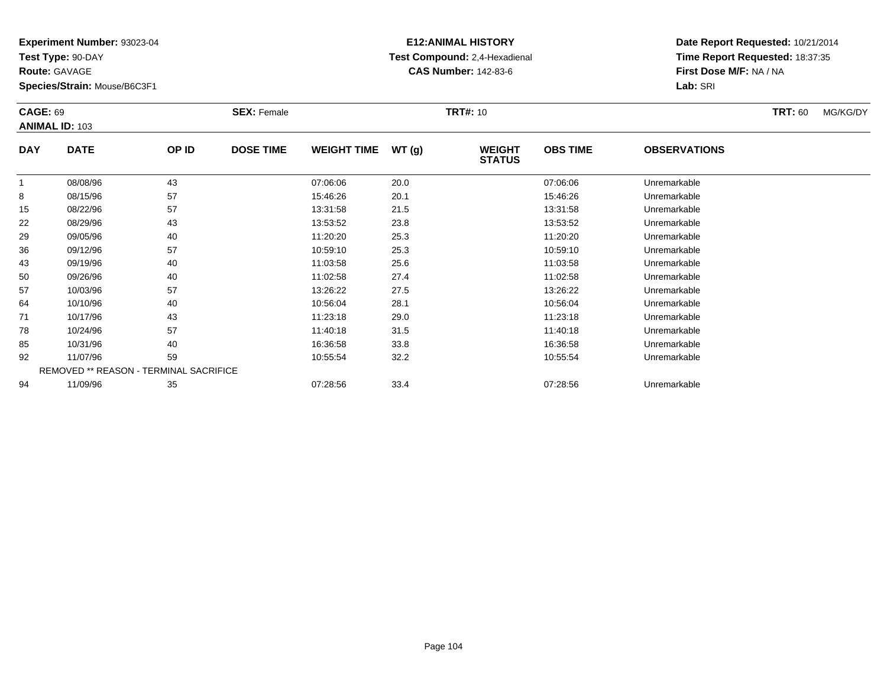**Test Type:** 90-DAY

**Route:** GAVAGE

**Species/Strain:** Mouse/B6C3F1

# **E12:ANIMAL HISTORY Test Compound:** 2,4-Hexadienal **CAS Number:** 142-83-6

| <b>CAGE: 69</b> | <b>ANIMAL ID: 103</b> |                                        | <b>SEX: Female</b> |                    |       | <b>TRT#: 10</b>                |                 |                     | <b>TRT: 60</b> | MG/KG/DY |
|-----------------|-----------------------|----------------------------------------|--------------------|--------------------|-------|--------------------------------|-----------------|---------------------|----------------|----------|
| <b>DAY</b>      | <b>DATE</b>           | OP ID                                  | <b>DOSE TIME</b>   | <b>WEIGHT TIME</b> | WT(g) | <b>WEIGHT</b><br><b>STATUS</b> | <b>OBS TIME</b> | <b>OBSERVATIONS</b> |                |          |
| 1               | 08/08/96              | 43                                     |                    | 07:06:06           | 20.0  |                                | 07:06:06        | Unremarkable        |                |          |
| 8               | 08/15/96              | 57                                     |                    | 15:46:26           | 20.1  |                                | 15:46:26        | Unremarkable        |                |          |
| 15              | 08/22/96              | 57                                     |                    | 13:31:58           | 21.5  |                                | 13:31:58        | Unremarkable        |                |          |
| 22              | 08/29/96              | 43                                     |                    | 13:53:52           | 23.8  |                                | 13:53:52        | Unremarkable        |                |          |
| 29              | 09/05/96              | 40                                     |                    | 11:20:20           | 25.3  |                                | 11:20:20        | Unremarkable        |                |          |
| 36              | 09/12/96              | 57                                     |                    | 10:59:10           | 25.3  |                                | 10:59:10        | Unremarkable        |                |          |
| 43              | 09/19/96              | 40                                     |                    | 11:03:58           | 25.6  |                                | 11:03:58        | Unremarkable        |                |          |
| 50              | 09/26/96              | 40                                     |                    | 11:02:58           | 27.4  |                                | 11:02:58        | Unremarkable        |                |          |
| 57              | 10/03/96              | 57                                     |                    | 13:26:22           | 27.5  |                                | 13:26:22        | Unremarkable        |                |          |
| 64              | 10/10/96              | 40                                     |                    | 10:56:04           | 28.1  |                                | 10:56:04        | Unremarkable        |                |          |
| 71              | 10/17/96              | 43                                     |                    | 11:23:18           | 29.0  |                                | 11:23:18        | Unremarkable        |                |          |
| 78              | 10/24/96              | 57                                     |                    | 11:40:18           | 31.5  |                                | 11:40:18        | Unremarkable        |                |          |
| 85              | 10/31/96              | 40                                     |                    | 16:36:58           | 33.8  |                                | 16:36:58        | Unremarkable        |                |          |
| 92              | 11/07/96              | 59                                     |                    | 10:55:54           | 32.2  |                                | 10:55:54        | Unremarkable        |                |          |
|                 |                       | REMOVED ** REASON - TERMINAL SACRIFICE |                    |                    |       |                                |                 |                     |                |          |
| 94              | 11/09/96              | 35                                     |                    | 07:28:56           | 33.4  |                                | 07:28:56        | Unremarkable        |                |          |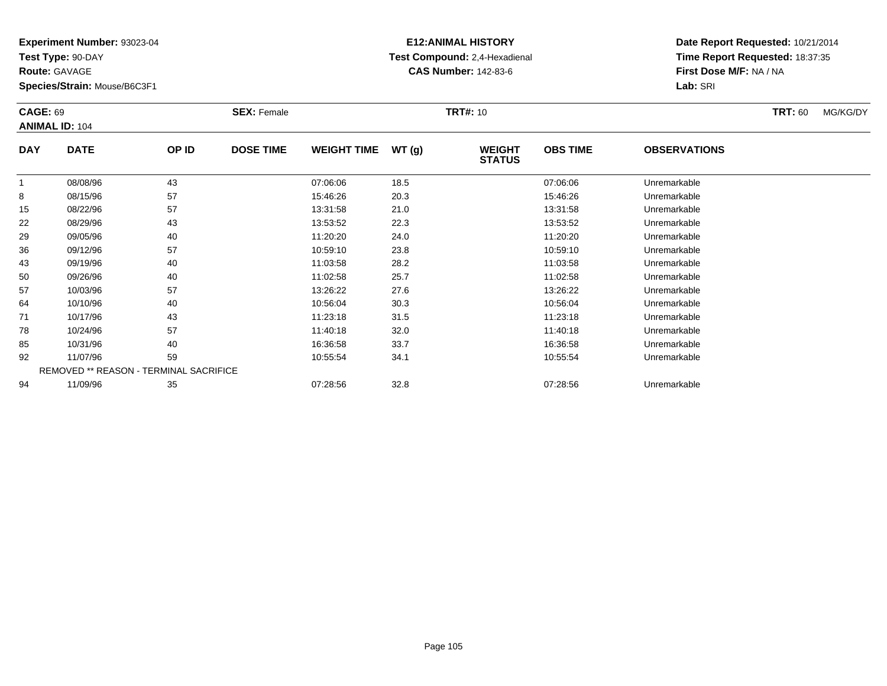**Test Type:** 90-DAY

**Route:** GAVAGE

**Species/Strain:** Mouse/B6C3F1

# **E12:ANIMAL HISTORY Test Compound:** 2,4-Hexadienal **CAS Number:** 142-83-6

|            | <b>CAGE: 69</b><br><b>ANIMAL ID: 104</b> |                                        | <b>SEX: Female</b> |                    |       | <b>TRT#: 10</b>                |                 |                     | <b>TRT: 60</b> | MG/KG/DY |
|------------|------------------------------------------|----------------------------------------|--------------------|--------------------|-------|--------------------------------|-----------------|---------------------|----------------|----------|
| <b>DAY</b> | <b>DATE</b>                              | OP ID                                  | <b>DOSE TIME</b>   | <b>WEIGHT TIME</b> | WT(g) | <b>WEIGHT</b><br><b>STATUS</b> | <b>OBS TIME</b> | <b>OBSERVATIONS</b> |                |          |
|            | 08/08/96                                 | 43                                     |                    | 07:06:06           | 18.5  |                                | 07:06:06        | Unremarkable        |                |          |
| 8          | 08/15/96                                 | 57                                     |                    | 15:46:26           | 20.3  |                                | 15:46:26        | Unremarkable        |                |          |
| 15         | 08/22/96                                 | 57                                     |                    | 13:31:58           | 21.0  |                                | 13:31:58        | Unremarkable        |                |          |
| 22         | 08/29/96                                 | 43                                     |                    | 13:53:52           | 22.3  |                                | 13:53:52        | Unremarkable        |                |          |
| 29         | 09/05/96                                 | 40                                     |                    | 11:20:20           | 24.0  |                                | 11:20:20        | Unremarkable        |                |          |
| 36         | 09/12/96                                 | 57                                     |                    | 10:59:10           | 23.8  |                                | 10:59:10        | Unremarkable        |                |          |
| 43         | 09/19/96                                 | 40                                     |                    | 11:03:58           | 28.2  |                                | 11:03:58        | Unremarkable        |                |          |
| 50         | 09/26/96                                 | 40                                     |                    | 11:02:58           | 25.7  |                                | 11:02:58        | Unremarkable        |                |          |
| 57         | 10/03/96                                 | 57                                     |                    | 13:26:22           | 27.6  |                                | 13:26:22        | Unremarkable        |                |          |
| 64         | 10/10/96                                 | 40                                     |                    | 10:56:04           | 30.3  |                                | 10:56:04        | Unremarkable        |                |          |
| 71         | 10/17/96                                 | 43                                     |                    | 11:23:18           | 31.5  |                                | 11:23:18        | Unremarkable        |                |          |
| 78         | 10/24/96                                 | 57                                     |                    | 11:40:18           | 32.0  |                                | 11:40:18        | Unremarkable        |                |          |
| 85         | 10/31/96                                 | 40                                     |                    | 16:36:58           | 33.7  |                                | 16:36:58        | Unremarkable        |                |          |
| 92         | 11/07/96                                 | 59                                     |                    | 10:55:54           | 34.1  |                                | 10:55:54        | Unremarkable        |                |          |
|            |                                          | REMOVED ** REASON - TERMINAL SACRIFICE |                    |                    |       |                                |                 |                     |                |          |
| 94         | 11/09/96                                 | 35                                     |                    | 07:28:56           | 32.8  |                                | 07:28:56        | Unremarkable        |                |          |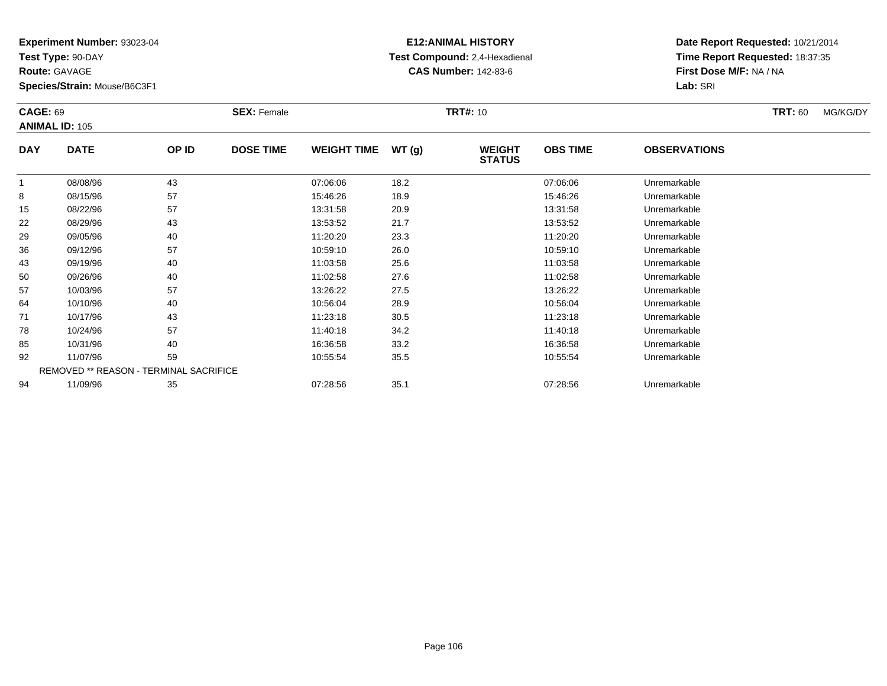**Test Type:** 90-DAY

**Route:** GAVAGE

**Species/Strain:** Mouse/B6C3F1

# **E12:ANIMAL HISTORY Test Compound:** 2,4-Hexadienal **CAS Number:** 142-83-6

| <b>CAGE: 69</b> | <b>ANIMAL ID: 105</b> |                                        | <b>SEX: Female</b> |                    |       | <b>TRT#: 10</b>                |                 |                     | <b>TRT: 60</b> | MG/KG/DY |
|-----------------|-----------------------|----------------------------------------|--------------------|--------------------|-------|--------------------------------|-----------------|---------------------|----------------|----------|
| <b>DAY</b>      | <b>DATE</b>           | OP ID                                  | <b>DOSE TIME</b>   | <b>WEIGHT TIME</b> | WT(g) | <b>WEIGHT</b><br><b>STATUS</b> | <b>OBS TIME</b> | <b>OBSERVATIONS</b> |                |          |
| 1               | 08/08/96              | 43                                     |                    | 07:06:06           | 18.2  |                                | 07:06:06        | Unremarkable        |                |          |
| 8               | 08/15/96              | 57                                     |                    | 15:46:26           | 18.9  |                                | 15:46:26        | Unremarkable        |                |          |
| 15              | 08/22/96              | 57                                     |                    | 13:31:58           | 20.9  |                                | 13:31:58        | Unremarkable        |                |          |
| 22              | 08/29/96              | 43                                     |                    | 13:53:52           | 21.7  |                                | 13:53:52        | Unremarkable        |                |          |
| 29              | 09/05/96              | 40                                     |                    | 11:20:20           | 23.3  |                                | 11:20:20        | Unremarkable        |                |          |
| 36              | 09/12/96              | 57                                     |                    | 10:59:10           | 26.0  |                                | 10:59:10        | Unremarkable        |                |          |
| 43              | 09/19/96              | 40                                     |                    | 11:03:58           | 25.6  |                                | 11:03:58        | Unremarkable        |                |          |
| 50              | 09/26/96              | 40                                     |                    | 11:02:58           | 27.6  |                                | 11:02:58        | Unremarkable        |                |          |
| 57              | 10/03/96              | 57                                     |                    | 13:26:22           | 27.5  |                                | 13:26:22        | Unremarkable        |                |          |
| 64              | 10/10/96              | 40                                     |                    | 10:56:04           | 28.9  |                                | 10:56:04        | Unremarkable        |                |          |
| 71              | 10/17/96              | 43                                     |                    | 11:23:18           | 30.5  |                                | 11:23:18        | Unremarkable        |                |          |
| 78              | 10/24/96              | 57                                     |                    | 11:40:18           | 34.2  |                                | 11:40:18        | Unremarkable        |                |          |
| 85              | 10/31/96              | 40                                     |                    | 16:36:58           | 33.2  |                                | 16:36:58        | Unremarkable        |                |          |
| 92              | 11/07/96              | 59                                     |                    | 10:55:54           | 35.5  |                                | 10:55:54        | Unremarkable        |                |          |
|                 |                       | REMOVED ** REASON - TERMINAL SACRIFICE |                    |                    |       |                                |                 |                     |                |          |
| 94              | 11/09/96              | 35                                     |                    | 07:28:56           | 35.1  |                                | 07:28:56        | Unremarkable        |                |          |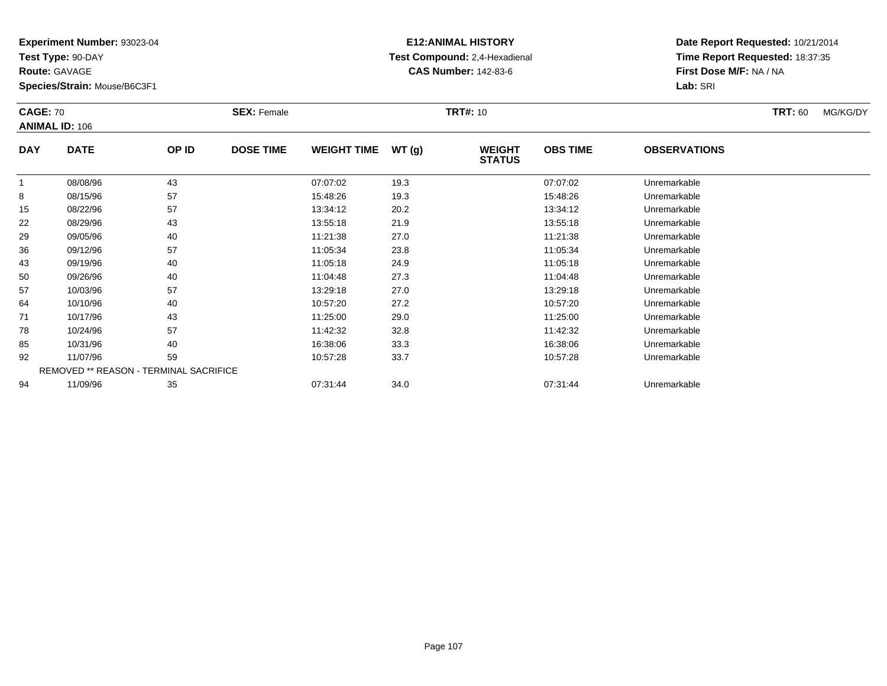**Test Type:** 90-DAY

**Route:** GAVAGE

**Species/Strain:** Mouse/B6C3F1

# **E12:ANIMAL HISTORY Test Compound:** 2,4-Hexadienal **CAS Number:** 142-83-6

| <b>CAGE: 70</b> | <b>ANIMAL ID: 106</b>                  |       | <b>SEX: Female</b> |                    |       | <b>TRT#: 10</b>                |                 |                     | <b>TRT: 60</b> | MG/KG/DY |
|-----------------|----------------------------------------|-------|--------------------|--------------------|-------|--------------------------------|-----------------|---------------------|----------------|----------|
| <b>DAY</b>      | <b>DATE</b>                            | OP ID | <b>DOSE TIME</b>   | <b>WEIGHT TIME</b> | WT(g) | <b>WEIGHT</b><br><b>STATUS</b> | <b>OBS TIME</b> | <b>OBSERVATIONS</b> |                |          |
|                 | 08/08/96                               | 43    |                    | 07:07:02           | 19.3  |                                | 07:07:02        | Unremarkable        |                |          |
| 8               | 08/15/96                               | 57    |                    | 15:48:26           | 19.3  |                                | 15:48:26        | Unremarkable        |                |          |
| 15              | 08/22/96                               | 57    |                    | 13:34:12           | 20.2  |                                | 13:34:12        | Unremarkable        |                |          |
| 22              | 08/29/96                               | 43    |                    | 13:55:18           | 21.9  |                                | 13:55:18        | Unremarkable        |                |          |
| 29              | 09/05/96                               | 40    |                    | 11:21:38           | 27.0  |                                | 11:21:38        | Unremarkable        |                |          |
| 36              | 09/12/96                               | 57    |                    | 11:05:34           | 23.8  |                                | 11:05:34        | Unremarkable        |                |          |
| 43              | 09/19/96                               | 40    |                    | 11:05:18           | 24.9  |                                | 11:05:18        | Unremarkable        |                |          |
| 50              | 09/26/96                               | 40    |                    | 11:04:48           | 27.3  |                                | 11:04:48        | Unremarkable        |                |          |
| 57              | 10/03/96                               | 57    |                    | 13:29:18           | 27.0  |                                | 13:29:18        | Unremarkable        |                |          |
| 64              | 10/10/96                               | 40    |                    | 10:57:20           | 27.2  |                                | 10:57:20        | Unremarkable        |                |          |
| 71              | 10/17/96                               | 43    |                    | 11:25:00           | 29.0  |                                | 11:25:00        | Unremarkable        |                |          |
| 78              | 10/24/96                               | 57    |                    | 11:42:32           | 32.8  |                                | 11:42:32        | Unremarkable        |                |          |
| 85              | 10/31/96                               | 40    |                    | 16:38:06           | 33.3  |                                | 16:38:06        | Unremarkable        |                |          |
| 92              | 11/07/96                               | 59    |                    | 10:57:28           | 33.7  |                                | 10:57:28        | Unremarkable        |                |          |
|                 | REMOVED ** REASON - TERMINAL SACRIFICE |       |                    |                    |       |                                |                 |                     |                |          |
| 94              | 11/09/96                               | 35    |                    | 07:31:44           | 34.0  |                                | 07:31:44        | Unremarkable        |                |          |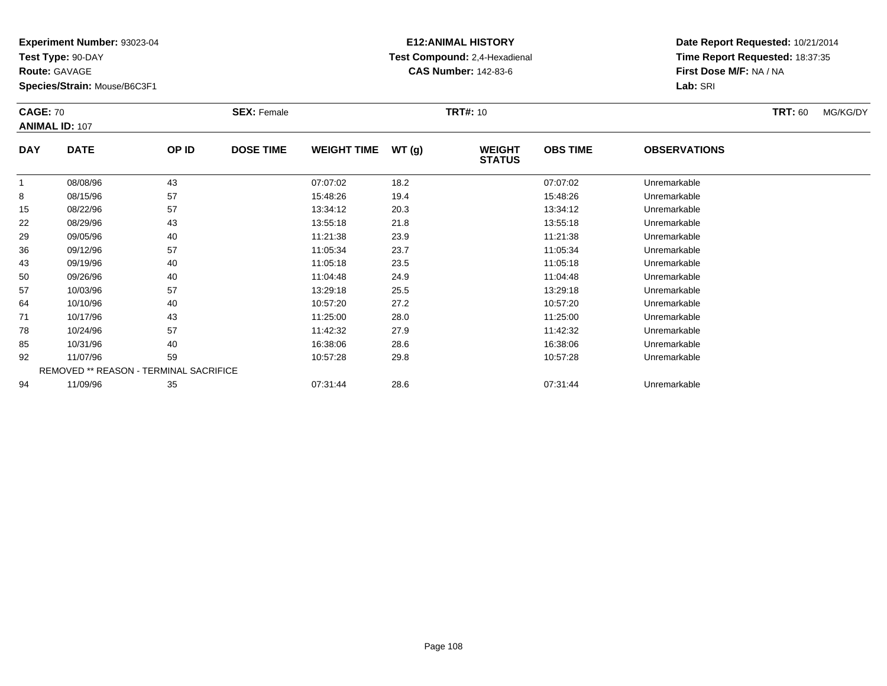**Test Type:** 90-DAY

**Route:** GAVAGE

**Species/Strain:** Mouse/B6C3F1

# **E12:ANIMAL HISTORY Test Compound:** 2,4-Hexadienal **CAS Number:** 142-83-6

|            | <b>CAGE: 70</b><br><b>ANIMAL ID: 107</b> |                                        | <b>SEX: Female</b> |                    |       | <b>TRT#: 10</b>                |                 |                     | <b>TRT: 60</b> | MG/KG/DY |
|------------|------------------------------------------|----------------------------------------|--------------------|--------------------|-------|--------------------------------|-----------------|---------------------|----------------|----------|
| <b>DAY</b> | <b>DATE</b>                              | OP ID                                  | <b>DOSE TIME</b>   | <b>WEIGHT TIME</b> | WT(g) | <b>WEIGHT</b><br><b>STATUS</b> | <b>OBS TIME</b> | <b>OBSERVATIONS</b> |                |          |
|            | 08/08/96                                 | 43                                     |                    | 07:07:02           | 18.2  |                                | 07:07:02        | Unremarkable        |                |          |
| 8          | 08/15/96                                 | 57                                     |                    | 15:48:26           | 19.4  |                                | 15:48:26        | Unremarkable        |                |          |
| 15         | 08/22/96                                 | 57                                     |                    | 13:34:12           | 20.3  |                                | 13:34:12        | Unremarkable        |                |          |
| 22         | 08/29/96                                 | 43                                     |                    | 13:55:18           | 21.8  |                                | 13:55:18        | Unremarkable        |                |          |
| 29         | 09/05/96                                 | 40                                     |                    | 11:21:38           | 23.9  |                                | 11:21:38        | Unremarkable        |                |          |
| 36         | 09/12/96                                 | 57                                     |                    | 11:05:34           | 23.7  |                                | 11:05:34        | Unremarkable        |                |          |
| 43         | 09/19/96                                 | 40                                     |                    | 11:05:18           | 23.5  |                                | 11:05:18        | Unremarkable        |                |          |
| 50         | 09/26/96                                 | 40                                     |                    | 11:04:48           | 24.9  |                                | 11:04:48        | Unremarkable        |                |          |
| 57         | 10/03/96                                 | 57                                     |                    | 13:29:18           | 25.5  |                                | 13:29:18        | Unremarkable        |                |          |
| 64         | 10/10/96                                 | 40                                     |                    | 10:57:20           | 27.2  |                                | 10:57:20        | Unremarkable        |                |          |
| 71         | 10/17/96                                 | 43                                     |                    | 11:25:00           | 28.0  |                                | 11:25:00        | Unremarkable        |                |          |
| 78         | 10/24/96                                 | 57                                     |                    | 11:42:32           | 27.9  |                                | 11:42:32        | Unremarkable        |                |          |
| 85         | 10/31/96                                 | 40                                     |                    | 16:38:06           | 28.6  |                                | 16:38:06        | Unremarkable        |                |          |
| 92         | 11/07/96                                 | 59                                     |                    | 10:57:28           | 29.8  |                                | 10:57:28        | Unremarkable        |                |          |
|            |                                          | REMOVED ** REASON - TERMINAL SACRIFICE |                    |                    |       |                                |                 |                     |                |          |
| 94         | 11/09/96                                 | 35                                     |                    | 07:31:44           | 28.6  |                                | 07:31:44        | Unremarkable        |                |          |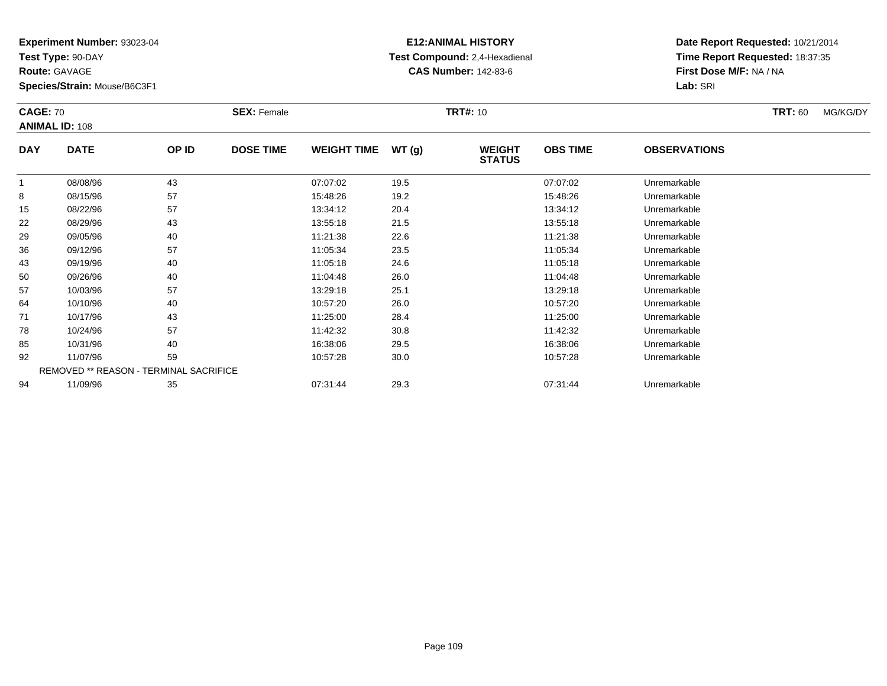**Test Type:** 90-DAY

**Route:** GAVAGE

**Species/Strain:** Mouse/B6C3F1

# **E12:ANIMAL HISTORY Test Compound:** 2,4-Hexadienal **CAS Number:** 142-83-6

| <b>CAGE: 70</b> | <b>ANIMAL ID: 108</b>                  |       | <b>SEX: Female</b> |                    |       | <b>TRT#: 10</b>                |                 |                     | <b>TRT: 60</b> | MG/KG/DY |
|-----------------|----------------------------------------|-------|--------------------|--------------------|-------|--------------------------------|-----------------|---------------------|----------------|----------|
| <b>DAY</b>      | <b>DATE</b>                            | OP ID | <b>DOSE TIME</b>   | <b>WEIGHT TIME</b> | WT(g) | <b>WEIGHT</b><br><b>STATUS</b> | <b>OBS TIME</b> | <b>OBSERVATIONS</b> |                |          |
| $\mathbf{1}$    | 08/08/96                               | 43    |                    | 07:07:02           | 19.5  |                                | 07:07:02        | Unremarkable        |                |          |
| 8               | 08/15/96                               | 57    |                    | 15:48:26           | 19.2  |                                | 15:48:26        | Unremarkable        |                |          |
| 15              | 08/22/96                               | 57    |                    | 13:34:12           | 20.4  |                                | 13:34:12        | Unremarkable        |                |          |
| 22              | 08/29/96                               | 43    |                    | 13:55:18           | 21.5  |                                | 13:55:18        | Unremarkable        |                |          |
| 29              | 09/05/96                               | 40    |                    | 11:21:38           | 22.6  |                                | 11:21:38        | Unremarkable        |                |          |
| 36              | 09/12/96                               | 57    |                    | 11:05:34           | 23.5  |                                | 11:05:34        | Unremarkable        |                |          |
| 43              | 09/19/96                               | 40    |                    | 11:05:18           | 24.6  |                                | 11:05:18        | Unremarkable        |                |          |
| 50              | 09/26/96                               | 40    |                    | 11:04:48           | 26.0  |                                | 11:04:48        | Unremarkable        |                |          |
| 57              | 10/03/96                               | 57    |                    | 13:29:18           | 25.1  |                                | 13:29:18        | Unremarkable        |                |          |
| 64              | 10/10/96                               | 40    |                    | 10:57:20           | 26.0  |                                | 10:57:20        | Unremarkable        |                |          |
| 71              | 10/17/96                               | 43    |                    | 11:25:00           | 28.4  |                                | 11:25:00        | Unremarkable        |                |          |
| 78              | 10/24/96                               | 57    |                    | 11:42:32           | 30.8  |                                | 11:42:32        | Unremarkable        |                |          |
| 85              | 10/31/96                               | 40    |                    | 16:38:06           | 29.5  |                                | 16:38:06        | Unremarkable        |                |          |
| 92              | 11/07/96                               | 59    |                    | 10:57:28           | 30.0  |                                | 10:57:28        | Unremarkable        |                |          |
|                 | REMOVED ** REASON - TERMINAL SACRIFICE |       |                    |                    |       |                                |                 |                     |                |          |
| 94              | 11/09/96                               | 35    |                    | 07:31:44           | 29.3  |                                | 07:31:44        | Unremarkable        |                |          |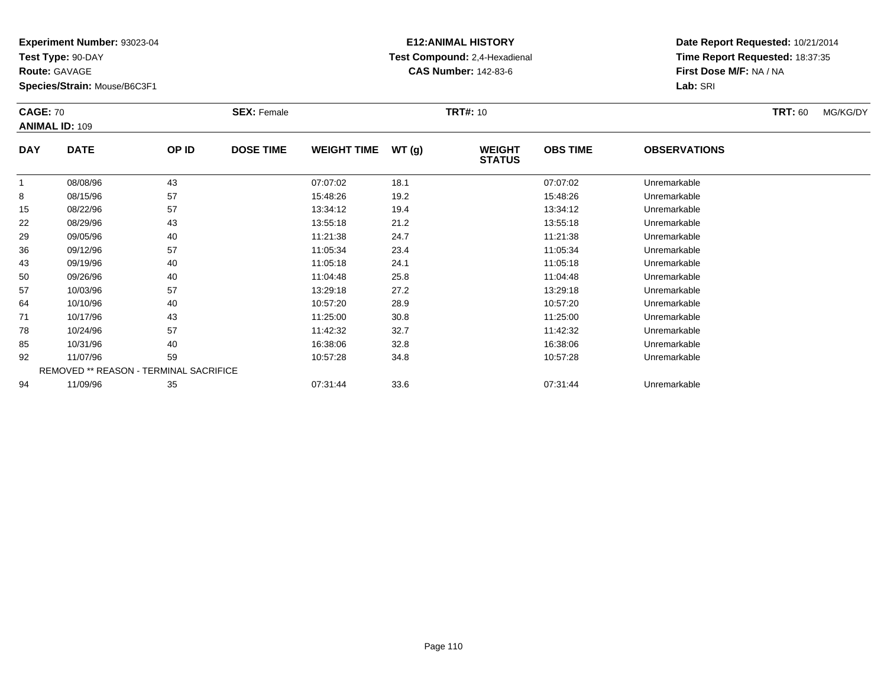**Test Type:** 90-DAY

**Route:** GAVAGE

**Species/Strain:** Mouse/B6C3F1

# **E12:ANIMAL HISTORY Test Compound:** 2,4-Hexadienal **CAS Number:** 142-83-6

| <b>CAGE: 70</b> | <b>ANIMAL ID: 109</b>                  |       | <b>SEX: Female</b> |                    |       | <b>TRT#: 10</b>                |                 |                     | <b>TRT: 60</b> | MG/KG/DY |
|-----------------|----------------------------------------|-------|--------------------|--------------------|-------|--------------------------------|-----------------|---------------------|----------------|----------|
| <b>DAY</b>      | <b>DATE</b>                            | OP ID | <b>DOSE TIME</b>   | <b>WEIGHT TIME</b> | WT(g) | <b>WEIGHT</b><br><b>STATUS</b> | <b>OBS TIME</b> | <b>OBSERVATIONS</b> |                |          |
| 1               | 08/08/96                               | 43    |                    | 07:07:02           | 18.1  |                                | 07:07:02        | Unremarkable        |                |          |
| 8               | 08/15/96                               | 57    |                    | 15:48:26           | 19.2  |                                | 15:48:26        | Unremarkable        |                |          |
| 15              | 08/22/96                               | 57    |                    | 13:34:12           | 19.4  |                                | 13:34:12        | Unremarkable        |                |          |
| 22              | 08/29/96                               | 43    |                    | 13:55:18           | 21.2  |                                | 13:55:18        | Unremarkable        |                |          |
| 29              | 09/05/96                               | 40    |                    | 11:21:38           | 24.7  |                                | 11:21:38        | Unremarkable        |                |          |
| 36              | 09/12/96                               | 57    |                    | 11:05:34           | 23.4  |                                | 11:05:34        | Unremarkable        |                |          |
| 43              | 09/19/96                               | 40    |                    | 11:05:18           | 24.1  |                                | 11:05:18        | Unremarkable        |                |          |
| 50              | 09/26/96                               | 40    |                    | 11:04:48           | 25.8  |                                | 11:04:48        | Unremarkable        |                |          |
| 57              | 10/03/96                               | 57    |                    | 13:29:18           | 27.2  |                                | 13:29:18        | Unremarkable        |                |          |
| 64              | 10/10/96                               | 40    |                    | 10:57:20           | 28.9  |                                | 10:57:20        | Unremarkable        |                |          |
| 71              | 10/17/96                               | 43    |                    | 11:25:00           | 30.8  |                                | 11:25:00        | Unremarkable        |                |          |
| 78              | 10/24/96                               | 57    |                    | 11:42:32           | 32.7  |                                | 11:42:32        | Unremarkable        |                |          |
| 85              | 10/31/96                               | 40    |                    | 16:38:06           | 32.8  |                                | 16:38:06        | Unremarkable        |                |          |
| 92              | 11/07/96                               | 59    |                    | 10:57:28           | 34.8  |                                | 10:57:28        | Unremarkable        |                |          |
|                 | REMOVED ** REASON - TERMINAL SACRIFICE |       |                    |                    |       |                                |                 |                     |                |          |
| 94              | 11/09/96                               | 35    |                    | 07:31:44           | 33.6  |                                | 07:31:44        | Unremarkable        |                |          |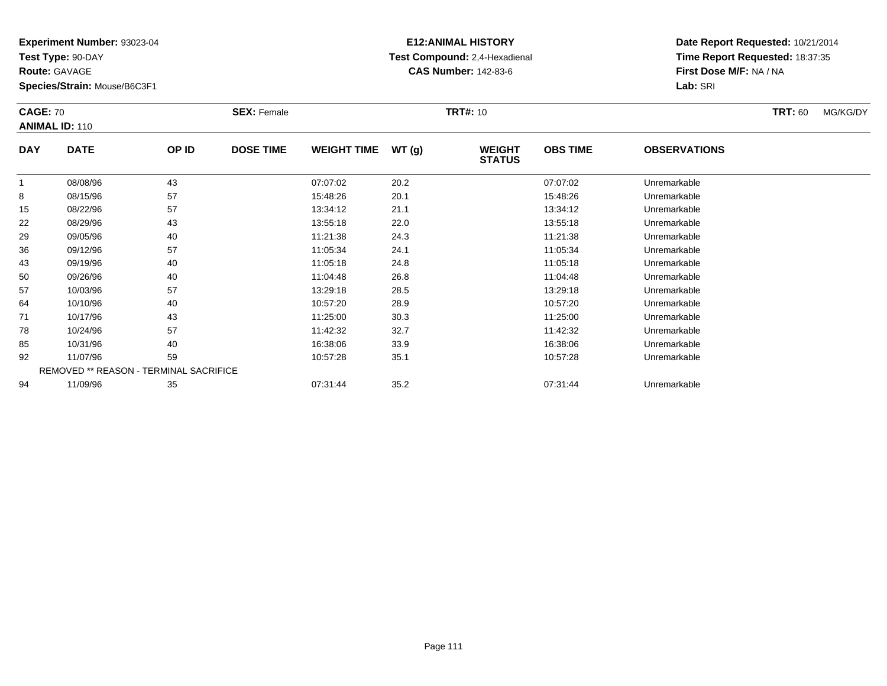**Test Type:** 90-DAY

**Route:** GAVAGE

**Species/Strain:** Mouse/B6C3F1

# **E12:ANIMAL HISTORY Test Compound:** 2,4-Hexadienal **CAS Number:** 142-83-6

| <b>CAGE: 70</b> | <b>ANIMAL ID: 110</b>                  |       | <b>SEX: Female</b> |                    |       | <b>TRT#: 10</b>                |                 |                     | <b>TRT: 60</b> | MG/KG/DY |
|-----------------|----------------------------------------|-------|--------------------|--------------------|-------|--------------------------------|-----------------|---------------------|----------------|----------|
| <b>DAY</b>      | <b>DATE</b>                            | OP ID | <b>DOSE TIME</b>   | <b>WEIGHT TIME</b> | WT(g) | <b>WEIGHT</b><br><b>STATUS</b> | <b>OBS TIME</b> | <b>OBSERVATIONS</b> |                |          |
| 1               | 08/08/96                               | 43    |                    | 07:07:02           | 20.2  |                                | 07:07:02        | Unremarkable        |                |          |
| 8               | 08/15/96                               | 57    |                    | 15:48:26           | 20.1  |                                | 15:48:26        | Unremarkable        |                |          |
| 15              | 08/22/96                               | 57    |                    | 13:34:12           | 21.1  |                                | 13:34:12        | Unremarkable        |                |          |
| 22              | 08/29/96                               | 43    |                    | 13:55:18           | 22.0  |                                | 13:55:18        | Unremarkable        |                |          |
| 29              | 09/05/96                               | 40    |                    | 11:21:38           | 24.3  |                                | 11:21:38        | Unremarkable        |                |          |
| 36              | 09/12/96                               | 57    |                    | 11:05:34           | 24.1  |                                | 11:05:34        | Unremarkable        |                |          |
| 43              | 09/19/96                               | 40    |                    | 11:05:18           | 24.8  |                                | 11:05:18        | Unremarkable        |                |          |
| 50              | 09/26/96                               | 40    |                    | 11:04:48           | 26.8  |                                | 11:04:48        | Unremarkable        |                |          |
| 57              | 10/03/96                               | 57    |                    | 13:29:18           | 28.5  |                                | 13:29:18        | Unremarkable        |                |          |
| 64              | 10/10/96                               | 40    |                    | 10:57:20           | 28.9  |                                | 10:57:20        | Unremarkable        |                |          |
| 71              | 10/17/96                               | 43    |                    | 11:25:00           | 30.3  |                                | 11:25:00        | Unremarkable        |                |          |
| 78              | 10/24/96                               | 57    |                    | 11:42:32           | 32.7  |                                | 11:42:32        | Unremarkable        |                |          |
| 85              | 10/31/96                               | 40    |                    | 16:38:06           | 33.9  |                                | 16:38:06        | Unremarkable        |                |          |
| 92              | 11/07/96                               | 59    |                    | 10:57:28           | 35.1  |                                | 10:57:28        | Unremarkable        |                |          |
|                 | REMOVED ** REASON - TERMINAL SACRIFICE |       |                    |                    |       |                                |                 |                     |                |          |
| 94              | 11/09/96                               | 35    |                    | 07:31:44           | 35.2  |                                | 07:31:44        | Unremarkable        |                |          |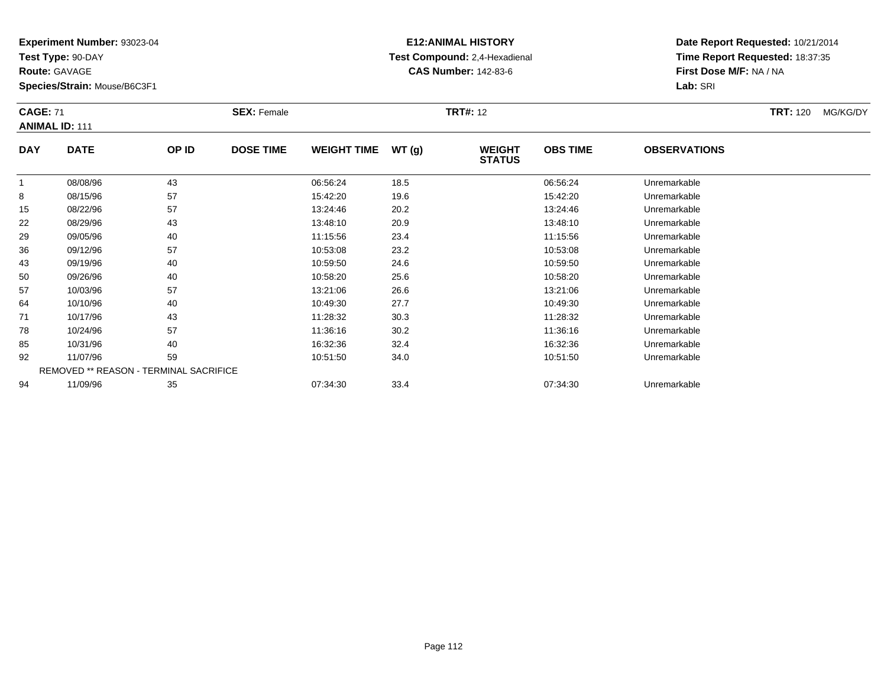**Test Type:** 90-DAY

**Route:** GAVAGE

94

**Species/Strain:** Mouse/B6C3F1

REMOVED \*\* REASON - TERMINAL SACRIFICE

#### **E12:ANIMAL HISTORY Test Compound:** 2,4-Hexadienal **CAS Number:** 142-83-6

**Date Report Requested:** 10/21/2014**Time Report Requested:** 18:37:35**First Dose M/F:** NA / NA**Lab:** SRI

| <b>CAGE: 71</b><br><b>ANIMAL ID: 111</b> |             |       | <b>SEX: Female</b> |                    |       | <b>TRT#: 12</b>                |                 |                     | <b>TRT:</b> 120 | MG/KG/DY |
|------------------------------------------|-------------|-------|--------------------|--------------------|-------|--------------------------------|-----------------|---------------------|-----------------|----------|
| <b>DAY</b>                               | <b>DATE</b> | OP ID | <b>DOSE TIME</b>   | <b>WEIGHT TIME</b> | WT(g) | <b>WEIGHT</b><br><b>STATUS</b> | <b>OBS TIME</b> | <b>OBSERVATIONS</b> |                 |          |
|                                          | 08/08/96    | 43    |                    | 06:56:24           | 18.5  |                                | 06:56:24        | Unremarkable        |                 |          |
| 8                                        | 08/15/96    | 57    |                    | 15:42:20           | 19.6  |                                | 15:42:20        | Unremarkable        |                 |          |
| 15                                       | 08/22/96    | 57    |                    | 13:24:46           | 20.2  |                                | 13:24:46        | Unremarkable        |                 |          |
| 22                                       | 08/29/96    | 43    |                    | 13:48:10           | 20.9  |                                | 13:48:10        | Unremarkable        |                 |          |
| 29                                       | 09/05/96    | 40    |                    | 11:15:56           | 23.4  |                                | 11:15:56        | Unremarkable        |                 |          |
| 36                                       | 09/12/96    | 57    |                    | 10:53:08           | 23.2  |                                | 10:53:08        | Unremarkable        |                 |          |
| 43                                       | 09/19/96    | 40    |                    | 10:59:50           | 24.6  |                                | 10:59:50        | Unremarkable        |                 |          |
| 50                                       | 09/26/96    | 40    |                    | 10:58:20           | 25.6  |                                | 10:58:20        | Unremarkable        |                 |          |
| 57                                       | 10/03/96    | 57    |                    | 13:21:06           | 26.6  |                                | 13:21:06        | Unremarkable        |                 |          |
| 64                                       | 10/10/96    | 40    |                    | 10:49:30           | 27.7  |                                | 10:49:30        | Unremarkable        |                 |          |
| 71                                       | 10/17/96    | 43    |                    | 11:28:32           | 30.3  |                                | 11:28:32        | Unremarkable        |                 |          |
| 78                                       | 10/24/96    | 57    |                    | 11:36:16           | 30.2  |                                | 11:36:16        | Unremarkable        |                 |          |
| 85                                       | 10/31/96    | 40    |                    | 16:32:36           | 32.4  |                                | 16:32:36        | Unremarkable        |                 |          |
| 92                                       | 11/07/96    | 59    |                    | 10:51:50           | 34.0  |                                | 10:51:50        | Unremarkable        |                 |          |

11/09/96 <sup>35</sup> 07:34:30 33.4 07:34:30 Unremarkable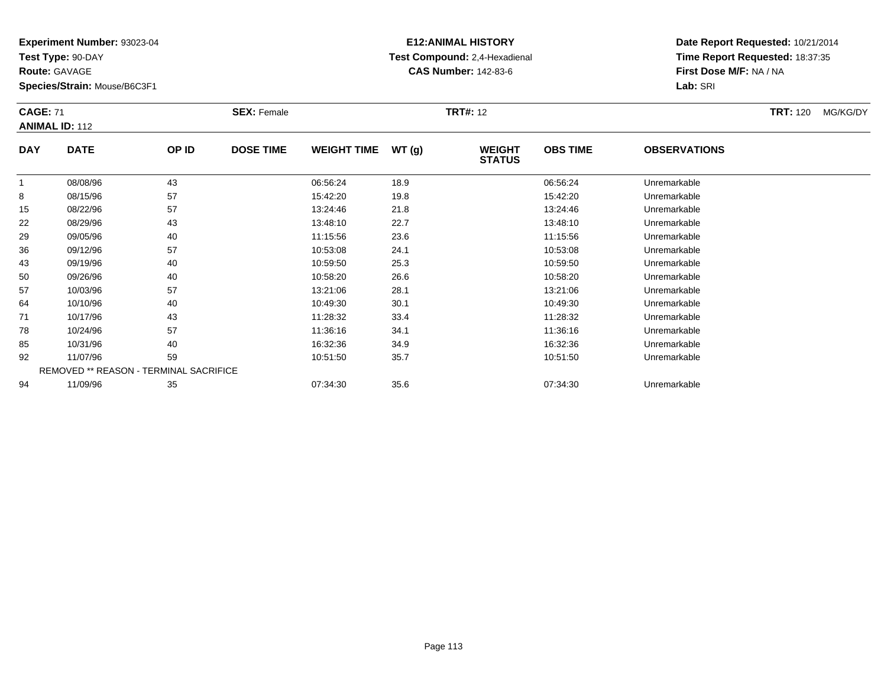**Test Type:** 90-DAY

**Route:** GAVAGE

94

**Species/Strain:** Mouse/B6C3F1

# **E12:ANIMAL HISTORY Test Compound:** 2,4-Hexadienal **CAS Number:** 142-83-6

**Date Report Requested:** 10/21/2014**Time Report Requested:** 18:37:35**First Dose M/F:** NA / NA**Lab:** SRI

| <b>CAGE: 71</b> | <b>ANIMAL ID: 112</b>                  |       | <b>SEX: Female</b> |                    |       | <b>TRT#: 12</b>                |                 |                     | <b>TRT: 120</b> | MG/KG/DY |
|-----------------|----------------------------------------|-------|--------------------|--------------------|-------|--------------------------------|-----------------|---------------------|-----------------|----------|
| <b>DAY</b>      | <b>DATE</b>                            | OP ID | <b>DOSE TIME</b>   | <b>WEIGHT TIME</b> | WT(g) | <b>WEIGHT</b><br><b>STATUS</b> | <b>OBS TIME</b> | <b>OBSERVATIONS</b> |                 |          |
|                 | 08/08/96                               | 43    |                    | 06:56:24           | 18.9  |                                | 06:56:24        | Unremarkable        |                 |          |
| 8               | 08/15/96                               | 57    |                    | 15:42:20           | 19.8  |                                | 15:42:20        | Unremarkable        |                 |          |
| 15              | 08/22/96                               | 57    |                    | 13:24:46           | 21.8  |                                | 13:24:46        | Unremarkable        |                 |          |
| 22              | 08/29/96                               | 43    |                    | 13:48:10           | 22.7  |                                | 13:48:10        | Unremarkable        |                 |          |
| 29              | 09/05/96                               | 40    |                    | 11:15:56           | 23.6  |                                | 11:15:56        | Unremarkable        |                 |          |
| 36              | 09/12/96                               | 57    |                    | 10:53:08           | 24.1  |                                | 10:53:08        | Unremarkable        |                 |          |
| 43              | 09/19/96                               | 40    |                    | 10:59:50           | 25.3  |                                | 10:59:50        | Unremarkable        |                 |          |
| 50              | 09/26/96                               | 40    |                    | 10:58:20           | 26.6  |                                | 10:58:20        | Unremarkable        |                 |          |
| 57              | 10/03/96                               | 57    |                    | 13:21:06           | 28.1  |                                | 13:21:06        | Unremarkable        |                 |          |
| 64              | 10/10/96                               | 40    |                    | 10:49:30           | 30.1  |                                | 10:49:30        | Unremarkable        |                 |          |
| 71              | 10/17/96                               | 43    |                    | 11:28:32           | 33.4  |                                | 11:28:32        | Unremarkable        |                 |          |
| 78              | 10/24/96                               | 57    |                    | 11:36:16           | 34.1  |                                | 11:36:16        | Unremarkable        |                 |          |
| 85              | 10/31/96                               | 40    |                    | 16:32:36           | 34.9  |                                | 16:32:36        | Unremarkable        |                 |          |
| 92              | 11/07/96                               | 59    |                    | 10:51:50           | 35.7  |                                | 10:51:50        | Unremarkable        |                 |          |
|                 | REMOVED ** REASON - TERMINAL SACRIFICE |       |                    |                    |       |                                |                 |                     |                 |          |

11/09/96 <sup>35</sup> 07:34:30 35.6 07:34:30 Unremarkable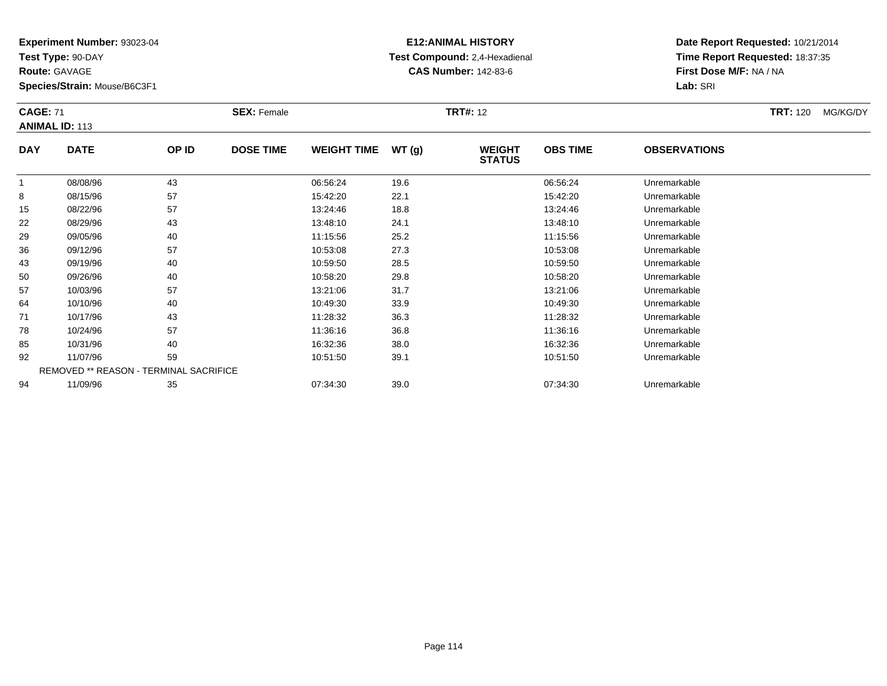**Test Type:** 90-DAY

**Route:** GAVAGE

94

**Species/Strain:** Mouse/B6C3F1

#### **E12:ANIMAL HISTORY Test Compound:** 2,4-Hexadienal **CAS Number:** 142-83-6

**Date Report Requested:** 10/21/2014**Time Report Requested:** 18:37:35**First Dose M/F:** NA / NA**Lab:** SRI

| <b>CAGE: 71</b> | <b>ANIMAL ID: 113</b>                         |       | <b>SEX: Female</b> |                    |        | <b>TRT#: 12</b>                |                 |                     | <b>TRT: 120</b> | MG/KG/DY |
|-----------------|-----------------------------------------------|-------|--------------------|--------------------|--------|--------------------------------|-----------------|---------------------|-----------------|----------|
| <b>DAY</b>      | <b>DATE</b>                                   | OP ID | <b>DOSE TIME</b>   | <b>WEIGHT TIME</b> | WT (g) | <b>WEIGHT</b><br><b>STATUS</b> | <b>OBS TIME</b> | <b>OBSERVATIONS</b> |                 |          |
| 1               | 08/08/96                                      | 43    |                    | 06:56:24           | 19.6   |                                | 06:56:24        | Unremarkable        |                 |          |
| 8               | 08/15/96                                      | 57    |                    | 15:42:20           | 22.1   |                                | 15:42:20        | Unremarkable        |                 |          |
| 15              | 08/22/96                                      | 57    |                    | 13:24:46           | 18.8   |                                | 13:24:46        | Unremarkable        |                 |          |
| 22              | 08/29/96                                      | 43    |                    | 13:48:10           | 24.1   |                                | 13:48:10        | Unremarkable        |                 |          |
| 29              | 09/05/96                                      | 40    |                    | 11:15:56           | 25.2   |                                | 11:15:56        | Unremarkable        |                 |          |
| 36              | 09/12/96                                      | 57    |                    | 10:53:08           | 27.3   |                                | 10:53:08        | Unremarkable        |                 |          |
| 43              | 09/19/96                                      | 40    |                    | 10:59:50           | 28.5   |                                | 10:59:50        | Unremarkable        |                 |          |
| 50              | 09/26/96                                      | 40    |                    | 10:58:20           | 29.8   |                                | 10:58:20        | Unremarkable        |                 |          |
| 57              | 10/03/96                                      | 57    |                    | 13:21:06           | 31.7   |                                | 13:21:06        | Unremarkable        |                 |          |
| 64              | 10/10/96                                      | 40    |                    | 10:49:30           | 33.9   |                                | 10:49:30        | Unremarkable        |                 |          |
| 71              | 10/17/96                                      | 43    |                    | 11:28:32           | 36.3   |                                | 11:28:32        | Unremarkable        |                 |          |
| 78              | 10/24/96                                      | 57    |                    | 11:36:16           | 36.8   |                                | 11:36:16        | Unremarkable        |                 |          |
| 85              | 10/31/96                                      | 40    |                    | 16:32:36           | 38.0   |                                | 16:32:36        | Unremarkable        |                 |          |
| 92              | 11/07/96                                      | 59    |                    | 10:51:50           | 39.1   |                                | 10:51:50        | Unremarkable        |                 |          |
|                 | <b>REMOVED ** REASON - TERMINAL SACRIFICE</b> |       |                    |                    |        |                                |                 |                     |                 |          |

11/09/96 <sup>35</sup> 07:34:30 39.0 07:34:30 Unremarkable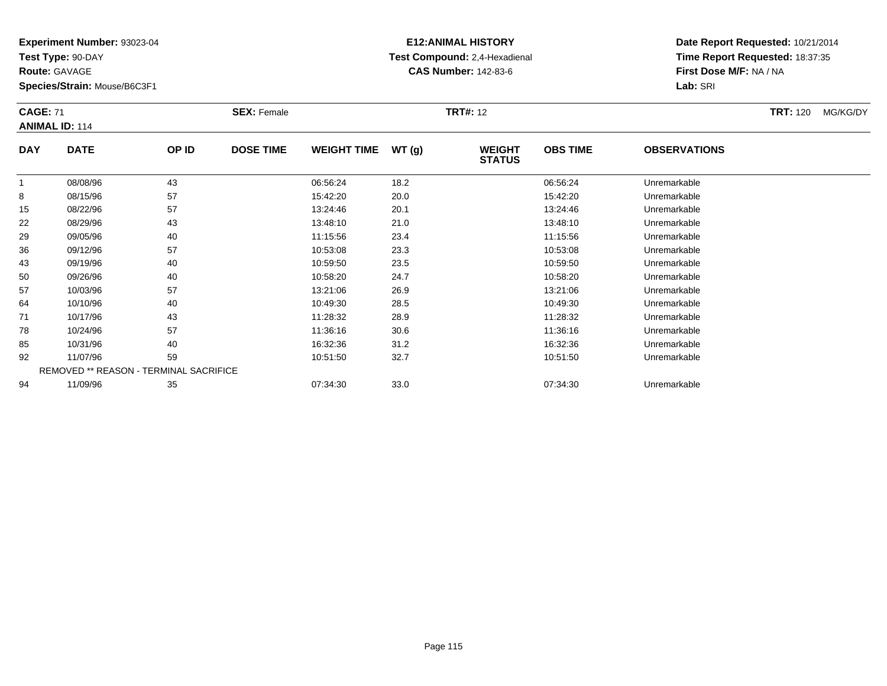**Test Type:** 90-DAY

**Route:** GAVAGE

94

**Species/Strain:** Mouse/B6C3F1

# **E12:ANIMAL HISTORY Test Compound:** 2,4-Hexadienal **CAS Number:** 142-83-6

**Date Report Requested:** 10/21/2014**Time Report Requested:** 18:37:35**First Dose M/F:** NA / NA**Lab:** SRI

| <b>CAGE: 71</b> | <b>ANIMAL ID: 114</b>                  |       | <b>SEX: Female</b> |                    |       | <b>TRT#: 12</b>                |                 |                     | <b>TRT: 120</b> | MG/KG/DY |
|-----------------|----------------------------------------|-------|--------------------|--------------------|-------|--------------------------------|-----------------|---------------------|-----------------|----------|
| <b>DAY</b>      | <b>DATE</b>                            | OP ID | <b>DOSE TIME</b>   | <b>WEIGHT TIME</b> | WT(g) | <b>WEIGHT</b><br><b>STATUS</b> | <b>OBS TIME</b> | <b>OBSERVATIONS</b> |                 |          |
| $\mathbf{1}$    | 08/08/96                               | 43    |                    | 06:56:24           | 18.2  |                                | 06:56:24        | Unremarkable        |                 |          |
| 8               | 08/15/96                               | 57    |                    | 15:42:20           | 20.0  |                                | 15:42:20        | Unremarkable        |                 |          |
| 15              | 08/22/96                               | 57    |                    | 13:24:46           | 20.1  |                                | 13:24:46        | Unremarkable        |                 |          |
| 22              | 08/29/96                               | 43    |                    | 13:48:10           | 21.0  |                                | 13:48:10        | Unremarkable        |                 |          |
| 29              | 09/05/96                               | 40    |                    | 11:15:56           | 23.4  |                                | 11:15:56        | Unremarkable        |                 |          |
| 36              | 09/12/96                               | 57    |                    | 10:53:08           | 23.3  |                                | 10:53:08        | Unremarkable        |                 |          |
| 43              | 09/19/96                               | 40    |                    | 10:59:50           | 23.5  |                                | 10:59:50        | Unremarkable        |                 |          |
| 50              | 09/26/96                               | 40    |                    | 10:58:20           | 24.7  |                                | 10:58:20        | Unremarkable        |                 |          |
| 57              | 10/03/96                               | 57    |                    | 13:21:06           | 26.9  |                                | 13:21:06        | Unremarkable        |                 |          |
| 64              | 10/10/96                               | 40    |                    | 10:49:30           | 28.5  |                                | 10:49:30        | Unremarkable        |                 |          |
| 71              | 10/17/96                               | 43    |                    | 11:28:32           | 28.9  |                                | 11:28:32        | Unremarkable        |                 |          |
| 78              | 10/24/96                               | 57    |                    | 11:36:16           | 30.6  |                                | 11:36:16        | Unremarkable        |                 |          |
| 85              | 10/31/96                               | 40    |                    | 16:32:36           | 31.2  |                                | 16:32:36        | Unremarkable        |                 |          |
| 92              | 11/07/96                               | 59    |                    | 10:51:50           | 32.7  |                                | 10:51:50        | Unremarkable        |                 |          |
|                 | REMOVED ** REASON - TERMINAL SACRIFICE |       |                    |                    |       |                                |                 |                     |                 |          |

11/09/96 <sup>35</sup> 07:34:30 33.0 07:34:30 Unremarkable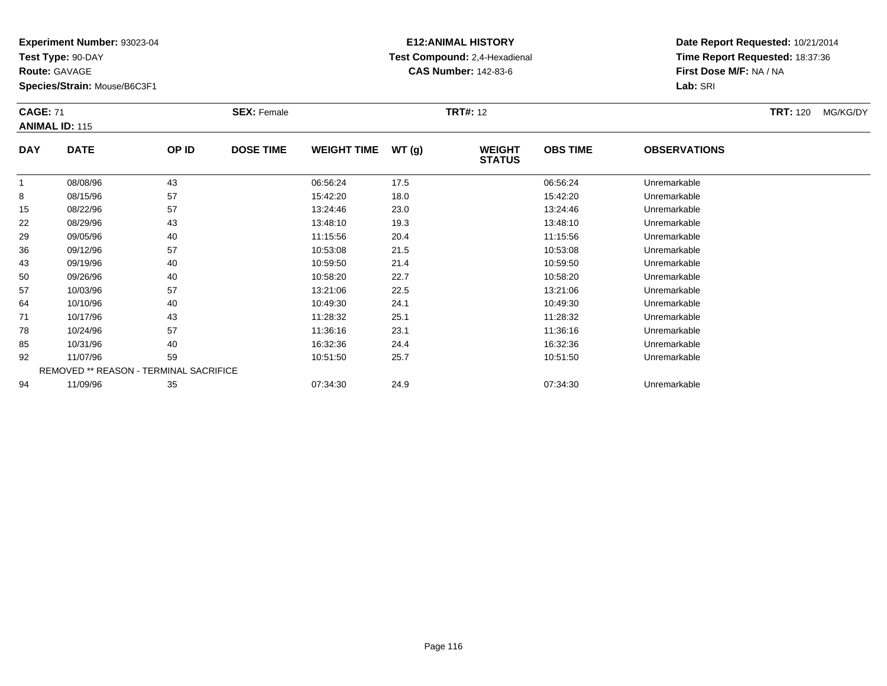**Test Type:** 90-DAY

**Route:** GAVAGE

94

**Species/Strain:** Mouse/B6C3F1

# **E12:ANIMAL HISTORY Test Compound:** 2,4-Hexadienal **CAS Number:** 142-83-6

**Date Report Requested:** 10/21/2014**Time Report Requested:** 18:37:36**First Dose M/F:** NA / NA**Lab:** SRI

| <b>CAGE: 71</b> | <b>ANIMAL ID: 115</b>                  |       | <b>SEX: Female</b> |                    |       | <b>TRT#: 12</b>                |                 |                     | <b>TRT: 120</b> | MG/KG/DY |
|-----------------|----------------------------------------|-------|--------------------|--------------------|-------|--------------------------------|-----------------|---------------------|-----------------|----------|
| <b>DAY</b>      | <b>DATE</b>                            | OP ID | <b>DOSE TIME</b>   | <b>WEIGHT TIME</b> | WT(g) | <b>WEIGHT</b><br><b>STATUS</b> | <b>OBS TIME</b> | <b>OBSERVATIONS</b> |                 |          |
|                 | 08/08/96                               | 43    |                    | 06:56:24           | 17.5  |                                | 06:56:24        | Unremarkable        |                 |          |
| 8               | 08/15/96                               | 57    |                    | 15:42:20           | 18.0  |                                | 15:42:20        | Unremarkable        |                 |          |
| 15              | 08/22/96                               | 57    |                    | 13:24:46           | 23.0  |                                | 13:24:46        | Unremarkable        |                 |          |
| 22              | 08/29/96                               | 43    |                    | 13:48:10           | 19.3  |                                | 13:48:10        | Unremarkable        |                 |          |
| 29              | 09/05/96                               | 40    |                    | 11:15:56           | 20.4  |                                | 11:15:56        | Unremarkable        |                 |          |
| 36              | 09/12/96                               | 57    |                    | 10:53:08           | 21.5  |                                | 10:53:08        | Unremarkable        |                 |          |
| 43              | 09/19/96                               | 40    |                    | 10:59:50           | 21.4  |                                | 10:59:50        | Unremarkable        |                 |          |
| 50              | 09/26/96                               | 40    |                    | 10:58:20           | 22.7  |                                | 10:58:20        | Unremarkable        |                 |          |
| 57              | 10/03/96                               | 57    |                    | 13:21:06           | 22.5  |                                | 13:21:06        | Unremarkable        |                 |          |
| 64              | 10/10/96                               | 40    |                    | 10:49:30           | 24.1  |                                | 10:49:30        | Unremarkable        |                 |          |
| 71              | 10/17/96                               | 43    |                    | 11:28:32           | 25.1  |                                | 11:28:32        | Unremarkable        |                 |          |
| 78              | 10/24/96                               | 57    |                    | 11:36:16           | 23.1  |                                | 11:36:16        | Unremarkable        |                 |          |
| 85              | 10/31/96                               | 40    |                    | 16:32:36           | 24.4  |                                | 16:32:36        | Unremarkable        |                 |          |
| 92              | 11/07/96                               | 59    |                    | 10:51:50           | 25.7  |                                | 10:51:50        | Unremarkable        |                 |          |
|                 | REMOVED ** REASON - TERMINAL SACRIFICE |       |                    |                    |       |                                |                 |                     |                 |          |

11/09/96 <sup>35</sup> 07:34:30 24.9 07:34:30 Unremarkable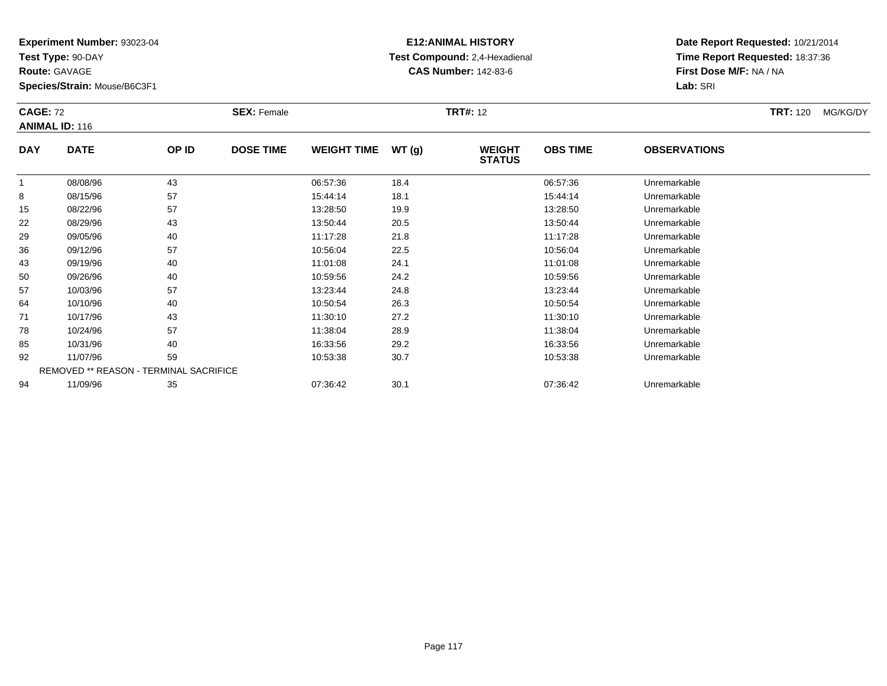**Test Type:** 90-DAY

**Route:** GAVAGE

**Species/Strain:** Mouse/B6C3F1

# **E12:ANIMAL HISTORY Test Compound:** 2,4-Hexadienal **CAS Number:** 142-83-6

| <b>CAGE: 72</b> | <b>ANIMAL ID: 116</b>                         |       | <b>SEX: Female</b> |                    |       | <b>TRT#: 12</b>                |                 |                     | <b>TRT:</b> 120 | MG/KG/DY |
|-----------------|-----------------------------------------------|-------|--------------------|--------------------|-------|--------------------------------|-----------------|---------------------|-----------------|----------|
| <b>DAY</b>      | <b>DATE</b>                                   | OP ID | <b>DOSE TIME</b>   | <b>WEIGHT TIME</b> | WT(g) | <b>WEIGHT</b><br><b>STATUS</b> | <b>OBS TIME</b> | <b>OBSERVATIONS</b> |                 |          |
| 1               | 08/08/96                                      | 43    |                    | 06:57:36           | 18.4  |                                | 06:57:36        | Unremarkable        |                 |          |
| 8               | 08/15/96                                      | 57    |                    | 15:44:14           | 18.1  |                                | 15:44:14        | Unremarkable        |                 |          |
| 15              | 08/22/96                                      | 57    |                    | 13:28:50           | 19.9  |                                | 13:28:50        | Unremarkable        |                 |          |
| 22              | 08/29/96                                      | 43    |                    | 13:50:44           | 20.5  |                                | 13:50:44        | Unremarkable        |                 |          |
| 29              | 09/05/96                                      | 40    |                    | 11:17:28           | 21.8  |                                | 11:17:28        | Unremarkable        |                 |          |
| 36              | 09/12/96                                      | 57    |                    | 10:56:04           | 22.5  |                                | 10:56:04        | Unremarkable        |                 |          |
| 43              | 09/19/96                                      | 40    |                    | 11:01:08           | 24.1  |                                | 11:01:08        | Unremarkable        |                 |          |
| 50              | 09/26/96                                      | 40    |                    | 10:59:56           | 24.2  |                                | 10:59:56        | Unremarkable        |                 |          |
| 57              | 10/03/96                                      | 57    |                    | 13:23:44           | 24.8  |                                | 13:23:44        | Unremarkable        |                 |          |
| 64              | 10/10/96                                      | 40    |                    | 10:50:54           | 26.3  |                                | 10:50:54        | Unremarkable        |                 |          |
| 71              | 10/17/96                                      | 43    |                    | 11:30:10           | 27.2  |                                | 11:30:10        | Unremarkable        |                 |          |
| 78              | 10/24/96                                      | 57    |                    | 11:38:04           | 28.9  |                                | 11:38:04        | Unremarkable        |                 |          |
| 85              | 10/31/96                                      | 40    |                    | 16:33:56           | 29.2  |                                | 16:33:56        | Unremarkable        |                 |          |
| 92              | 11/07/96                                      | 59    |                    | 10:53:38           | 30.7  |                                | 10:53:38        | Unremarkable        |                 |          |
|                 | <b>REMOVED ** REASON - TERMINAL SACRIFICE</b> |       |                    |                    |       |                                |                 |                     |                 |          |
| 94              | 11/09/96                                      | 35    |                    | 07:36:42           | 30.1  |                                | 07:36:42        | Unremarkable        |                 |          |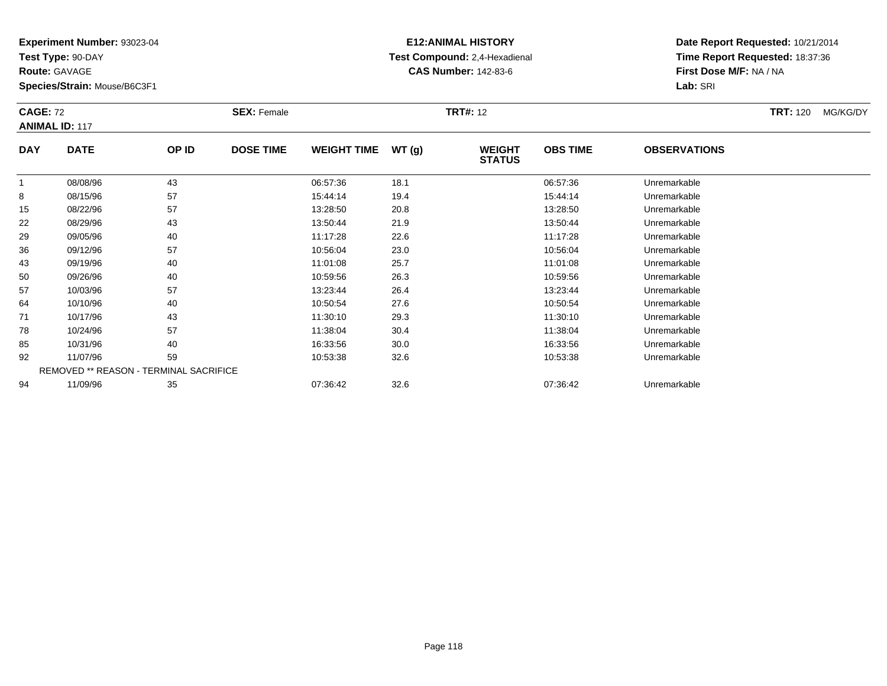**Test Type:** 90-DAY

**Route:** GAVAGE

**Species/Strain:** Mouse/B6C3F1

# **E12:ANIMAL HISTORY Test Compound:** 2,4-Hexadienal **CAS Number:** 142-83-6

| <b>CAGE: 72</b> | <b>ANIMAL ID: 117</b>                         |       | <b>SEX: Female</b> |                    |       | <b>TRT#: 12</b>                |                 |                     | <b>TRT: 120</b> | MG/KG/DY |
|-----------------|-----------------------------------------------|-------|--------------------|--------------------|-------|--------------------------------|-----------------|---------------------|-----------------|----------|
| <b>DAY</b>      | <b>DATE</b>                                   | OP ID | <b>DOSE TIME</b>   | <b>WEIGHT TIME</b> | WT(g) | <b>WEIGHT</b><br><b>STATUS</b> | <b>OBS TIME</b> | <b>OBSERVATIONS</b> |                 |          |
|                 | 08/08/96                                      | 43    |                    | 06:57:36           | 18.1  |                                | 06:57:36        | Unremarkable        |                 |          |
| 8               | 08/15/96                                      | 57    |                    | 15:44:14           | 19.4  |                                | 15:44:14        | Unremarkable        |                 |          |
| 15              | 08/22/96                                      | 57    |                    | 13:28:50           | 20.8  |                                | 13:28:50        | Unremarkable        |                 |          |
| 22              | 08/29/96                                      | 43    |                    | 13:50:44           | 21.9  |                                | 13:50:44        | Unremarkable        |                 |          |
| 29              | 09/05/96                                      | 40    |                    | 11:17:28           | 22.6  |                                | 11:17:28        | Unremarkable        |                 |          |
| 36              | 09/12/96                                      | 57    |                    | 10:56:04           | 23.0  |                                | 10:56:04        | Unremarkable        |                 |          |
| 43              | 09/19/96                                      | 40    |                    | 11:01:08           | 25.7  |                                | 11:01:08        | Unremarkable        |                 |          |
| 50              | 09/26/96                                      | 40    |                    | 10:59:56           | 26.3  |                                | 10:59:56        | Unremarkable        |                 |          |
| 57              | 10/03/96                                      | 57    |                    | 13:23:44           | 26.4  |                                | 13:23:44        | Unremarkable        |                 |          |
| 64              | 10/10/96                                      | 40    |                    | 10:50:54           | 27.6  |                                | 10:50:54        | Unremarkable        |                 |          |
| 71              | 10/17/96                                      | 43    |                    | 11:30:10           | 29.3  |                                | 11:30:10        | Unremarkable        |                 |          |
| 78              | 10/24/96                                      | 57    |                    | 11:38:04           | 30.4  |                                | 11:38:04        | Unremarkable        |                 |          |
| 85              | 10/31/96                                      | 40    |                    | 16:33:56           | 30.0  |                                | 16:33:56        | Unremarkable        |                 |          |
| 92              | 11/07/96                                      | 59    |                    | 10:53:38           | 32.6  |                                | 10:53:38        | Unremarkable        |                 |          |
|                 | <b>REMOVED ** REASON - TERMINAL SACRIFICE</b> |       |                    |                    |       |                                |                 |                     |                 |          |
| 94              | 11/09/96                                      | 35    |                    | 07:36:42           | 32.6  |                                | 07:36:42        | Unremarkable        |                 |          |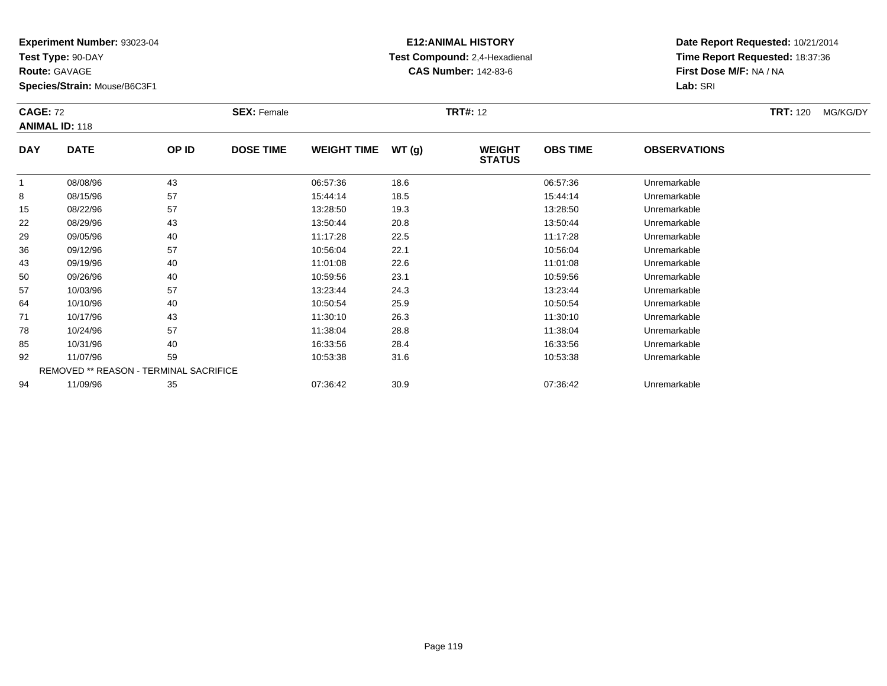**Test Type:** 90-DAY

**Route:** GAVAGE

**Species/Strain:** Mouse/B6C3F1

#### **E12:ANIMAL HISTORY Test Compound:** 2,4-Hexadienal **CAS Number:** 142-83-6

| <b>CAGE: 72</b> | <b>ANIMAL ID: 118</b> |                                        | <b>SEX: Female</b> |                    |       | <b>TRT#: 12</b>                |                 |                     | <b>TRT:</b> 120 | MG/KG/DY |
|-----------------|-----------------------|----------------------------------------|--------------------|--------------------|-------|--------------------------------|-----------------|---------------------|-----------------|----------|
| <b>DAY</b>      | <b>DATE</b>           | OP ID                                  | <b>DOSE TIME</b>   | <b>WEIGHT TIME</b> | WT(g) | <b>WEIGHT</b><br><b>STATUS</b> | <b>OBS TIME</b> | <b>OBSERVATIONS</b> |                 |          |
| 1               | 08/08/96              | 43                                     |                    | 06:57:36           | 18.6  |                                | 06:57:36        | Unremarkable        |                 |          |
| 8               | 08/15/96              | 57                                     |                    | 15:44:14           | 18.5  |                                | 15:44:14        | Unremarkable        |                 |          |
| 15              | 08/22/96              | 57                                     |                    | 13:28:50           | 19.3  |                                | 13:28:50        | Unremarkable        |                 |          |
| 22              | 08/29/96              | 43                                     |                    | 13:50:44           | 20.8  |                                | 13:50:44        | Unremarkable        |                 |          |
| 29              | 09/05/96              | 40                                     |                    | 11:17:28           | 22.5  |                                | 11:17:28        | Unremarkable        |                 |          |
| 36              | 09/12/96              | 57                                     |                    | 10:56:04           | 22.1  |                                | 10:56:04        | Unremarkable        |                 |          |
| 43              | 09/19/96              | 40                                     |                    | 11:01:08           | 22.6  |                                | 11:01:08        | Unremarkable        |                 |          |
| 50              | 09/26/96              | 40                                     |                    | 10:59:56           | 23.1  |                                | 10:59:56        | Unremarkable        |                 |          |
| 57              | 10/03/96              | 57                                     |                    | 13:23:44           | 24.3  |                                | 13:23:44        | Unremarkable        |                 |          |
| 64              | 10/10/96              | 40                                     |                    | 10:50:54           | 25.9  |                                | 10:50:54        | Unremarkable        |                 |          |
| 71              | 10/17/96              | 43                                     |                    | 11:30:10           | 26.3  |                                | 11:30:10        | Unremarkable        |                 |          |
| 78              | 10/24/96              | 57                                     |                    | 11:38:04           | 28.8  |                                | 11:38:04        | Unremarkable        |                 |          |
| 85              | 10/31/96              | 40                                     |                    | 16:33:56           | 28.4  |                                | 16:33:56        | Unremarkable        |                 |          |
| 92              | 11/07/96              | 59                                     |                    | 10:53:38           | 31.6  |                                | 10:53:38        | Unremarkable        |                 |          |
|                 |                       | REMOVED ** REASON - TERMINAL SACRIFICE |                    |                    |       |                                |                 |                     |                 |          |
| 94              | 11/09/96              | 35                                     |                    | 07:36:42           | 30.9  |                                | 07:36:42        | Unremarkable        |                 |          |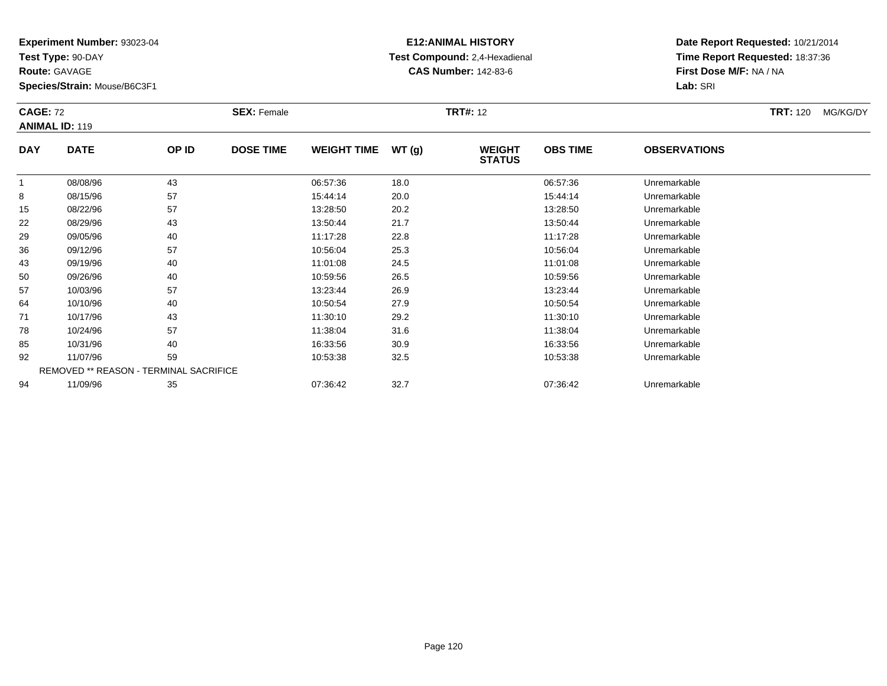**Test Type:** 90-DAY

**Route:** GAVAGE

**Species/Strain:** Mouse/B6C3F1

# **E12:ANIMAL HISTORY Test Compound:** 2,4-Hexadienal **CAS Number:** 142-83-6

| <b>CAGE: 72</b> | <b>ANIMAL ID: 119</b>                  |       | <b>SEX: Female</b> |                    |       | <b>TRT#: 12</b>                |                 |                     | <b>TRT: 120</b> | MG/KG/DY |
|-----------------|----------------------------------------|-------|--------------------|--------------------|-------|--------------------------------|-----------------|---------------------|-----------------|----------|
| <b>DAY</b>      | <b>DATE</b>                            | OP ID | <b>DOSE TIME</b>   | <b>WEIGHT TIME</b> | WT(g) | <b>WEIGHT</b><br><b>STATUS</b> | <b>OBS TIME</b> | <b>OBSERVATIONS</b> |                 |          |
|                 | 08/08/96                               | 43    |                    | 06:57:36           | 18.0  |                                | 06:57:36        | Unremarkable        |                 |          |
| 8               | 08/15/96                               | 57    |                    | 15:44:14           | 20.0  |                                | 15:44:14        | Unremarkable        |                 |          |
| 15              | 08/22/96                               | 57    |                    | 13:28:50           | 20.2  |                                | 13:28:50        | Unremarkable        |                 |          |
| 22              | 08/29/96                               | 43    |                    | 13:50:44           | 21.7  |                                | 13:50:44        | Unremarkable        |                 |          |
| 29              | 09/05/96                               | 40    |                    | 11:17:28           | 22.8  |                                | 11:17:28        | Unremarkable        |                 |          |
| 36              | 09/12/96                               | 57    |                    | 10:56:04           | 25.3  |                                | 10:56:04        | Unremarkable        |                 |          |
| 43              | 09/19/96                               | 40    |                    | 11:01:08           | 24.5  |                                | 11:01:08        | Unremarkable        |                 |          |
| 50              | 09/26/96                               | 40    |                    | 10:59:56           | 26.5  |                                | 10:59:56        | Unremarkable        |                 |          |
| 57              | 10/03/96                               | 57    |                    | 13:23:44           | 26.9  |                                | 13:23:44        | Unremarkable        |                 |          |
| 64              | 10/10/96                               | 40    |                    | 10:50:54           | 27.9  |                                | 10:50:54        | Unremarkable        |                 |          |
| 71              | 10/17/96                               | 43    |                    | 11:30:10           | 29.2  |                                | 11:30:10        | Unremarkable        |                 |          |
| 78              | 10/24/96                               | 57    |                    | 11:38:04           | 31.6  |                                | 11:38:04        | Unremarkable        |                 |          |
| 85              | 10/31/96                               | 40    |                    | 16:33:56           | 30.9  |                                | 16:33:56        | Unremarkable        |                 |          |
| 92              | 11/07/96                               | 59    |                    | 10:53:38           | 32.5  |                                | 10:53:38        | Unremarkable        |                 |          |
|                 | REMOVED ** REASON - TERMINAL SACRIFICE |       |                    |                    |       |                                |                 |                     |                 |          |
| 94              | 11/09/96                               | 35    |                    | 07:36:42           | 32.7  |                                | 07:36:42        | Unremarkable        |                 |          |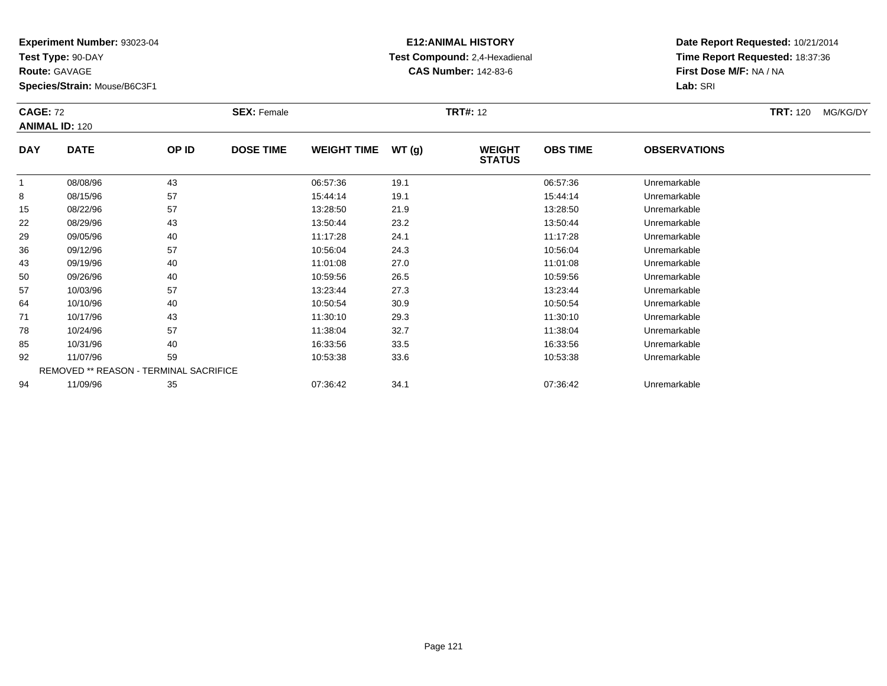**Test Type:** 90-DAY

**Route:** GAVAGE

**Species/Strain:** Mouse/B6C3F1

# **E12:ANIMAL HISTORY Test Compound:** 2,4-Hexadienal **CAS Number:** 142-83-6

| <b>CAGE: 72</b><br><b>ANIMAL ID: 120</b> |             | <b>SEX: Female</b> |                  |                    | <b>TRT#: 12</b> |                                |                 | <b>TRT: 120</b>     | MG/KG/DY |  |
|------------------------------------------|-------------|--------------------|------------------|--------------------|-----------------|--------------------------------|-----------------|---------------------|----------|--|
| <b>DAY</b>                               | <b>DATE</b> | OP ID              | <b>DOSE TIME</b> | <b>WEIGHT TIME</b> | WT(g)           | <b>WEIGHT</b><br><b>STATUS</b> | <b>OBS TIME</b> | <b>OBSERVATIONS</b> |          |  |
| 1                                        | 08/08/96    | 43                 |                  | 06:57:36           | 19.1            |                                | 06:57:36        | Unremarkable        |          |  |
| 8                                        | 08/15/96    | 57                 |                  | 15:44:14           | 19.1            |                                | 15:44:14        | Unremarkable        |          |  |
| 15                                       | 08/22/96    | 57                 |                  | 13:28:50           | 21.9            |                                | 13:28:50        | Unremarkable        |          |  |
| 22                                       | 08/29/96    | 43                 |                  | 13:50:44           | 23.2            |                                | 13:50:44        | Unremarkable        |          |  |
| 29                                       | 09/05/96    | 40                 |                  | 11:17:28           | 24.1            |                                | 11:17:28        | Unremarkable        |          |  |
| 36                                       | 09/12/96    | 57                 |                  | 10:56:04           | 24.3            |                                | 10:56:04        | Unremarkable        |          |  |
| 43                                       | 09/19/96    | 40                 |                  | 11:01:08           | 27.0            |                                | 11:01:08        | Unremarkable        |          |  |
| 50                                       | 09/26/96    | 40                 |                  | 10:59:56           | 26.5            |                                | 10:59:56        | Unremarkable        |          |  |
| 57                                       | 10/03/96    | 57                 |                  | 13:23:44           | 27.3            |                                | 13:23:44        | Unremarkable        |          |  |
| 64                                       | 10/10/96    | 40                 |                  | 10:50:54           | 30.9            |                                | 10:50:54        | Unremarkable        |          |  |
| 71                                       | 10/17/96    | 43                 |                  | 11:30:10           | 29.3            |                                | 11:30:10        | Unremarkable        |          |  |
| 78                                       | 10/24/96    | 57                 |                  | 11:38:04           | 32.7            |                                | 11:38:04        | Unremarkable        |          |  |
| 85                                       | 10/31/96    | 40                 |                  | 16:33:56           | 33.5            |                                | 16:33:56        | Unremarkable        |          |  |
| 92                                       | 11/07/96    | 59                 |                  | 10:53:38           | 33.6            |                                | 10:53:38        | Unremarkable        |          |  |
| REMOVED ** REASON - TERMINAL SACRIFICE   |             |                    |                  |                    |                 |                                |                 |                     |          |  |
| 94                                       | 11/09/96    | 35                 |                  | 07:36:42           | 34.1            |                                | 07:36:42        | Unremarkable        |          |  |